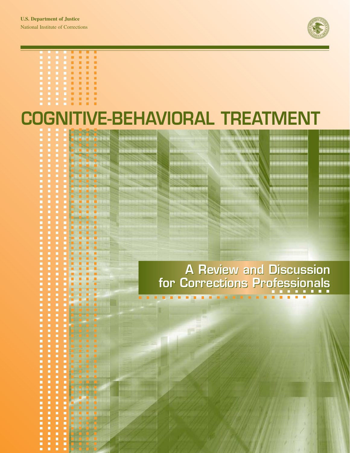$\frac{1}{2}$ 

------

 $\overline{\phantom{a}}$ 

,,,,,,,,,,,,,,,,,,,,,,,,,,,,,,,,,,,,

 $\blacksquare$ 

 $\frac{1}{2}$ 

i

E

E

 $\blacksquare$ 

E П  $\blacksquare$ 

E i.

E  $\blacksquare$ **D** 

E Ξ  $\blacksquare$  $\blacksquare$ 

-----------

Ē E  $\blacksquare$ Ė D  $\frac{1}{2}$  $\blacksquare$ D

i.  $\blacksquare$ 

,,,,,,,, E

i

Ē

 $\blacksquare$ 

п

 $\blacksquare$ 

 $\blacksquare$ 

i

a Balbadar



\*\*\*\*\*\*\*\*

----------

# **COGNITIVE-BEHAVIORAL TREATMENT**  a a a a

<u>na da da sa meda</u>

**TABLE** 

 $\blacksquare$ 

...........

للادخاذاذ

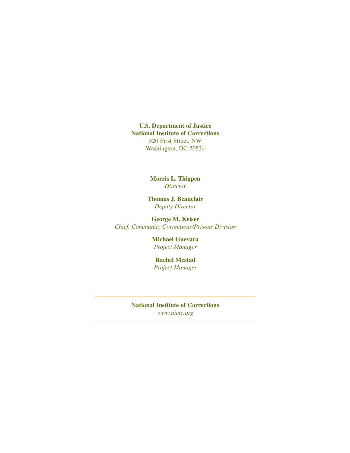**U.S. Department of Justice National Institute of Corrections**  320 First Street, NW Washington, DC 20534

> **Morris L. Thigpen**  *Director*

**Thomas J. Beauclair**  *Deputy Director* 

**George M. Keiser**  *Chief, Community Corrections/Prisons Division* 

> **Michael Guevara**  *Project Manager*

**Rachel Mestad**  *Project Manager* 

**National Institute of Corrections**  *www.nicic.org*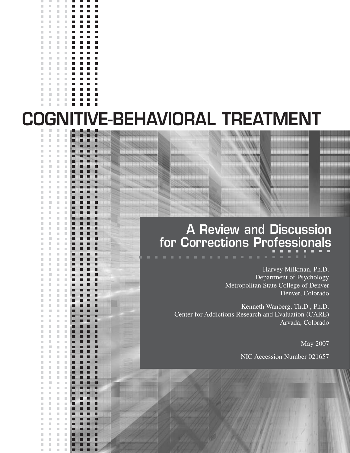|                          | <b>Links</b>             |                          |                | H | . . | . . |   |
|--------------------------|--------------------------|--------------------------|----------------|---|-----|-----|---|
| П                        |                          |                          | П              | П | П   | П   | Г |
| п                        | F                        | $\overline{\phantom{a}}$ |                | П | П   | П   | г |
| п                        | П                        | F                        | F              | П | П   | П   | Г |
| П                        | a.                       | П                        | F              | П | П   | П   | Г |
| П                        | a.                       | П                        | П              | П | П   | П   | Ξ |
| ×                        | П                        | П                        | F              | П | П   | П   | Г |
| $\overline{\phantom{a}}$ | П                        | $\overline{\phantom{a}}$ | П              | П | П   | П   | Ξ |
|                          |                          |                          |                | П | П   | П   | г |
| $\overline{\phantom{a}}$ | $\overline{\phantom{a}}$ | $\mathbb{R}^n$           |                | П | П   | П   | г |
| П                        | П                        | П                        | П              | П | П   | П   | Г |
| $\overline{\phantom{a}}$ | П                        | $\overline{\phantom{a}}$ | $\mathbb{R}^n$ | П | П   | П   | Г |
| П                        | a.                       | П                        | П              | П | П   | П   | Г |
| П                        | T.                       | П                        | F              | П | П   | П   | Г |
| П                        | П                        | F                        | П              | П | П   | П   | Г |
|                          | П                        | I.                       | F              | П | П   | П   | Г |
|                          |                          |                          |                | П | П   | П   | г |
|                          | П                        | F                        | П              | П | П   | П   | Г |
| П                        | П                        | $\Box$                   |                | П | П   | П   | Г |
| F                        | a.                       | F                        | F              | П | П   | П   | Ξ |
|                          |                          |                          |                |   |     |     |   |

m.  $\mathbb{R}^n$  $\blacksquare$  $\mathbb{R}^n$ 

 $\mathbb{R}^2$  $\mathbb{R}^n$  $\mathbb{R}^n$ × ×

m. **III**  $\mathbb{R}^n$ 

m. ×  $\mathbb{R}^d$ ×

 $\mathbb{R}^d$  $\mathbb{R}^2$  $\mathcal{C}^{\mathcal{C}}$ ×

ш m.  $\mathcal{C}$  $\blacksquare$ ×

 $\mathbb{R}^d$  $\mathcal{C}$  $\mathbb{R}^d$ ×

m.  $\mathbb{R}^d$  $\mathcal{C}$  $\mathbb{R}^d$ ×

 $\mathbb{R}^d$ 

m.  $\mathbb{R}^d$  $\mathbb{R}^n$  $\mathbb{R}^d$ ×

 $\mathbb{R}^d$  $\mathcal{C}$  $\mathbb{R}^d$ × г

 $\mathbb{R}^d$  $\mathcal{C}$  $\mathbb{R}^d$ ×

 $\mathbb{R}^d$  $\mathcal{L}$  $\mathbb{R}^n$  $\mathbb{R}^2$ 

m.  $\mathbb{R}^n$ m.

 $\mathbb{R}^n$  $\mathbb{R}^2$  $\mathbb{R}^d$  $\bar{\phantom{a}}$ 

 $\mathbb{R}^d$ 

m.  $\mathbb{R}^n$  $\mathbb{R}^n$ 

m.  $\mathbb{R}^n$  $\sim$ × ш п

m.

 $\mathbb{R}^d$ 

 $\mathbb{R}^n$ 

 $\mathbb{R}^d$ ×  $\mathbb{R}^d$  $\bar{\phantom{a}}$ г

m.  $\mathbb{R}^n$  $\sim$ 

 $\blacksquare$ 

 $\mathbb{R}^d$  $\mathbb{R}^n$  $\sim$ × г

 $\mathbb{R}^d$  $\mathcal{C}$  $\mathbb{R}^n$ ×

m.  $\mathcal{C}$  $\mathbb{R}^n$ × п

 $\mathbb{R}^d$ ×  $\bar{\phantom{a}}$  $\bar{\phantom{a}}$ 

 $\mathbb{R}^d$  $\mathcal{C}$ 

 $\mathbb{R}^d$ 

m.  $\mathbb{R}^d$ 

 $\mathbb{R}^d$ 

 $\mathcal{L}_{\mathcal{A}}$ 

 $\mathbb{R}^d$  $\mathcal{C}$  $\mathbb{R}^d$  $\bar{\phantom{a}}$ 

 $\mathbb{R}^d$ 

m.  $\mathbb{R}^n$ m. п П

m.

 $\mathbb{R}^d$ 

 $\mathbb{R}^d$  $\mathbb{R}^n$  $\mathcal{L}$  $\mathbb{R}^2$ 

 $\mathbb{R}^n$  $\mathbb{R}^n$ 

m.

 $\mathbb{R}^d$  $\mathbb{R}^n$ × п

m.  $\mathbb{R}^d$  $\mathcal{C}$  $\mathcal{C}^{\mathcal{C}}$  $\bar{\phantom{a}}$ 

 $\mathbb{R}^d$ п  $\mathcal{L}_{\mathcal{A}}$  $\mathbb{R}^2$ 

m.

 $\overline{\phantom{a}}$  $\mathcal{C}$  $\mathbb{R}^n$  $\mathcal{C}$ 

ш

 $\mathbb{R}^d$  $\mathcal{C}$  $\sim$ ×

 $\mathbb{R}^n$  $\blacksquare$ 

 $\bar{\phantom{a}}$  $\mathcal{C}^{\mathcal{C}}$ 

> $\mathbb{R}^n$  $\mathbb{R}^n$ × п

 $\mathcal{L}$  $\mathcal{L}$  $\mathbb{R}^2$ 

 $\mathcal{C}$ 

 $\blacksquare$ 

 $\mathbb{R}^n$  $\mathcal{L}$ × П

 $\bar{\phantom{a}}$  $\mathcal{C}^{\mathcal{C}}$ 

 $\mathbb{R}^d$  $\blacksquare$ 

> $\mathcal{C}$  $\mathcal{L}$  $\mathbb{R}^2$ п

 $\mathbb{R}^d$  $\mathbb{R}^d$ 

> $\mathbb{R}^n$  $\mathbb{R}^d$ Î.

 $\mathcal{C}$  $\mathcal{L}$ 

 $\mathcal{C}$ 

 $\mathbb{R}^n$  $\mathcal{L}_{\mathcal{A}}$ 

 $\mathbb{R}^2$  $\mathbb{R}^d$ 

 $\mathcal{C}$ m.

> $\mathcal{C}$  $\mathcal{C}^{\mathcal{C}}$  $\bar{\phantom{a}}$ г

 $\mathbb{R}^2$  $\mathbb{R}^2$ × г

 $\mathbb{R}^2$  $\mathcal{C}^{\mathcal{C}}$  $\bar{\phantom{a}}$ 

 $\mathcal{C}$  $\mathbb{R}^2$  $\bar{\phantom{a}}$ 

 $\mathbb{R}^2$  $\mathbb{R}^d$ 

> $\sim$  $\sim$ × г

 $\mathbb{R}^2$  $\mathbb{R}^d$ 

×  $\mathcal{L}$ 

 $\mathcal{C}$  $\mathbb{R}^n$ ×

 $\mathbb{R}^2$  $\mathbb{R}^n$ × г

 $\mathcal{C}$  $\mathbb{R}^d$  $\mathbb{R}^d$ п

 $\mathcal{C}$ 

 $\overline{\phantom{a}}$ п

 $\mathcal{C}$ ×

 $\mathbb{R}^d$ × п

 $\mathbb{R}^d$ r. г

× Î. г

 $\mathbb{R}^d$ × п г

 $\mathbb{R}^d$ ×

m. п

 $\mathbb{R}^d$ × г

 $\mathbb{R}^d$  $\mathbb{R}^2$ п

 $\mathcal{C}^{\mathcal{C}}$ ×

 $\mathbb{R}^d$ ×

 $\bar{\phantom{a}}$ ×

 $\mathbb{R}^n$ п

m.

 $\mathbb{R}^n$ 

×

×

 $\mathcal{C}$ п

П

г

×

×

× ш

×

× г

П

п

г

п

п

п

ш

г

П

г П г

г

г

г

г

п ۰

г ┓

п

Е

г

Г

г

г

г

п

г

г

Г

г

г

г

г

г

г

г

П

г

г

г

П

П п

т г

┓

ш п

# **COGNITIVE-BEHAVIORAL TREATMENT**

# **A Review and Discussion for Corrections Professionals**

Harvey Milkman, Ph.D. Department of Psychology Metropolitan State College of Denver Denver, Colorado

Kenneth Wanberg, Th.D., Ph.D. Center for Addictions Research and Evaluation (CARE) Arvada, Colorado

May 2007

NIC Accession Number 021657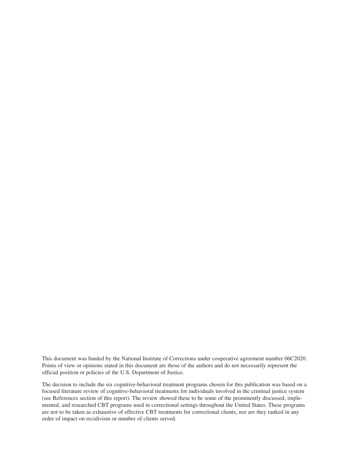This document was funded by the National Institute of Corrections under cooperative agreement number 06C2020. Points of view or opinions stated in this document are those of the authors and do not necessarily represent the official position or policies of the U.S. Department of Justice.

The decision to include the six cognitive-behavioral treatment programs chosen for this publication was based on a focused literature review of cognitive-behavioral treatments for individuals involved in the criminal justice system (see References section of this report). The review showed these to be some of the prominently discussed, implemented, and researched CBT programs used in correctional settings throughout the United States. These programs are not to be taken as exhaustive of effective CBT treatments for correctional clients, nor are they ranked in any order of impact on recidivism or number of clients served.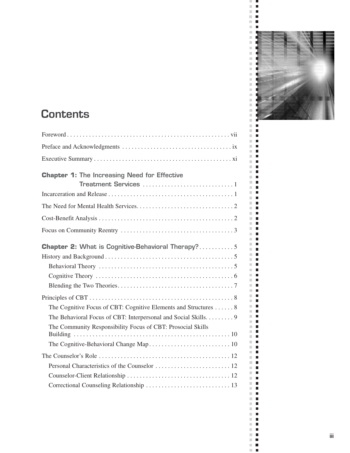

# **Contents**

| <b>Chapter 1: The Increasing Need for Effective</b>              |
|------------------------------------------------------------------|
|                                                                  |
|                                                                  |
|                                                                  |
|                                                                  |
| <b>Chapter 2: What is Cognitive-Behavioral Therapy?5</b>         |
|                                                                  |
|                                                                  |
|                                                                  |
|                                                                  |
|                                                                  |
| The Cognitive Focus of CBT: Cognitive Elements and Structures  8 |
| The Behavioral Focus of CBT: Interpersonal and Social Skills. 9  |
| The Community Responsibility Focus of CBT: Prosocial Skills      |
|                                                                  |
|                                                                  |
|                                                                  |
|                                                                  |
|                                                                  |

 $\pm$  10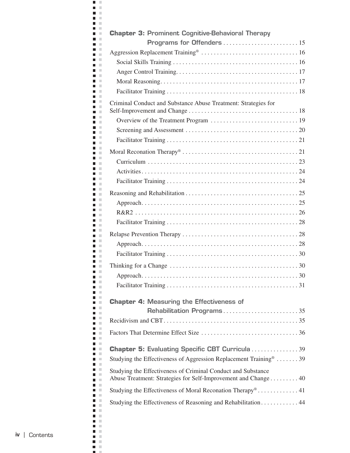| <b>Chapter 3: Prominent Cognitive-Behavioral Therapy</b>                      |
|-------------------------------------------------------------------------------|
|                                                                               |
|                                                                               |
|                                                                               |
|                                                                               |
|                                                                               |
| Criminal Conduct and Substance Abuse Treatment: Strategies for                |
|                                                                               |
|                                                                               |
|                                                                               |
|                                                                               |
|                                                                               |
|                                                                               |
|                                                                               |
|                                                                               |
|                                                                               |
|                                                                               |
|                                                                               |
|                                                                               |
|                                                                               |
|                                                                               |
|                                                                               |
|                                                                               |
|                                                                               |
| <b>Chapter 4: Measuring the Effectiveness of</b>                              |
| Rehabilitation Programs35                                                     |
|                                                                               |
|                                                                               |
| <b>Chapter 5: Evaluating Specific CBT Curricula39</b>                         |
| Studying the Effectiveness of Aggression Replacement Training <sup>®</sup> 39 |
| Studying the Effectiveness of Criminal Conduct and Substance                  |
| Abuse Treatment: Strategies for Self-Improvement and Change 40                |
| Studying the Effectiveness of Moral Reconation Therapy <sup>®</sup> 41        |
| Studying the Effectiveness of Reasoning and Rehabilitation 44                 |
|                                                                               |

 $\blacksquare$  .  $\blacksquare$  $\mathbf{m} \cdot \mathbf{m}$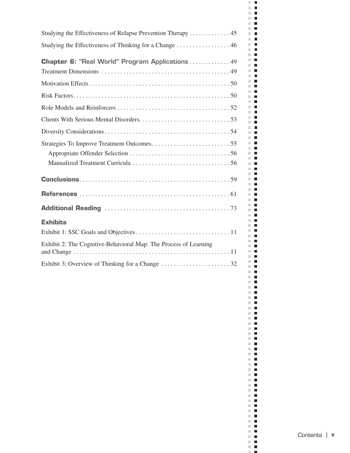| Studying the Effectiveness of Relapse Prevention Therapy 45      |
|------------------------------------------------------------------|
|                                                                  |
|                                                                  |
| <b>Chapter 6: "Real World" Program Applications49</b>            |
|                                                                  |
|                                                                  |
|                                                                  |
|                                                                  |
|                                                                  |
|                                                                  |
|                                                                  |
|                                                                  |
|                                                                  |
|                                                                  |
|                                                                  |
|                                                                  |
| <b>Exhibits</b>                                                  |
|                                                                  |
| Exhibit 2: The Cognitive-Behavioral Map: The Process of Learning |
|                                                                  |
|                                                                  |
|                                                                  |
|                                                                  |
|                                                                  |
|                                                                  |
|                                                                  |
|                                                                  |
|                                                                  |
|                                                                  |
|                                                                  |
|                                                                  |
|                                                                  |
|                                                                  |
|                                                                  |
|                                                                  |
|                                                                  |
|                                                                  |

 $\sim$  10  $\pm$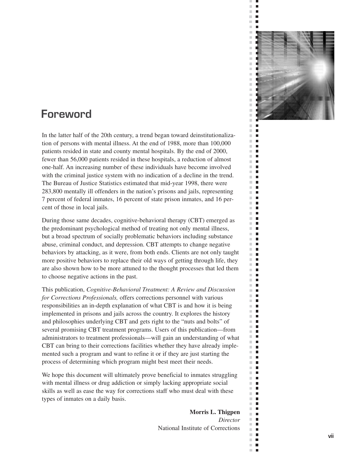

ш  $\bar{\phantom{a}}$  $\blacksquare$  $\bar{\phantom{a}}$  $\overline{\phantom{a}}$  $\bar{\phantom{a}}$  $\blacksquare$ 

 $\mathcal{C}$ п  $\mathbb{R}^2$  $\blacksquare$  $\overline{\phantom{a}}$ п  $\Box$  $\mathcal{L}$  $\bar{\phantom{a}}$  $\Box$  $\overline{\phantom{a}}$  $\Box$  $\blacksquare$  $\mathbb{R}^n$  $\blacksquare$  $\mathbb{R}^n$  $\mathbb{R}^n$  $\blacksquare$  $\mathbb{R}^d$  $\blacksquare$  $\bar{\phantom{a}}$  $\blacksquare$  $\mathbb{R}^n$  $\Box$  $\mathbb{R}^d$  $\blacksquare$  $\bar{\phantom{a}}$  $\blacksquare$  $\mathbb{R}^d$ п  $\mathbb{R}^n$  $\Box$  $\mathcal{C}$  $\overline{\phantom{a}}$  $\blacksquare$  $\blacksquare$  $\bar{\phantom{a}}$  $\blacksquare$  $\mathbb{R}^n$  $\blacksquare$  $\overline{\phantom{a}}$  $\blacksquare$  $\mathbb{R}^d$  $\blacksquare$  $\mathbb{R}^n$ П  $\mathbb{R}^n$  $\blacksquare$  $\blacksquare$  $\blacksquare$  $\mathbb{R}^n$  $\blacksquare$  $\mathbb{R}^d$  $\blacksquare$  $\bar{a}$  $\Box$  $\mathbb{R}^n$  $\Box$  $\mathbb{R}^d$  $\mathbf{r}$  $\mathbb{R}^n$  $\blacksquare$  $\mathbf{r}$  $\overline{\phantom{a}}$  $\overline{\phantom{a}}$  $\Box$  $\blacksquare$  $\mathcal{L}_{\mathcal{A}}$ ×.  $\blacksquare$  $\bar{\phantom{a}}$  $\blacksquare$  $\mathbb{R}^n$  $\mathbf{r}$  $\mathbb{R}^d$  $\overline{\phantom{a}}$  $\blacksquare$  $\blacksquare$  $\mathbb{R}^d$ П  $\mathbb{R}^n$  $\blacksquare$  $\mathbb{R}^n$  $\Box$  $\overline{\phantom{a}}$  $\blacksquare$ m.  $\blacksquare$  $\overline{\phantom{a}}$ П  $\blacksquare$  $\blacksquare$  $\bar{a}$  $\blacksquare$  $\mathbb{R}^n$  $\blacksquare$  $\mathbb{R}^d$  $\blacksquare$  $\mathbb{R}^d$  $\blacksquare$  $\mathbb{R}^n$  $\Box$  $\mathbb{R}^d$  $\blacksquare$  $\blacksquare$  $\blacksquare$  $\mathcal{C}^{\mathcal{C}}$  $\blacksquare$  $\Box$  .  $\Box$  $\mathbb{R}^n$  $\blacksquare$ m,  $\overline{\phantom{a}}$ m,  $\blacksquare$  $\mathbb{R}^n$ п  $\overline{\phantom{a}}$  $\Box$  $\mathcal{C}^{\mathcal{C}}$  $\blacksquare$ ×.  $\overline{\phantom{a}}$  $\overline{\phantom{a}}$ п

# **Foreword**

In the latter half of the 20th century, a trend began toward deinstitutionalization of persons with mental illness. At the end of 1988, more than 100,000 patients resided in state and county mental hospitals. By the end of 2000, fewer than 56,000 patients resided in these hospitals, a reduction of almost one-half. An increasing number of these individuals have become involved with the criminal justice system with no indication of a decline in the trend. The Bureau of Justice Statistics estimated that mid-year 1998, there were 283,800 mentally ill offenders in the nation's prisons and jails, representing 7 percent of federal inmates, 16 percent of state prison inmates, and 16 percent of those in local jails.

During those same decades, cognitive-behavioral therapy (CBT) emerged as the predominant psychological method of treating not only mental illness, but a broad spectrum of socially problematic behaviors including substance abuse, criminal conduct, and depression. CBT attempts to change negative behaviors by attacking, as it were, from both ends. Clients are not only taught more positive behaviors to replace their old ways of getting through life, they are also shown how to be more attuned to the thought processes that led them to choose negative actions in the past.

This publication, *Cognitive-Behavioral Treatment: A Review and Discussion for Corrections Professionals,* offers corrections personnel with various responsibilities an in-depth explanation of what CBT is and how it is being implemented in prisons and jails across the country. It explores the history and philosophies underlying CBT and gets right to the "nuts and bolts" of several promising CBT treatment programs. Users of this publication—from administrators to treatment professionals—will gain an understanding of what CBT can bring to their corrections facilities whether they have already implemented such a program and want to refine it or if they are just starting the process of determining which program might best meet their needs.

We hope this document will ultimately prove beneficial to inmates struggling with mental illness or drug addiction or simply lacking appropriate social skills as well as ease the way for corrections staff who must deal with these types of inmates on a daily basis.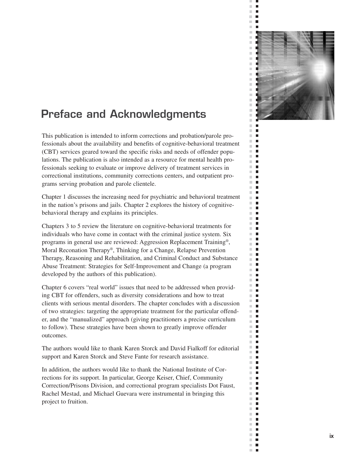

 $\blacksquare$  $\overline{\phantom{a}}$  $\overline{\phantom{a}}$  $\blacksquare$  $\mathbb{R}^n$  $\blacksquare$ 

 $\mathcal{C}$ п  $\overline{\phantom{a}}$  $\Box$  $\overline{\phantom{a}}$ п  $\blacksquare$  $\mathbb{R}^n$  $\mathbb{R}^d$  $\Box$  $\mathbb{R}^n$  $\blacksquare$  $\blacksquare$  $\mathbb{R}^n$  $\mathbb{R}^n$  $\mathbf{r}$  $\mathbb{R}^n$  $\blacksquare$  $\mathbb{R}^n$  $\blacksquare$  $\bar{\phantom{a}}$  $\blacksquare$  $\blacksquare$  $\mathbb{R}^n$  $\mathbb{R}^d$  $\mathbf{r}$  $\mathbb{R}^d$  $\blacksquare$  $\mathbb{R}^d$ п  $\mathbb{R}^n$ П  $\mathcal{C}$  $\blacksquare$  $\blacksquare$  $\blacksquare$  $\blacksquare$  $\overline{\phantom{a}}$  $\mathbb{R}^n$  $\blacksquare$  $\overline{\phantom{a}}$  $\Box$  $\mathbb{R}^d$ п  $\mathbb{R}^n$ П  $\overline{\phantom{a}}$  $\blacksquare$  $\blacksquare$  $\blacksquare$  $\mathbb{R}^n$  $\blacksquare$  $\mathbb{R}^n$  $\blacksquare$  $\mathbb{R}^n$  $\Box$  $\mathbb{R}^n$  $\Box$  $\mathbb{R}^d$ п  $\mathbb{R}^n$  $\blacksquare$  $\bar{\phantom{a}}$  $\overline{\phantom{a}}$  $\mathbb{R}^n$  $\Box$  $\blacksquare$  $\mathcal{L}_{\mathcal{A}}$ ×.  $\blacksquare$  $\mathbb{R}^d$  $\blacksquare$  $\mathbb{R}^n$ п  $\mathbb{R}^d$  $\Box$  $\blacksquare$  $\blacksquare$  $\mathbb{R}^d$ П  $\mathbb{R}^n$  $\blacksquare$  $\mathcal{L}_{\mathcal{A}}$  $\blacksquare$  $\mathcal{L}$  $\mathbb{Z}$  $\mathbb{R}^d$  $\mathbf{r}$  $\mathbb{R}^n$ П  $\blacksquare$  $\blacksquare$  $\mathbb{R}^n$  $\blacksquare$  $\mathbb{R}^n$  $\blacksquare$  $\mathbb{R}^d$  $\overline{\phantom{a}}$  $\mathbb{R}^d$  $\blacksquare$  $\mathbb{R}^n$  $\blacksquare$  $\mathbb{R}^n$  $\overline{\phantom{a}}$  $\blacksquare$  $\blacksquare$  $\blacksquare$  $\mathbb{R}^n$  $\Box$  .  $\Box$  $\mathbb{R}^2$  $\Box$  $\mathbb{R}^n$  $\overline{\phantom{a}}$  $\mathbb{R}^n$ П  $\mathbb{R}^n$  $\mathbf{r}$  $\overline{\phantom{a}}$  $\mathbb{Z}$  $\mathbb{R}^n$  $\mathbf{r}$ m,  $\overline{\phantom{a}}$  $\overline{\phantom{a}}$ п

# **Preface and Acknowledgments**

This publication is intended to inform corrections and probation/parole professionals about the availability and benefits of cognitive-behavioral treatment (CBT) services geared toward the specific risks and needs of offender populations. The publication is also intended as a resource for mental health professionals seeking to evaluate or improve delivery of treatment services in correctional institutions, community corrections centers, and outpatient programs serving probation and parole clientele.

Chapter 1 discusses the increasing need for psychiatric and behavioral treatment in the nation's prisons and jails. Chapter 2 explores the history of cognitivebehavioral therapy and explains its principles.

Chapters 3 to 5 review the literature on cognitive-behavioral treatments for individuals who have come in contact with the criminal justice system. Six programs in general use are reviewed: Aggression Replacement Training®, Moral Reconation Therapy®, Thinking for a Change, Relapse Prevention Therapy, Reasoning and Rehabilitation, and Criminal Conduct and Substance Abuse Treatment: Strategies for Self-Improvement and Change (a program developed by the authors of this publication).

Chapter 6 covers "real world" issues that need to be addressed when providing CBT for offenders, such as diversity considerations and how to treat clients with serious mental disorders. The chapter concludes with a discussion of two strategies: targeting the appropriate treatment for the particular offender, and the "manualized" approach (giving practitioners a precise curriculum to follow). These strategies have been shown to greatly improve offender outcomes.

The authors would like to thank Karen Storck and David Fialkoff for editorial support and Karen Storck and Steve Fante for research assistance.

In addition, the authors would like to thank the National Institute of Corrections for its support. In particular, George Keiser, Chief, Community Correction/Prisons Division, and correctional program specialists Dot Faust, Rachel Mestad, and Michael Guevara were instrumental in bringing this project to fruition.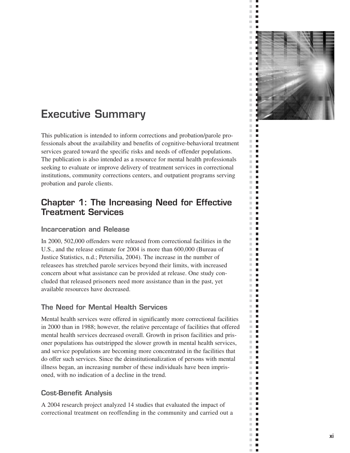

 $\blacksquare$  $\overline{\phantom{a}}$  $\overline{\phantom{a}}$  $\blacksquare$  $\mathbb{R}^n$  $\blacksquare$ 

 $\mathcal{C}$ п  $\overline{\phantom{a}}$  $\blacksquare$  $\overline{\phantom{a}}$ п П  $\mathcal{L}$  $\mathbb{R}^d$  $\Box$  $\mathbb{R}^n$ п  $\mathbb{R}^n$ П  $\blacksquare$  $\overline{\phantom{a}}$  $\mathbb{R}^n$  $\blacksquare$  $\mathbb{R}^d$  $\blacksquare$  $\mathbb{R}^d$  $\mathbf{r}$  $\blacksquare$  $\mathbb{R}^n$  $\mathbb{R}^d$  $\mathbf{r}$  $\mathbb{R}^d$ п  $\mathbb{R}^d$ п  $\overline{\phantom{a}}$ П  $\mathcal{C}$  $\blacksquare$  $\overline{\phantom{a}}$  $\blacksquare$  $\blacksquare$  $\overline{\phantom{a}}$ m.  $\Box$  $\overline{\phantom{a}}$  $\Box$  $\mathbb{R}^d$ п  $\mathbb{R}^n$ П  $\overline{\phantom{a}}$ п  $\mathbb{R}^d$ п m,  $\Box$  $\mathbb{R}^n$  $\blacksquare$  $\overline{\phantom{a}}$  $\blacksquare$  $\mathbb{R}^n$  $\blacksquare$  $\mathbb{R}^d$ п  $\mathbb{R}^n$  $\blacksquare$  $\mathbf{r}$  $\blacksquare$  $\overline{\phantom{a}}$  $\Box$  $\blacksquare$  $\mathcal{L}_{\mathcal{A}}$  $\mathbb{R}^d$ п  $\mathbb{R}^d$ п  $\mathbb{R}^n$ п  $\mathbb{R}^d$  $\mathbb{Z}$  $\blacksquare$ п  $\mathbb{R}^d$ п  $\mathbb{R}^n$  $\blacksquare$  $\mathbb{R}^n$  $\Box$  $\overline{\phantom{a}}$  $\Box$  $\mathbb{R}^d$  $\blacksquare$  $\mathbb{R}^n$ П  $\blacksquare$  $\blacksquare$  $\mathbb{R}^n$  $\blacksquare$  $\mathbb{R}^n$  $\blacksquare$  $\mathbb{R}^d$  $\overline{\phantom{a}}$  $\mathbb{R}^d$  $\blacksquare$  $\mathbb{R}^n$  $\overline{\phantom{a}}$  $\mathbb{R}^n$  $\overline{\phantom{a}}$  $\blacksquare$ п  $\blacksquare$  $\mathbb{R}^n$ п  $\sim$  $\mathbb{R}^n$  $\blacksquare$ m,  $\overline{\phantom{a}}$  $\mathbb{R}^n$ П  $\mathbb{R}^n$ п  $\overline{\phantom{a}}$  $\overline{\phantom{a}}$  $\mathbb{R}^n$  .  $\mathbb{R}^n$ m,  $\overline{\phantom{a}}$  $\mathbb{R}^d$  $\mathbf{r}$ 

# **Executive Summary**

This publication is intended to inform corrections and probation/parole professionals about the availability and benefits of cognitive-behavioral treatment services geared toward the specific risks and needs of offender populations. The publication is also intended as a resource for mental health professionals seeking to evaluate or improve delivery of treatment services in correctional institutions, community corrections centers, and outpatient programs serving probation and parole clients.

### **Chapter 1: The Increasing Need for Effective Treatment Services**

#### **Incarceration and Release**

In 2000, 502,000 offenders were released from correctional facilities in the U.S., and the release estimate for 2004 is more than 600,000 (Bureau of Justice Statistics, n.d.; Petersilia, 2004). The increase in the number of releasees has stretched parole services beyond their limits, with increased concern about what assistance can be provided at release. One study concluded that released prisoners need more assistance than in the past, yet available resources have decreased.

#### **The Need for Mental Health Services**

Mental health services were offered in significantly more correctional facilities in 2000 than in 1988; however, the relative percentage of facilities that offered mental health services decreased overall. Growth in prison facilities and prisoner populations has outstripped the slower growth in mental health services, and service populations are becoming more concentrated in the facilities that do offer such services. Since the deinstitutionalization of persons with mental illness began, an increasing number of these individuals have been imprisoned, with no indication of a decline in the trend.

#### **Cost-Benefit Analysis**

A 2004 research project analyzed 14 studies that evaluated the impact of correctional treatment on reoffending in the community and carried out a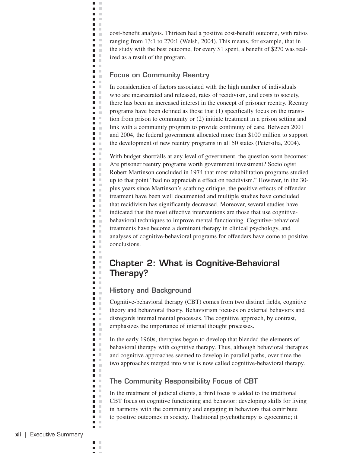cost-benefit analysis. Thirteen had a positive cost-benefit outcome, with ratios ranging from 13:1 to 270:1 (Welsh, 2004). This means, for example, that in the study with the best outcome, for every \$1 spent, a benefit of \$270 was realized as a result of the program.

#### **Focus on Community Reentry**

 $\blacksquare$  $\mathbb{R}^n$  $\blacksquare$  $\mathbb{R}^2$ n m n m n E  $\blacksquare$  .  $\blacksquare$ **COLOR** n a **D** n a n m  $\blacksquare$  $\mathbf{m} \in \mathbb{R}$ **D** D **The Contract**  $\blacksquare$ **TIME C** n m **COLLEGE**  $\blacksquare$ **COLOR**  $\blacksquare$  $\blacksquare$  $\mathcal{L}$  $\blacksquare$  $\mathcal{C}$  $\blacksquare$  .  $\blacksquare$ **D** D **The Contract of the Contract of the Contract of the Contract of the Contract of the Contract of the Contract o**  $\blacksquare$  . n E  $\blacksquare$  $\blacksquare$  $\mathcal{C}$  $\blacksquare$  $\blacksquare$  $\mathbf{L}$  $\mathbf{r}$  $\blacksquare$  .  $\blacksquare$  $\blacksquare$  $\blacksquare$  $\blacksquare$  $\blacksquare$  . n m  $\blacksquare$  $\mathcal{L}$ n m  $\blacksquare$  $\mathcal{C}$ n m  $\mathbf{r}$ n m **C**  $\blacksquare$  .  $\blacksquare$  $\blacksquare$  $\blacksquare$  .  $\blacksquare$  . **TIME**  $\blacksquare$  $\blacksquare$ n a  $\blacksquare$  $\blacksquare$  $\mathbb{R}^2$  $\blacksquare$ a a  $\blacksquare$ Ē.  $\blacksquare$  $\blacksquare$ **The Contract of the Contract of the Contract of the Contract of the Contract of the Contract of the Contract o**  $\blacksquare$  .  $\blacksquare$ n m  $\blacksquare$  .  $\blacksquare$ n a **COLLEGE**  $\blacksquare$  $\blacksquare$   $\blacksquare$  $\blacksquare$  .  $\blacksquare$  $\blacksquare$  $\Box$  $\blacksquare$  .  $\blacksquare$ m.  $\blacksquare$  $\mathcal{C}$  $\blacksquare$  .  $\blacksquare$  $\mathbf{r}$ 

In consideration of factors associated with the high number of individuals who are incarcerated and released, rates of recidivism, and costs to society, there has been an increased interest in the concept of prisoner reentry. Reentry programs have been defined as those that (1) specifically focus on the transition from prison to community or (2) initiate treatment in a prison setting and link with a community program to provide continuity of care. Between 2001 and 2004, the federal government allocated more than \$100 million to support the development of new reentry programs in all 50 states (Petersilia, 2004).

With budget shortfalls at any level of government, the question soon becomes: Are prisoner reentry programs worth government investment? Sociologist Robert Martinson concluded in 1974 that most rehabilitation programs studied up to that point "had no appreciable effect on recidivism." However, in the 30 plus years since Martinson's scathing critique, the positive effects of offender treatment have been well documented and multiple studies have concluded that recidivism has significantly decreased. Moreover, several studies have indicated that the most effective interventions are those that use cognitivebehavioral techniques to improve mental functioning. Cognitive-behavioral treatments have become a dominant therapy in clinical psychology, and analyses of cognitive-behavioral programs for offenders have come to positive conclusions.

### **Chapter 2: What is Cognitive-Behavioral Therapy?**

#### **History and Background**

Cognitive-behavioral therapy (CBT) comes from two distinct fields, cognitive theory and behavioral theory. Behaviorism focuses on external behaviors and disregards internal mental processes. The cognitive approach, by contrast, emphasizes the importance of internal thought processes.

In the early 1960s, therapies began to develop that blended the elements of behavioral therapy with cognitive therapy. Thus, although behavioral therapies and cognitive approaches seemed to develop in parallel paths, over time the two approaches merged into what is now called cognitive-behavioral therapy.

#### **The Community Responsibility Focus of CBT**

In the treatment of judicial clients, a third focus is added to the traditional CBT focus on cognitive functioning and behavior: developing skills for living in harmony with the community and engaging in behaviors that contribute to positive outcomes in society. Traditional psychotherapy is egocentric; it

 $\blacksquare$  $\mathcal{C}$ × П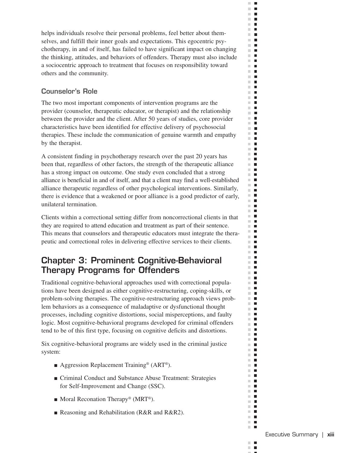helps individuals resolve their personal problems, feel better about themselves, and fulfill their inner goals and expectations. This egocentric psychotherapy, in and of itself, has failed to have significant impact on changing the thinking, attitudes, and behaviors of offenders. Therapy must also include a sociocentric approach to treatment that focuses on responsibility toward others and the community.

 $\Box$  .  $\Box$  $\mathbb{R}^d$  $\blacksquare$  $\mathbb{R}^n$  $\Box$  .  $\Box$  $\mathbb{R}^d$  $\blacksquare$  $\mathbf{r}$ **The Co**  $\mathbf{r}$ ×.  $\blacksquare$  $\mathbf{r}$  .  $\mathbf{r}$  $\mathbb{R}^n$  $\blacksquare$  $\mathbb{R}^d$  $\mathcal{L}_{\mathcal{A}}$  $\mathbb{R}^n$  $\blacksquare$  $\mathbf{r}$  $\blacksquare$  $\mathcal{C}^{\mathcal{C}}$  $\blacksquare$  $\mathbf{r}$  $\Box$  .  $\Box$  $\sim$  $\blacksquare$  $\mathbb{R}^n$  $\blacksquare$  $\mathbf{r}$  $\mathbb{R}^n$  $\overline{\phantom{a}}$  $\mathbb{R}^d$  $\blacksquare$ m.  $\blacksquare$  $\mathbf{H} \in \mathbf{R}$  $\mathbb{R}^n$  $\Box$  $\mathbb{R}^n$  $\overline{\phantom{a}}$  $\mathbb{R}^n$  . In **The Contract of the Contract of the Contract of the Contract of the Contract of the Contract of the Contract of the Contract of the Contract of the Contract of the Contract of the Contract of the Contract of the Contract** m.  $\mathcal{L}_{\mathcal{A}}$ **The Contract of the Contract of the Contract of the Contract of the Contract of the Contract of the Contract o**  $\mathbb{R}^n$  $\blacksquare$  $\mathbb{R}^d$  $\mathcal{L}_{\mathcal{A}}$ m.  $\blacksquare$  $\mathbf{u} \cdot \mathbf{u}$  $\blacksquare$ m. ш  $\blacksquare$  $\Box$  $\blacksquare$ m.  $\blacksquare$ m.  $\mathbf{u} \cdot \mathbf{u}$  $\mathbb{R}^n$  .  $\mathbb{R}^n$  $\blacksquare$  $\mathbb{R}^n$  $\blacksquare$  $\mathbb{R}^d$ m.  $\blacksquare$ m.  $\blacksquare$  $\mathcal{C}$  $\blacksquare$ **The Co The Contract of the Contract of the Contract of the Contract of the Contract of the Contract of the Contract o**  $\sim$  $\blacksquare$ **The Co The Co**  $\mathbf{r}$  .  $\mathbf{r}$  $\mathbb{R}^d$ П  $\blacksquare$  $\blacksquare$  $\mathbb{R}^n$  .  $\mathbb{R}^n$ m in  $\mathbb{R}^n$  $\blacksquare$  $\mathbb{R}^n$  .  $\mathbb{R}^n$  $\mathbb{R}^d$  $\blacksquare$  $\blacksquare$  $\blacksquare$  $\blacksquare$  $\mathcal{C}^{\mathcal{C}}$  $\blacksquare$ m. H  $\blacksquare$ m.  $\mathbb{R}^n$  $\blacksquare$ m.  $\blacksquare$  $\blacksquare$  $\mathbf{r}$  $\mathbb{R}^d$  $\blacksquare$  $\mathbb{R}^n$  $\blacksquare$  $\mathbb{R}^n$  $\blacksquare$  $\mathbb{R}^n$  $\overline{\phantom{a}}$  $\mathbb{R}^n$  $\mathcal{L}_{\mathcal{A}}$  $\mathbb{R}^n$  $\mathbf{L}$  $\mathbf{r}$  .  $\mathbf{r}$  $\mathbb{R}^n$  $\blacksquare$  $\mathbb{R}^n$  .  $\mathbb{R}^n$  $\mathbf{u}$  .  $\mathbf{u}$ m.  $\blacksquare$  $\Box$ **The Co** 

#### **Counselor's Role**

The two most important components of intervention programs are the provider (counselor, therapeutic educator, or therapist) and the relationship between the provider and the client. After 50 years of studies, core provider characteristics have been identified for effective delivery of psychosocial therapies. These include the communication of genuine warmth and empathy by the therapist.

A consistent finding in psychotherapy research over the past 20 years has been that, regardless of other factors, the strength of the therapeutic alliance has a strong impact on outcome. One study even concluded that a strong alliance is beneficial in and of itself, and that a client may find a well-established alliance therapeutic regardless of other psychological interventions. Similarly, there is evidence that a weakened or poor alliance is a good predictor of early, unilateral termination.

Clients within a correctional setting differ from noncorrectional clients in that they are required to attend education and treatment as part of their sentence. This means that counselors and therapeutic educators must integrate the therapeutic and correctional roles in delivering effective services to their clients.

## **Chapter 3: Prominent Cognitive-Behavioral Therapy Programs for Offenders**

Traditional cognitive-behavioral approaches used with correctional populations have been designed as either cognitive-restructuring, coping-skills, or problem-solving therapies. The cognitive-restructuring approach views problem behaviors as a consequence of maladaptive or dysfunctional thought processes, including cognitive distortions, social misperceptions, and faulty logic. Most cognitive-behavioral programs developed for criminal offenders tend to be of this first type, focusing on cognitive deficits and distortions.

Six cognitive-behavioral programs are widely used in the criminal justice system:

- Aggression Replacement Training<sup>®</sup> (ART<sup>®</sup>).
- Criminal Conduct and Substance Abuse Treatment: Strategies for Self-Improvement and Change (SSC).
- $\blacksquare$  Moral Reconation Therapy® (MRT®).
- Reasoning and Rehabilitation (R&R and R&R2).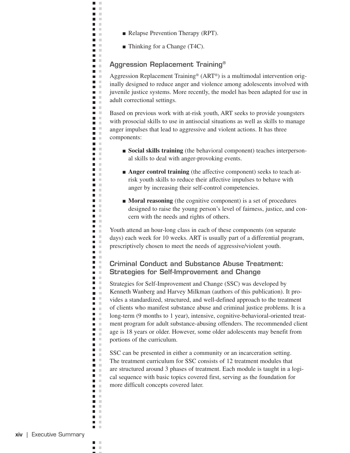■ Relapse Prevention Therapy (RPT).

■ Thinking for a Change (T4C).

 $\blacksquare$  $\mathbb{R}^n$  $\blacksquare$  $\mathbb{R}^n$ n m n m n m **TELEVISION The Co** n m **D** n in n m **C**  $\blacksquare$   $\blacksquare$ **D** D n m m. **TIME**  $\blacksquare$ n m **The Contract of the Contract of the Contract of the Contract of the Contract of the Contract of the Contract o**  $\mathbf{u}$ **COLOR** n E  $\mathbf{u} \in \mathbb{R}$ **COLOR**  $\blacksquare$  . n m **District The Contract** n m  $\blacksquare$ **Contract** n m  $\blacksquare$ **Contract The Contract State District**  $\mathbf{u} \in \mathbb{R}$ n m n m **TELEVISION** n m n m **C College** n m  $\blacksquare$  $\mathbf{H}^{\prime}$  . If  $\mathbf{r}$ n m **COLLEGE**  $\Box$ m.  $\blacksquare$  . **D** D **TIME**  $\blacksquare$ m. n E  $\mathbf{u}$  .  $\blacksquare$  $\blacksquare$ a a  $\blacksquare$  $\blacksquare$ n m  $\blacksquare$ **The Contract of the Contract of the Contract of the Contract of the Contract of the Contract of the Contract o**  $\blacksquare$  .  $\blacksquare$ n m  $\blacksquare$  .  $\blacksquare$ n E **The Co**  $\mathbf{u}$  $\blacksquare$   $\blacksquare$  $\mathcal{L}^{\mathcal{L}}$  . **DOM:**  $\mathbf{r}$  $\mathbf{m} \in \mathbb{R}$ **The Contract State The Contract of the Contract of the Contract of the Contract of the Contract of the Contract of the Contract o**  $\blacksquare$  .  $\blacksquare$ n m

#### **Aggression Replacement Training®**

Aggression Replacement Training® (ART®) is a multimodal intervention originally designed to reduce anger and violence among adolescents involved with juvenile justice systems. More recently, the model has been adapted for use in adult correctional settings.

Based on previous work with at-risk youth, ART seeks to provide youngsters with prosocial skills to use in antisocial situations as well as skills to manage anger impulses that lead to aggressive and violent actions. It has three components:

- **Social skills training** (the behavioral component) teaches interpersonal skills to deal with anger-provoking events.
- **Anger control training** (the affective component) seeks to teach atrisk youth skills to reduce their affective impulses to behave with anger by increasing their self-control competencies.
- **Moral reasoning** (the cognitive component) is a set of procedures designed to raise the young person's level of fairness, justice, and concern with the needs and rights of others.

Youth attend an hour-long class in each of these components (on separate days) each week for 10 weeks. ART is usually part of a differential program, prescriptively chosen to meet the needs of aggressive/violent youth.

#### **Criminal Conduct and Substance Abuse Treatment: Strategies for Self-Improvement and Change**

Strategies for Self-Improvement and Change (SSC) was developed by Kenneth Wanberg and Harvey Milkman (authors of this publication). It provides a standardized, structured, and well-defined approach to the treatment of clients who manifest substance abuse and criminal justice problems. It is a long-term (9 months to 1 year), intensive, cognitive-behavioral-oriented treatment program for adult substance-abusing offenders. The recommended client age is 18 years or older. However, some older adolescents may benefit from portions of the curriculum.

SSC can be presented in either a community or an incarceration setting. The treatment curriculum for SSC consists of 12 treatment modules that are structured around 3 phases of treatment. Each module is taught in a logical sequence with basic topics covered first, serving as the foundation for more difficult concepts covered later.

 $\blacksquare$ ×  $\mathbb{R}^n$ П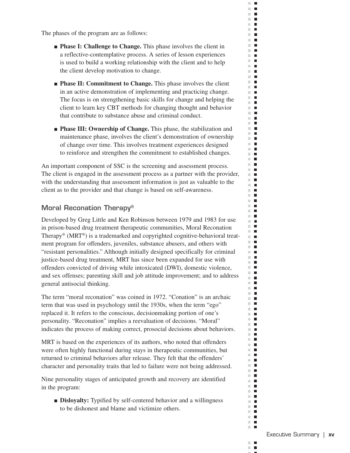The phases of the program are as follows:

■ **Phase I: Challenge to Change.** This phase involves the client in a reflective-contemplative process. A series of lesson experiences is used to build a working relationship with the client and to help the client develop motivation to change.

 $\mathbb{R}^n$  $\mathbf{L}$  $\mathbb{R}^d$  $\blacksquare$  $\mathbf{F}$  $\Box$  .  $\Box$  $\mathcal{C}$  $\blacksquare$  $\mathbf{r}$ **The Co**  $\mathbf{r}$  $\blacksquare$  $\sim$  $\mathbb{R}^n$  $\blacksquare$  $\mathbb{R}^d$  $\blacksquare$  $\mathbb{R}^n$  $\mathcal{L}_{\mathcal{A}}$  $\mathbb{R}^n$  $\blacksquare$  $\mathbb{R}^n$  . In  $\Box$  .  $\Box$  $\mathcal{C}^{\mathcal{C}}$  $\blacksquare$ m.  $\blacksquare$  $\mathbf{H} \cdot \mathbf{H}$ m.  $\mathcal{L}_{\mathcal{A}}$  $\mathbb{R}^n$  $\blacksquare$  $\mathbf{r}$  $\mathbb{R}^n$  $\blacksquare$  $\mathbb{R}^d$  $\blacksquare$  $\mathbf{r}$  $\mathbf{H} \in \mathbf{R}$  $\mathbb{R}^n$  $\blacksquare$ ×.  $\overline{\phantom{a}}$  $\mathbb{R}^n$  . In m.  $\blacksquare$  $\mathbb{R}^d$  $\blacksquare$ m.  $\blacksquare$  $\mathbb{R}^n$  $\overline{\phantom{a}}$  $\mathbb{R}^2$  $\blacksquare$ m.  $\Box$  $\mathbf{r}$  $\blacksquare$ **COL** ш  $\overline{\phantom{a}}$  $\blacksquare$  $\blacksquare$ m.  $\blacksquare$  $\mathbb{R}^n$ m.  $\blacksquare$  $\mathbb{R}^n$  .  $\mathbb{R}^n$  $\blacksquare$ m.  $\blacksquare$ m.  $\mathbb{R}^n$  $\overline{\phantom{a}}$ m.  $\blacksquare$ m.  $\blacksquare$  $\mathbf{u}$  $\mathbb{R}^n$  .  $\mathbb{R}^n$  $\blacksquare$  $\mathbb{R}^n$ m.  $\mathcal{L}_{\mathcal{A}}$ **The Co**  $\blacksquare$   $\blacksquare$ m.  $\blacksquare$  $\blacksquare$  $\blacksquare$  $\mathbb{R}^n$  $\blacksquare$ m.  $\blacksquare$ ш  $\blacksquare$  $\mathbb{R}^n$  .  $\mathbb{R}^n$  $\mathbb{R}^d$  $\blacksquare$  $\blacksquare$  $\blacksquare$  $\blacksquare$  $\mathcal{C}$  $\blacksquare$ m. H  $\blacksquare$ m.  $\mathbb{R}^n$  $\blacksquare$ m.  $\blacksquare$  $\blacksquare$  $\mathbb{R}^n$  $\blacksquare$  $\blacksquare$ ш  $\mathbb{R}^n$  $\blacksquare$  $\mathbb{R}^n$  $\blacksquare$  $\mathbb{R}^n$  $\overline{\phantom{a}}$  $\mathbb{R}^n$  $\blacksquare$  $\blacksquare$  $\mathbb{R}^n$  $\blacksquare$  $\mathbb{R}^n$  $\mathbb{R}^d$  $\blacksquare$ m.  $\blacksquare$  $\blacksquare$ m.  $\blacksquare$  $\mathbb{R}^n$  .  $\mathbb{R}^n$  $\mathbf{r}$ 

- **Phase II: Commitment to Change.** This phase involves the client in an active demonstration of implementing and practicing change. The focus is on strengthening basic skills for change and helping the client to learn key CBT methods for changing thought and behavior that contribute to substance abuse and criminal conduct.
- **Phase III: Ownership of Change.** This phase, the stabilization and maintenance phase, involves the client's demonstration of ownership of change over time. This involves treatment experiences designed to reinforce and strengthen the commitment to established changes.

An important component of SSC is the screening and assessment process. The client is engaged in the assessment process as a partner with the provider, with the understanding that assessment information is just as valuable to the client as to the provider and that change is based on self-awareness.

#### **Moral Reconation Therapy®**

Developed by Greg Little and Ken Robinson between 1979 and 1983 for use in prison-based drug treatment therapeutic communities, Moral Reconation Therapy® (MRT®) is a trademarked and copyrighted cognitive-behavioral treatment program for offenders, juveniles, substance abusers, and others with "resistant personalities." Although initially designed specifically for criminal justice-based drug treatment, MRT has since been expanded for use with offenders convicted of driving while intoxicated (DWI), domestic violence, and sex offenses; parenting skill and job attitude improvement; and to address general antisocial thinking.

The term "moral reconation" was coined in 1972. "Conation" is an archaic term that was used in psychology until the 1930s, when the term "ego" replaced it. It refers to the conscious, decisionmaking portion of one's personality. "Reconation" implies a reevaluation of decisions. "Moral" indicates the process of making correct, prosocial decisions about behaviors.

MRT is based on the experiences of its authors, who noted that offenders were often highly functional during stays in therapeutic communities, but returned to criminal behaviors after release. They felt that the offenders' character and personality traits that led to failure were not being addressed.

Nine personality stages of anticipated growth and recovery are identified in the program:

■ **Disloyalty:** Typified by self-centered behavior and a willingness to be dishonest and blame and victimize others.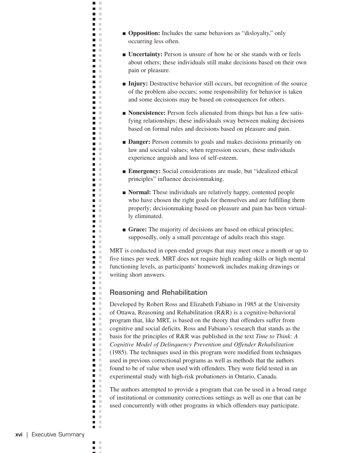■ **Opposition:** Includes the same behaviors as "disloyalty," only occurring less often.

 $\blacksquare$  $\mathbb{R}^n$  $\blacksquare$  $\mathbb{R}^n$ n m n m n m **The Contract The Co** n m  $\mathbf{m} \in \mathbb{R}$ n in m. m **Contract** n m **District** n m n m **The College Contract The Contract State The Contract State**  $\mathbf{u}$ **COLOR** n m **The College COLOR**  $\mathbf{L}$ **The College District** m m n m  $\blacksquare$ **Contract** n m  $\blacksquare$ **Contract The Contract State D** D  $\mathbf{u} \in \mathbb{R}$ n m n m **The Contract** m. **The College C**  $\blacksquare$   $\blacksquare$ **The College**  $\blacksquare$  $\mathcal{C}$  $\mathbf{r}$  $\mathbf{r}$ n m **COLLEGE**  $\Box$ m.  $\blacksquare$  . n m **The Contract State**  $\blacksquare$  . m. n a  $\blacksquare$  $\blacksquare$ ×  $\blacksquare$  .  $\blacksquare$  .  $\blacksquare$  $\blacksquare$ ×  $\mathbf{m} \in \mathbb{R}$ n a  $\blacksquare$  $\mathcal{L}$  $\blacksquare$  $\blacksquare$  .  $\blacksquare$ n m  $\blacksquare$ n a **COLLEGE**  $\blacksquare$  $\mathcal{C}$  $\blacksquare$   $\blacksquare$  $\mathbf{r}$ n m  $\mathcal{L}$  $\mathbf{r}$  $\mathbf{r}$  $\blacksquare$ ×  $\blacksquare$   $\blacksquare$ m. m

- **Uncertainty:** Person is unsure of how he or she stands with or feels about others; these individuals still make decisions based on their own pain or pleasure.
- **Injury:** Destructive behavior still occurs, but recognition of the source of the problem also occurs; some responsibility for behavior is taken and some decisions may be based on consequences for others.
- **Nonexistence:** Person feels alienated from things but has a few satisfying relationships; these individuals sway between making decisions based on formal rules and decisions based on pleasure and pain.
- **Danger:** Person commits to goals and makes decisions primarily on law and societal values; when regression occurs, these individuals experience anguish and loss of self-esteem.
- **Emergency:** Social considerations are made, but "idealized ethical principles" influence decisionmaking.
- **Normal:** These individuals are relatively happy, contented people who have chosen the right goals for themselves and are fulfilling them properly; decisionmaking based on pleasure and pain has been virtually eliminated.
- **Grace:** The majority of decisions are based on ethical principles; supposedly, only a small percentage of adults reach this stage.

MRT is conducted in open-ended groups that may meet once a month or up to five times per week. MRT does not require high reading skills or high mental functioning levels, as participants' homework includes making drawings or writing short answers.

#### **Reasoning and Rehabilitation**

Developed by Robert Ross and Elizabeth Fabiano in 1985 at the University of Ottawa, Reasoning and Rehabilitation (R&R) is a cognitive-behavioral program that, like MRT, is based on the theory that offenders suffer from cognitive and social deficits. Ross and Fabiano's research that stands as the basis for the principles of R&R was published in the text *Time to Think: A Cognitive Model of Delinquency Prevention and Offender Rehabilitation*  (1985). The techniques used in this program were modified from techniques used in previous correctional programs as well as methods that the authors found to be of value when used with offenders. They were field tested in an experimental study with high-risk probationers in Ontario, Canada.

The authors attempted to provide a program that can be used in a broad range of institutional or community corrections settings as well as one that can be used concurrently with other programs in which offenders may participate.

 $\blacksquare$ ×  $\mathbb{R}^n$  $\blacksquare$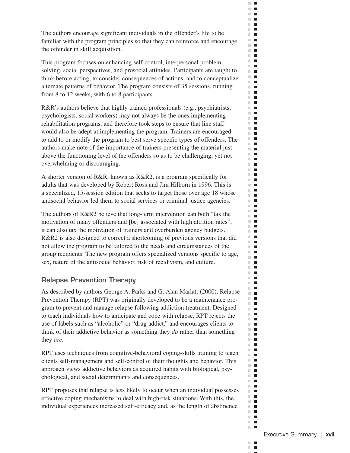The authors encourage significant individuals in the offender's life to be familiar with the program principles so that they can reinforce and encourage the offender in skill acquisition.

 $\Box$  .  $\Box$  $\mathbb{R}^d$  $\blacksquare$  $\mathbb{R}^n$  $\blacksquare$  $\blacksquare$ m.  $\mathcal{C}$  $\blacksquare$  $\mathbf{r}$ **The Contract**  $\mathbb{R}^n$  . In ш  $\blacksquare$  $\Box$  .  $\Box$  $\mathbb{R}^n$  $\blacksquare$  $\mathbb{R}^n$  $\overline{\phantom{a}}$  $\mathbb{R}^n$  $\overline{\phantom{a}}$  $\mathbf{r}$  $\mathcal{L}_{\mathcal{A}}$  $\blacksquare$  $\blacksquare$  $\mathbb{R}^n$ m.  $\blacksquare$  $\mathbf{H} \cdot \mathbf{H}$  $\sim$  $\blacksquare$  $\mathcal{L}_{\mathcal{A}}$  $\blacksquare$  $\Box$  .  $\Box$  $\mathbb{R}^n$  $\blacksquare$  $\mathbb{R}^d$  $\blacksquare$ m.  $\blacksquare$  $\mathbf{H} \in \mathbf{R}$  $\mathbb{R}^n$  $\Box$ ш  $\overline{\phantom{a}}$  $\mathbf{r}$ m.  $\blacksquare$  $\mathbb{R}^d$  $\blacksquare$  $\mathbb{R}^n$  $\blacksquare$  $\mathbb{R}^n$  $\overline{\phantom{a}}$  $\mathbb{R}^2$  $\blacksquare$ m.  $\blacksquare$  $\mathbf{u} \cdot \mathbf{u}$  $\blacksquare$ m. ш  $\blacksquare$ m.  $\blacksquare$  $\blacksquare$ m.  $\blacksquare$ m.  $\mathbb{R}^n$  $\blacksquare$  $\mathbb{R}^n$  .  $\mathbb{R}^n$  $\blacksquare$ m.  $\blacksquare$  $\mathbb{R}^n$  $\Box$  .  $\Box$  $\blacksquare$  $\blacksquare$  $\mathbb{R}^n$  $\blacksquare$  $\blacksquare$  $\mathbb{R}^n$  $\mathbf{L}$  $\blacksquare$ m. m.  $\blacksquare$ **The Co**  $\mathbf{H} \cdot \mathbf{B}$  $\blacksquare$  $\mathbb{R}^n$  $\mathbf{u} \cdot \mathbf{u}$  $\blacksquare$  $\mathbb{R}^n$  $\blacksquare$  $\mathbb{R}^n$  $\blacksquare$ ш  $\overline{\phantom{a}}$ m.  $\blacksquare$  $\mathbb{R}^d$  $\blacksquare$  $\mathbb{R}^n$  .  $\mathbb{R}^n$  $\blacksquare$ **COL**  $\mathcal{C}^{\mathcal{C}}$  $\blacksquare$ m.  $\blacksquare$  $\mathbb{R}^n$  .  $\mathbb{R}^n$  $\mathbb{R}^n$  $\blacksquare$ m.  $\blacksquare$ **The Co**  $\mathbf{r}$  $\mathbb{R}^n$  $\blacksquare$  $\mathbf{r}$  $\mathbb{R}^n$  $\blacksquare$  $\mathbb{R}^n$  $\overline{\phantom{a}}$  $\mathbb{R}^n$  $\mathcal{L}_{\mathcal{A}}$  $\blacksquare$  $\mathbb{R}^n$  $\mathbf{u}$  .  $\mathbf{u}$  $\mathbb{R}^n$  $\blacksquare$ m.  $\blacksquare$ m.  $\blacksquare$  $\mathbb{R}^n$  $\blacksquare$  $\mathbb{R}^n$  .  $\mathbb{R}^n$ **The Co** 

This program focuses on enhancing self-control, interpersonal problem solving, social perspectives, and prosocial attitudes. Participants are taught to think before acting, to consider consequences of actions, and to conceptualize alternate patterns of behavior. The program consists of 35 sessions, running from 8 to 12 weeks, with 6 to 8 participants.

R&R's authors believe that highly trained professionals (e.g., psychiatrists, psychologists, social workers) may not always be the ones implementing rehabilitation programs, and therefore took steps to ensure that line staff would also be adept at implementing the program. Trainers are encouraged to add to or modify the program to best serve specific types of offenders. The authors make note of the importance of trainers presenting the material just above the functioning level of the offenders so as to be challenging, yet not overwhelming or discouraging.

A shorter version of R&R, known as R&R2, is a program specifically for adults that was developed by Robert Ross and Jim Hilborn in 1996. This is a specialized, 15-session edition that seeks to target those over age 18 whose antisocial behavior led them to social services or criminal justice agencies.

The authors of R&R2 believe that long-term intervention can both "tax the motivation of many offenders and [be] associated with high attrition rates"; it can also tax the motivation of trainers and overburden agency budgets. R&R2 is also designed to correct a shortcoming of previous versions that did not allow the program to be tailored to the needs and circumstances of the group recipients. The new program offers specialized versions specific to age, sex, nature of the antisocial behavior, risk of recidivism, and culture.

#### **Relapse Prevention Therapy**

As described by authors George A. Parks and G. Alan Marlatt (2000), Relapse Prevention Therapy (RPT) was originally developed to be a maintenance program to prevent and manage relapse following addiction treatment. Designed to teach individuals how to anticipate and cope with relapse, RPT rejects the use of labels such as "alcoholic" or "drug addict," and encourages clients to think of their addictive behavior as something they *do* rather than something they *are*.

RPT uses techniques from cognitive-behavioral coping-skills training to teach clients self-management and self-control of their thoughts and behavior. This approach views addictive behaviors as acquired habits with biological, psychological, and social determinants and consequences.

RPT proposes that relapse is less likely to occur when an individual possesses effective coping mechanisms to deal with high-risk situations. With this, the individual experiences increased self-efficacy and, as the length of abstinence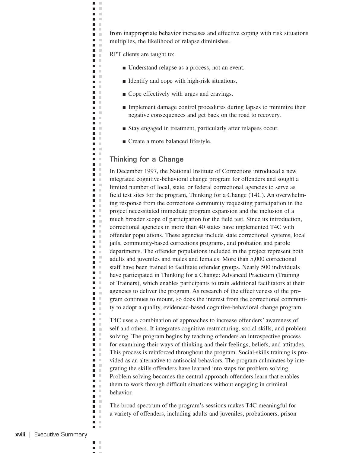from inappropriate behavior increases and effective coping with risk situations multiplies, the likelihood of relapse diminishes.

RPT clients are taught to:

 $\blacksquare$  $\mathbb{R}^2$  $\blacksquare$  $\mathbb{R}^2$ n m m. m  $\blacksquare$  $\mathcal{C}$ n m **COLOR** n a **D** n T n m  $\blacksquare$  . a a **District The Contract of the Contract of the Contract of the Contract of the Contract of the Contract of the Contract o**  $\blacksquare$  $\mathcal{C}$ **TIME C**  $\blacksquare$  $\mathcal{L}$ **The Contract of the Contract of the Contract of the Contract of the Contract of the Contract of the Contract o**  $\mathbf{u}$ **COLOR**  $\blacksquare$  $\mathcal{C}$ n T  $\blacksquare$  $\sim$  $\blacksquare$  $\mathbb{R}^d$  $\mathbf{r}$ **D** D **COLLEGE**  $\blacksquare$  $\mathcal{C}$ n E  $\blacksquare$  $\blacksquare$  $\mathcal{C}$ n a  $\blacksquare$  . **D** D  $\mathbf{r}$  $\blacksquare$  .  $\blacksquare$  $\blacksquare$  .  $\blacksquare$  $\blacksquare$  $\blacksquare$  . n m  $\blacksquare$  $\mathcal{L}$ m.  $\blacksquare$ ×  $\blacksquare$  .  $\blacksquare$ m m **COLLEGE**  $\blacksquare$  .  $\blacksquare$ m.  $\blacksquare$  .  $\blacksquare$ **TIME**  $\blacksquare$  $\mathcal{C}$ m. n a  $\blacksquare$  $\blacksquare$  $\mathbb{R}^2$  $\blacksquare$  $\blacksquare$   $\blacksquare$  $\blacksquare$  $\mathcal{C}$  $\blacksquare$  $\blacksquare$  $\blacksquare$  $\mathcal{L}$  $\blacksquare$  .  $\blacksquare$  $\blacksquare$  .  $\blacksquare$ n a  $\blacksquare$  .  $\blacksquare$ n a  $\blacksquare$  $\mathcal{L}$  $\blacksquare$  $\mathcal{C}$  $\blacksquare$  .  $\blacksquare$  $\blacksquare$  .  $\blacksquare$ n m  $\mathcal{L}$  $\mathbf{r}$ **D** D  $\blacksquare$  $\mathbb{R}^2$  $\blacksquare$  .  $\blacksquare$ n m

- Understand relapse as a process, not an event.
- Identify and cope with high-risk situations.
- Cope effectively with urges and cravings.
- Implement damage control procedures during lapses to minimize their negative consequences and get back on the road to recovery.
- Stay engaged in treatment, particularly after relapses occur.
- Create a more balanced lifestyle.

#### **Thinking for a Change**

In December 1997, the National Institute of Corrections introduced a new integrated cognitive-behavioral change program for offenders and sought a limited number of local, state, or federal correctional agencies to serve as field test sites for the program, Thinking for a Change (T4C). An overwhelming response from the corrections community requesting participation in the project necessitated immediate program expansion and the inclusion of a much broader scope of participation for the field test. Since its introduction, correctional agencies in more than 40 states have implemented T4C with offender populations. These agencies include state correctional systems, local jails, community-based corrections programs, and probation and parole departments. The offender populations included in the project represent both adults and juveniles and males and females. More than 5,000 correctional staff have been trained to facilitate offender groups. Nearly 500 individuals have participated in Thinking for a Change: Advanced Practicum (Training of Trainers), which enables participants to train additional facilitators at their agencies to deliver the program. As research of the effectiveness of the program continues to mount, so does the interest from the correctional community to adopt a quality, evidenced-based cognitive-behavioral change program.

T4C uses a combination of approaches to increase offenders' awareness of self and others. It integrates cognitive restructuring, social skills, and problem solving. The program begins by teaching offenders an introspective process for examining their ways of thinking and their feelings, beliefs, and attitudes. This process is reinforced throughout the program. Social-skills training is provided as an alternative to antisocial behaviors. The program culminates by integrating the skills offenders have learned into steps for problem solving. Problem solving becomes the central approach offenders learn that enables them to work through difficult situations without engaging in criminal behavior.

The broad spectrum of the program's sessions makes T4C meaningful for a variety of offenders, including adults and juveniles, probationers, prison

 $\blacksquare$ × × П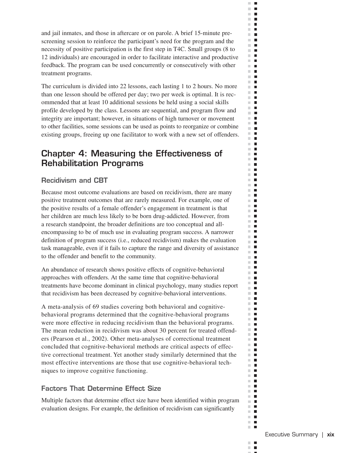and jail inmates, and those in aftercare or on parole. A brief 15-minute prescreening session to reinforce the participant's need for the program and the necessity of positive participation is the first step in T4C. Small groups (8 to 12 individuals) are encouraged in order to facilitate interactive and productive feedback. The program can be used concurrently or consecutively with other treatment programs.

 $\mathbb{R}^n$  $\mathbf{L}$  $\mathbb{R}^d$  $\blacksquare$  $\mathbb{R}^n$  $\Box$  $\Box$  .  $\Box$  $\mathbb{R}^d$  $\blacksquare$  $\mathbf{r}$ m.  $\mathbf{L}$  $\mathbf{r}$ ×.  $\blacksquare$  $\mathbb{R}^n$  $\blacksquare$  $\mathbb{R}^n$  $\blacksquare$  $\mathbb{R}^d$  $\blacksquare$  $\mathbb{R}^n$  $\blacksquare$  $\mathbf{r}$  $\mathbb{R}^n$  . In  $\blacksquare$  $\mathbb{R}^n$ m.  $\blacksquare$  $\mathbf{H} \cdot \mathbf{H}$ m.  $\mathcal{L}_{\mathcal{A}}$  $\mathcal{C}$  $\blacksquare$  $\mathbf{r}$  $\mathbb{R}^2$  $\blacksquare$  $\mathbb{R}^d$  $\blacksquare$ m.  $\blacksquare$  $\mathbb{R}^2$  $\blacksquare$  $\mathbb{R}^n$  $\blacksquare$  $\mathbb{R}^n$  $\overline{\phantom{a}}$  $\mathbf{u}$  . In  $\mathbf{r}$  $\mathbb{R}^d$  $\blacksquare$ m.  $\overline{\phantom{a}}$ m.  $\blacksquare$  $\mathbb{R}^d$  $\blacksquare$ m.  $\Box$  $\blacksquare$  $\sim$  $\blacksquare$  $\mathbb{R}^n$  $\blacksquare$ m.  $\Box$  $\mathbb{R}^d$ П  $\blacksquare$ m. m.  $\mathcal{L}_{\mathcal{A}}$  $\mathbb{R}^n$  $\blacksquare$  $\blacksquare$  $\mathbb{R}^n$  $\blacksquare$  $\mathbb{R}^n$  $\mathbb{R}^n$  $\blacksquare$  $\blacksquare$  $\blacksquare$  $\mathbb{R}^d$  $\blacksquare$  $\mathbb{R}^n$ **I**  $\mathbb{R}^n$  $\blacksquare$  $\blacksquare$ m. m.  $\mathcal{L}_{\mathcal{A}}$ m.  $\mathcal{L}_{\mathcal{A}}$  $\blacksquare$  $\mathbb{R}^n$  $\mathbb{R}^d$  $\blacksquare$  $\mathbb{R}^n$  $\blacksquare$ m.  $\blacksquare$  $\mathcal{C}^{\mathcal{C}}$  $\blacksquare$  $\mathbb{R}^n$  $\overline{\phantom{a}}$ ш  $\blacksquare$  $\mathbb{R}^n$  $\Box$  $\mathbb{R}^d$  $\blacksquare$ m.  $\blacksquare$  $\mathcal{L}_{\mathcal{A}}$  $\blacksquare$  $\mathbb{R}^n$  $\blacksquare$ m. п  $\blacksquare$ m.  $\mathbb{R}^d$  $\blacksquare$ m.  $\overline{\phantom{a}}$ m.  $\blacksquare$ m.  $\blacksquare$  $\blacksquare$  $\mathbb{R}^d$  $\mathbb{R}^n$  $\blacksquare$  $\mathbb{R}^n$  $\blacksquare$  $\mathbb{R}^n$  $\overline{\phantom{a}}$  $\mathbb{R}^n$  $\blacksquare$ ш П  $\mathbb{R}^n$  $\blacksquare$  $\mathbb{R}^d$  $\blacksquare$  $\blacksquare$ m.  $\mathcal{C}^{\mathcal{C}}$  $\blacksquare$  $\mathbb{R}^n$  $\overline{\phantom{a}}$  $\mathbb{R}^n$  .  $\mathbb{R}^n$  $\mathbf{r}$ 

The curriculum is divided into 22 lessons, each lasting 1 to 2 hours. No more than one lesson should be offered per day; two per week is optimal. It is recommended that at least 10 additional sessions be held using a social skills profile developed by the class. Lessons are sequential, and program flow and integrity are important; however, in situations of high turnover or movement to other facilities, some sessions can be used as points to reorganize or combine existing groups, freeing up one facilitator to work with a new set of offenders.

## **Chapter 4: Measuring the Effectiveness of Rehabilitation Programs**

#### **Recidivism and CBT**

Because most outcome evaluations are based on recidivism, there are many positive treatment outcomes that are rarely measured. For example, one of the positive results of a female offender's engagement in treatment is that her children are much less likely to be born drug-addicted. However, from a research standpoint, the broader definitions are too conceptual and allencompassing to be of much use in evaluating program success. A narrower definition of program success (i.e., reduced recidivism) makes the evaluation task manageable, even if it fails to capture the range and diversity of assistance to the offender and benefit to the community.

An abundance of research shows positive effects of cognitive-behavioral approaches with offenders. At the same time that cognitive-behavioral treatments have become dominant in clinical psychology, many studies report that recidivism has been decreased by cognitive-behavioral interventions.

A meta-analysis of 69 studies covering both behavioral and cognitivebehavioral programs determined that the cognitive-behavioral programs were more effective in reducing recidivism than the behavioral programs. The mean reduction in recidivism was about 30 percent for treated offenders (Pearson et al., 2002). Other meta-analyses of correctional treatment concluded that cognitive-behavioral methods are critical aspects of effective correctional treatment. Yet another study similarly determined that the most effective interventions are those that use cognitive-behavioral techniques to improve cognitive functioning.

#### **Factors That Determine Effect Size**

Multiple factors that determine effect size have been identified within program evaluation designs. For example, the definition of recidivism can significantly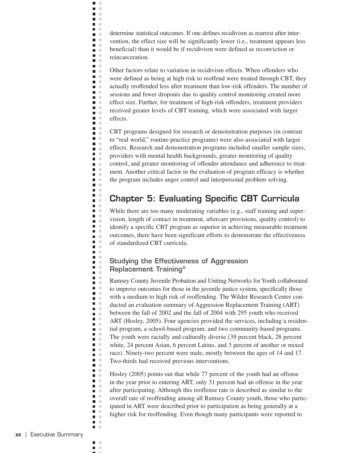determine statistical outcomes. If one defines recidivism as rearrest after intervention, the effect size will be significantly lower (i.e., treatment appears less beneficial) than it would be if recidivism were defined as reconviction or reincarceration.

 $\blacksquare$  $\mathbb{R}^n$  $\blacksquare$  $\mathbb{R}^2$ n m n m  $\blacksquare$  $\mathcal{C}$ **C COLOR** n.  $\mathbb{R}^n$  . n a  $\mathbf{r}$  $\blacksquare$  $\mathcal{C}$  $\blacksquare$  .  $\blacksquare$ **D** D **The Contract of the Contract of the Contract of the Contract of the Contract of the Contract of the Contract o**  $\blacksquare$  $\mathcal{C}$ n a  $\blacksquare$  $\mathbf{L}$ **COLLEGE**  $\blacksquare$  .  $\blacksquare$  $\blacksquare$  .  $\blacksquare$  $\blacksquare$  $\blacksquare$  $\blacksquare$  $\blacksquare$  $\mathcal{C}$  $\blacksquare$  $\blacksquare$ **COLLEGE**  $\blacksquare$  . n a  $\blacksquare$  $\blacksquare$  $\mathcal{C}$ n a  $\blacksquare$ **D** D  $\mathbf{r}$  $\blacksquare$  .  $\blacksquare$  $\mathbf{u}$  .  $\mathbf{u}$  $\blacksquare$  $\blacksquare$  .  $\blacksquare$  .  $\blacksquare$  $\blacksquare$  $\mathcal{L}$  $\blacksquare$  $\blacksquare$  $\mathcal{C}$ **D** D  $\mathbf{r}$ n m  $\Box$  $\blacksquare$  .  $\blacksquare$  $\blacksquare$  $\blacksquare$  .  $\blacksquare$  . **TIME**  $\blacksquare$  $\blacksquare$ n a  $\blacksquare$  $\blacksquare$  $\mathcal{C}$  $\blacksquare$  .  $\blacksquare$  .  $\blacksquare$  $\blacksquare$  $\mathbb{R}^2$  $\blacksquare$  $\blacksquare$  $\blacksquare$  $\mathbb{R}^n$  .  $\mathbb{R}^n$  $\blacksquare$  .  $\blacksquare$ n a  $\blacksquare$ n a  $\blacksquare$  $\blacksquare$  $\blacksquare$   $\blacksquare$  $\blacksquare$  $\blacksquare$  $\mathcal{L}$  $\blacksquare$  $\blacksquare$  $\sim$  $\blacksquare$  $\mathbb{R}^2$  $\blacksquare$  .  $\blacksquare$  $\mathbf{r}$ 

Other factors relate to variation in recidivism effects. When offenders who were defined as being at high risk to reoffend were treated through CBT, they actually reoffended less after treatment than low-risk offenders. The number of sessions and fewer dropouts due to quality control monitoring created more effect size. Further, for treatment of high-risk offenders, treatment providers received greater levels of CBT training, which were associated with larger effects.

CBT programs designed for research or demonstration purposes (in contrast to "real world," routine-practice programs) were also associated with larger effects. Research and demonstration programs included smaller sample sizes, providers with mental health backgrounds, greater monitoring of quality control, and greater monitoring of offender attendance and adherence to treatment. Another critical factor in the evaluation of program efficacy is whether the program includes anger control and interpersonal problem solving.

## **Chapter 5: Evaluating Specific CBT Curricula**

While there are too many moderating variables (e.g., staff training and supervision, length of contact in treatment, aftercare provisions, quality control) to identify a specific CBT program as superior in achieving measurable treatment outcomes, there have been significant efforts to demonstrate the effectiveness of standardized CBT curricula.

#### **Studying the Effectiveness of Aggression Replacement Training®**

Ramsey County Juvenile Probation and Uniting Networks for Youth collaborated to improve outcomes for those in the juvenile justice system, specifically those with a medium to high risk of reoffending. The Wilder Research Center conducted an evaluation summary of Aggression Replacement Training (ART) between the fall of 2002 and the fall of 2004 with 295 youth who received ART (Hosley, 2005). Four agencies provided the services, including a residential program, a school-based program, and two community-based programs. The youth were racially and culturally diverse (39 percent black, 28 percent white, 24 percent Asian, 6 percent Latino, and 3 percent of another or mixed race). Ninety-two percent were male, mostly between the ages of 14 and 17. Two-thirds had received previous interventions.

Hosley (2005) points out that while 77 percent of the youth had an offense in the year prior to entering ART, only 31 percent had an offense in the year after participating. Although this reoffense rate is described as similar to the overall rate of reoffending among all Ramsey County youth, those who participated in ART were described prior to participation as being generally at a higher risk for reoffending. Even though many participants were reported to

 $\blacksquare$ ×  $\mathbb{R}^n$ П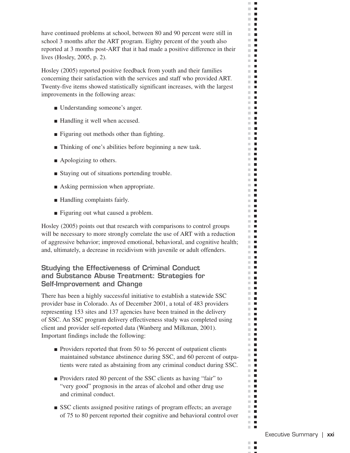have continued problems at school, between 80 and 90 percent were still in school 3 months after the ART program. Eighty percent of the youth also reported at 3 months post-ART that it had made a positive difference in their lives (Hosley, 2005, p. 2).

 $\Box$  .  $\Box$  $\mathbb{R}^d$  $\blacksquare$  $\mathbb{R}^n$  . In  $\Box$  $\mathbb{R}^d$  $\blacksquare$  $\mathbf{r}$ **The Co**  $\mathbf{r}$ m.  $\Box$  $\Box$  .  $\Box$  $\Box$  .  $\Box$  $\Box$  .  $\Box$  $\mathbb{R}^n$  .  $\mathbf{r}$  $\mathbb{R}^n$  . In  $\blacksquare$  $\mathbb{R}^n$  $\mathbf{r}$  $\blacksquare$  <br> If **COL**  $\blacksquare$  $\mathbb{R}^n$  $\blacksquare$  $\mathbf{r}$  $\mathbf{H} \cdot \mathbf{H}$  $\mathbb{R}^n$  .  $\mathbb{R}^n$  $\mathbf{r}$ m. D m.  $\Box$ m.  $\mathbf{L}$  $\mathbf{r}$ **The Contract**  $\mathbb{R}^d$  $\blacksquare$ **THE**  $\mathbb{R}^n$  $\overline{\phantom{a}}$  $\mathbb{R}^n$  $\blacksquare$ **THE R**  $\mathbf{u} \cdot \mathbf{u}$  $\mathbf{r}$  $\mathbb{R}^n$  $\blacksquare$ **The Contract of the Contract of the Contract of the Contract of the Contract of the Contract of the Contract o**  $\mathbb{R}^n$  .  $\mathbb{R}^n$  $\mathbb{R}^n$  .  $\mathbb{R}^n$  $\mathbf{u}$  $\blacksquare$  .  $\blacksquare$  $\mathbf{r}$ m.  $\blacksquare$  $\mathbb{R}^n$  . In m in  $\mathbb{R}^n$  $\blacksquare$ **The Contract of the Contract of the Contract of the Contract of the Contract of the Contract of the Contract of the Contract of the Contract of the Contract of the Contract of the Contract of the Contract of the Contract** m n  $\sim$  10  $\pm$  $\mathbf{u}$ m m  $\mathbf{r}$  .  $\mathbf{r}$  $\mathbb{R}^n$  $\blacksquare$  $\blacksquare$  $\blacksquare$  $\mathbb{R}^n$  .  $\mathbb{R}^n$  $\mathbf{E}$  $\mathbb{R}^n$  $\overline{\phantom{a}}$  $\Box$ m.  $\blacksquare$ **THE R The Co**  $\mathbb{R}^n$  $\blacksquare$  $\Box$  $\mathbb{R}^n$  .  $\mathbb{R}^n$  $\mathbb{R}^n$  $\blacksquare$ **The Contract of the Contract of the Contract of the Contract of the Contract of the Contract of the Contract o**  $\blacksquare$ m.  $\blacksquare$  $\blacksquare$  $\mathbb{R}^n$ m an  $\mathbf{u}$  $\mathbb{R}^n$  $\blacksquare$  $\mathbb{R}^n$  $\mathcal{L}_{\mathcal{A}}$ m n  $\mathbf{r}$  $\mathbb{R}^n$  $\blacksquare$ m n m.  $\blacksquare$ m.  $\blacksquare$  $\Box$  $\mathbf{r}$ 

Hosley (2005) reported positive feedback from youth and their families concerning their satisfaction with the services and staff who provided ART. Twenty-five items showed statistically significant increases, with the largest improvements in the following areas:

- Understanding someone's anger.
- Handling it well when accused.
- Figuring out methods other than fighting.
- Thinking of one's abilities before beginning a new task.
- Apologizing to others.
- Staying out of situations portending trouble.
- Asking permission when appropriate.
- Handling complaints fairly.
- Figuring out what caused a problem.

Hosley (2005) points out that research with comparisons to control groups will be necessary to more strongly correlate the use of ART with a reduction of aggressive behavior; improved emotional, behavioral, and cognitive health; and, ultimately, a decrease in recidivism with juvenile or adult offenders.

#### **Studying the Effectiveness of Criminal Conduct and Substance Abuse Treatment: Strategies for Self-Improvement and Change**

There has been a highly successful initiative to establish a statewide SSC provider base in Colorado. As of December 2001, a total of 483 providers representing 153 sites and 137 agencies have been trained in the delivery of SSC. An SSC program delivery effectiveness study was completed using client and provider self-reported data (Wanberg and Milkman, 2001). Important findings include the following:

- Providers reported that from 50 to 56 percent of outpatient clients maintained substance abstinence during SSC, and 60 percent of outpatients were rated as abstaining from any criminal conduct during SSC.
- Providers rated 80 percent of the SSC clients as having "fair" to "very good" prognosis in the areas of alcohol and other drug use and criminal conduct.
- SSC clients assigned positive ratings of program effects; an average of 75 to 80 percent reported their cognitive and behavioral control over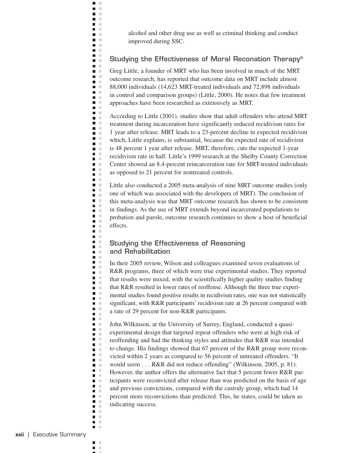alcohol and other drug use as well as criminal thinking and conduct improved during SSC.

#### **Studying the Effectiveness of Moral Reconation Therapy®**

 $\blacksquare$  $\mathbb{R}^2$  $\blacksquare$  $\mathbb{R}^2$ n m n m n E **TELEVISION C** n m  $\mathbf{r}$ n T  $\blacksquare$  $\mathcal{L}$  $\blacksquare$  .  $\blacksquare$  .  $\blacksquare$ **D** D **The Contract of the Contract of the Contract of the Contract of the Contract of the Contract of the Contract o**  $\blacksquare$ n E  $\blacksquare$ n m **COLLEGE**  $\mathbf{u}$ **C**  $\blacksquare$  $\blacksquare$  .  $\blacksquare$ **Contract**  $\blacksquare$  $\mathcal{C}$  $\blacksquare$ **D** D **The Contract of the Contract of the Contract of the Contract of the Contract of the Contract of the Contract o**  $\blacksquare$  . n E **C**  $\blacksquare$  $\mathbb{R}^2$ m. **C D** D  $\mathbf{r}$  $\blacksquare$  .  $\blacksquare$  $\blacksquare$  .  $\blacksquare$  $\blacksquare$  $\blacksquare$  $\blacksquare$  . n m  $\blacksquare$  $\mathbf{r}$ m.  $\blacksquare$  $\mathcal{C}$ **D** D  $\mathbf{r}$ m m **C**  $\Box$ m.  $\blacksquare$  .  $\blacksquare$  . **TIME**  $\blacksquare$ m. n a  $\mathbf{u}$  .  $\blacksquare$  $\blacksquare$  $\blacksquare$  .  $\blacksquare$  $\blacksquare$  $\blacksquare$  .  $\blacksquare$  $\blacksquare$  $\blacksquare$  $\blacksquare$  .  $\blacksquare$  $\blacksquare$  .  $\blacksquare$  $\blacksquare$  $\blacksquare$  .  $\blacksquare$ n a **COLLEGE**  $\blacksquare$  $\blacksquare$   $\blacksquare$  $\blacksquare$  .  $\blacksquare$ n m  $\mathbf{r}$  $\mathbf{r}$ n m  $\blacksquare$  $\mathbb{R}^n$  $\blacksquare$   $\blacksquare$  $\mathbf{r}$ 

Greg Little, a founder of MRT who has been involved in much of the MRT outcome research, has reported that outcome data on MRT include almost 88,000 individuals (14,623 MRT-treated individuals and 72,898 individuals in control and comparison groups) (Little, 2000). He notes that few treatment approaches have been researched as extensively as MRT.

According to Little (2001), studies show that adult offenders who attend MRT treatment during incarceration have significantly reduced recidivism rates for 1 year after release. MRT leads to a 23-percent decline in expected recidivism which, Little explains, is substantial, because the expected rate of recidivism is 48 percent 1 year after release. MRT, therefore, cuts the expected 1-year recidivism rate in half. Little's 1999 research at the Shelby County Correction Center showed an 8.4-percent reincarceration rate for MRT-treated individuals as opposed to 21 percent for nontreated controls.

Little also conducted a 2005 meta-analysis of nine MRT outcome studies (only one of which was associated with the developers of MRT). The conclusion of this meta-analysis was that MRT outcome research has shown to be consistent in findings. As the use of MRT extends beyond incarcerated populations to probation and parole, outcome research continues to show a host of beneficial effects.

#### **Studying the Effectiveness of Reasoning and Rehabilitation**

In their 2005 review, Wilson and colleagues examined seven evaluations of R&R programs, three of which were true experimental studies. They reported that results were mixed, with the scientifically higher quality studies finding that R&R resulted in lower rates of reoffense. Although the three true experimental studies found positive results in recidivism rates, one was not statistically significant, with R&R participants' recidivism rate at 26 percent compared with a rate of 29 percent for non-R&R participants.

John Wilkinson, at the University of Surrey, England, conducted a quasiexperimental design that targeted repeat offenders who were at high risk of reoffending and had the thinking styles and attitudes that R&R was intended to change. His findings showed that 67 percent of the R&R group were reconvicted within 2 years as compared to 56 percent of untreated offenders. "It would seem . . . R&R did not reduce offending" (Wilkinson, 2005, p. 81). However, the author offers the alternative fact that 5 percent fewer R&R participants were reconvicted after release than was predicted on the basis of age and previous convictions, compared with the custody group, which had 14 percent more reconvictions than predicted. This, he states, could be taken as indicating success.

 $\blacksquare$ ×  $\mathbb{R}^n$  $\blacksquare$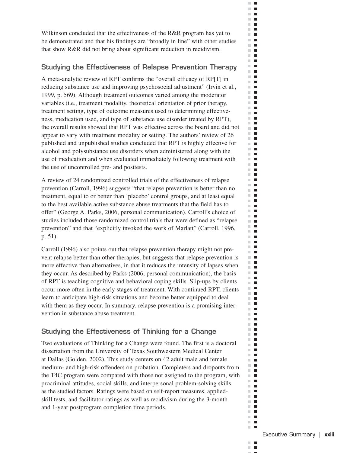Wilkinson concluded that the effectiveness of the R&R program has yet to be demonstrated and that his findings are "broadly in line" with other studies that show R&R did not bring about significant reduction in recidivism.

 $\Box$  .  $\Box$  $\mathbb{R}^d$  $\blacksquare$  $\mathbb{R}^n$  $\Box$  $\mathbb{R}^n$  $\blacksquare$  $\mathbb{R}^d$  $\blacksquare$  $\mathbf{r}$ H.  $\mathbf{L}$  $\sim$  $\Box$  $\mathbb{R}^n$  $\blacksquare$  $\mathbb{R}^2$  $\blacksquare$  $\mathbb{R}^d$  $\blacksquare$  $\mathbb{R}^n$  $\blacksquare$  $\mathbb{R}^n$  $\blacksquare$  $\mathbb{R}^n$  $\blacksquare$  $\mathbb{R}^n$  $\Box$  $\mathcal{C}^{\mathcal{C}}$  $\blacksquare$  $\sim$  $\blacksquare$  $\mathbb{R}^2$  $\mathcal{L}_{\mathcal{A}}$  $\sim$  $\overline{\phantom{a}}$  $\mathcal{C}$  $\blacksquare$ m.  $\blacksquare$  $\sim$  $\overline{\phantom{a}}$  $\mathbb{R}^d$  $\blacksquare$  $\mathbb{R}^n$  $\mathcal{L}_{\mathcal{A}}$  $\mathbb{R}^2$ п  $\mathbb{R}^n$  $\blacksquare$  $\sim$  $\overline{\phantom{a}}$  $\mathbf{u}$  . In m.  $\blacksquare$  $\mathbb{R}^d$  $\blacksquare$ m.  $\overline{\phantom{a}}$  $\mathbb{R}^n$  $\mathcal{L}_{\mathcal{A}}$  $\mathbb{R}^2$  $\blacksquare$ m.  $\blacksquare$  $\mathbf{u} \cdot \mathbf{u}$  $\mathbf{r}$  $\mathbb{R}^n$  $\blacksquare$ m.  $\blacksquare$  $\blacksquare$ m.  $\blacksquare$ m.  $\mathbb{R}^n$  $\blacksquare$  $\mathbb{R}^n$  .  $\mathbb{R}^n$  $\mathbb{R}^n$  .  $\mathbb{R}^n$  $\blacksquare$ m.  $\Box$  .  $\Box$  $\mathbb{R}^n$  .  $\mathbb{R}^n$  $\mathbb{R}^n$  $\blacksquare$  $\mathbf{u}$  $\blacksquare$  $\mathbb{R}^n$  $\blacksquare$  $\mathbb{R}^n$  $\mathbb{R}^n$  $\mathcal{L}_{\mathcal{A}}$ **The Co**  $\blacksquare$ m.  $\blacksquare$ m.  $\mathbf{u} \cdot \mathbf{u}$ m.  $\blacksquare$  $\mathbb{R}^n$  $\blacksquare$ m.  $\blacksquare$ m.  $\blacksquare$  $\blacksquare$ m.  $\mathbb{R}^d$  $\blacksquare$  $\blacksquare$ m.  $\mathcal{L}_{\mathcal{A}}$  $\blacksquare$  $\mathcal{C}$  $\blacksquare$ m. п  $\blacksquare$ m.  $\mathbb{R}^d$  $\blacksquare$ m.  $\overline{\phantom{a}}$ m.  $\blacksquare$ m.  $\blacksquare$  $\blacksquare$ ш  $\mathbb{R}^n$  $\blacksquare$  $\mathbb{R}^n$  $\blacksquare$  $\blacksquare$  $\mathbb{R}^n$  $\mathbb{R}^d$  $\blacksquare$ ш  $\blacksquare$  $\mathbb{R}^n$  $\blacksquare$  $\mathbb{R}^d$  $\blacksquare$  $\mathbb{R}^d$  $\blacksquare$  $\mathbb{R}^d$  $\blacksquare$  $\mathbb{R}^n$  $\blacksquare$  $\mathbb{R}^n$  .  $\mathbb{R}^n$ **The Co** 

#### **Studying the Effectiveness of Relapse Prevention Therapy**

A meta-analytic review of RPT confirms the "overall efficacy of RP[T] in reducing substance use and improving psychosocial adjustment" (Irvin et al., 1999, p. 569). Although treatment outcomes varied among the moderator variables (i.e., treatment modality, theoretical orientation of prior therapy, treatment setting, type of outcome measures used to determining effectiveness, medication used, and type of substance use disorder treated by RPT), the overall results showed that RPT was effective across the board and did not appear to vary with treatment modality or setting. The authors' review of 26 published and unpublished studies concluded that RPT is highly effective for alcohol and polysubstance use disorders when administered along with the use of medication and when evaluated immediately following treatment with the use of uncontrolled pre- and posttests.

A review of 24 randomized controlled trials of the effectiveness of relapse prevention (Carroll, 1996) suggests "that relapse prevention is better than no treatment, equal to or better than 'placebo' control groups, and at least equal to the best available active substance abuse treatments that the field has to offer" (George A. Parks, 2006, personal communication). Carroll's choice of studies included those randomized control trials that were defined as "relapse prevention" and that "explicitly invoked the work of Marlatt" (Carroll, 1996, p. 51).

Carroll (1996) also points out that relapse prevention therapy might not prevent relapse better than other therapies, but suggests that relapse prevention is more effective than alternatives, in that it reduces the intensity of lapses when they occur. As described by Parks (2006, personal communication), the basis of RPT is teaching cognitive and behavioral coping skills. Slip-ups by clients occur more often in the early stages of treatment. With continued RPT, clients learn to anticipate high-risk situations and become better equipped to deal with them as they occur. In summary, relapse prevention is a promising intervention in substance abuse treatment.

#### **Studying the Effectiveness of Thinking for a Change**

Two evaluations of Thinking for a Change were found. The first is a doctoral dissertation from the University of Texas Southwestern Medical Center at Dallas (Golden, 2002). This study centers on 42 adult male and female medium- and high-risk offenders on probation. Completers and dropouts from the T4C program were compared with those not assigned to the program, with procriminal attitudes, social skills, and interpersonal problem-solving skills as the studied factors. Ratings were based on self-report measures, appliedskill tests, and facilitator ratings as well as recidivism during the 3-month and 1-year postprogram completion time periods.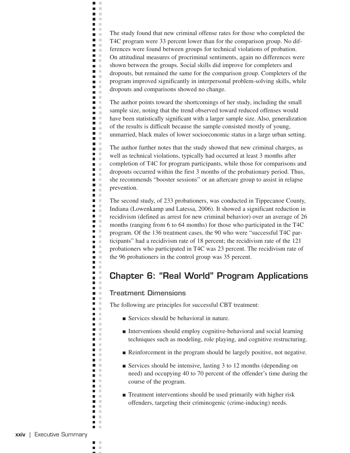The study found that new criminal offense rates for those who completed the T4C program were 33 percent lower than for the comparison group. No differences were found between groups for technical violations of probation. On attitudinal measures of procriminal sentiments, again no differences were shown between the groups. Social skills did improve for completers and dropouts, but remained the same for the comparison group. Completers of the program improved significantly in interpersonal problem-solving skills, while dropouts and comparisons showed no change.

The author points toward the shortcomings of her study, including the small sample size, noting that the trend observed toward reduced offenses would have been statistically significant with a larger sample size. Also, generalization of the results is difficult because the sample consisted mostly of young, unmarried, black males of lower socioeconomic status in a large urban setting.

The author further notes that the study showed that new criminal charges, as well as technical violations, typically had occurred at least 3 months after completion of T4C for program participants, while those for comparisons and dropouts occurred within the first 3 months of the probationary period. Thus, she recommends "booster sessions" or an aftercare group to assist in relapse prevention.

The second study, of 233 probationers, was conducted in Tippecanoe County, Indiana (Lowenkamp and Latessa, 2006). It showed a significant reduction in recidivism (defined as arrest for new criminal behavior) over an average of 26 months (ranging from 6 to 64 months) for those who participated in the T4C program. Of the 136 treatment cases, the 90 who were "successful T4C participants" had a recidivism rate of 18 percent; the recidivism rate of the 121 probationers who participated in T4C was 23 percent. The recidivism rate of the 96 probationers in the control group was 35 percent.

## **Chapter 6: "Real World" Program Applications**

#### **Treatment Dimensions**

 $\blacksquare$  $\mathbb{R}^n$  $\blacksquare$  $\mathbb{R}^2$ n m n m n m **COLLEGE COLOR D** O  $\blacksquare$ n T n m  $\blacksquare$  $\Box$ **D** D **The Contract of the Contract of the Contract of the Contract of the Contract of the Contract of the Contract o**  $\blacksquare$ n E **C** n m **The Co**  $\blacksquare$  .  $\blacksquare$ **COLOR**  $\blacksquare$ a m **Contract**  $\blacksquare$  $\mathbf{r}$ **D** D **The Contract of the Contract of the Contract of the Contract of the Contract of the Contract of the Contract o**  $\blacksquare$  . n E  $\blacksquare$  $\mathbf{L}$ n m **C** n m  $\mathbf{r}$  $\mathbf{u}$  $\blacksquare$  $\blacksquare$  $\blacksquare$  $\blacksquare$  . m.  $\blacksquare$  $\mathcal{L}$ m.  $\blacksquare$ ×  $\blacksquare$  .  $\blacksquare$  $\mathbf{r}$ n m **COLLEGE**  $\Box$ m m  $\blacksquare$  $\mathbb{R}^n$  $\blacksquare$ **TIME**  $\blacksquare$  . m. n E  $\mathbf{u}$  . n m  $\mathbf{L}$ **COLLEGE**  $\mathbf{u}$  $\mathbf{u} \in \mathbb{R}$ n m  $\blacksquare$ **The Contract of the Contract of the Contract of the Contract of the Contract of the Contract of the Contract o**  $\blacksquare$  .  $\blacksquare$ n m  $\mathcal{L}^{\mathcal{L}}$  . n m **The Co**  $\mathbf{u}$ **COLLEGE** n a **DOM: College**  $\blacksquare$  .  $\blacksquare$ **The Contract State**  $\blacksquare$  $\mathbb{R}^n$  $\blacksquare$   $\blacksquare$  $\mathbf{r}$ 

The following are principles for successful CBT treatment:

- Services should be behavioral in nature.
- Interventions should employ cognitive-behavioral and social learning techniques such as modeling, role playing, and cognitive restructuring.
- Reinforcement in the program should be largely positive, not negative.
- Services should be intensive, lasting 3 to 12 months (depending on need) and occupying 40 to 70 percent of the offender's time during the course of the program.
- Treatment interventions should be used primarily with higher risk offenders, targeting their criminogenic (crime-inducing) needs.

 $\blacksquare$ × × П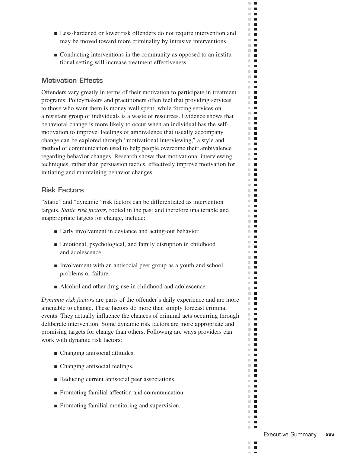■ Less-hardened or lower risk offenders do not require intervention and may be moved toward more criminality by intrusive interventions.

 $\mathbb{R}^n$  $\mathbf{L}$  $\mathbb{R}^d$  $\blacksquare$  $\mathbb{R}^n$  $\mathbf{r}$  $\mathbb{R}^d$  $\blacksquare$  $\mathbf{r}$ **The Co**  $\mathbf{r}$ m.  $\Box$  $\mathbf{r}$  .  $\mathbf{r}$  $\Box$  .  $\Box$  $\mathbb{R}^d$  $\blacksquare$  $\mathbb{R}^n$  $\blacksquare$  $\mathbb{R}^n$  . In  $\blacksquare$  $\mathbb{R}^n$  .  $\mathbb{R}^n$  $\mathbf{r}$  $\mathbf{H} \cdot \mathbf{H}$ **COL**  $\blacksquare$  $\mathbb{R}^n$  $\blacksquare$  $\mathbf{r}$  $\mathbf{H} \cdot \mathbf{H}$  $\mathbb{R}^n$  $\blacksquare$  $\mathbf{r}$  $\mathbf{H} \in \mathbf{R}$ m.  $\blacksquare$ m.  $\blacksquare$  $\mathbb{R}^n$  . In **The Contract of the Contract of the Contract of the Contract of the Contract of the Contract of the Contract of the Contract of the Contract of the Contract of the Contract of the Contract of the Contract of the Contract** m.  $\mathcal{L}_{\mathcal{A}}$ **The Contract of the Contract of the Contract of the Contract of the Contract of the Contract of the Contract o**  $\mathbf{u} \cdot \mathbf{u}$ m.  $\blacksquare$  $\blacksquare$  $\mathbf{r}$  $\mathbf{r}$ m.  $\blacksquare$  $\blacksquare$  $\mathbb{R}^n$  .  $\mathbb{R}^n$  $\blacksquare$ m.  $\mathbf{u}$  $\mathbb{R}^n$  .  $\mathbb{R}^n$  $\Box$  .  $\Box$  $\mathcal{L}_{\mathcal{A}}$ m.  $\mathbb{R}^n$  .  $\mathbb{R}^n$  $\blacksquare$  $\mathbb{R}^n$  $\blacksquare$  $\mathbf{u}$ **The Co**  $\mathbf{r}$  .  $\mathbf{r}$ m.  $\blacksquare$ **The Co**  $\mathbf{r}$  .  $\mathbf{r}$  $\mathbb{R}^d$  $\blacksquare$  $\blacksquare$  $\blacksquare$  $\mathbb{R}^n$  .  $\mathbb{R}^n$  $\blacksquare$  $\mathbb{R}^n$  $\blacksquare$  $\blacksquare$ m.  $\blacksquare$  $\mathbb{R}^n$  .  $\mathbb{R}^n$  $\mathbb{R}^n$  .  $\mathbb{R}^n$  $\sim$  $\overline{\phantom{a}}$ m.  $\Box$  $\blacksquare$ m.  $\mathbb{R}^n$  $\blacksquare$ **The Contract of the Contract of the Contract of the Contract of the Contract of the Contract of the Contract o**  $\blacksquare$  $\mathbf{r}$  $\mathbb{R}^d$  $\overline{\phantom{a}}$  $\mathbf{r}$  $\mathbf{u}$  $\mathbb{R}^n$  $\blacksquare$  $\mathbb{R}^n$  $\blacksquare$ **The Co**  $\mathbf{r}$  .  $\mathbf{r}$  $\mathbb{R}^n$  $\blacksquare$  $\mathbb{R}^n$  $\mathbf{L}$ m.  $\blacksquare$ m.  $\blacksquare$  $\Box$ **The Co** 

■ Conducting interventions in the community as opposed to an institutional setting will increase treatment effectiveness.

#### **Motivation Effects**

Offenders vary greatly in terms of their motivation to participate in treatment programs. Policymakers and practitioners often feel that providing services to those who want them is money well spent, while forcing services on a resistant group of individuals is a waste of resources. Evidence shows that behavioral change is more likely to occur when an individual has the selfmotivation to improve. Feelings of ambivalence that usually accompany change can be explored through "motivational interviewing," a style and method of communication used to help people overcome their ambivalence regarding behavior changes. Research shows that motivational interviewing techniques, rather than persuasion tactics, effectively improve motivation for initiating and maintaining behavior changes.

#### **Risk Factors**

"Static" and "dynamic" risk factors can be differentiated as intervention targets. *Static risk factors,* rooted in the past and therefore unalterable and inappropriate targets for change, include:

- Early involvement in deviance and acting-out behavior.
- Emotional, psychological, and family disruption in childhood and adolescence.
- Involvement with an antisocial peer group as a youth and school problems or failure.
- Alcohol and other drug use in childhood and adolescence.

*Dynamic risk factors* are parts of the offender's daily experience and are more amenable to change. These factors do more than simply forecast criminal events. They actually influence the chances of criminal acts occurring through deliberate intervention. Some dynamic risk factors are more appropriate and promising targets for change than others. Following are ways providers can work with dynamic risk factors:

- Changing antisocial attitudes.
- Changing antisocial feelings.
- Reducing current antisocial peer associations.
- Promoting familial affection and communication.
- Promoting familial monitoring and supervision.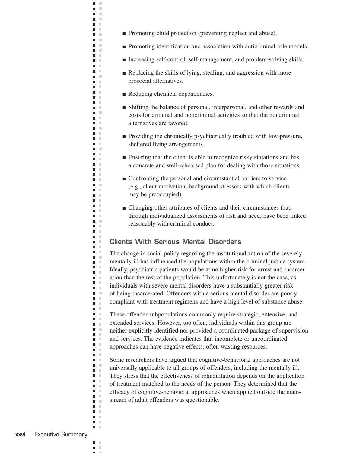- Promoting child protection (preventing neglect and abuse).
- Promoting identification and association with anticriminal role models.
- Increasing self-control, self-management, and problem-solving skills.
- Replacing the skills of lying, stealing, and aggression with more prosocial alternatives.
- Reducing chemical dependencies.

 $\blacksquare$  $\mathbb{R}^n$  $\blacksquare$  $\mathbb{R}^2$ n m n m n m **TELEVISION The Co** n m  $\mathbf{m} \in \mathbb{R}$ n in n m **Contract** n m **District** n m n m **The Contract Contract The Contract State The Contract of the Contract of the Contract of the Contract of the Contract of the Contract of the Contract o**  $\mathbf{u}$ m m n m n m **COLOR** n m **The Contract District The Contract** n m  $\blacksquare$ **Contract** n m  $\blacksquare$ **Contract** m m **D** D  $\mathbf{u} \in \mathbb{R}$ n m n m **The Contract** n m **The College C**  $\blacksquare$   $\blacksquare$ **The Contract State**  $\blacksquare$  $\mathcal{C}$  $\blacksquare$  .  $\blacksquare$  $\blacksquare$  .  $\blacksquare$ m m **COLLEGE**  $\Box$ m.  $\blacksquare$  .  $\blacksquare$  . **The Contract State**  $\blacksquare$  . **COLOR** n a  $\blacksquare$  $\blacksquare$ ×  $\blacksquare$  .  $\blacksquare$   $\blacksquare$  $\blacksquare$  $\blacksquare$ n m n a **The Contract State** a a n m  $\blacksquare$  .  $\blacksquare$ n E **COLLEGE**  $\blacksquare$  $\blacksquare$  .  $\blacksquare$  $\blacksquare$  .  $\blacksquare$ n m  $\mathbf{r}$  $\mathbf{r}$ **The Contract State**  $\blacksquare$ ×  $\blacksquare$  .  $\blacksquare$ m. m

- Shifting the balance of personal, interpersonal, and other rewards and costs for criminal and noncriminal activities so that the noncriminal alternatives are favored.
- Providing the chronically psychiatrically troubled with low-pressure, sheltered living arrangements.
- Ensuring that the client is able to recognize risky situations and has a concrete and well-rehearsed plan for dealing with those situations.
- Confronting the personal and circumstantial barriers to service (e.g., client motivation, background stressors with which clients may be preoccupied).
- Changing other attributes of clients and their circumstances that, through individualized assessments of risk and need, have been linked reasonably with criminal conduct.

#### **Clients With Serious Mental Disorders**

The change in social policy regarding the institutionalization of the severely mentally ill has influenced the populations within the criminal justice system. Ideally, psychiatric patients would be at no higher risk for arrest and incarceration than the rest of the population. This unfortunately is not the case, as individuals with severe mental disorders have a substantially greater risk of being incarcerated. Offenders with a serious mental disorder are poorly compliant with treatment regimens and have a high level of substance abuse.

These offender subpopulations commonly require strategic, extensive, and extended services. However, too often, individuals within this group are neither explicitly identified nor provided a coordinated package of supervision and services. The evidence indicates that incomplete or uncoordinated approaches can have negative effects, often wasting resources.

Some researchers have argued that cognitive-behavioral approaches are not universally applicable to all groups of offenders, including the mentally ill. They stress that the effectiveness of rehabilitation depends on the application of treatment matched to the needs of the person. They determined that the efficacy of cognitive-behavioral approaches when applied outside the mainstream of adult offenders was questionable.

 $\blacksquare$ × × П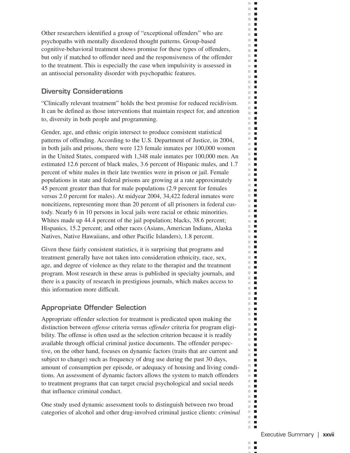Other researchers identified a group of "exceptional offenders" who are psychopaths with mentally disordered thought patterns. Group-based cognitive-behavioral treatment shows promise for these types of offenders, but only if matched to offender need and the responsiveness of the offender to the treatment. This is especially the case when impulsivity is assessed in an antisocial personality disorder with psychopathic features.

 $\mathbb{R}^n$  $\mathbf{L}$  $\mathbb{R}^d$  $\blacksquare$  $\mathbb{R}^2$  $\blacksquare$  $\blacksquare$ m.  $\mathbb{R}^d$  $\blacksquare$  $\mathbf{r}$ m.  $\mathbf{L}$  $\mathbf{r}$  $\mathbb{R}^n$  $\blacksquare$ m.  $\blacksquare$  $\mathbb{R}^d$  $\blacksquare$  $\mathbb{R}^d$  $\blacksquare$  $\mathbb{R}^n$  $\blacksquare$  $\mathbb{R}^n$  $\blacksquare$  $\Box$  $\mathcal{L}_{\mathcal{A}}$  $\blacksquare$  $\mathbb{R}^n$ m.  $\blacksquare$  $\mathbb{R}^2$  $\blacksquare$  $\sim$  $\blacksquare$  $\mathbb{R}^d$ П  $\mathbf{r}$ m.  $\overline{\phantom{a}}$ m.  $\blacksquare$  $\mathbf{r}$ 医下颌  $\mathbb{R}^n$  $\Box$ ×.  $\overline{\phantom{a}}$  $\mathbf{r}$ m.  $\blacksquare$  $\mathbb{R}^d$  $\blacksquare$ m.  $\blacksquare$  $\mathbb{R}^n$  $\blacksquare$  $\mathbb{R}^d$  $\blacksquare$ m.  $\Box$  $\mathbf{u} \cdot \mathbf{u}$ **COL**  $\blacksquare$  $\mathbb{R}^n$  $\blacksquare$ m.  $\blacksquare$ m.  $\blacksquare$  $\blacksquare$ m. m.  $\mathcal{L}_{\mathcal{A}}$  $\blacksquare$  .  $\blacksquare$  $\blacksquare$ m.  $\blacksquare$  $\mathbb{R}^d$ m.  $\blacksquare$  $\blacksquare$  $\blacksquare$  $\mathbb{R}^d$  $\blacksquare$  $\mathbb{R}^n$ **I**  $\mathbb{R}^n$  $\blacksquare$  $\blacksquare$  $\mathbb{R}^n$  $\mathbb{R}^n$  $\blacksquare$ m.  $\Box$ m.  $\blacksquare$  $\blacksquare$  $\blacksquare$ m.  $\Box$ m.  $\blacksquare$  $\mathcal{C}^{\mathcal{C}}$  $\blacksquare$ m.  $\blacksquare$ ш  $\blacksquare$ m.  $\blacksquare$  $\mathbb{R}^d$  $\blacksquare$  $\blacksquare$  $\mathcal{L}_{\mathcal{A}}$  $\blacksquare$  $\mathbb{R}^d$  $\blacksquare$ m. **II**  $\blacksquare$  $\blacksquare$  $\mathbb{R}^n$  $\blacksquare$  $\mathbb{R}^n$  $\blacksquare$ m.  $\blacksquare$ m.  $\blacksquare$  $\blacksquare$  $\sim$  $\mathbb{R}^n$  $\blacksquare$  $\mathbb{R}^n$  $\mathcal{L}_{\mathcal{A}}$  $\overline{\phantom{a}}$  $\mathbb{R}^n$  $\mathbb{R}^n$  $\blacksquare$  $\mathbb{R}^n$  $\mathbf{L}$  $\mathbb{R}^n$  .  $\mathbb{R}^n$  $\mathbb{R}^n$  $\mathcal{L}_{\mathcal{A}}$  $\mathbb{R}^n$  $\blacksquare$  $\blacksquare$ m. m.  $\blacksquare$  $\mathbb{R}^n$  .  $\mathbb{R}^n$ **The Co** 

#### **Diversity Considerations**

"Clinically relevant treatment" holds the best promise for reduced recidivism. It can be defined as those interventions that maintain respect for, and attention to, diversity in both people and programming.

Gender, age, and ethnic origin intersect to produce consistent statistical patterns of offending. According to the U.S. Department of Justice, in 2004, in both jails and prisons, there were 123 female inmates per 100,000 women in the United States, compared with 1,348 male inmates per 100,000 men. An estimated 12.6 percent of black males, 3.6 percent of Hispanic males, and 1.7 percent of white males in their late twenties were in prison or jail. Female populations in state and federal prisons are growing at a rate approximately 45 percent greater than that for male populations (2.9 percent for females versus 2.0 percent for males). At midyear 2004, 34,422 federal inmates were noncitizens, representing more than 20 percent of all prisoners in federal custody. Nearly 6 in 10 persons in local jails were racial or ethnic minorities. Whites made up 44.4 percent of the jail population; blacks, 38.6 percent; Hispanics, 15.2 percent; and other races (Asians, American Indians, Alaska Natives, Native Hawaiians, and other Pacific Islanders), 1.8 percent.

Given these fairly consistent statistics, it is surprising that programs and treatment generally have not taken into consideration ethnicity, race, sex, age, and degree of violence as they relate to the therapist and the treatment program. Most research in these areas is published in specialty journals, and there is a paucity of research in prestigious journals, which makes access to this information more difficult.

#### **Appropriate Offender Selection**

Appropriate offender selection for treatment is predicated upon making the distinction between *offense* criteria versus *offender* criteria for program eligibility. The offense is often used as the selection criterion because it is readily available through official criminal justice documents. The offender perspective, on the other hand, focuses on dynamic factors (traits that are current and subject to change) such as frequency of drug use during the past 30 days, amount of consumption per episode, or adequacy of housing and living conditions. An assessment of dynamic factors allows the system to match offenders to treatment programs that can target crucial psychological and social needs that influence criminal conduct.

One study used dynamic assessment tools to distinguish between two broad categories of alcohol and other drug-involved criminal justice clients: *criminal*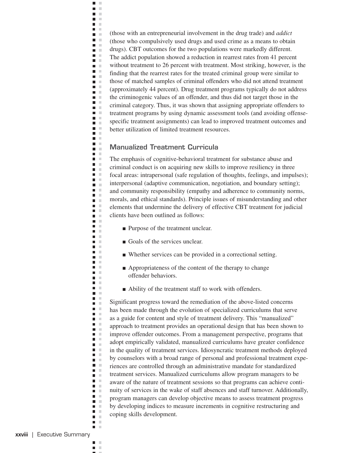(those with an entrepreneurial involvement in the drug trade) and *addict*  (those who compulsively used drugs and used crime as a means to obtain drugs). CBT outcomes for the two populations were markedly different. The addict population showed a reduction in rearrest rates from 41 percent without treatment to 26 percent with treatment. Most striking, however, is the finding that the rearrest rates for the treated criminal group were similar to those of matched samples of criminal offenders who did not attend treatment (approximately 44 percent). Drug treatment programs typically do not address the criminogenic values of an offender, and thus did not target those in the criminal category. Thus, it was shown that assigning appropriate offenders to treatment programs by using dynamic assessment tools (and avoiding offensespecific treatment assignments) can lead to improved treatment outcomes and better utilization of limited treatment resources.

#### **Manualized Treatment Curricula**

 $\blacksquare$  $\mathbb{R}^2$  $\blacksquare$  $\mathbb{R}^2$ n m m. m  $\blacksquare$  $\mathcal{C}$ n m **COLOR** n a  $\mathbb{R}^n$  . **DESCRIPTION**  $\blacksquare$  $\mathcal{L}$  $\blacksquare$  $\mathcal{C}$  $\mathbf{m} \in \mathbb{R}$  $\mathbf{r}$ **The Contract**  $\blacksquare$  $\mathcal{C}$ m. m  $\blacksquare$ n m **The Contract of the Contract of the Contract of the Contract of the Contract of the Contract of the Contract o**  $\blacksquare$  $\mathcal{L}$  $\blacksquare$  $\mathcal{L}$  $\mathbf{m} \in \mathbb{R}$  $\blacksquare$  $\mathbb{R}^2$  $\blacksquare$  $\mathcal{C}$ n m **D** D **The Contract of the Contract of the Contract of the Contract of the Contract of the Contract of the Contract o**  $\blacksquare$  . n a  $\blacksquare$  $\mathbf{L}$ m m  $\blacksquare$ m.  $\mathbf{r}$  $\mathbf{m} \in \mathbb{R}$  $\blacksquare$  $\blacksquare$  $\mathcal{C}$ n m  $\blacksquare$ m. **C**  $\mathbf{r}$ m.  $\blacksquare$  $\mathcal{C}$ **TELEVISION**  $\mathbf{r}$ n m **COLLEGE** a a m.  $\blacksquare$ × **C The Contract State**  $\blacksquare$ m. n a  $\blacksquare$  $\mathbb{R}^2$  $\blacksquare$  $\blacksquare$  .  $\Box$  $\blacksquare$ ×  $\blacksquare$ n a  $\blacksquare$  $\mathcal{L}$  $\blacksquare$  $\blacksquare$  .  $\blacksquare$  $\blacksquare$  $\blacksquare$ n a **COLLEGE**  $\blacksquare$  $\mathcal{C}$  $\blacksquare$  .  $\blacksquare$  $\blacksquare$ n a  $\mathcal{L}$  $\blacksquare$  $\mathcal{C}$  $\blacksquare$  $\mathbb{R}^n$  $\blacksquare$  $\mathbb{R}^2$  $\blacksquare$   $\blacksquare$ n m

The emphasis of cognitive-behavioral treatment for substance abuse and criminal conduct is on acquiring new skills to improve resiliency in three focal areas: intrapersonal (safe regulation of thoughts, feelings, and impulses); interpersonal (adaptive communication, negotiation, and boundary setting); and community responsibility (empathy and adherence to community norms, morals, and ethical standards). Principle issues of misunderstanding and other elements that undermine the delivery of effective CBT treatment for judicial clients have been outlined as follows:

- Purpose of the treatment unclear.
- Goals of the services unclear.
- Whether services can be provided in a correctional setting.
- Appropriateness of the content of the therapy to change offender behaviors.
- Ability of the treatment staff to work with offenders.

Significant progress toward the remediation of the above-listed concerns has been made through the evolution of specialized curriculums that serve as a guide for content and style of treatment delivery. This "manualized" approach to treatment provides an operational design that has been shown to improve offender outcomes. From a management perspective, programs that adopt empirically validated, manualized curriculums have greater confidence in the quality of treatment services. Idiosyncratic treatment methods deployed by counselors with a broad range of personal and professional treatment experiences are controlled through an administrative mandate for standardized treatment services. Manualized curriculums allow program managers to be aware of the nature of treatment sessions so that programs can achieve continuity of services in the wake of staff absences and staff turnover. Additionally, program managers can develop objective means to assess treatment progress by developing indices to measure increments in cognitive restructuring and coping skills development.

 $\blacksquare$ × × П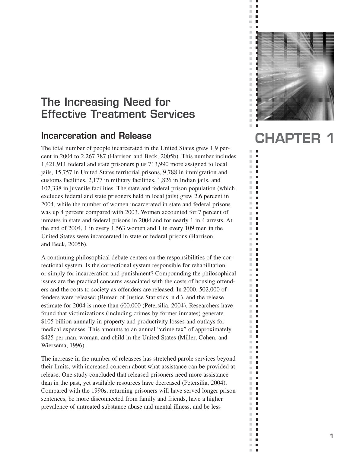# **The Increasing Need for Effective Treatment Services**

### **Incarceration and Release**

The total number of people incarcerated in the United States grew 1.9 percent in 2004 to 2,267,787 (Harrison and Beck, 2005b). This number includes 1,421,911 federal and state prisoners plus 713,990 more assigned to local jails, 15,757 in United States territorial prisons, 9,788 in immigration and customs facilities, 2,177 in military facilities, 1,826 in Indian jails, and 102,338 in juvenile facilities. The state and federal prison population (which excludes federal and state prisoners held in local jails) grew 2.6 percent in 2004, while the number of women incarcerated in state and federal prisons was up 4 percent compared with 2003. Women accounted for 7 percent of inmates in state and federal prisons in 2004 and for nearly 1 in 4 arrests. At the end of 2004, 1 in every 1,563 women and 1 in every 109 men in the United States were incarcerated in state or federal prisons (Harrison and Beck, 2005b).

A continuing philosophical debate centers on the responsibilities of the correctional system. Is the correctional system responsible for rehabilitation or simply for incarceration and punishment? Compounding the philosophical issues are the practical concerns associated with the costs of housing offenders and the costs to society as offenders are released. In 2000, 502,000 offenders were released (Bureau of Justice Statistics, n.d.), and the release estimate for 2004 is more than 600,000 (Petersilia, 2004). Researchers have found that victimizations (including crimes by former inmates) generate \$105 billion annually in property and productivity losses and outlays for medical expenses. This amounts to an annual "crime tax" of approximately \$425 per man, woman, and child in the United States (Miller, Cohen, and Wiersema, 1996).

The increase in the number of releasees has stretched parole services beyond their limits, with increased concern about what assistance can be provided at release. One study concluded that released prisoners need more assistance than in the past, yet available resources have decreased (Petersilia, 2004). Compared with the 1990s, returning prisoners will have served longer prison sentences, be more disconnected from family and friends, have a higher prevalence of untreated substance abuse and mental illness, and be less



 $\blacksquare$  $\overline{\phantom{a}}$  $\bar{\phantom{a}}$  $\overline{\phantom{a}}$  $\bar{\phantom{a}}$  $\blacksquare$ 

i.  $\mathbb{R}^n$  $\blacksquare$  $\blacksquare$  $\mathbb{R}^n$  $\blacksquare$  $\mathcal{C}$  $\mathbb{R}^d$  $\blacksquare$  $\mathbb{R}^d$  $\blacksquare$  $\overline{\phantom{a}}$  $\blacksquare$  $\mathbb{R}^n$  $\blacksquare$  $\mathbb{R}^d$  $\blacksquare$  $\bar{a}$  $\blacksquare$  $\mathbb{R}^d$ п  $\mathbb{R}^n$ П  $\mathcal{C}$  $\blacksquare$  $\overline{\phantom{a}}$  $\blacksquare$  $\blacksquare$  $\blacksquare$  $\mathbb{R}^n$  $\Box$  $\overline{\phantom{a}}$  $\Box$  $\mathbb{R}^d$ п  $\overline{\phantom{a}}$ П  $\overline{\phantom{a}}$  $\Box$  $\mathbb{R}^d$  $\Box$  $\mathbb{R}^n$  $\blacksquare$  $\mathbb{R}^n$  $\blacksquare$  $\mathbb{R}^n$  $\Box$  $\mathbb{R}^n$  $\blacksquare$  $\mathbb{R}^d$ П  $\overline{\phantom{a}}$  $\Box$  $\mathbf{r}$  $\blacksquare$  $\overline{\phantom{a}}$  $\Box$  $\blacksquare$  $\mathbb{R}^n$ m,  $\blacksquare$  $\bar{\phantom{a}}$  $\blacksquare$  $\mathbb{R}^n$ п  $\mathbb{R}^d$  $\mathbb{Z}$  $\blacksquare$  $\blacksquare$  $\mathbb{R}^d$ П  $\mathbb{R}^d$  $\Box$  $\mathcal{H}^{\prime}$  $\blacksquare$  $\overline{\phantom{a}}$  $\mathbb{Z}$  $\mathbb{R}^d$ п  $\overline{\phantom{a}}$ П  $\blacksquare$ г  $\bar{\phantom{a}}$  $\blacksquare$  $\mathbb{R}^n$  $\blacksquare$  $\mathbb{R}^d$  $\blacksquare$  $\mathbb{R}^d$  $\blacksquare$  $\mathbb{R}^n$  $\blacksquare$  $\mathbb{R}^d$  $\blacksquare$  $\overline{\phantom{a}}$  $\Box$  $\mathcal{C}$  $\blacksquare$  $\blacksquare$ ×.  $\mathbb{R}^n$  $\blacksquare$ ш  $\mathbb{Z}$ m,  $\blacksquare$  $\mathbb{R}^n$ п  $\overline{\phantom{a}}$  $\mathbb{Z}$  $\mathbb{R}^n$  .  $\mathbb{R}^n$ m,  $\overline{\phantom{a}}$  $\overline{\phantom{a}}$  $\mathbf{r}$ 

# **CHAPTER 1**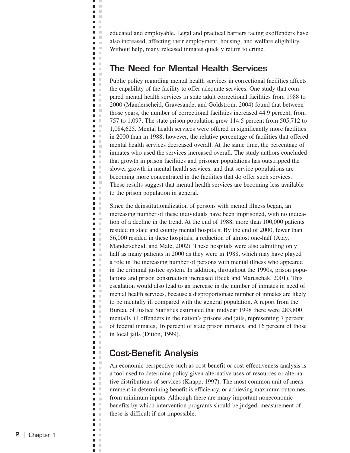educated and employable. Legal and practical barriers facing exoffenders have also increased, affecting their employment, housing, and welfare eligibility. Without help, many released inmates quickly return to crime.

### **The Need for Mental Health Services**

щ J.  $\blacksquare$  $\bar{\mathbf{u}}$  $\blacksquare$  $\mathbb{R}^2$  $\blacksquare$  $\mathbf{L}$  $\Box$ **Contract D** O **D** O  $\blacksquare$ i.  $\blacksquare$ ×  $\blacksquare$  $\mathbb{R}^n$  $\blacksquare$  $\mathbb{R}^2$  $\blacksquare$  $\mathbb{R}^n$  $\blacksquare$ ×  $\blacksquare$  .  $\blacksquare$  $\blacksquare$  .  $\blacksquare$  $\blacksquare$  $\mathcal{C}$  $\blacksquare$ ×  $\blacksquare$  $\mathbb{R}^n$  $\blacksquare$ ×  $\blacksquare$  $\mathbb{R}^2$  $\blacksquare$   $\blacksquare$  $\blacksquare$  $\mathcal{C}$  $\blacksquare$  $\mathcal{L}$  $\blacksquare$  .  $\blacksquare$  $\blacksquare$ × Ē  $\mathbb{R}^2$  $\overline{\phantom{a}}$ ×  $\blacksquare$  $\mathbb{R}^2$  $\overline{\phantom{a}}$  $\sim$  $\Box$  $\mathcal{C}$  $\blacksquare$ ×  $\blacksquare$  $\mathbb{R}^d$  $\blacksquare$  $\mathbb{R}^2$  $\mathbb{R}^d$ П  $\blacksquare$  $\mathbb{R}^2$  $\Box$ ×  $\Box$  $\mathbb{R}^d$  $\blacksquare$  $\mathcal{C}$  $\blacksquare$ л  $\Box$  $\mathbb{R}^d$  $\bar{a}$  $\blacksquare$  $\blacksquare$  $\mathbb{R}^n$  $\Box$ ×  $\Box$  $\mathbb{R}^d$  $\mathcal{C}$  $\blacksquare$  $\blacksquare$  $\mathbb{R}^2$ Ē, ×  $\blacksquare$  $\mathbb{R}^2$  $\Box$  $\mathcal{C}$  $\blacksquare$ л  $\blacksquare$ ×  $\blacksquare$  $\mathcal{C}$  $\blacksquare$  $\mathbb{R}^n$  $\Box$ ×  $\blacksquare$  $\mathcal{L}$  $\blacksquare$  $\mathcal{L}$  $\blacksquare$  $\bar{a}$  $\blacksquare$  $\mathbb{R}^2$ Ē,  $\mathcal{L}$  $\blacksquare$  $\bar{a}$ П п  $\blacksquare$  $\mathcal{L}$  $\mathbb{R}^2$  $\Box$  $\overline{\phantom{a}}$  $\mathcal{L}$ Ē  $\bar{\mathbf{u}}$  $\Box$  $\mathcal{C}$  $\blacksquare$  $\mathbb{R}^2$  $\Box$  $\mathbb{R}^2$  $\overline{\phantom{a}}$ **In**  $\bar{a}$  $\blacksquare$  $\blacksquare$ × × п Ē,  $\mathbb{R}^2$  $\blacksquare$  $\mathbb{R}^2$ ×  $\blacksquare$ Ē,  $\mathbb{R}^d$  $\blacksquare$  $\mathbb{R}^2$  $\blacksquare$  $\mathcal{C}$  $\mathbb{R}^d$  $\overline{\phantom{a}}$  $\blacksquare$  $\mathbb{R}^2$  $\blacksquare$  $\mathbb{R}^2$  $\Box$  $\mathbb{R}^2$  $\blacksquare$  $\mathbb{R}^n$  $\blacksquare$ ×

Public policy regarding mental health services in correctional facilities affects the capability of the facility to offer adequate services. One study that compared mental health services in state adult correctional facilities from 1988 to 2000 (Manderscheid, Gravesande, and Goldstrom, 2004) found that between those years, the number of correctional facilities increased 44.9 percent, from 757 to 1,097. The state prison population grew 114.5 percent from 505,712 to 1,084,625. Mental health services were offered in significantly more facilities in 2000 than in 1988; however, the relative percentage of facilities that offered mental health services decreased overall. At the same time, the percentage of inmates who used the services increased overall. The study authors concluded that growth in prison facilities and prisoner populations has outstripped the slower growth in mental health services, and that service populations are becoming more concentrated in the facilities that do offer such services. These results suggest that mental health services are becoming less available to the prison population in general.

Since the deinstitutionalization of persons with mental illness began, an increasing number of these individuals have been imprisoned, with no indication of a decline in the trend. At the end of 1988, more than 100,000 patients resided in state and county mental hospitals. By the end of 2000, fewer than 56,000 resided in these hospitals, a reduction of almost one-half (Atay, Manderscheid, and Male, 2002). These hospitals were also admitting only half as many patients in 2000 as they were in 1988, which may have played a role in the increasing number of persons with mental illness who appeared in the criminal justice system. In addition, throughout the 1990s, prison populations and prison construction increased (Beck and Maruschak, 2001). This escalation would also lead to an increase in the number of inmates in need of mental health services, because a disproportionate number of inmates are likely to be mentally ill compared with the general population. A report from the Bureau of Justice Statistics estimated that midyear 1998 there were 283,800 mentally ill offenders in the nation's prisons and jails, representing 7 percent of federal inmates, 16 percent of state prison inmates, and 16 percent of those in local jails (Ditton, 1999).

### **Cost-Benefit Analysis**

An economic perspective such as cost-benefit or cost-effectiveness analysis is a tool used to determine policy given alternative uses of resources or alternative distributions of services (Knapp, 1997). The most common unit of measurement in determining benefit is efficiency, or achieving maximum outcomes from minimum inputs. Although there are many important noneconomic benefits by which intervention programs should be judged, measurement of these is difficult if not impossible.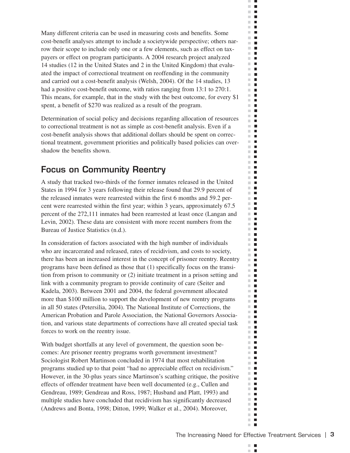Many different criteria can be used in measuring costs and benefits. Some cost-benefit analyses attempt to include a societywide perspective; others narrow their scope to include only one or a few elements, such as effect on taxpayers or effect on program participants. A 2004 research project analyzed 14 studies (12 in the United States and 2 in the United Kingdom) that evaluated the impact of correctional treatment on reoffending in the community and carried out a cost-benefit analysis (Welsh, 2004). Of the 14 studies, 13 had a positive cost-benefit outcome, with ratios ranging from 13:1 to 270:1. This means, for example, that in the study with the best outcome, for every \$1 spent, a benefit of \$270 was realized as a result of the program.

Determination of social policy and decisions regarding allocation of resources to correctional treatment is not as simple as cost-benefit analysis. Even if a cost-benefit analysis shows that additional dollars should be spent on correctional treatment, government priorities and politically based policies can overshadow the benefits shown.

# **Focus on Community Reentry**

A study that tracked two-thirds of the former inmates released in the United States in 1994 for 3 years following their release found that 29.9 percent of the released inmates were rearrested within the first 6 months and 59.2 percent were rearrested within the first year; within 3 years, approximately 67.5 percent of the 272,111 inmates had been rearrested at least once (Langan and Levin, 2002). These data are consistent with more recent numbers from the Bureau of Justice Statistics (n.d.).

In consideration of factors associated with the high number of individuals who are incarcerated and released, rates of recidivism, and costs to society, there has been an increased interest in the concept of prisoner reentry. Reentry programs have been defined as those that (1) specifically focus on the transition from prison to community or (2) initiate treatment in a prison setting and link with a community program to provide continuity of care (Seiter and Kadela, 2003). Between 2001 and 2004, the federal government allocated more than \$100 million to support the development of new reentry programs in all 50 states (Petersilia, 2004). The National Institute of Corrections, the American Probation and Parole Association, the National Governors Association, and various state departments of corrections have all created special task forces to work on the reentry issue.

With budget shortfalls at any level of government, the question soon becomes: Are prisoner reentry programs worth government investment? Sociologist Robert Martinson concluded in 1974 that most rehabilitation programs studied up to that point "had no appreciable effect on recidivism." However, in the 30-plus years since Martinson's scathing critique, the positive effects of offender treatment have been well documented (e.g., Cullen and Gendreau, 1989; Gendreau and Ross, 1987; Husband and Platt, 1993) and multiple studies have concluded that recidivism has significantly decreased (Andrews and Bonta, 1998; Ditton, 1999; Walker et al., 2004). Moreover,

п ×

 $\mathbb{R}^n$ 

ш  $\mathcal{C}$  $\blacksquare$  $\mathbb{R}^d$  $\blacksquare$  $\Box$  .  $\Box$  $\mathbf{r}$  $\mathbb{R}^d$  $\blacksquare$ m.  $\blacksquare$  $\mathbb{R}^n$ П  $\sim$  $\blacksquare$  $\mathcal{L}$  $\overline{\phantom{a}}$ m.  $\blacksquare$  $\blacksquare$ m.  $\mathbb{R}^d$  $\blacksquare$  $\mathcal{C}$  $\blacksquare$  $\mathbb{R}^d$  $\blacksquare$  $\sim$  $\overline{\phantom{a}}$  $\mathbb{R}^d$  $\mathcal{L}_{\mathcal{A}}$  $\mathbb{R}^n$  $\mathcal{L}_{\mathcal{A}}$ m.  $\blacksquare$  $\mathbb{R}^n$  $\blacksquare$  $\mathbb{R}^n$  $\blacksquare$  $\mathbb{R}^n$  .  $\mathbb{R}^n$  $\blacksquare$  $\blacksquare$ ш  $\mathbb{R}^n$  $\blacksquare$ m.  $\blacksquare$  $\mathbb{R}^2$  $\blacksquare$  $\mathbb{R}^n$  $\mathcal{L}_{\mathcal{A}}$ m.  $\blacksquare$  $\blacksquare$ m.  $\mathbb{R}^d$  $\blacksquare$  $\blacksquare$  .  $\blacksquare$ **COL**  $\blacksquare$  $\mathbb{R}^d$  $\blacksquare$  $\blacksquare$ m. m.  $\mathcal{L}_{\mathcal{A}}$  $\mathbb{R}^n$  $\blacksquare$  $\blacksquare$  $\mathcal{L}$  $\mathbb{R}^n$  .  $\mathbb{R}^n$  $\mathbb{R}^n$  $\blacksquare$  $\mathbb{R}^n$  $\mathcal{L}_{\mathcal{A}}$ m.  $\blacksquare$  $\mathbb{R}^n$  $\blacksquare$  $\mathbb{R}^n$  $\blacksquare$  $\mathbb{R}^n$  $\overline{\phantom{a}}$  $\mathbf{u}$  .  $\mathbf{u}$  $\blacksquare$  $\mathbb{R}^d$  $\mathcal{L}_{\mathcal{A}}$  $\mathbf{u}$  .  $\mathbf{u}$ m,  $\blacksquare$  $\mathcal{L}_{\mathcal{A}}$  $\blacksquare$ m.  $\overline{\phantom{a}}$  $\mathbf{r}$  $\blacksquare$ m.  $\blacksquare$  $\overline{\phantom{a}}$  $\mathbb{R}^n$  $\blacksquare$ m.  $\mathcal{L}_{\mathcal{A}}$  $\mathbb{R}^d$  $\mathcal{L}_{\mathcal{A}}$ m.  $\blacksquare$  $\mathbb{R}^n$  .  $\mathbb{R}^n$  $\blacksquare$ m. m.  $\blacksquare$ m.  $\blacksquare$  $\mathbb{R}^n$  $\overline{\phantom{a}}$  $\blacksquare$  $\blacksquare$  $\mathbb{R}^n$  .  $\mathbb{R}^n$  $\mathbb{R}^n$  $\mathcal{L}_{\mathcal{A}}$  $\mathbb{R}^d$  $\overline{\phantom{a}}$ m.  $\Box$ m.  $\mathcal{L}_{\mathcal{A}}$  $\sim$  $\Box$  $\mathbb{R}^n$  $\blacksquare$ m.  $\blacksquare$  $\blacksquare$  $\overline{\phantom{a}}$  $\blacksquare$  $\mathbb{R}^d$ m.  $\Box$  $\mathbb{R}^n$ П  $\mathbb{R}^2$  $\blacksquare$  $\mathcal{L}_{\mathcal{A}}$  $\mathcal{L}_{\mathcal{A}}$  $\blacksquare$  $\blacksquare$  $\mathcal{C}^{\mathcal{C}}$  $\mathbb{R}^d$  $\blacksquare$  $\mathbb{R}^n$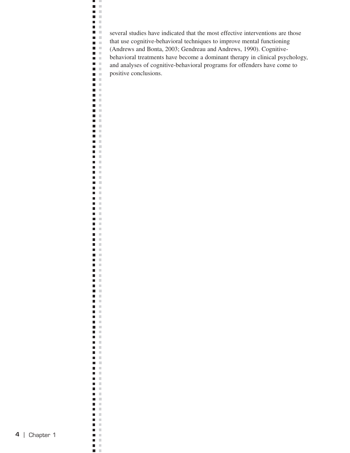several studies have indicated that the most effective interventions are those that use cognitive-behavioral techniques to improve mental functioning (Andrews and Bonta, 2003; Gendreau and Andrews, 1990). Cognitivebehavioral treatments have become a dominant therapy in clinical psychology, and analyses of cognitive-behavioral programs for offenders have come to positive conclusions.

H  $\mathbf{H}^{\prime}$  . If  $\blacksquare$  .  $\blacksquare$  $\blacksquare$  .  $\blacksquare$  $\blacksquare$  .  $\blacksquare$  $\blacksquare$  .  $\blacksquare$  $\blacksquare$  .  $\blacksquare$  $\blacksquare$  .  $\blacksquare$ ĒΕ  $\blacksquare$  .  $\blacksquare$  $\blacksquare$   $\blacksquare$  $\blacksquare$  .  $\blacksquare$  $\blacksquare$  .  $\blacksquare$  $\mathbf{H}^{\prime}$  . If  $\blacksquare$  . Ħ **DOM:**  $\mathbf{B}=\mathbf{B}$  $\blacksquare$   $\blacksquare$  $\mathbf{m} \in \mathbb{R}$  $\blacksquare$  .  $\blacksquare$  $\blacksquare$  .  $\blacksquare$  $\mathbf{H}^{\prime}$  . If  $\blacksquare$   $\blacksquare$ Ħ  $\Box$  .  $\Box$  $\blacksquare$  .  $\blacksquare$  $\blacksquare$   $\blacksquare$  $\blacksquare$  $\mathbb{R}^n$  $\mathbf{B}$  . In  $\blacksquare$  .  $\blacksquare$  $\blacksquare$  .  $\blacksquare$  $\Box$  .  $\Box$  $\blacksquare$  .  $\blacksquare$  $\Box$  .  $\Box$  $\Box$  .  $\Box$  $\blacksquare$  .  $\blacksquare$  $\mathbb{R}^n$  .  $\mathbb{R}^n$  $\mathcal{C}$  $\blacksquare$  $\blacksquare$  .  $\blacksquare$  $\mathbf{u}$  . The  $\mathbf{u}$  $\Box$  .  $\Box$  $\blacksquare$  $\mathbb{R}^n$  $\blacksquare$  .  $\blacksquare$  $\blacksquare$  $\blacksquare$  $\mathbf{r}$  $\mathbb{R}^d$  $\blacksquare$  .  $\blacksquare$  $\mathbf{E} \cdot \mathbf{E}$  $\mathbf{E} \cdot \mathbf{E}$  $\blacksquare$  .  $\blacksquare$  $\blacksquare$  .  $\blacksquare$ **The Co**  $\blacksquare$  $\mathbb{R}^d$  $\blacksquare$   $\blacksquare$  $\Box$  .  $\Box$  $\mathbf{B} \cdot \mathbf{B}$  $\blacksquare$  .  $\blacksquare$  $\mathbf{u} \in \mathbb{R}$  $\Box$  $\mathbb{R}^n$  $\Box$  .  $\Box$  $\blacksquare$  .  $\blacksquare$  $\blacksquare$  .  $\blacksquare$  $\mathbf{E} \cdot \mathbf{E}$  $\blacksquare$  .  $\blacksquare$  $\mathbb{R}^n$  .  $\mathbb{R}^n$  $\mathbf{B}$  . In  $\blacksquare$  $\mathbb{R}^n$  $\blacksquare$   $\blacksquare$  $\Box$  .  $\Box$  $\mathbf{B} \cdot \mathbf{B}$  $\mathbf{B}$  . In  $\mathbb{R}^n$  .  $\mathbb{R}^n$  $\blacksquare$  $\mathbb{R}^2$  $\blacksquare$  .  $\blacksquare$  $\Box$  .  $\Box$  $\blacksquare$  .  $\blacksquare$  $\blacksquare$  .  $\blacksquare$  $\blacksquare$  .  $\blacksquare$  $\blacksquare$  $\mathbb{R}^n$  $\blacksquare$  $\blacksquare$  $\blacksquare$  $\mathbb{H}$  $\blacksquare$  $\mathbb{R}^n$  $\blacksquare$  $\mathbb{R}^2$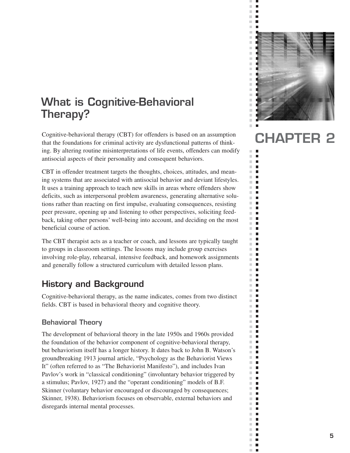# **What is Cognitive-Behavioral Therapy?**

Cognitive-behavioral therapy (CBT) for offenders is based on an assumption that the foundations for criminal activity are dysfunctional patterns of thinking. By altering routine misinterpretations of life events, offenders can modify antisocial aspects of their personality and consequent behaviors.

CBT in offender treatment targets the thoughts, choices, attitudes, and meaning systems that are associated with antisocial behavior and deviant lifestyles. It uses a training approach to teach new skills in areas where offenders show deficits, such as interpersonal problem awareness, generating alternative solutions rather than reacting on first impulse, evaluating consequences, resisting peer pressure, opening up and listening to other perspectives, soliciting feedback, taking other persons' well-being into account, and deciding on the most beneficial course of action.

The CBT therapist acts as a teacher or coach, and lessons are typically taught to groups in classroom settings. The lessons may include group exercises involving role-play, rehearsal, intensive feedback, and homework assignments and generally follow a structured curriculum with detailed lesson plans.

## **History and Background**

Cognitive-behavioral therapy, as the name indicates, comes from two distinct fields. CBT is based in behavioral theory and cognitive theory.

#### **Behavioral Theory**

The development of behavioral theory in the late 1950s and 1960s provided the foundation of the behavior component of cognitive-behavioral therapy, but behaviorism itself has a longer history. It dates back to John B. Watson's groundbreaking 1913 journal article, "Psychology as the Behaviorist Views It" (often referred to as "The Behaviorist Manifesto"), and includes Ivan Pavlov's work in "classical conditioning" (involuntary behavior triggered by a stimulus; Pavlov, 1927) and the "operant conditioning" models of B.F. Skinner (voluntary behavior encouraged or discouraged by consequences; Skinner, 1938). Behaviorism focuses on observable, external behaviors and disregards internal mental processes.



 $\bar{\phantom{a}}$  $\overline{\phantom{a}}$  $\blacksquare$  $\overline{\phantom{a}}$  $\bar{\phantom{a}}$  $\blacksquare$ 

u.  $\mathbb{R}^n$ п  $\mathcal{C}^{\mathcal{C}}$  $\blacksquare$  $\blacksquare$  $\mathcal{C}$  $\mathbb{R}^n$ п Ľ.  $\blacksquare$  $\blacksquare$  $\blacksquare$  $\mathbb{R}^n$  $\blacksquare$  $\mathbb{R}^d$  $\blacksquare$  $\bar{\phantom{a}}$  $\blacksquare$  $\mathbb{R}^2$ п  $\mathbb{R}^n$ П  $\mathcal{C}$  $\blacksquare$  $\overline{\phantom{a}}$  $\blacksquare$  $\blacksquare$ m.  $\Box$  $\mathbb{R}^n$  $\Box$  $\mathbb{R}^2$  $\Box$  $\overline{\phantom{a}}$ П  $\overline{\phantom{a}}$  $\Box$  $\blacksquare$  $\Box$  $\mathbb{R}^n$  $\blacksquare$  $\mathbb{R}^n$  $\blacksquare$  $\mathbb{R}^n$  $\Box$  $\mathbb{R}^n$  $\blacksquare$  $\mathbb{R}^d$ п  $\mathbb{R}^n$  $\blacksquare$  $\blacksquare$  $\mathbb{R}^d$  $\overline{\phantom{a}}$  $\blacksquare$  $\mathbb{R}^n$ П ×.  $\blacksquare$  $\mathbb{R}^d$ п  $\mathbb{R}^n$ п  $\mathbb{R}^d$  $\mathbb{Z}$  $\blacksquare$  $\blacksquare$  $\mathbb{R}^d$ п  $\mathbb{R}^d$  $\Box$  $\mathbb{R}^n$  $\blacksquare$  $\overline{\phantom{a}}$  $\mathbb{Z}$  $\mathbb{R}^d$  $\blacksquare$  $\overline{\phantom{a}}$ П  $\blacksquare$  $\blacksquare$  $\mathbb{R}^n$  $\blacksquare$  $\mathbb{R}^n$  $\blacksquare$  $\mathbb{R}^d$  $\blacksquare$  $\mathbb{R}^d$  $\blacksquare$  $\mathbb{R}^n$  $\Box$  $\mathbb{R}^d$  $\blacksquare$  $\overline{\phantom{a}}$  $\Box$  $\mathcal{C}$  $\blacksquare$  $\blacksquare$ ×.  $\mathbb{R}^n$  $\blacksquare$ m,  $\overline{\phantom{a}}$  $\mathbb{R}^n$ П  $\mathbb{R}^n$ п  $\overline{\phantom{a}}$  $\mathbb{Z}$  $\mathbb{R}^n$  .  $\mathbb{R}^n$ m,  $\overline{\phantom{a}}$  $\overline{\phantom{a}}$  $\mathbf{r}$ 

# **CHAPTER 2**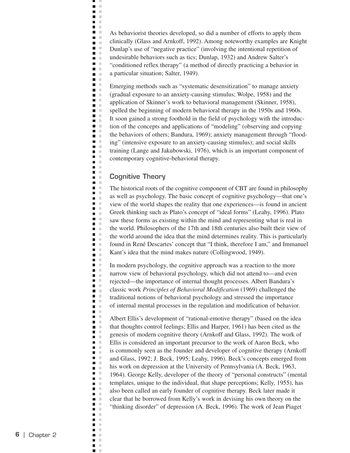As behaviorist theories developed, so did a number of efforts to apply them clinically (Glass and Arnkoff, 1992). Among noteworthy examples are Knight Dunlap's use of "negative practice" (involving the intentional repetition of undesirable behaviors such as tics; Dunlap, 1932) and Andrew Salter's "conditioned reflex therapy" (a method of directly practicing a behavior in a particular situation; Salter, 1949).

Emerging methods such as "systematic desensitization" to manage anxiety (gradual exposure to an anxiety-causing stimulus; Wolpe, 1958) and the application of Skinner's work to behavioral management (Skinner, 1958), spelled the beginning of modern behavioral therapy in the 1950s and 1960s. It soon gained a strong foothold in the field of psychology with the introduction of the concepts and applications of "modeling" (observing and copying the behaviors of others; Bandura, 1969); anxiety management through "flooding" (intensive exposure to an anxiety-causing stimulus); and social skills training (Lange and Jakubowski, 1976), which is an important component of contemporary cognitive-behavioral therapy.

#### **Cognitive Theory**

щ J.  $\blacksquare$  $\bar{\mathbf{u}}$  $\blacksquare$  $\mathbb{R}^2$  $\blacksquare$  . **D** D  $\Box$ **Contract**  $\blacksquare$  $\mathbf{u}$  $\blacksquare$ Ē.  $\Box$  $\blacksquare$  .  $\blacksquare$  $\blacksquare$  $\blacksquare$  $\mathcal{L}$  $\blacksquare$ ×  $\blacksquare$  .  $\blacksquare$ H E  $\blacksquare$  .  $\blacksquare$  $\mathbb{R}^n$  . ×  $\blacksquare$  $\blacksquare$  $\mathcal{L}$  $\blacksquare$  $\blacksquare$  $\blacksquare$  $\mathcal{L}$  $\blacksquare$  .  $\blacksquare$  $\blacksquare$ × Ē  $\mathbb{R}^2$  $\mathbb{R}^2$  $\Box$  $\blacksquare$  $\mathbb{R}^2$  $\Box$  $\Box$  $\mathbb{R}^2$  $\blacksquare$  $\bar{\alpha}$  $\blacksquare$  $\mathbb{R}^2$  $\Box$  $\mathcal{C}$  $\blacksquare$  $\bar{\alpha}$  $\blacksquare$  .  $\blacksquare$  $\blacksquare$  $\mathcal{L}$  $\Box$  $\mathbb{R}^2$  $\mathcal{C}$  $\blacksquare$  $\blacksquare$ л  $\blacksquare$  $\mathbb{R}^2$  $\blacksquare$  $\mathcal{C}$  $\blacksquare$  $\blacksquare$  $\mathcal{C}$  $\Box$  $\mathbb{R}^2$  $\blacksquare$ Ξ  $\mathbb{R}^2$ Ē,  $\mathcal{C}$  $\blacksquare$  .  $\blacksquare$  $\blacksquare$  .  $\overline{\phantom{a}}$  $\mathcal{C}$  $\blacksquare$  $\mathbb{R}^n$  $\blacksquare$  .  $\blacksquare$  $\mathbb{R}^n$  $\Box$ ×  $\blacksquare$  .  $\blacksquare$  $\blacksquare$  $\mathbb{R}^2$  $\blacksquare$  $\mathcal{C}$  $\blacksquare$  .  $\blacksquare$  $\blacksquare$  $\blacksquare$ × ш п  $\blacksquare$  .  $\blacksquare$  $\blacksquare$  .  $\blacksquare$  $\blacksquare$  $\mathcal{L}$  $\blacksquare$  $\mathcal{C}$  $\Box$ ×  $\blacksquare$  $\mathbb{R}^2$  $\Box$  $\mathbb{R}^2$  $\blacksquare$  $\bar{a}$  $\blacksquare$  $\blacksquare$  $\bar{a}$  $\blacksquare$  $\Box$  $\mathcal{L}$  $\blacksquare$  $\mathbb{R}^2$  $\mathbb{R}^2$  $\blacksquare$  $\blacksquare$  $\mathbb{R}^n$  $\blacksquare$  $\mathbb{R}^d$  $\blacksquare$  $\mathcal{L}$  $\mathbb{R}^d$  $\overline{\phantom{a}}$  $\blacksquare$  $\mathbb{R}^2$  $\blacksquare$  $\mathbb{R}^2$  $\Box$  $\mathbb{R}^2$  $\blacksquare$  $\mathbb{R}^n$  $\blacksquare$ ×

The historical roots of the cognitive component of CBT are found in philosophy as well as psychology. The basic concept of cognitive psychology—that one's view of the world shapes the reality that one experiences—is found in ancient Greek thinking such as Plato's concept of "ideal forms" (Leahy, 1996). Plato saw these forms as existing within the mind and representing what is real in the world. Philosophers of the 17th and 18th centuries also built their view of the world around the idea that the mind determines reality. This is particularly found in René Descartes' concept that "I think, therefore I am," and Immanuel Kant's idea that the mind makes nature (Collingwood, 1949).

In modern psychology, the cognitive approach was a reaction to the more narrow view of behavioral psychology, which did not attend to—and even rejected—the importance of internal thought processes. Albert Bandura's classic work *Principles of Behavioral Modification* (1969) challenged the traditional notions of behavioral psychology and stressed the importance of internal mental processes in the regulation and modification of behavior.

Albert Ellis's development of "rational-emotive therapy" (based on the idea that thoughts control feelings; Ellis and Harper, 1961) has been cited as the genesis of modern cognitive theory (Arnkoff and Glass, 1992). The work of Ellis is considered an important precursor to the work of Aaron Beck, who is commonly seen as the founder and developer of cognitive therapy (Arnkoff and Glass, 1992; J. Beck, 1995; Leahy, 1996). Beck's concepts emerged from his work on depression at the University of Pennsylvania (A. Beck, 1963, 1964). George Kelly, developer of the theory of "personal constructs" (mental templates, unique to the individual, that shape perceptions; Kelly, 1955), has also been called an early founder of cognitive therapy. Beck later made it clear that he borrowed from Kelly's work in devising his own theory on the "thinking disorder" of depression (A. Beck, 1996). The work of Jean Piaget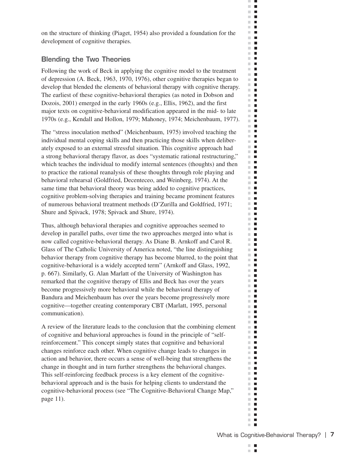on the structure of thinking (Piaget, 1954) also provided a foundation for the development of cognitive therapies.

#### **Blending the Two Theories**

Following the work of Beck in applying the cognitive model to the treatment of depression (A. Beck, 1963, 1970, 1976), other cognitive therapies began to develop that blended the elements of behavioral therapy with cognitive therapy. The earliest of these cognitive-behavioral therapies (as noted in Dobson and Dozois, 2001) emerged in the early 1960s (e.g., Ellis, 1962), and the first major texts on cognitive-behavioral modification appeared in the mid- to late 1970s (e.g., Kendall and Hollon, 1979; Mahoney, 1974; Meichenbaum, 1977).

The "stress inoculation method" (Meichenbaum, 1975) involved teaching the individual mental coping skills and then practicing those skills when deliberately exposed to an external stressful situation. This cognitive approach had a strong behavioral therapy flavor, as does "systematic rational restructuring," which teaches the individual to modify internal sentences (thoughts) and then to practice the rational reanalysis of these thoughts through role playing and behavioral rehearsal (Goldfried, Decenteceo, and Weinberg, 1974). At the same time that behavioral theory was being added to cognitive practices, cognitive problem-solving therapies and training became prominent features of numerous behavioral treatment methods (D'Zurilla and Goldfried, 1971; Shure and Spivack, 1978; Spivack and Shure, 1974).

Thus, although behavioral therapies and cognitive approaches seemed to develop in parallel paths, over time the two approaches merged into what is now called cognitive-behavioral therapy. As Diane B. Arnkoff and Carol R. Glass of The Catholic University of America noted, "the line distinguishing behavior therapy from cognitive therapy has become blurred, to the point that cognitive-behavioral is a widely accepted term" (Arnkoff and Glass, 1992, p. 667). Similarly, G. Alan Marlatt of the University of Washington has remarked that the cognitive therapy of Ellis and Beck has over the years become progressively more behavioral while the behavioral therapy of Bandura and Meichenbaum has over the years become progressively more cognitive—together creating contemporary CBT (Marlatt, 1995, personal communication).

A review of the literature leads to the conclusion that the combining element of cognitive and behavioral approaches is found in the principle of "selfreinforcement." This concept simply states that cognitive and behavioral changes reinforce each other. When cognitive change leads to changes in action and behavior, there occurs a sense of well-being that strengthens the change in thought and in turn further strengthens the behavioral changes. This self-reinforcing feedback process is a key element of the cognitivebehavioral approach and is the basis for helping clients to understand the cognitive-behavioral process (see "The Cognitive-Behavioral Change Map," page 11).

 $\mathbb{R}^2$ П п ×

ш  $\mathbb{R}^d$  $\blacksquare$  $\mathbb{R}^d$  $\blacksquare$  $\Box$  .  $\Box$  $\mathbf{r}$ m.  $\blacksquare$  $\mathbf{r}$ m.  $\mathbf{L}$  $\blacksquare$  $\sim$  $\mathbb{R}^n$  $\mathcal{L}_{\mathcal{A}}$  $\Box$  .  $\Box$  $\blacksquare$  .  $\blacksquare$  $\mathbb{R}^n$  $\blacksquare$  $\mathbb{R}^n$  $\mathcal{L}_{\mathcal{A}}$  $\mathbb{R}^n$  $\blacksquare$ m.  $\blacksquare$  $\mathbb{R}^d$  $\blacksquare$  $\mathbb{R}^n$  $\blacksquare$  $\Box$  .  $\Box$  $\mathbb{R}^n$  $\blacksquare$  $\mathcal{L}_{\mathcal{A}}$  $\blacksquare$  $\mathbf{r}$  $\mathbb{R}^n$  $\blacksquare$  $\blacksquare$ ×.  $\mathbb{R}^n$  .  $\mathbb{R}^n$  $\mathbb{R}^n$  .  $\mathbb{R}^n$  $\mathbb{R}^n$  $\blacksquare$  $\mathbb{R}^n$  $\mathcal{L}_{\mathcal{A}}$ H.  $\mathbb{R}^n$  $\blacksquare$ **The Co**  $\blacksquare$  $\blacksquare$ m.  $\blacksquare$  $\blacksquare$ m.  $\mathbb{R}^n$  $\mathcal{L}_{\mathcal{A}}$  $\mathbb{R}^n$  $\blacksquare$  $\blacksquare$  $\mathcal{L}$  $\mathbb{R}^n$  .  $\mathbb{R}^n$  $\mathbb{R}^n$  $\blacksquare$ m.  $\mathcal{L}_{\mathcal{A}}$ m.  $\blacksquare$ m.  $\blacksquare$  $\mathbb{R}^n$  $\blacksquare$  $\blacksquare$  $\overline{\phantom{a}}$  $\mathbf{u}$ m.  $\blacksquare$  $\mathbb{R}^d$  $\blacksquare$  $\mathbb{R}^n$ **I** m,  $\blacksquare$  $\mathbb{R}^d$  $\blacksquare$  $\mathbb{R}^n$  $\blacksquare$  $\mathbf{r}$ m.  $\blacksquare$ П  $\mathcal{L}$  $\mathbb{R}^n$  $\mathcal{L}_{\mathcal{A}}$ ×.  $\blacksquare$  $\mathbb{R}^d$  $\blacksquare$ m.  $\mathcal{L}_{\mathcal{A}}$  $\mathbb{R}^n$  $\mathbf{L}$  $\blacksquare$ m.  $\mathbb{R}^d$  $\blacksquare$  $\mathbb{R}^n$  $\overline{\phantom{a}}$  $\overline{\phantom{a}}$  $\blacksquare$  $\blacksquare$  $\overline{\phantom{a}}$  $\mathbb{R}^n$  $\blacksquare$  $\mathbb{R}^n$  $\blacksquare$  $\mathbb{R}^n$  $\overline{\phantom{a}}$ m. П m.  $\blacksquare$  $\sim$  $\overline{\phantom{a}}$  $\blacksquare$  $\overline{\phantom{a}}$ m.  $\blacksquare$  $\blacksquare$  $\overline{\phantom{a}}$  $\blacksquare$  $\mathbb{R}^d$ m.  $\mathcal{L}_{\mathcal{A}}$ ш  $\blacksquare$  $\mathbb{R}^d$  $\blacksquare$ **COL**  $\mathcal{L}_{\mathcal{A}}$  $\mathbb{R}^n$  .  $\mathbb{R}^n$  $\mathbf{r}$  .  $\mathbf{r}$  $\mathbb{R}^n$  $\overline{\phantom{a}}$  $\blacksquare$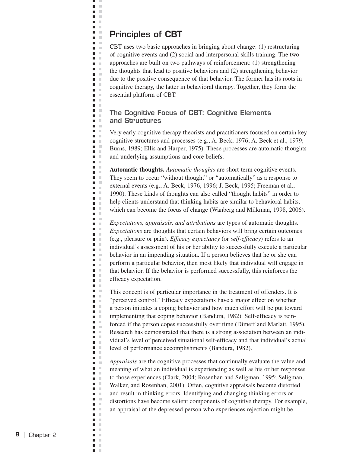### **Principles of CBT**

щ J.  $\blacksquare$  $\bar{\mathbf{u}}$  $\blacksquare$  $\mathbb{R}^2$  $\blacksquare$  . **D** D  $\Box$  $\blacksquare$  $\blacksquare$  $\blacksquare$  .  $\blacksquare$  $\blacksquare$ i.  $\blacksquare$ ×  $\blacksquare$  .  $\blacksquare$  $\blacksquare$ **The Contract of the Contract of the Contract of the Contract of the Contract of the Contract of the Contract o**  $\blacksquare$ ×  $\blacksquare$   $\blacksquare$  $\blacksquare$ n a **The Contract of the Contract of the Contract of the Contract of the Contract of the Contract of the Contract o**  $\blacksquare$  $\Box$  $\blacksquare$  $\blacksquare$  $\blacksquare$  $\blacksquare$  $\blacksquare$  .  $\blacksquare$  $\mathbf{I}$ ×  $\mathbb{R}^2$  $\blacksquare$  $\mathcal{C}$  $\blacksquare$ ×  $\overline{\phantom{a}}$ Ē,  $\mathcal{L}$  $\blacksquare$  .  $\blacksquare$  $\blacksquare$  $\mathbb{R}^2$  $\Box$  $\mathcal{C}$  $\blacksquare$  $\mathbb{R}^n$  $\blacksquare$  .  $\blacksquare$  $\Box$  $\mathcal{C}$  $\Box$  $\mathbb{R}^n$  $\blacksquare$  .  $\blacksquare$  $\mathbb{R}^n$  $\Box$  $\mathbb{R}^2$  $\bar{a}$  $\blacksquare$  $\blacksquare$  $\blacksquare$  $\mathcal{L}$  $\Box$  $\mathbb{R}^n$  $\blacksquare$  .  $\blacksquare$ Ξ  $\mathbb{R}^2$ Ē,  $\mathcal{C}$  $\blacksquare$  .  $\blacksquare$  $\blacksquare$  $\overline{\phantom{a}}$  $\mathcal{C}$  $\blacksquare$  $\mathbb{R}^n$  $\Box$  $\mathbb{R}^2$  $\blacksquare$  $\mathcal{L}$  $\Box$  $\mathbb{R}^2$  $\blacksquare$  .  $\blacksquare$  $\blacksquare$  $\sim$  $\blacksquare$  $\bar{a}$  $\blacksquare$ ×  $\blacksquare$  $\blacksquare$ × **DOM:**  $\blacksquare$  .  $\blacksquare$  $\mathcal{C}$  $\overline{\phantom{a}}$  $\overline{\phantom{a}}$  $\mathcal{L}$  $\blacksquare$  $\mathcal{C}$  $\Box$  $\mathbb{R}$  $\blacksquare$  $\mathbb{R}^2$  $\Box$ ×  $\overline{\phantom{a}}$ **In**  $\mathcal{C}$  $\blacksquare$  $\blacksquare$ ×  $\blacksquare$  $\Box$  $\mathcal{L}$  $\blacksquare$  $\mathbb{R}^2$  $\mathbb{R}^n$  $\blacksquare$  $\blacksquare$  $\mathbb{R}^n$  $\mathbf{r}$  $\blacksquare$  $\mathcal{L}$  $\mathbb{R}^d$  $\overline{\phantom{a}}$  $\blacksquare$  $\mathcal{L}$  $\blacksquare$  $\mathbb{R}^2$  $\Box$  $\mathbb{R}^2$  $\blacksquare$  $\mathbb{R}^n$  $\blacksquare$ ×

CBT uses two basic approaches in bringing about change: (1) restructuring of cognitive events and (2) social and interpersonal skills training. The two approaches are built on two pathways of reinforcement: (1) strengthening the thoughts that lead to positive behaviors and (2) strengthening behavior due to the positive consequence of that behavior. The former has its roots in cognitive therapy, the latter in behavioral therapy. Together, they form the essential platform of CBT.

#### **The Cognitive Focus of CBT: Cognitive Elements and Structures**

Very early cognitive therapy theorists and practitioners focused on certain key cognitive structures and processes (e.g., A. Beck, 1976; A. Beck et al., 1979; Burns, 1989; Ellis and Harper, 1975). These processes are automatic thoughts and underlying assumptions and core beliefs.

**Automatic thoughts.** *Automatic thoughts* are short-term cognitive events. They seem to occur "without thought" or "automatically" as a response to external events (e.g., A. Beck, 1976, 1996; J. Beck, 1995; Freeman et al., 1990). These kinds of thoughts can also called "thought habits" in order to help clients understand that thinking habits are similar to behavioral habits, which can become the focus of change (Wanberg and Milkman, 1998, 2006).

*Expectations, appraisals, and attributions* are types of automatic thoughts. *Expectations* are thoughts that certain behaviors will bring certain outcomes (e.g., pleasure or pain). *Efficacy expectancy* (or *self-efficacy*) refers to an individual's assessment of his or her ability to successfully execute a particular behavior in an impending situation. If a person believes that he or she can perform a particular behavior, then most likely that individual will engage in that behavior. If the behavior is performed successfully, this reinforces the efficacy expectation.

This concept is of particular importance in the treatment of offenders. It is "perceived control." Efficacy expectations have a major effect on whether a person initiates a coping behavior and how much effort will be put toward implementing that coping behavior (Bandura, 1982). Self-efficacy is reinforced if the person copes successfully over time (Dimeff and Marlatt, 1995). Research has demonstrated that there is a strong association between an individual's level of perceived situational self-efficacy and that individual's actual level of performance accomplishments (Bandura, 1982).

*Appraisals* are the cognitive processes that continually evaluate the value and meaning of what an individual is experiencing as well as his or her responses to those experiences (Clark, 2004; Rosenhan and Seligman, 1995; Seligman, Walker, and Rosenhan, 2001). Often, cognitive appraisals become distorted and result in thinking errors. Identifying and changing thinking errors or distortions have become salient components of cognitive therapy. For example, an appraisal of the depressed person who experiences rejection might be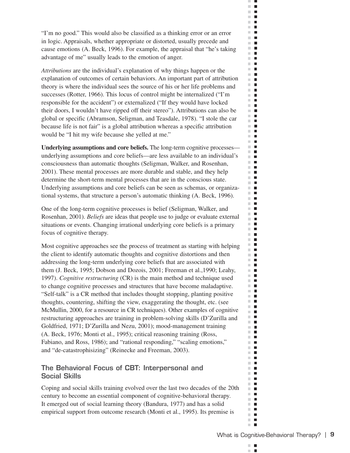"I'm no good." This would also be classified as a thinking error or an error in logic. Appraisals, whether appropriate or distorted, usually precede and cause emotions (A. Beck, 1996). For example, the appraisal that "he's taking advantage of me" usually leads to the emotion of anger.

*Attributions* are the individual's explanation of why things happen or the explanation of outcomes of certain behaviors. An important part of attribution theory is where the individual sees the source of his or her life problems and successes (Rotter, 1966). This locus of control might be internalized ("I'm responsible for the accident") or externalized ("If they would have locked their doors, I wouldn't have ripped off their stereo"). Attributions can also be global or specific (Abramson, Seligman, and Teasdale, 1978). "I stole the car because life is not fair" is a global attribution whereas a specific attribution would be "I hit my wife because she yelled at me."

**Underlying assumptions and core beliefs.** The long-term cognitive processes underlying assumptions and core beliefs—are less available to an individual's consciousness than automatic thoughts (Seligman, Walker, and Rosenhan, 2001). These mental processes are more durable and stable, and they help determine the short-term mental processes that are in the conscious state. Underlying assumptions and core beliefs can be seen as schemas, or organizational systems, that structure a person's automatic thinking (A. Beck, 1996).

One of the long-term cognitive processes is belief (Seligman, Walker, and Rosenhan, 2001). *Beliefs* are ideas that people use to judge or evaluate external situations or events. Changing irrational underlying core beliefs is a primary focus of cognitive therapy.

Most cognitive approaches see the process of treatment as starting with helping the client to identify automatic thoughts and cognitive distortions and then addressing the long-term underlying core beliefs that are associated with them (J. Beck, 1995; Dobson and Dozois, 2001; Freeman et al.,1990; Leahy, 1997). *Cognitive restructuring* (CR) is the main method and technique used to change cognitive processes and structures that have become maladaptive. "Self-talk" is a CR method that includes thought stopping, planting positive thoughts, countering, shifting the view, exaggerating the thought, etc. (see McMullin, 2000, for a resource in CR techniques). Other examples of cognitive restructuring approaches are training in problem-solving skills (D'Zurilla and Goldfried, 1971; D'Zurilla and Nezu, 2001); mood-management training (A. Beck, 1976; Monti et al., 1995); critical reasoning training (Ross, Fabiano, and Ross, 1986); and "rational responding," "scaling emotions," and "de-catastrophisizing" (Reinecke and Freeman, 2003).

#### **The Behavioral Focus of CBT: Interpersonal and Social Skills**

Coping and social skills training evolved over the last two decades of the 20th century to become an essential component of cognitive-behavioral therapy. It emerged out of social learning theory (Bandura, 1977) and has a solid empirical support from outcome research (Monti et al., 1995). Its premise is

 $\mathbb{R}^2$ п  $\overline{\phantom{a}}$ 

ш  $\mathcal{C}$  $\blacksquare$  $\mathbb{R}^d$  $\blacksquare$  $\mathbf{H}$  .  $\mathbf{r}$  $\mathbb{R}^d$  $\blacksquare$  $\mathbb{R}^n$ H  $\mathbb{R}^n$ П  $\mathbb{R}^d$  $\Box$  $\mathcal{L}$  $\blacksquare$  $\mathbb{R}^d$  $\mathcal{L}_{\mathcal{A}}$  $\blacksquare$ m.  $\mathbb{R}^d$  $\blacksquare$  $\mathbb{R}^n$  $\mathcal{L}_{\mathcal{A}}$  $\mathbb{R}^d$  $\blacksquare$ ×.  $\blacksquare$  $\mathbb{R}^d$  $\blacksquare$  $\mathbb{R}^n$  $\blacksquare$  $\mathbb{R}^n$  $\blacksquare$  $\mathbb{R}^d$  $\blacksquare$  $\mathcal{L}_{\mathcal{A}}$  $\blacksquare$ m.  $\blacksquare$  $\mathbb{R}^n$  $\blacksquare$  $\blacksquare$ ш m.  $\blacksquare$ m.  $\blacksquare$  $\mathbb{R}^2$  $\blacksquare$  $\mathbb{R}^n$  $\mathcal{L}_{\mathcal{A}}$  $\mathbb{R}^n$  $\blacksquare$  $\blacksquare$ m.  $\mathcal{L}_{\mathcal{A}}$  $\blacksquare$  $\Box$  .  $\Box$  $\overline{\phantom{a}}$  $\blacksquare$  $\mathbb{R}^d$  $\blacksquare$ m.  $\Box$ m.  $\blacksquare$ m.  $\Box$  $\blacksquare$  $\overline{\phantom{a}}$ **The Contract of the Contract of the Contract of the Contract of the Contract of the Contract of the Contract o** m.  $\blacksquare$ m.  $\mathcal{L}_{\mathcal{A}}$ m.  $\mathcal{L}_{\mathcal{A}}$ m.  $\blacksquare$  $\mathbb{R}^n$  $\blacksquare$ m.  $\blacksquare$  $\mathbf{u}$  .  $\mathbf{u}$ **The Contract of the Contract of the Contract of the Contract of the Contract of the Contract of the Contract o**  $\mathbb{R}^d$  $\blacksquare$ m. **I** m,  $\blacksquare$  $\mathbb{R}^d$  $\blacksquare$ m.  $\Box$  $\mathbf{r}$ m.  $\blacksquare$ П  $\mathcal{L}$  $\mathbb{R}^n$  $\mathcal{L}_{\mathcal{A}}$ m,  $\mathcal{L}_{\mathcal{A}}$  $\mathbb{R}^d$  $\mathcal{L}_{\mathcal{A}}$ **COL**  $\blacksquare$  $\blacksquare$  .  $\blacksquare$  $\blacksquare$ m. m.  $\blacksquare$  $\mathbb{R}^n$  $\blacksquare$  $\mathbb{R}^d$  $\blacksquare$  $\blacksquare$  $\overline{\phantom{a}}$  $\mathbb{R}^n$  $\blacksquare$  $\mathbb{R}^n$  $\blacksquare$  $\mathbb{R}^d$  $\overline{\phantom{a}}$ П m.  $\mathbb{R}^d$  $\blacksquare$  $\mathcal{C}$  $\overline{\phantom{a}}$  $\mathcal{C}^{\mathcal{C}}$  $\blacksquare$  $\blacksquare$  $\blacksquare$   $\blacksquare$  $\blacksquare$  $\mathbb{R}^n$ m.  $\Box$ ш  $\blacksquare$  $\mathbb{R}^d$  $\blacksquare$  $\mathcal{L}_{\mathcal{A}}$  $\mathcal{L}_{\mathcal{A}}$  $\mathbb{R}^n$  .  $\mathbb{R}^n$  $\blacksquare$  $\mathcal{C}^{\mathcal{C}}$  $\mathbb{R}^n$  $\blacksquare$  $\mathbb{R}^n$  $\blacksquare$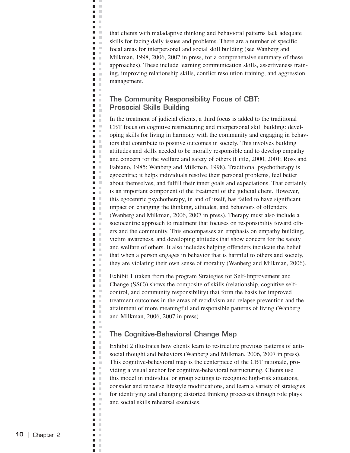that clients with maladaptive thinking and behavioral patterns lack adequate skills for facing daily issues and problems. There are a number of specific focal areas for interpersonal and social skill building (see Wanberg and Milkman, 1998, 2006, 2007 in press, for a comprehensive summary of these approaches). These include learning communication skills, assertiveness training, improving relationship skills, conflict resolution training, and aggression management.

## **The Community Responsibility Focus of CBT: Prosocial Skills Building**

щ J.  $\blacksquare$  $\bar{\mathbf{u}}$  $\blacksquare$  $\mathbb{R}^2$  $\blacksquare$  .  $\mathbf{L}$  $\Box$  $\blacksquare$  $\blacksquare$  $\mathbf{u}$  $\blacksquare$ i.  $\Box$  $\blacksquare$  .  $\blacksquare$  $\blacksquare$  $\blacksquare$  $\mathcal{L}$  $\blacksquare$ ×  $\blacksquare$  .  $\blacksquare$  $\blacksquare$  .  $\blacksquare$  $\blacksquare$ **COLLEGE**  $\mathbb{R}^n$  .  $\blacksquare$  .  $\blacksquare$  $\blacksquare$  $\mathcal{L}$  $\blacksquare$  $\blacksquare$  $\blacksquare$  $\blacksquare$  .  $\blacksquare$  $\Box$ Ē  $\mathbb{R}^2$  $\blacksquare$ ×  $\blacksquare$  $\mathcal{C}$  $\overline{\phantom{a}}$  $\Box$ × m. m  $\blacksquare$  $\mathbb{R}^2$  $\overline{\phantom{a}}$  $\mathbb{R}^2$  $\mathbb{R}^n$  $\blacksquare$  $\blacksquare$  .  $\blacksquare$  $\blacksquare$ ×  $\Box$  $\mathbb{R}^2$  $\blacksquare$  .  $\blacksquare$ л  $\overline{\phantom{a}}$  $\mathbb{R}^2$  $\bar{a}$  $\blacksquare$  $\blacksquare$  $\mathcal{L}_{\mathcal{A}}$  $\blacksquare$  $\mathcal{C}$  $\overline{\phantom{a}}$  $\mathbb{R}^n$  $\blacksquare$  .  $\blacksquare$ Ξ  $\mathbb{R}^2$ Ē,  $\mathcal{C}$  $\blacksquare$  .  $\blacksquare$  $\blacksquare$  $\mathbb{R}^2$  $\blacksquare$  $\mathcal{C}$  $\Box$ ×  $\blacksquare$  .  $\blacksquare$  $\mathcal{L}$  $\Box$ ×  $\blacksquare$  .  $\blacksquare$ n m  $\blacksquare$  $\mathcal{C}$  $\blacksquare$  $\mathcal{L}$  $\blacksquare$  .  $\blacksquare$  $\blacksquare$  $\mathcal{C}$ п  $\mathcal{L}$  $\blacksquare$  .  $\blacksquare$  $\bar{\phantom{a}}$  $\blacksquare$  $\overline{\phantom{a}}$  $\mathcal{L}$ Ē  $\mathbb{R}^2$  $\Box$  $\sim$  $\blacksquare$  $\mathbb{R}^2$  $\blacksquare$ ×  $\overline{\phantom{a}}$ **In**  $\mathcal{C}$  $\blacksquare$  $\blacksquare$ ×  $\blacksquare$ Ē,  $\mathbb{R}^2$  $\blacksquare$  $\mathbb{R}^2$  $\mathcal{C}$  $\blacksquare$  $\blacksquare$  $\blacksquare$  $\mathbb{R}^d$  $\blacksquare$  $\mathcal{L}$  $\mathbb{R}^2$  $\overline{\phantom{a}}$  $\blacksquare$  $\mathcal{L}$  $\blacksquare$  $\mathbb{R}^2$  $\Box$  $\mathbb{R}^2$  $\blacksquare$  $\mathbb{R}^n$  $\blacksquare$ ×

In the treatment of judicial clients, a third focus is added to the traditional CBT focus on cognitive restructuring and interpersonal skill building: developing skills for living in harmony with the community and engaging in behaviors that contribute to positive outcomes in society. This involves building attitudes and skills needed to be morally responsible and to develop empathy and concern for the welfare and safety of others (Little, 2000, 2001; Ross and Fabiano, 1985; Wanberg and Milkman, 1998). Traditional psychotherapy is egocentric; it helps individuals resolve their personal problems, feel better about themselves, and fulfill their inner goals and expectations. That certainly is an important component of the treatment of the judicial client. However, this egocentric psychotherapy, in and of itself, has failed to have significant impact on changing the thinking, attitudes, and behaviors of offenders (Wanberg and Milkman, 2006, 2007 in press). Therapy must also include a sociocentric approach to treatment that focuses on responsibility toward others and the community. This encompasses an emphasis on empathy building, victim awareness, and developing attitudes that show concern for the safety and welfare of others. It also includes helping offenders inculcate the belief that when a person engages in behavior that is harmful to others and society, they are violating their own sense of morality (Wanberg and Milkman, 2006).

Exhibit 1 (taken from the program Strategies for Self-Improvement and Change (SSC)) shows the composite of skills (relationship, cognitive selfcontrol, and community responsibility) that form the basis for improved treatment outcomes in the areas of recidivism and relapse prevention and the attainment of more meaningful and responsible patterns of living (Wanberg and Milkman, 2006, 2007 in press).

### **The Cognitive-Behavioral Change Map**

Exhibit 2 illustrates how clients learn to restructure previous patterns of antisocial thought and behaviors (Wanberg and Milkman, 2006, 2007 in press). This cognitive-behavioral map is the centerpiece of the CBT rationale, providing a visual anchor for cognitive-behavioral restructuring. Clients use this model in individual or group settings to recognize high-risk situations, consider and rehearse lifestyle modifications, and learn a variety of strategies for identifying and changing distorted thinking processes through role plays and social skills rehearsal exercises.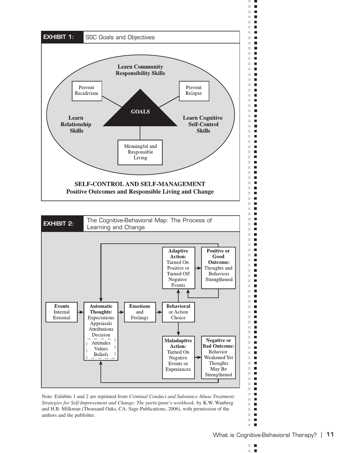



ш

 $\blacksquare$ 

 $\blacksquare$ 

 $\blacksquare$ 

 $\blacksquare$ 

 $\Box$ 

П  $\blacksquare$ 

 $\blacksquare$ 

 $\blacksquare$  $\blacksquare$ 

 $\blacksquare$ 

 $\blacksquare$ 

 $\blacksquare$ 

 $\blacksquare$ 

 $\mathcal{L}_{\mathcal{A}}$ 

 $\mathcal{L}_{\mathcal{A}}$ 

 $\blacksquare$ 

 $\overline{\phantom{a}}$ 

 $\overline{\phantom{a}}$ 

 $\blacksquare$ 

 $\blacksquare$ 

 $\overline{\phantom{a}}$ 

 $\blacksquare$ 

 $\blacksquare$ 

 $\blacksquare$ 

F

 $\blacksquare$ 

 $\blacksquare$ 

 $\blacksquare$ 

 $\blacksquare$ 

 $\blacksquare$ 

 $\blacksquare$ 

П

 $\blacksquare$ 

 $\blacksquare$ 

 $\mathcal{L}_{\mathcal{A}}$ 

 $\mathcal{L}_{\mathcal{A}}$ 

 $\blacksquare$ 

 $\blacksquare$ 

 $\blacksquare$ 

 $\blacksquare$ 

 $\blacksquare$ 

 $\blacksquare$ 

 $\blacksquare$ 

E

 $\blacksquare$ 

 $\blacksquare$ 

П

 $\blacksquare$ 

 $\mathcal{L}_{\mathcal{A}}$ 

 $\mathcal{L}_{\mathcal{A}}$ 

 $\blacksquare$ 

 $\blacksquare$ 

 $\blacksquare$ 

 $\blacksquare$ 

 $\blacksquare$ 

 $\blacksquare$ 

П

 $\blacksquare$ 

 $\blacksquare$ 

 $\mathcal{L}_{\mathcal{A}}$ 

 $\blacksquare$ 

 $\blacksquare$ 

 $\mathcal{L}_{\mathcal{A}}$ 

 $\blacksquare$ 

 $\overline{\phantom{a}}$ 

 $\blacksquare$ 

 $\blacksquare$ 

 $\blacksquare$ 

 $\blacksquare$ 

 $\blacksquare$  $\blacksquare$  $\blacksquare$  $\blacksquare$  .  $\blacksquare$  $\mathbb{R}^2$  $\blacksquare$  $\mathcal{L}_{\mathcal{A}}$  $\blacksquare$  $\mathbb{R}^n$  $\blacksquare$ 

m m п L.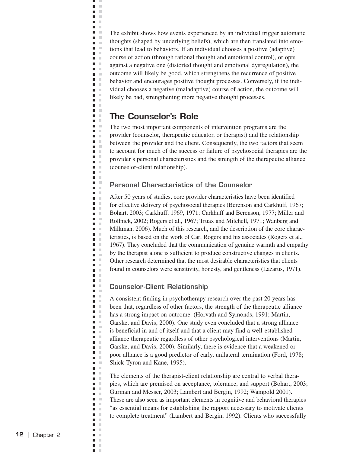The exhibit shows how events experienced by an individual trigger automatic thoughts (shaped by underlying beliefs), which are then translated into emotions that lead to behaviors. If an individual chooses a positive (adaptive) course of action (through rational thought and emotional control), or opts against a negative one (distorted thought and emotional dysregulation), the outcome will likely be good, which strengthens the recurrence of positive behavior and encourages positive thought processes. Conversely, if the individual chooses a negative (maladaptive) course of action, the outcome will likely be bad, strengthening more negative thought processes.

## **The Counselor's Role**

щ J.  $\blacksquare$  $\bar{\mathbf{u}}$  $\blacksquare$  $\mathbb{R}^2$ **C D** D  $\Box$ **Contract**  $\blacksquare$  $\mathbf{u}$  $\blacksquare$ i.  $\Box$  $\blacksquare$  .  $\blacksquare$  $\blacksquare$  $\blacksquare$  $\mathcal{L}$  $\blacksquare$ ×  $\blacksquare$  .  $\blacksquare$  $\blacksquare$  .  $\blacksquare$  $\blacksquare$  $\mathcal{C}$ n a  $\blacksquare$  $\blacksquare$  .  $\blacksquare$  $\blacksquare$  $\mathcal{L}$  $\blacksquare$  $\blacksquare$  $\blacksquare$  $\blacksquare$  .  $\blacksquare$  $\Box$ Ē  $\mathbb{R}^2$  $\blacksquare$ ×  $\blacksquare$  $\mathbb{R}^2$  $\mathcal{C}$  $\overline{\phantom{a}}$  $\Box$  $\mathcal{C}$  $\blacksquare$  $\sim$  $\blacksquare$  $\mathbb{R}^2$  $\blacksquare$  $\mathbb{R}^2$  $\mathbb{R}^n$ П  $\blacksquare$  .  $\blacksquare$  $\blacksquare$  $\mathcal{L}$  $\Box$  $\mathbb{R}^2$  $\blacksquare$  .  $\blacksquare$ л  $\blacksquare$  $\mathbb{R}^2$  $\blacksquare$  $\mathcal{C}$  $\blacksquare$  $\blacksquare$  $\mathcal{C}$  $\overline{\phantom{a}}$ ×  $\overline{\phantom{a}}$  $\mathcal{L}$ Ξ  $\mathbb{R}^2$ Ē,  $\mathcal{C}$  $\blacksquare$  $\mathcal{C}$  $\Box$  $\mathbb{R}^2$  $\blacksquare$  $\mathbb{R}^n$  $\blacksquare$  $\mathbb{R}^2$  $\blacksquare$  .  $\blacksquare$  $\mathcal{L}$  $\Box$ ×  $\blacksquare$  .  $\blacksquare$ n m  $\blacksquare$  $\mathbb{R}^2$  $\blacksquare$ ×  $\blacksquare$  $\mathcal{L}$  $\blacksquare$ × п ×  $\blacksquare$  .  $\blacksquare$  $\mathcal{C}$  $\blacksquare$  $\blacksquare$  $\mathcal{C}$  $\blacksquare$  $\mathcal{C}$  $\Box$  $\sim$  $\blacksquare$  $\mathbb{R}^2$  $\Box$  $\mathbb{R}^2$  $\blacksquare$ ×  $\mathcal{C}$  $\blacksquare$  $\blacksquare$ ×  $\blacksquare$  .  $\blacksquare$  $\mathcal{L}$  $\blacksquare$  $\mathbb{R}^2$ **In**  $\blacksquare$  $\Box$  $\mathbb{R}^n$  $\blacksquare$  $\mathbb{R}^2$  $\blacksquare$  $\mathcal{C}$  $\mathbb{R}^d$  $\overline{\phantom{a}}$  $\Box$  $\mathcal{C}$  $\blacksquare$  $\mathbb{R}^2$  $\overline{\phantom{a}}$  $\mathbb{R}^2$  $\blacksquare$  $\mathbb{R}^n$  $\blacksquare$ ×

The two most important components of intervention programs are the provider (counselor, therapeutic educator, or therapist) and the relationship between the provider and the client. Consequently, the two factors that seem to account for much of the success or failure of psychosocial therapies are the provider's personal characteristics and the strength of the therapeutic alliance (counselor-client relationship).

## **Personal Characteristics of the Counselor**

After 50 years of studies, core provider characteristics have been identified for effective delivery of psychosocial therapies (Berenson and Carkhuff, 1967; Bohart, 2003; Carkhuff, 1969, 1971; Carkhuff and Berenson, 1977; Miller and Rollnick, 2002; Rogers et al., 1967; Truax and Mitchell, 1971; Wanberg and Milkman, 2006). Much of this research, and the description of the core characteristics, is based on the work of Carl Rogers and his associates (Rogers et al., 1967). They concluded that the communication of genuine warmth and empathy by the therapist alone is sufficient to produce constructive changes in clients. Other research determined that the most desirable characteristics that clients found in counselors were sensitivity, honesty, and gentleness (Lazarus, 1971).

### **Counselor-Client Relationship**

A consistent finding in psychotherapy research over the past 20 years has been that, regardless of other factors, the strength of the therapeutic alliance has a strong impact on outcome. (Horvath and Symonds, 1991; Martin, Garske, and Davis, 2000). One study even concluded that a strong alliance is beneficial in and of itself and that a client may find a well-established alliance therapeutic regardless of other psychological interventions (Martin, Garske, and Davis, 2000). Similarly, there is evidence that a weakened or poor alliance is a good predictor of early, unilateral termination (Ford, 1978; Shick-Tyron and Kane, 1995).

The elements of the therapist-client relationship are central to verbal therapies, which are premised on acceptance, tolerance, and support (Bohart, 2003; Gurman and Messer, 2003; Lambert and Bergin, 1992; Wampold 2001). These are also seen as important elements in cognitive and behavioral therapies "as essential means for establishing the rapport necessary to motivate clients to complete treatment" (Lambert and Bergin, 1992). Clients who successfully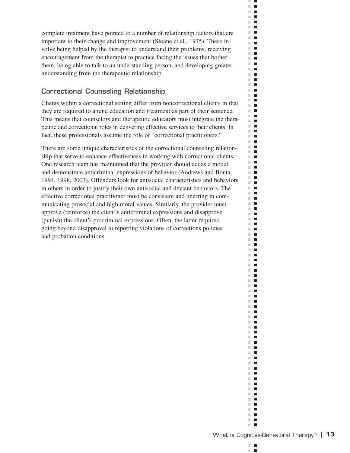complete treatment have pointed to a number of relationship factors that are important to their change and improvement (Sloane et al., 1975). These involve being helped by the therapist to understand their problems, receiving encouragement from the therapist to practice facing the issues that bother them, being able to talk to an understanding person, and developing greater understanding from the therapeutic relationship.

## **Correctional Counseling Relationship**

Clients within a correctional setting differ from noncorrectional clients in that they are required to attend education and treatment as part of their sentence. This means that counselors and therapeutic educators must integrate the therapeutic and correctional roles in delivering effective services to their clients. In fact, these professionals assume the role of "correctional practitioners."

There are some unique characteristics of the correctional counseling relationship that serve to enhance effectiveness in working with correctional clients. One research team has maintained that the provider should act as a model and demonstrate anticriminal expressions of behavior (Andrews and Bonta, 1994, 1998, 2003). Offenders look for antisocial characteristics and behaviors in others in order to justify their own antisocial and deviant behaviors. The effective correctional practitioner must be consistent and unerring in communicating prosocial and high moral values. Similarly, the provider must approve (reinforce) the client's anticriminal expressions and disapprove (punish) the client's procriminal expressions. Often, the latter requires going beyond disapproval to reporting violations of corrections policies and probation conditions.

 $\blacksquare$  $\sim$  $\mathbb{R}^n$  $\mathcal{L}_{\mathcal{A}}$  $\mathbf{r}$  $\blacksquare$  .  $\blacksquare$  $\mathbb{R}^n$  $\blacksquare$  $\mathbb{R}^n$  $\blacksquare$  $\mathbb{R}^2$  $\blacksquare$  $\Box$  .  $\Box$  $\mathbb{R}^n$  $\mathcal{L}_{\mathcal{A}}$  $\mathbb{R}^n$  .  $\mathbb{R}^n$  .  $\mathbb{R}^d$  $\blacksquare$  $\mathbf{r}$  $\blacksquare$  $\mathbb{R}^n$  $\overline{\phantom{a}}$  $\blacksquare$ m.  $\mathbb{R}^n$  .  $\mathbf{r}$  .  $\mathbf{r}$  $\Box$  .  $\Box$  $\mathbb{R}^n$  $\blacksquare$  $\mathbb{R}^n$  .  $\blacksquare$  $\mathbb{R}^n$  $\mathbb{R}^n$  $\mathcal{L}_{\mathcal{A}}$ **The Contract of the Contract of the Contract of the Contract of the Contract of the Contract of the Contract o**  $\Box$ m.  $\blacksquare$  $\blacksquare$  $\mathbb{R}^n$  .  $\mathbb{R}^n$  $\mathbb{R}^n$  $\blacksquare$  $\mathbb{R}^n$  $\blacksquare$  $\mathbb{R}^n$  .  $\mathbb{R}^n$  $\mathbb{R}^n$  .  $\mathbb{R}^n$ m.  $\blacksquare$  $\mathbf{u}$ m.  $\blacksquare$  $\mathbb{R}^n$  $\blacksquare$ m.  $\blacksquare$  $\mathbf{u}$  .  $\mathbf{u}$  $\mathbf{r}$ m.  $\blacksquare$  $\blacksquare$  $\Box$  .  $\Box$  $\mathbb{R}^n$  $\mathcal{L}_{\mathcal{A}}$  $\mathbb{R}^n$  .  $\mathbb{R}^n$  $\mathbf{u} \cdot \mathbf{u}$  $\mathbf{r}$ m.  $\Box$  $\mathbf{u}$  .  $\mathbf{u}$ **The Co**  $\mathbb{R}^n$  $\blacksquare$  $\blacksquare$  $\mathbb{R}^n$  .  $\mathbb{R}^n$  $\sim 10$  $\mathbb{R}^d$  $\mathcal{L}_{\mathcal{A}}$  $\mathbb{R}^n$  .  $\mathbb{R}^n$  $\blacksquare$  $\mathbb{R}^n$  $\mathbb{R}^n$  $\blacksquare$  $\mathbb{R}^n$  .  $\mathbb{R}^n$  $\mathbf{u} \cdot \mathbf{u}$  $\mathbb{R}^n$  $\mathcal{L}_{\mathcal{A}}$  $\blacksquare$ m. m.  $\mathcal{L}_{\mathcal{A}}$  $\mathbb{R}^n$  $\blacksquare$  $\mathbb{R}^n$  $\blacksquare$  $\Box$  .  $\Box$  $\mathbb{R}^n$  .  $\mathbb{R}^n$  $\mathbb{R}^n$  $\blacksquare$  $\blacksquare$  $\mathbb{R}^n$  $\blacksquare$  $\mathbb{R}^d$  $\blacksquare$ **The Co**  $\blacksquare$  $\mathbf{r}$  .  $\mathbf{r}$  $\mathbb{R}^n$  $\blacksquare$  $\mathbb{R}^n$  .  $\mathbb{R}^n$ m.  $\blacksquare$ п ×

 $\mathcal{C}^{\mathcal{C}}$  $\blacksquare$  $\mathbb{R}^n$  $\blacksquare$  $\Box$  .  $\Box$  $\mathbf{H}$  $\mathbb{R}^n$  $\blacksquare$ **The Contract of the Contract of the Contract of the Contract of the Contract of the Contract of the Contract o** m.  $\blacksquare$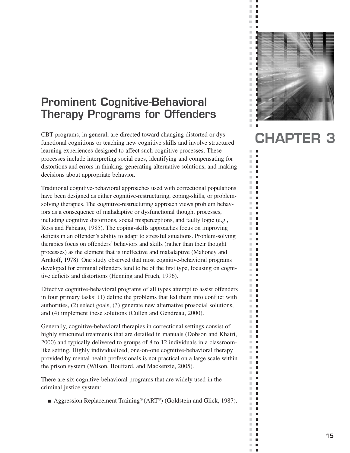# **Prominent Cognitive-Behavioral Therapy Programs for Offenders**

CBT programs, in general, are directed toward changing distorted or dysfunctional cognitions or teaching new cognitive skills and involve structured learning experiences designed to affect such cognitive processes. These processes include interpreting social cues, identifying and compensating for distortions and errors in thinking, generating alternative solutions, and making decisions about appropriate behavior.

Traditional cognitive-behavioral approaches used with correctional populations have been designed as either cognitive-restructuring, coping-skills, or problemsolving therapies. The cognitive-restructuring approach views problem behaviors as a consequence of maladaptive or dysfunctional thought processes, including cognitive distortions, social misperceptions, and faulty logic (e.g., Ross and Fabiano, 1985). The coping-skills approaches focus on improving deficits in an offender's ability to adapt to stressful situations. Problem-solving therapies focus on offenders' behaviors and skills (rather than their thought processes) as the element that is ineffective and maladaptive (Mahoney and Arnkoff, 1978). One study observed that most cognitive-behavioral programs developed for criminal offenders tend to be of the first type, focusing on cognitive deficits and distortions (Henning and Frueh, 1996).

Effective cognitive-behavioral programs of all types attempt to assist offenders in four primary tasks: (1) define the problems that led them into conflict with authorities, (2) select goals, (3) generate new alternative prosocial solutions, and (4) implement these solutions (Cullen and Gendreau, 2000).

Generally, cognitive-behavioral therapies in correctional settings consist of highly structured treatments that are detailed in manuals (Dobson and Khatri, 2000) and typically delivered to groups of 8 to 12 individuals in a classroomlike setting. Highly individualized, one-on-one cognitive-behavioral therapy provided by mental health professionals is not practical on a large scale within the prison system (Wilson, Bouffard, and Mackenzie, 2005).

There are six cognitive-behavioral programs that are widely used in the criminal justice system:

■ Aggression Replacement Training<sup>®</sup> (ART<sup>®</sup>) (Goldstein and Glick, 1987).



 $\bar{\phantom{a}}$  $\blacksquare$ Ē.  $\overline{\phantom{a}}$  $\bar{\phantom{a}}$  $\blacksquare$ 

Ì.  $\mathbb{R}^n$ п  $\mathcal{C}^{\mathcal{C}}$  $\blacksquare$  $\blacksquare$  $\blacksquare$  $\mathbb{R}^n$  $\blacksquare$  $\mathbb{R}^d$  $\blacksquare$  $\blacksquare$  $\blacksquare$  $\blacksquare$  $\mathbb{R}^n$  $\mathbb{R}^d$  $\blacksquare$  $\mathbb{R}^2$  $\blacksquare$  $\mathbb{R}^2$  $\Box$  $\mathbb{R}^n$ П  $\mathcal{C}$  $\blacksquare$  $\overline{\phantom{a}}$  $\blacksquare$  $\blacksquare$  $\overline{\phantom{a}}$  $\mathbb{R}^n$  $\Box$  $\overline{\phantom{a}}$  $\Box$  $\bar{a}$  $\Box$  $\overline{\phantom{a}}$ П  $\Box$  $\blacksquare$  $\Box$  $\mathbb{R}^n$  $\Box$  $\mathbb{R}^d$  $\blacksquare$  $\bar{\phantom{a}}$  $\Box$  $\mathbb{R}^n$  $\blacksquare$  $\mathbb{R}^d$  $\blacksquare$  $\mathbb{R}^n$  $\Box$  $\blacksquare$  $\blacksquare$  $\overline{\phantom{a}}$  $\Box$  $\blacksquare$  $\mathbb{R}^n$  $\mathbb{R}^d$  $\blacksquare$  $\bar{\phantom{a}}$  $\blacksquare$  $\mathbb{R}^n$ п  $\mathbb{R}^d$  $\Box$  $\blacksquare$  $\blacksquare$  $\mathbb{R}^d$  $\blacksquare$  $\mathbb{R}^d$  $\Box$  $\mathbb{R}^n$  $\blacksquare$  $\overline{\phantom{a}}$  $\Box$  $\mathbb{R}^d$  $\blacksquare$  $\blacksquare$  $\overline{\phantom{a}}$  $\blacksquare$  $\blacksquare$  $\bar{\phantom{a}}$  $\blacksquare$  $\mathbb{R}^n$  $\blacksquare$  $\mathbb{R}^2$  $\blacksquare$  $\mathbb{R}^d$  $\blacksquare$  $\mathbb{R}^n$  $\Box$  $\mathbb{R}^d$  $\Box$  $\mathbb{R}^d$  $\Box$  $\mathcal{C}$  $\blacksquare$  $\blacksquare$ ш  $\mathbb{R}^n$  $\blacksquare$ m,  $\blacksquare$  $\mathbb{R}^n$  $\blacksquare$  $\mathbb{R}^n$  $\Box$  $\overline{\phantom{a}}$  $\overline{\phantom{a}}$  $\mathbb{R}^n$  .  $\mathbb{R}^n$ m,  $\overline{\phantom{a}}$  $\overline{\phantom{a}}$  $\mathbf{r}$ 

# **CHAPTER 3**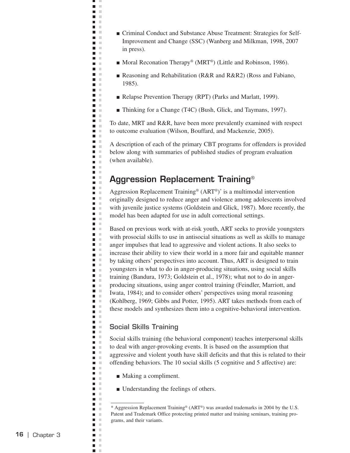- Criminal Conduct and Substance Abuse Treatment: Strategies for Self-Improvement and Change (SSC) (Wanberg and Milkman, 1998, 2007 in press).
- Moral Reconation Therapy<sup>®</sup> (MRT<sup>®</sup>) (Little and Robinson, 1986).
- Reasoning and Rehabilitation (R&R and R&R2) (Ross and Fabiano, 1985).
- Relapse Prevention Therapy (RPT) (Parks and Marlatt, 1999).
- Thinking for a Change (T4C) (Bush, Glick, and Taymans, 1997).

To date, MRT and R&R, have been more prevalently examined with respect to outcome evaluation (Wilson, Bouffard, and Mackenzie, 2005).

A description of each of the primary CBT programs for offenders is provided below along with summaries of published studies of program evaluation (when available).

# **Aggression Replacement Training**®

Aggression Replacement Training<sup>®</sup> (ART<sup>®</sup>)<sup>\*</sup> is a multimodal intervention originally designed to reduce anger and violence among adolescents involved with juvenile justice systems (Goldstein and Glick, 1987). More recently, the model has been adapted for use in adult correctional settings.

Based on previous work with at-risk youth, ART seeks to provide youngsters with prosocial skills to use in antisocial situations as well as skills to manage anger impulses that lead to aggressive and violent actions. It also seeks to increase their ability to view their world in a more fair and equitable manner by taking others' perspectives into account. Thus, ART is designed to train youngsters in what to do in anger-producing situations, using social skills training (Bandura, 1973; Goldstein et al., 1978); what not to do in angerproducing situations, using anger control training (Feindler, Marriott, and Iwata, 1984); and to consider others' perspectives using moral reasoning (Kohlberg, 1969; Gibbs and Potter, 1995). ART takes methods from each of these models and synthesizes them into a cognitive-behavioral intervention.

## **Social Skills Training**

щ J.  $\blacksquare$  $\mathbb{R}^d$  $\blacksquare$  $\mathbb{R}^2$ **C** m m  $\mathbf{r}$ m m  $\mathbf{L}$  $\blacksquare$  . a a  $\mathbf{H}^{\prime}$  . If n m  $\mathbf{r}$ m in **College** n a **C**  $\blacksquare$  .  $\blacksquare$ a a n a **The Contract of the Contract of the Contract of the Contract of the Contract of the Contract of the Contract o D** O  $\blacksquare$  .  $\blacksquare$  $\blacksquare$  $\blacksquare$  $\mathbf{r}$ **C**  $\Box$  $\Box$ Ē  $\mathbb{R}^2$  $\overline{\phantom{a}}$  $\mathcal{L}$  $\blacksquare$  $\overline{\phantom{a}}$  $\sim$ Ē,  $\mathcal{C}$  $\mathbb{R}^2$  $\blacksquare$  $\blacksquare$  $\mathbb{R}^n$  $\Box$  $\mathcal{C}$  $\blacksquare$  .  $\blacksquare$  $\blacksquare$  .  $\blacksquare$  $\blacksquare$  .  $\blacksquare$  $\blacksquare$  .  $\blacksquare$  $\blacksquare$  . **TALL**  $\blacksquare$  $\blacksquare$  .  $\blacksquare$  $\blacksquare$  .  $\blacksquare$  $\blacksquare$  $\mathbb{R}^n$ n m  $\blacksquare$  $\mathbb{R}^2$ Ē, ×  $\blacksquare$  .  $\blacksquare$  $\blacksquare$ n m  $\blacksquare$  .  $\blacksquare$  $\blacksquare$  .  $\blacksquare$  $\mathcal{L}$  $\overline{\phantom{a}}$ ×  $\blacksquare$  .  $\blacksquare$ m in m. m m m  $\blacksquare$  $\blacksquare$  $\bar{\mathbf{u}}$ **District**  $\blacksquare$  .  $\blacksquare$  $\blacksquare$  .  $\overline{\phantom{a}}$  $\mathbb{R}^n$ m. m  $\blacksquare$ **D** D  $\overline{\phantom{a}}$  $\mathcal{L}$  $\blacksquare$  $\mathbf{u} \in \mathbb{R}$ Ē,  $\mathbb{R}^n$  $\blacksquare$  $\Box$  $\mathcal{L}$  $\blacksquare$  $\mathcal{C}$  $\sim$  $\mathcal{L}_{\mathcal{A}}$  $\Box$  $\mathbb{R}^n$ n m  $\blacksquare$  $\mathcal{L}$  $\mathbb{R}^n$  $\blacksquare$  $\Box$  $\mathcal{L}$  $\blacksquare$  $\mathbb{R}^2$  $\overline{\phantom{a}}$  $\mathcal{C}$  $\blacksquare$  $\mathbb{R}^n$  $\blacksquare$ ×

Social skills training (the behavioral component) teaches interpersonal skills to deal with anger-provoking events. It is based on the assumption that aggressive and violent youth have skill deficits and that this is related to their offending behaviors. The 10 social skills (5 cognitive and 5 affective) are:

- Making a compliment.
- Understanding the feelings of others.

<sup>\*</sup> Aggression Replacement Training® (ART®) was awarded trademarks in 2004 by the U.S. Patent and Trademark Office protecting printed matter and training seminars, training programs, and their variants.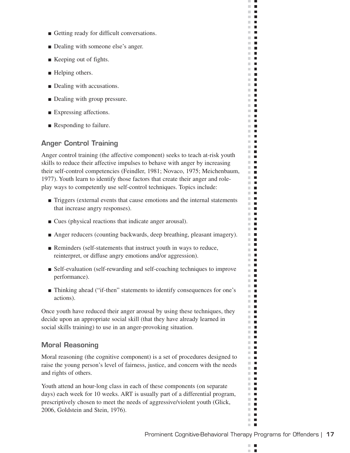- Getting ready for difficult conversations.
- Dealing with someone else's anger.
- Keeping out of fights.
- Helping others.
- Dealing with accusations.
- Dealing with group pressure.
- Expressing affections.
- Responding to failure.

## **Anger Control Training**

Anger control training (the affective component) seeks to teach at-risk youth skills to reduce their affective impulses to behave with anger by increasing their self-control competencies (Feindler, 1981; Novaco, 1975; Meichenbaum, 1977). Youth learn to identify those factors that create their anger and roleplay ways to competently use self-control techniques. Topics include:

- Triggers (external events that cause emotions and the internal statements that increase angry responses).
- Cues (physical reactions that indicate anger arousal).
- Anger reducers (counting backwards, deep breathing, pleasant imagery).
- Reminders (self-statements that instruct youth in ways to reduce, reinterpret, or diffuse angry emotions and/or aggression).
- Self-evaluation (self-rewarding and self-coaching techniques to improve performance).
- Thinking ahead ("if-then" statements to identify consequences for one's actions).

Once youth have reduced their anger arousal by using these techniques, they decide upon an appropriate social skill (that they have already learned in social skills training) to use in an anger-provoking situation.

#### **Moral Reasoning**

Moral reasoning (the cognitive component) is a set of procedures designed to raise the young person's level of fairness, justice, and concern with the needs and rights of others.

Youth attend an hour-long class in each of these components (on separate days) each week for 10 weeks. ART is usually part of a differential program, prescriptively chosen to meet the needs of aggressive/violent youth (Glick, 2006, Goldstein and Stein, 1976).

 $\mathbb{R}^n$  $\blacksquare$  $\mathcal{L}$ п

ш  $\mathcal{C}$  $\blacksquare$  $\mathbb{R}^d$  $\blacksquare$  $\mathbf{H}$  .  $\mathbf{r}$  $\mathbb{R}^n$  $\blacksquare$ **The Contract of the Contract of the Contract of the Contract of the Contract of the Contract of the Contract o** m.  $\mathbf{L}$  $\mathbb{R}^n$  . In  $\mathbb{R}^n$  $\blacksquare$  $\mathbf{r}$  $\mathbf{r}$  .  $\mathbf{r}$  $\mathbf{r}$  .  $\mathbf{r}$  $\mathbb{R}^n$  $\blacksquare$  $\mathbf{r}$  .  $\mathbf{r}$ **The Contract of the Contract of the Contract of the Contract of the Contract of the Contract of the Contract of the Contract of the Contract of the Contract of the Contract of the Contract of the Contract of the Contract**  $\mathbb{R}^n$  $\blacksquare$  $\mathbb{R}^n$  .  $\blacksquare$  .  $\mathbf{r}$  .  $\mathbf{r}$  $\mathbb{R}^n$  $\blacksquare$  $\blacksquare$ m.  $\blacksquare$ m.  $\blacksquare$  $\mathbb{R}^n$  .  $\mathbf{r}$  .  $\mathbf{r}$  $\Box$  .  $\Box$  $\mathbb{R}^n$  .  $\mathbb{R}^n$  .  $\mathbb{R}^n$  $\blacksquare$  $\mathbb{R}^n$  $\mathbb{R}^d$  $\mathcal{L}_{\mathcal{A}}$  $\Box$  .  $\Box$  $\blacksquare$  $\blacksquare$ m.  $\blacksquare$  $\blacksquare$  $\mathbb{R}^n$  .  $\mathbb{R}^n$  $\mathbb{R}^n$  $\blacksquare$  $\blacksquare$ **COL**  $\mathbb{R}^n$  .  $\mathbb{R}^n$  $\mathbf{r}$ m.  $\blacksquare$  $\blacksquare$ **The Contract of the Contract of the Contract of the Contract of the Contract of the Contract of the Contract of the Contract of the Contract of the Contract of the Contract of the Contract of the Contract of the Contract** m.  $\blacksquare$ m.  $\blacksquare$  $\mathbf{u}$  .  $\mathbf{u}$  $\blacksquare$  $\mathbb{R}^n$  $\blacksquare$  $\blacksquare$  $\Box$  .  $\Box$  $\mathbb{R}^n$  $\mathcal{L}_{\mathcal{A}}$ **The Contract of the Contract of the Contract of the Contract of the Contract of the Contract of the Contract o**  $\mathbf{r}$  $\blacksquare$  $\mathbb{R}^n$  .  $\mathbb{R}^n$  $\mathbf{u}$  .  $\mathbf{u}$ **The Co** m.  $\blacksquare$  $\Box$  .  $\Box$  $\blacksquare$  $\mathbf{u}$  .  $\mathbf{u}$ m.  $\mathcal{L}_{\mathcal{A}}$  $\mathbb{R}^n$  .  $\mathbb{R}^n$  $\mathbb{R}^n$  .  $\mathbb{R}^n$  $\blacksquare$  $\mathbb{R}^n$  $\mathbf{r}$  $\mathbf{u} \cdot \mathbf{u}$ m.  $\blacksquare$  $\blacksquare$  $\mathbb{R}^n$ **The Co**  $\mathcal{L}_{\mathcal{A}}$ m. m.  $\mathcal{L}_{\mathcal{A}}$  $\Box$  .  $\Box$  $\mathbb{R}^n$  .  $\mathbb{R}^n$  $\mathbb{R}^n$  .  $\mathbb{R}^n$  $\blacksquare$  $\mathbb{R}^n$  $\Box$  $\blacksquare$  $\mathbb{R}^d$ **COL**  $\blacksquare$  $\blacksquare$  $\mathbf{r}$  .  $\mathbf{r}$  $\mathbb{R}^n$  $\blacksquare$  $\mathbb{R}^n$  .  $\mathbb{R}^n$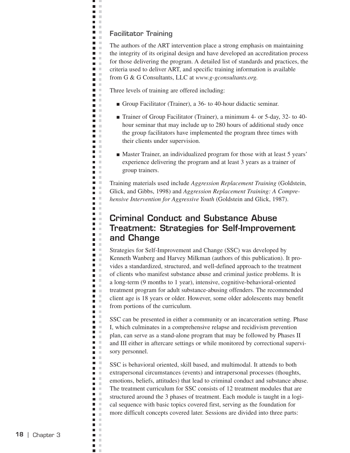#### **Facilitator Training**

ц J.  $\blacksquare$  $\bar{\alpha}$  $\blacksquare$  $\mathcal{L}$ **C D** D  $\mathbf{r}$ **COLOR D** O **D** O  $\blacksquare$ Ē.  $\Box$  $\blacksquare$  .  $\blacksquare$ **College** n m  $\blacksquare$  $\blacksquare$   $\blacksquare$  $\blacksquare$  .  $\blacksquare$ n a n m **D** O  $\blacksquare$  .  $\blacksquare$  $\mathbf{r}$  $\mathbf{u}=\mathbf{0}$ n m **Contract** a a  $\mathbf{r}$  $\blacksquare$  $\mathbb{R}^2$  $\blacksquare$  $\mathcal{L}$ n m  $\blacksquare$  $\sim$  $\blacksquare$  $\mathbb{R}^n$ m. m  $\blacksquare$  $\mathbb{R}^n$  $\overline{\phantom{a}}$  $\mathbb{R}^2$  $\blacksquare$  .  $\blacksquare$  $\blacksquare$  .  $\blacksquare$  $\blacksquare$  $\mathcal{L}$  $\mathbb{R}^d$  $\blacksquare$  $\mathcal{C}$  $\blacksquare$  $\blacksquare$  $\mathbb{R}^2$  $\bar{\mathbf{u}}$  $\Box$  $\blacksquare$  $\mathbb{R}^2$  $\blacksquare$  $\blacksquare$  .  $\blacksquare$  $\blacksquare$ ×  $\blacksquare$  $\blacksquare$  $\mathbb{R}^2$ Ē,  $\mathbb{R}^2$  $\blacksquare$  .  $\blacksquare$  $\blacksquare$  $\blacksquare$  $\mathcal{L}$  $\blacksquare$  $\Box$  $\mathbf{u}$  .  $\mathbf{u}$  $\blacksquare$  $\mathcal{L}$  $\Box$ ×  $\blacksquare$  .  $\blacksquare$  $\blacksquare$  $\pm 0$  $\blacksquare$  $\mathcal{C}$  $\blacksquare$  $\sim$  $\blacksquare$  .  $\blacksquare$  $\blacksquare$  $\bar{a}$  $\blacksquare$ **In**  $\blacksquare$  $\blacksquare$  .  $\blacksquare$  $\overline{\phantom{a}}$  $\mathcal{L}$  $\blacksquare$  .  $\blacksquare$  $\Box$  $\mathcal{C}$  $\blacksquare$  $\mathbb{R}^2$  $\Box$  $\mathcal{C}$  $\blacksquare$  $\blacksquare$  .  $\blacksquare$  $\blacksquare$  $\mathcal{C}$  $\blacksquare$  $\Box$  $\mathbb{R}^n$  $\blacksquare$  $\mathbb{R}^2$  $\blacksquare$  .  $\blacksquare$ n in  $\mathbf{r}$  $\blacksquare$  $\mathbb{R}^n$  $\mathbb{R}^n$  $\blacksquare$  $\Box$  $\mathcal{C}$  $\blacksquare$  $\mathbb{R}^2$  $\overline{\phantom{a}}$  $\mathcal{C}$  $\blacksquare$  $\mathbb{R}^n$  $\blacksquare$ ×

The authors of the ART intervention place a strong emphasis on maintaining the integrity of its original design and have developed an accreditation process for those delivering the program. A detailed list of standards and practices, the criteria used to deliver ART, and specific training information is available from G & G Consultants, LLC at *www.g-gconsultants.org.* 

Three levels of training are offered including:

- Group Facilitator (Trainer), a 36- to 40-hour didactic seminar.
- Trainer of Group Facilitator (Trainer), a minimum 4- or 5-day, 32- to 40hour seminar that may include up to 280 hours of additional study once the group facilitators have implemented the program three times with their clients under supervision.
- Master Trainer, an individualized program for those with at least 5 years' experience delivering the program and at least 3 years as a trainer of group trainers.

Training materials used include *Aggression Replacement Training* (Goldstein, Glick, and Gibbs, 1998) and *Aggression Replacement Training: A Comprehensive Intervention for Aggressive Youth* (Goldstein and Glick, 1987).

## **Criminal Conduct and Substance Abuse Treatment: Strategies for Self-Improvement and Change**

Strategies for Self-Improvement and Change (SSC) was developed by Kenneth Wanberg and Harvey Milkman (authors of this publication). It provides a standardized, structured, and well-defined approach to the treatment of clients who manifest substance abuse and criminal justice problems. It is a long-term (9 months to 1 year), intensive, cognitive-behavioral-oriented treatment program for adult substance-abusing offenders. The recommended client age is 18 years or older. However, some older adolescents may benefit from portions of the curriculum.

SSC can be presented in either a community or an incarceration setting. Phase I, which culminates in a comprehensive relapse and recidivism prevention plan, can serve as a stand-alone program that may be followed by Phases II and III either in aftercare settings or while monitored by correctional supervisory personnel.

SSC is behavioral oriented, skill based, and multimodal. It attends to both extrapersonal circumstances (events) and intrapersonal processes (thoughts, emotions, beliefs, attitudes) that lead to criminal conduct and substance abuse. The treatment curriculum for SSC consists of 12 treatment modules that are structured around the 3 phases of treatment. Each module is taught in a logical sequence with basic topics covered first, serving as the foundation for more difficult concepts covered later. Sessions are divided into three parts: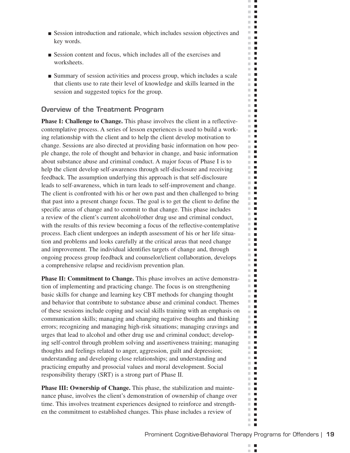- Session introduction and rationale, which includes session objectives and key words.
- Session content and focus, which includes all of the exercises and worksheets.
- Summary of session activities and process group, which includes a scale that clients use to rate their level of knowledge and skills learned in the session and suggested topics for the group.

## **Overview of the Treatment Program**

**Phase I: Challenge to Change.** This phase involves the client in a reflectivecontemplative process. A series of lesson experiences is used to build a working relationship with the client and to help the client develop motivation to change. Sessions are also directed at providing basic information on how people change, the role of thought and behavior in change, and basic information about substance abuse and criminal conduct. A major focus of Phase I is to help the client develop self-awareness through self-disclosure and receiving feedback. The assumption underlying this approach is that self-disclosure leads to self-awareness, which in turn leads to self-improvement and change. The client is confronted with his or her own past and then challenged to bring that past into a present change focus. The goal is to get the client to define the specific areas of change and to commit to that change. This phase includes a review of the client's current alcohol/other drug use and criminal conduct, with the results of this review becoming a focus of the reflective-contemplative process. Each client undergoes an indepth assessment of his or her life situation and problems and looks carefully at the critical areas that need change and improvement. The individual identifies targets of change and, through ongoing process group feedback and counselor/client collaboration, develops a comprehensive relapse and recidivism prevention plan.

**Phase II: Commitment to Change.** This phase involves an active demonstration of implementing and practicing change. The focus is on strengthening basic skills for change and learning key CBT methods for changing thought and behavior that contribute to substance abuse and criminal conduct. Themes of these sessions include coping and social skills training with an emphasis on communication skills; managing and changing negative thoughts and thinking errors; recognizing and managing high-risk situations; managing cravings and urges that lead to alcohol and other drug use and criminal conduct; developing self-control through problem solving and assertiveness training; managing thoughts and feelings related to anger, aggression, guilt and depression; understanding and developing close relationships; and understanding and practicing empathy and prosocial values and moral development. Social responsibility therapy (SRT) is a strong part of Phase II.

**Phase III: Ownership of Change.** This phase, the stabilization and maintenance phase, involves the client's demonstration of ownership of change over time. This involves treatment experiences designed to reinforce and strengthen the commitment to established changes. This phase includes a review of

 $\mathbb{R}^n$  $\blacksquare$  $\mathcal{L}$ п

ш  $\bar{a}$  $\blacksquare$  $\mathbb{R}^d$  $\blacksquare$  $\mathbf{H} \in \mathbf{R}$  $\mathbf{H}$  $\mathbb{R}^n$  $\mathcal{L}_{\mathcal{A}}$ **The Contract of the Contract of the Contract of the Contract of the Contract of the Contract of the Contract o**  $\blacksquare$  $\blacksquare$  $\sim$  $\mathbb{R}^n$  $\blacksquare$  $\mathbb{R}^d$  $\blacksquare$  $\blacksquare$ m.  $\blacksquare$  $\mathbb{R}^d$  $\mathbb{R}^n$  $\mathcal{L}_{\mathcal{A}}$  $\mathbb{R}^2$  $\blacksquare$ m.  $\overline{\phantom{a}}$  $\mathbb{R}^d$  $\blacksquare$  $\mathbb{R}^n$  $\mathcal{L}_{\mathcal{A}}$ m.  $\blacksquare$  $\mathbb{R}^d$  $\blacksquare$  $\mathbb{R}^n$  $\blacksquare$  $\blacksquare$  .  $\mathbb{R}^n$  $\blacksquare$  $\blacksquare$ ш  $\Box$  .  $\Box$  $\blacksquare$ m.  $\mathbb{R}^2$  $\blacksquare$  $\mathbb{R}^n$  $\mathcal{L}_{\mathcal{A}}$  $\mathbb{R}^n$  $\blacksquare$ Ē  $\mathbb{R}^d$  $\mathbb{R}^d$  $\blacksquare$  $\blacksquare$  .  $\blacksquare$  $\mathcal{L}_{\mathcal{A}}$  $\blacksquare$  $\mathbb{R}^d$  $\blacksquare$  $\blacksquare$ m. m.  $\blacksquare$  $\mathbb{R}^n$  $\blacksquare$  $\blacksquare$  $\overline{\phantom{a}}$  $\blacksquare$ m.  $\mathbb{R}^n$  $\blacksquare$ m.  $\mathcal{L}_{\mathcal{A}}$ m.  $\blacksquare$ m.  $\blacksquare$  $\mathbb{R}^n$  $\blacksquare$ m.  $\overline{\phantom{a}}$  $\mathbf{r}$  $\blacksquare$  $\mathbb{R}^d$  $\blacksquare$  $\mathbf{u}$  $\blacksquare$ m,  $\mathbb{R}^n$  $\overline{\phantom{a}}$  $\mathbf{r}$  $\mathbf{r}$  $\blacksquare$ m.  $\mathbb{R}^n$ П  $\mathbb{R}^n$  $\blacksquare$ m.  $\mathcal{L}_{\mathcal{A}}$  $\mathbb{R}^d$  $\blacksquare$ **COL**  $\blacksquare$  $\mathbf{H} \cdot \mathbf{B}$  $\blacksquare$ m. m.  $\mathcal{L}_{\mathcal{A}}$  $\mathbb{R}^n$  $\blacksquare$  $\blacksquare$  $\mathbb{R}^n$  $\blacksquare$  $\blacksquare$  $\mathbb{R}^n$  $\blacksquare$  $\mathbb{R}^d$  $\blacksquare$  $\mathbb{R}^d$  $\overline{\phantom{a}}$  $\blacksquare$ m.  $\mathbb{R}^d$  $\blacksquare$  $\mathcal{C}$  $\overline{\phantom{a}}$  $\blacksquare$  $\blacksquare$  $\blacksquare$  $\mathbb{R}^n$  $\blacksquare$  $\mathbb{R}^n$  $\blacksquare$ m.  $\blacksquare$  $\mathbb{R}^n$  $\overline{\phantom{a}}$  $\mathbb{R}^d$  $\blacksquare$ **COL**  $\blacksquare$  $\mathbb{R}^n$  .  $\mathbb{R}^n$  $\mathbf{r}$  .  $\mathbf{r}$  $\mathbb{R}^n$  $\blacksquare$  $\mathbb{R}^n$  .  $\mathbb{R}^n$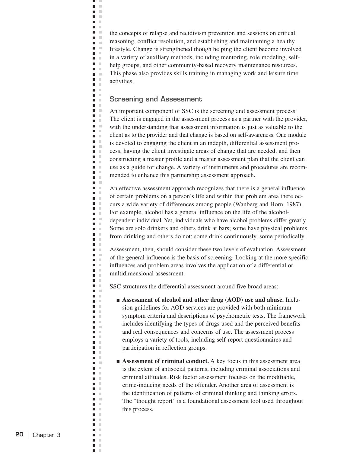the concepts of relapse and recidivism prevention and sessions on critical reasoning, conflict resolution, and establishing and maintaining a healthy lifestyle. Change is strengthened though helping the client become involved in a variety of auxiliary methods, including mentoring, role modeling, selfhelp groups, and other community-based recovery maintenance resources. This phase also provides skills training in managing work and leisure time activities.

### **Screening and Assessment**

H J.  $\bar{\mathbf{u}}$  $\blacksquare$  $\mathbb{R}^2$  $\blacksquare$  . **D** D  $\mathcal{L}$ **Contract**  $\mathbf{L}$ n a  $\blacksquare$ Ē.  $\blacksquare$  $\mathcal{L}$  $\blacksquare$  $\blacksquare$  $\blacksquare$  $\mathcal{L}$  $\blacksquare$  $\mathcal{C}$  $\blacksquare$  .  $\blacksquare$  $\blacksquare$  .  $\blacksquare$  $\blacksquare$  $\mathcal{C}$ **The Contract of the Contract of the Contract of the Contract of the Contract of the Contract of the Contract o**  $\blacksquare$  $\blacksquare$  .  $\blacksquare$  $\blacksquare$  .  $\blacksquare$  $\blacksquare$ n m  $\blacksquare$  $\blacksquare$  .  $\blacksquare$  $\blacksquare$ **In** Ē.  $\mathbb{R}^2$  $\blacksquare$  $\sim$ m. m  $\sim$  $\blacksquare$  $\blacksquare$  $\mathbb{R}^n$ m. m  $\blacksquare$  $\overline{\phantom{a}}$  $\mathbb{R}^2$ ō u  $\blacksquare$  .  $\blacksquare$  $\blacksquare$  $\mathcal{L}$  $\overline{\phantom{a}}$  $\mathbb{R}^n$  $\blacksquare$  .  $\blacksquare$ л  $\blacksquare$  $\mathbb{R}^2$  $\blacksquare$  $\mathcal{C}$  $\blacksquare$  $\blacksquare$  .  $\blacksquare$  $\overline{\phantom{a}}$ ×  $\blacksquare$  .  $\blacksquare$  $\blacksquare$  $\mathbb{R}^2$ Ē,  $\mathbb{R}^2$  $\blacksquare$  .  $\blacksquare$  $\blacksquare$  .  $\blacksquare$  $\mathcal{L}$  $\blacksquare$  $\sim$  $\blacksquare$  .  $\blacksquare$  $\blacksquare$  $\mathbb{R}^n$  $\Box$  $\mathcal{C}$  $\blacksquare$  .  $\blacksquare$  $\blacksquare$  $\blacksquare$  $\mathbb{R}^2$  $\blacksquare$  $\mathcal{L}$  $\blacksquare$  .  $\blacksquare$  $\blacksquare$  $\mathcal{C}$  $\blacksquare$ ×  $\blacksquare$  .  $\blacksquare$  $\blacksquare$  $\sim$  $\blacksquare$  $\mathbb{R}^n$  $\blacksquare$  $\sim$  $\blacksquare$  $\mathbb{R}^n$  $\blacksquare$  $\mathcal{C}$  $\blacksquare$  $\mathcal{C}$  $\blacksquare$  $\mathbf{u} \in \mathbb{R}$  $\blacksquare$  $\mathcal{C}$ **The Contract State**  $\blacksquare$  $\mathbb{R}^n$  $\blacksquare$  $\mathcal{C}$  $\blacksquare$   $\blacksquare$  $\blacksquare$  $\mathbf{r}$  $\blacksquare$  $\mathcal{L}$  $\mathcal{C}$  $\blacksquare$  $\Box$  $\mathcal{C}$  $\blacksquare$  $\mathbb{R}^2$  $\overline{\phantom{a}}$  $\mathcal{C}$  $\blacksquare$ л  $\blacksquare$ ×

An important component of SSC is the screening and assessment process. The client is engaged in the assessment process as a partner with the provider, with the understanding that assessment information is just as valuable to the client as to the provider and that change is based on self-awareness. One module is devoted to engaging the client in an indepth, differential assessment process, having the client investigate areas of change that are needed, and then constructing a master profile and a master assessment plan that the client can use as a guide for change. A variety of instruments and procedures are recommended to enhance this partnership assessment approach.

An effective assessment approach recognizes that there is a general influence of certain problems on a person's life and within that problem area there occurs a wide variety of differences among people (Wanberg and Horn, 1987). For example, alcohol has a general influence on the life of the alcoholdependent individual. Yet, individuals who have alcohol problems differ greatly. Some are solo drinkers and others drink at bars; some have physical problems from drinking and others do not; some drink continuously, some periodically.

Assessment, then, should consider these two levels of evaluation. Assessment of the general influence is the basis of screening. Looking at the more specific influences and problem areas involves the application of a differential or multidimensional assessment.

SSC structures the differential assessment around five broad areas:

■ **Assessment of alcohol and other drug (AOD) use and abuse.** Inclusion guidelines for AOD services are provided with both minimum symptom criteria and descriptions of psychometric tests. The framework includes identifying the types of drugs used and the perceived benefits and real consequences and concerns of use. The assessment process employs a variety of tools, including self-report questionnaires and participation in reflection groups.

■ **Assessment of criminal conduct.** A key focus in this assessment area is the extent of antisocial patterns, including criminal associations and criminal attitudes. Risk factor assessment focuses on the modifiable, crime-inducing needs of the offender. Another area of assessment is the identification of patterns of criminal thinking and thinking errors. The "thought report" is a foundational assessment tool used throughout this process.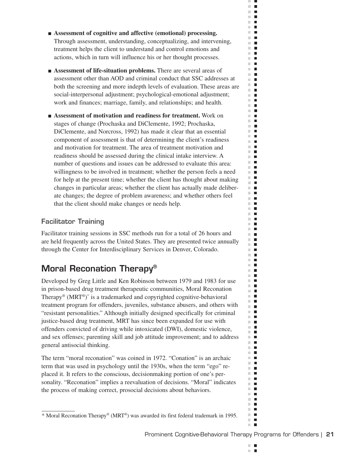- **Assessment of cognitive and affective (emotional) processing.**  Through assessment, understanding, conceptualizing, and intervening, treatment helps the client to understand and control emotions and actions, which in turn will influence his or her thought processes.
- **Assessment of life-situation problems.** There are several areas of assessment other than AOD and criminal conduct that SSC addresses at both the screening and more indepth levels of evaluation. These areas are social-interpersonal adjustment; psychological-emotional adjustment; work and finances; marriage, family, and relationships; and health.
- **Assessment of motivation and readiness for treatment.** Work on stages of change (Prochaska and DiClemente, 1992; Prochaska, DiClemente, and Norcross, 1992) has made it clear that an essential component of assessment is that of determining the client's readiness and motivation for treatment. The area of treatment motivation and readiness should be assessed during the clinical intake interview. A number of questions and issues can be addressed to evaluate this area: willingness to be involved in treatment; whether the person feels a need for help at the present time; whether the client has thought about making changes in particular areas; whether the client has actually made deliberate changes; the degree of problem awareness; and whether others feel that the client should make changes or needs help.

## **Facilitator Training**

Facilitator training sessions in SSC methods run for a total of 26 hours and are held frequently across the United States. They are presented twice annually through the Center for Interdisciplinary Services in Denver, Colorado.

# **Moral Reconation Therapy®**

Developed by Greg Little and Ken Robinson between 1979 and 1983 for use in prison-based drug treatment therapeutic communities, Moral Reconation Therapy<sup>®</sup> ( $MRT^@$ )<sup>\*</sup> is a trademarked and copyrighted cognitive-behavioral treatment program for offenders, juveniles, substance abusers, and others with "resistant personalities." Although initially designed specifically for criminal justice-based drug treatment, MRT has since been expanded for use with offenders convicted of driving while intoxicated (DWI), domestic violence, and sex offenses; parenting skill and job attitude improvement; and to address general antisocial thinking.

The term "moral reconation" was coined in 1972. "Conation" is an archaic term that was used in psychology until the 1930s, when the term "ego" replaced it. It refers to the conscious, decisionmaking portion of one's personality. "Reconation" implies a reevaluation of decisions. "Moral" indicates the process of making correct, prosocial decisions about behaviors.

 $\mathbb{R}^n$  $\blacksquare$  $\mathcal{L}$ п

ш  $\mathcal{C}$  $\blacksquare$  $\mathbb{R}^d$  $\blacksquare$  $\mathbf{H} \in \mathbf{R}$  $\mathbf{r}$  $\mathbb{R}^n$  $\blacksquare$ **The Contract of the Contract of the Contract of the Contract of the Contract of the Contract of the Contract o** m.  $\blacksquare$  $\sim$  $\blacksquare$  $\mathcal{L}$  $\overline{\phantom{a}}$  $\mathbb{R}^n$  $\blacksquare$  $\blacksquare$  $\mathbb{R}^n$  $\mathbb{R}^d$  $\blacksquare$  $\mathbb{R}^n$  $\mathcal{L}_{\mathcal{A}}$  $\mathbb{R}^d$  $\blacksquare$  $\sim$  $\blacksquare$  $\mathbb{R}^d$  $\blacksquare$  $\mathbb{R}^n$  $\blacksquare$ m.  $\blacksquare$  $\mathbb{R}^d$  $\blacksquare$  $\mathcal{L}_{\mathcal{A}}$  $\blacksquare$  $\mathbb{R}^n$  $\mathcal{L}_{\mathcal{A}}$  $\mathbb{R}^d$  $\blacksquare$  $\blacksquare$ ш  $\mathbb{R}^n$  $\blacksquare$  $\blacksquare$ m.  $\mathbb{R}^n$  $\mathcal{L}_{\mathcal{A}}$  $\mathbb{R}^n$  $\blacksquare$ m.  $\blacksquare$ m.  $\blacksquare$  $\mathbb{R}^n$  $\blacksquare$ **The Contract of the Contract of the Contract of the Contract of the Contract of the Contract of the Contract o**  $\blacksquare$  $\blacksquare$ m.  $\blacksquare$ **THE R** m.  $\mathcal{L}_{\mathcal{A}}$  $\mathbb{R}^n$  $\blacksquare$  $\blacksquare$  $\overline{\phantom{a}}$  $\mathbb{R}^n$  .  $\mathbb{R}^n$  $\mathbf{r}$ m.  $\mathcal{L}_{\mathcal{A}}$ m.  $\blacksquare$  $\mathbb{R}^n$  $\blacksquare$  $\mathbb{R}^n$  $\blacksquare$ m.  $\overline{\phantom{a}}$  $\mathbf{r}$ m.  $\blacksquare$  $\mathbb{R}^d$  $\blacksquare$ m.  $\blacksquare$  $\mathbb{R}^2$  $\mathcal{L}_{\mathcal{A}}$  $\mathbb{R}^d$  $\overline{\phantom{a}}$ m.  $\blacksquare$  $\blacksquare$ m.  $\blacksquare$  $\overline{\phantom{a}}$ m. m.  $\blacksquare$ m.  $\mathcal{L}_{\mathcal{A}}$ m.  $\blacksquare$ m.  $\blacksquare$ m in  $\blacksquare$ m.  $\mathbb{R}^d$  $\blacksquare$ m.  $\overline{\phantom{a}}$  $\mathbb{R}^n$  $\overline{\phantom{a}}$  $\blacksquare$  $\blacksquare$ m.  $\blacksquare$ m.  $\mathcal{L}_{\mathcal{A}}$ m.  $\overline{\phantom{a}}$  $\overline{\phantom{a}}$  $\mathbb{R}^n$ m.  $\blacksquare$  $\overline{\phantom{a}}$  $\mathbb{R}^n$  $\mathcal{L}_{\mathcal{A}}$  $\blacksquare$  $\blacksquare$  $\blacksquare$  $\blacksquare$  $\blacksquare$  $\mathbb{R}^d$ m.  $\blacksquare$  $\mathbb{R}^n$  $\overline{\phantom{a}}$  $\mathbb{R}^d$  $\blacksquare$ **The Co**  $\blacksquare$  $\mathbf{r}$  .  $\mathbf{r}$  $\mathbb{R}^n$  $\blacksquare$  $\mathbb{R}^n$  .  $\mathbb{R}^n$ 

<sup>\*</sup> Moral Reconation Therapy® (MRT®) was awarded its first federal trademark in 1995.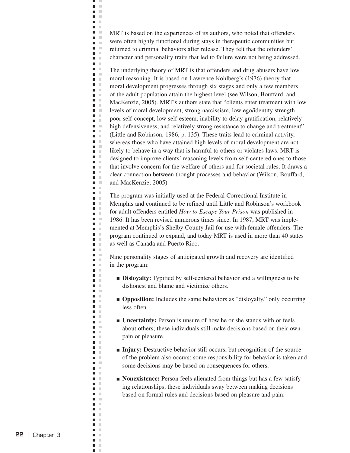MRT is based on the experiences of its authors, who noted that offenders were often highly functional during stays in therapeutic communities but returned to criminal behaviors after release. They felt that the offenders' character and personality traits that led to failure were not being addressed.

ц J.  $\blacksquare$  $\mathbb{R}^n$  $\blacksquare$  $\mathcal{L}$ **C** n m  $\mathbf{r}$ **C**  $\mathbf{L}$ n.  $\blacksquare$ Ē.  $\Box$  $\blacksquare$  .  $\blacksquare$ **College TIME**  $\blacksquare$  $\blacksquare$   $\blacksquare$  $\blacksquare$ n a **The Contract of the Contract of the Contract of the Contract of the Contract of the Contract of the Contract o**  $\blacksquare$  $\blacksquare$  .  $\blacksquare$  $\blacksquare$  .  $\blacksquare$  $\blacksquare$  $\blacksquare$  .  $\blacksquare$  $\blacksquare$  $\blacksquare$  .  $\blacksquare$  $\mathcal{L}$  $\blacksquare$  $\mathcal{C}$  $\blacksquare$  .  $\blacksquare$  $\blacksquare$  $\blacksquare$  .  $\blacksquare$  $\blacksquare$  $\mathcal{L}$ m. m  $\blacksquare$  .  $\blacksquare$  $\mathbb{R}^2$  $\blacksquare$  $\blacksquare$  .  $\blacksquare$  $\blacksquare$  .  $\blacksquare$  $\blacksquare$  .  $\blacksquare$  $\blacksquare$  .  $\blacksquare$  $\blacksquare$  .  $\blacksquare$  $\blacksquare$  $\mathcal{L}$  $\blacksquare$  $\mathbb{R}^n$  $\blacksquare$  .  $\blacksquare$  $\mathbf{u}$  .  $\mathbf{u}$  $\blacksquare$  .  $\blacksquare$  $\blacksquare$  $\mathcal{C}$  $\blacksquare$  $\blacksquare$  $\mathbb{R}^2$  $\blacksquare$  $\mathbb{R}^2$  $\blacksquare$  .  $\blacksquare$  $\blacksquare$  .  $\blacksquare$ **TELEVISION** n m  $\mathbf{B}$  . In **COLLEGE**  $\overline{\phantom{a}}$  $\mathbb{R}^n$  $\blacksquare$  .  $\blacksquare$  $\blacksquare$ m. m n m  $\mathbb{R}^n$  .  $\mathbb{R}^n$  $\blacksquare$  $\mathbb{R}^n$  $\blacksquare$ ×  $\mathbb{R}^n$  .  $\mathbb{R}^n$  $\mathbf{u}$  .  $\blacksquare$  $\mathbb{R}^n$ m. m  $\blacksquare$  $\mathbb{R}^2$  $\blacksquare$  $\blacksquare$  $\mathcal{L}$  $\blacksquare$  $\mathbf{u} \in \mathbb{R}^n$  $\blacksquare$  $\sim$ **The Contract State D** D  $\blacksquare$  $\mathcal{C}$  $\blacksquare$   $\blacksquare$  $\Box$  $\pm$  $\mathbf{r}$  $\blacksquare$  $\mathcal{L}$  $\mathcal{C}$  $\blacksquare$  $\Box$  $\mathcal{C}$  $\blacksquare$  $\mathbb{R}^2$  $\overline{\phantom{a}}$  $\mathcal{C}$  $\blacksquare$  $\mathbb{R}^n$  $\blacksquare$ ×

The underlying theory of MRT is that offenders and drug abusers have low moral reasoning. It is based on Lawrence Kohlberg's (1976) theory that moral development progresses through six stages and only a few members of the adult population attain the highest level (see Wilson, Bouffard, and MacKenzie, 2005). MRT's authors state that "clients enter treatment with low levels of moral development, strong narcissism, low ego/identity strength, poor self-concept, low self-esteem, inability to delay gratification, relatively high defensiveness, and relatively strong resistance to change and treatment" (Little and Robinson, 1986, p. 135). These traits lead to criminal activity, whereas those who have attained high levels of moral development are not likely to behave in a way that is harmful to others or violates laws. MRT is designed to improve clients' reasoning levels from self-centered ones to those that involve concern for the welfare of others and for societal rules. It draws a clear connection between thought processes and behavior (Wilson, Bouffard, and MacKenzie, 2005).

The program was initially used at the Federal Correctional Institute in Memphis and continued to be refined until Little and Robinson's workbook for adult offenders entitled *How to Escape Your Prison* was published in 1986. It has been revised numerous times since. In 1987, MRT was implemented at Memphis's Shelby County Jail for use with female offenders. The program continued to expand, and today MRT is used in more than 40 states as well as Canada and Puerto Rico.

Nine personality stages of anticipated growth and recovery are identified in the program:

- **Disloyalty:** Typified by self-centered behavior and a willingness to be dishonest and blame and victimize others.
- **Opposition:** Includes the same behaviors as "disloyalty," only occurring less often.
- **Uncertainty:** Person is unsure of how he or she stands with or feels about others; these individuals still make decisions based on their own pain or pleasure.
- **Injury:** Destructive behavior still occurs, but recognition of the source of the problem also occurs; some responsibility for behavior is taken and some decisions may be based on consequences for others.
- **Nonexistence:** Person feels alienated from things but has a few satisfying relationships; these individuals sway between making decisions based on formal rules and decisions based on pleasure and pain.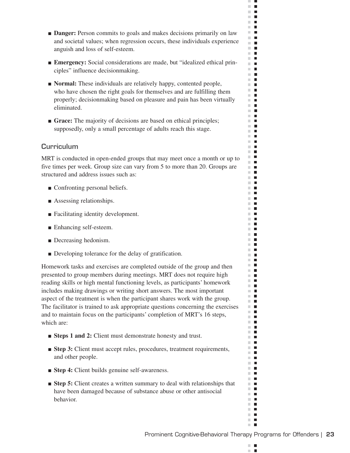- **Danger:** Person commits to goals and makes decisions primarily on law and societal values; when regression occurs, these individuals experience anguish and loss of self-esteem.
- **Emergency:** Social considerations are made, but "idealized ethical principles" influence decisionmaking.
- **Normal:** These individuals are relatively happy, contented people, who have chosen the right goals for themselves and are fulfilling them properly; decisionmaking based on pleasure and pain has been virtually eliminated.
- **Grace:** The majority of decisions are based on ethical principles; supposedly, only a small percentage of adults reach this stage.

## **Curriculum**

MRT is conducted in open-ended groups that may meet once a month or up to five times per week. Group size can vary from 5 to more than 20. Groups are structured and address issues such as:

- Confronting personal beliefs.
- Assessing relationships.
- Facilitating identity development.
- Enhancing self-esteem.
- Decreasing hedonism.
- Developing tolerance for the delay of gratification.

Homework tasks and exercises are completed outside of the group and then presented to group members during meetings. MRT does not require high reading skills or high mental functioning levels, as participants' homework includes making drawings or writing short answers. The most important aspect of the treatment is when the participant shares work with the group. The facilitator is trained to ask appropriate questions concerning the exercises and to maintain focus on the participants' completion of MRT's 16 steps, which are:

- **Steps 1 and 2:** Client must demonstrate honesty and trust.
- **Step 3:** Client must accept rules, procedures, treatment requirements, and other people.
- **Step 4:** Client builds genuine self-awareness.
- **Step 5:** Client creates a written summary to deal with relationships that have been damaged because of substance abuse or other antisocial behavior.

 $\mathbb{R}^n$  $\blacksquare$  $\mathcal{L}$ п

 $\mathbb{R}^n$  $\blacksquare$  $\mathbb{R}^n$  $\blacksquare$  $\mathbb{R}^n$  .  $\mathbb{R}^n$  $\mathbf{r}$  $\mathbb{R}^n$  $\blacksquare$ **The Contract of the Contract of the Contract of the Contract of the Contract of the Contract of the Contract o**  $\blacksquare$  $\sim 10$  $\blacksquare$ m.  $\mathbf{r}$  $\mathbf{H}$  .  $\blacksquare$  <br> If  $\mathbb{R}^n$  .  $\mathbb{R}^n$  .  $\mathbb{R}^n$ **The Contract of the Contract of the Contract of the Contract of the Contract of the Contract of the Contract of the Contract of the Contract of the Contract of the Contract of the Contract of the Contract of the Contract**  $\mathbb{R}^n$  $\blacksquare$  $\mathbb{R}^n$  .  $\blacksquare$  .  $\blacksquare$  $\blacksquare$  $\mathbb{R}^2$ m.  $\blacksquare$  $\mathbb{R}^n$  .  $\mathbb{R}^n$  $\blacksquare$  $\blacksquare$ m,  $\mathbb{R}^n$  .  $\mathbf{r}$  .  $\mathbf{r}$  $\mathbf{H} \cdot \mathbf{H}$  $\mathbb{R}^n$  .  $\mathbb{R}^n$  .  $\blacksquare$ m.  $\mathbb{R}^d$  $\mathcal{L}_{\mathcal{A}}$ **The Contract of the Contract of the Contract of the Contract of the Contract of the Contract of the Contract o**  $\Box$ m.  $\blacksquare$  $\blacksquare$  $\mathbb{R}^n$  .  $\mathbb{R}^n$  $\blacksquare$  $\blacksquare$ **COL**  $\mathbf{r}$ **The Co**  $\blacksquare$  $\blacksquare$ **The Contract of the Contract of the Contract of the Contract of the Contract of the Contract of the Contract of the Contract of the Contract of the Contract of the Contract of the Contract of the Contract of the Contract** m.  $\blacksquare$  $\mathbb{R}^n$  .  $\mathbb{R}^n$  $\mathbf{H}$  .  $\mathbf{H}$  $\blacksquare$ m.  $\blacksquare$  $\blacksquare$ **THE**  $\mathbb{R}^n$  $\blacksquare$  $\blacksquare$  $\mathbf{u} \cdot \mathbf{u}$  $\blacksquare$  $\blacksquare$  $\blacksquare$  $\mathbf{u}$  .  $\mathbf{u}$ **The Co** m.  $\blacksquare$  $\blacksquare$  $\mathbb{R}^n$  .  $\mathbb{R}^n$  $\mathbb{R}^n$  .  $\mathbb{R}^n$ m.  $\mathcal{L}_{\mathcal{A}}$  $\mathbb{R}^n$  .  $\mathbb{R}^n$  $\mathbb{R}^n$  $\blacksquare$  $\blacksquare$  $\mathbb{R}^n$ **The Co**  $\mathbf{u} \cdot \mathbf{u}$ m.  $\mathcal{L}_{\mathcal{A}}$  $\blacksquare$  $\mathbb{R}^n$ m.  $\blacksquare$  $\mathbb{R}^n$  $\blacksquare$  $\mathbb{R}^n$  $\overline{\phantom{a}}$  $\blacksquare$  $\mathbf{H} \cdot \mathbf{B}$  $\blacksquare$  $\mathbb{R}^n$  $\blacksquare$  $\mathbb{R}^n$  $\mathbf{L}$  $\mathbb{R}^d$  $\blacksquare$ **The Co**  $\blacksquare$  $\mathbf{r}$  .  $\mathbf{r}$  $\mathbb{R}^n$  $\blacksquare$  $\blacksquare$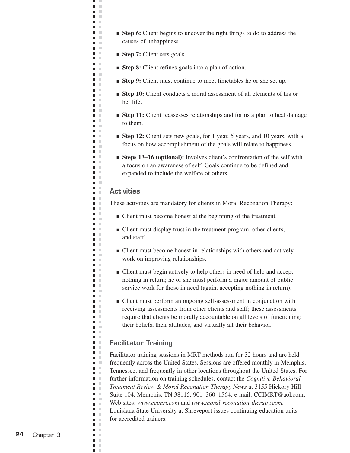- **Step 6:** Client begins to uncover the right things to do to address the causes of unhappiness.
- **Step 7:** Client sets goals.

ц J.  $\blacksquare$  .  $\blacksquare$  $\blacksquare$ **C** n m  $\mathbf{r}$ m m **D** O n m a a n m **The College**  $\mathcal{L}^{\mathcal{L}}$  . n m **College** n a n m n m **COLLEGE The Co The Contract State D** O n m  $\mathbf{r}$  $\blacksquare$  .  $\blacksquare$ n m **Contract** n T  $\blacksquare$  .  $\blacksquare$ m. m  $\mathbf{r}$  $\blacksquare$  .  $\blacksquare$  $\blacksquare$   $\blacksquare$  $\blacksquare$  $\mathcal{C}$  $\blacksquare$ n T  $\mathbb{R}^d$  $\blacksquare$  $\blacksquare$  .  $\blacksquare$  $\blacksquare$  .  $\blacksquare$  $\blacksquare$  .  $\blacksquare$  $\blacksquare$ n m **The Contract**  $\blacksquare$  $\mathbb{R}^n$  .  $\mathbb{R}^n$  $\mathbb{R}^n$  .  $\mathbb{R}^n$ m m  $\mathbb{R}^n$  $\blacksquare$  $\blacksquare$  $\blacksquare$  $\mathcal{L}$  $\blacksquare$  $\mathbb{R}^n$ m. m  $\mathbf{u}$  . **The Contract State**  $\blacksquare$ ×  $\blacksquare$ **The Co**  $\overline{\phantom{a}}$  $\mathcal{C}$  $\blacksquare$  .  $\blacksquare$ n m m. m n m  $\blacksquare$  .  $\blacksquare$  $\blacksquare$  $\mathbb{R}^n$ n m  $\blacksquare$  .  $\blacksquare$  $\mathbf{r}$  $\overline{\phantom{a}}$  $\mathbb{R}^n$  $\blacksquare$  $\blacksquare$  $\blacksquare$  $\mathcal{C}$  $\blacksquare$  $\mathcal{C}$  $\blacksquare$  $\blacksquare$  .  $\blacksquare$  $\blacksquare$  $\mathcal{C}$  $\blacksquare$ n H  $\blacksquare$  $\mathcal{C}$  $\blacksquare$  .  $\blacksquare$ n a  $\mathbf{r}$  $\blacksquare$  $\mathbb{R}^n$  $\blacksquare$ ×  $\Box$  $\blacksquare$  $\mathbb{R}^2$  $\mathcal{C}$  $\blacksquare$  $\blacksquare$  $\mathbb{R}^n$  $\blacksquare$ ×

- **Step 8:** Client refines goals into a plan of action.
- **Step 9:** Client must continue to meet timetables he or she set up.
- **Step 10:** Client conducts a moral assessment of all elements of his or her life.
- **Step 11:** Client reassesses relationships and forms a plan to heal damage to them.
- **Step 12:** Client sets new goals, for 1 year, 5 years, and 10 years, with a focus on how accomplishment of the goals will relate to happiness.
- **Steps 13–16 (optional):** Involves client's confrontation of the self with a focus on an awareness of self. Goals continue to be defined and expanded to include the welfare of others.

#### **Activities**

These activities are mandatory for clients in Moral Reconation Therapy:

- Client must become honest at the beginning of the treatment.
- Client must display trust in the treatment program, other clients, and staff.
- Client must become honest in relationships with others and actively work on improving relationships.
- Client must begin actively to help others in need of help and accept nothing in return; he or she must perform a major amount of public service work for those in need (again, accepting nothing in return).
- Client must perform an ongoing self-assessment in conjunction with receiving assessments from other clients and staff; these assessments require that clients be morally accountable on all levels of functioning: their beliefs, their attitudes, and virtually all their behavior.

### **Facilitator Training**

Facilitator training sessions in MRT methods run for 32 hours and are held frequently across the United States. Sessions are offered monthly in Memphis, Tennessee, and frequently in other locations throughout the United States. For further information on training schedules, contact the *Cognitive-Behavioral Treatment Review & Moral Reconation Therapy News* at 3155 Hickory Hill Suite 104, Memphis, TN 38115, 901–360–1564; e-mail: CCIMRT@aol.com; Web sites: *www.ccimrt.com* and *www.moral-reconation-therapy.com.*  Louisiana State University at Shreveport issues continuing education units for accredited trainers.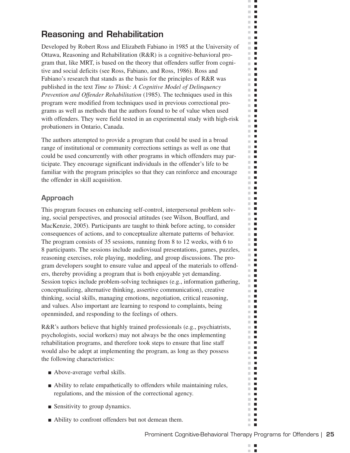# **Reasoning and Rehabilitation**

Developed by Robert Ross and Elizabeth Fabiano in 1985 at the University of Ottawa, Reasoning and Rehabilitation (R&R) is a cognitive-behavioral program that, like MRT, is based on the theory that offenders suffer from cognitive and social deficits (see Ross, Fabiano, and Ross, 1986). Ross and Fabiano's research that stands as the basis for the principles of R&R was published in the text *Time to Think: A Cognitive Model of Delinquency Prevention and Offender Rehabilitation* (1985). The techniques used in this program were modified from techniques used in previous correctional programs as well as methods that the authors found to be of value when used with offenders. They were field tested in an experimental study with high-risk probationers in Ontario, Canada.

The authors attempted to provide a program that could be used in a broad range of institutional or community corrections settings as well as one that could be used concurrently with other programs in which offenders may participate. They encourage significant individuals in the offender's life to be familiar with the program principles so that they can reinforce and encourage the offender in skill acquisition.

## **Approach**

This program focuses on enhancing self-control, interpersonal problem solving, social perspectives, and prosocial attitudes (see Wilson, Bouffard, and MacKenzie, 2005). Participants are taught to think before acting, to consider consequences of actions, and to conceptualize alternate patterns of behavior. The program consists of 35 sessions, running from 8 to 12 weeks, with 6 to 8 participants. The sessions include audiovisual presentations, games, puzzles, reasoning exercises, role playing, modeling, and group discussions. The program developers sought to ensure value and appeal of the materials to offenders, thereby providing a program that is both enjoyable yet demanding. Session topics include problem-solving techniques (e.g., information gathering, conceptualizing, alternative thinking, assertive communication), creative thinking, social skills, managing emotions, negotiation, critical reasoning, and values. Also important are learning to respond to complaints, being openminded, and responding to the feelings of others.

R&R's authors believe that highly trained professionals (e.g., psychiatrists, psychologists, social workers) may not always be the ones implementing rehabilitation programs, and therefore took steps to ensure that line staff would also be adept at implementing the program, as long as they possess the following characteristics:

- Above-average verbal skills.
- Ability to relate empathetically to offenders while maintaining rules, regulations, and the mission of the correctional agency.
- Sensitivity to group dynamics.
- Ability to confront offenders but not demean them.

 $\mathbb{R}^n$  $\blacksquare$  $\mathcal{L}$ п

ш  $\mathcal{C}$  $\blacksquare$  $\mathbb{R}^d$  $\blacksquare$  $\Box$  .  $\Box$  $\mathbf{r}$  $\mathbb{R}^n$  $\blacksquare$ **The Contract of the Contract of the Contract of the Contract of the Contract of the Contract of the Contract o**  $\blacksquare$  $\sim 10$  $\overline{\phantom{a}}$  $\mathbb{R}^n$  $\mathbf{r}$  $\mathbf{r}$  .  $\mathbf{r}$  $\mathbb{R}^d$  $\blacksquare$  $\mathbb{R}^n$  $\blacksquare$  $\mathbf{r}$  .  $\mathbf{r}$ m.  $\blacksquare$  $\mathbb{R}^d$  $\mathcal{L}_{\mathcal{A}}$  $\mathbb{R}^n$  $\blacksquare$  $\mathbb{R}^n$  .  $\mathbb{R}^d$  $\blacksquare$  $\mathcal{L}_{\mathcal{A}}$  $\blacksquare$  $\mathbf{r}$  $\mathbb{R}^n$ П  $\blacksquare$ m,  $\mathbb{R}^n$  . m m  $\mathbb{R}^n$  $\blacksquare$  $\mathbb{R}^n$  $\mathcal{L}_{\mathcal{A}}$  $\mathbb{R}^n$  $\blacksquare$  $\blacksquare$ m.  $\mathbb{R}^n$  $\blacksquare$ **The Contract of the Contract of the Contract of the Contract of the Contract of the Contract of the Contract o**  $\blacksquare$  $\blacksquare$  $\blacksquare$  $\blacksquare$  $\mathbb{R}^n$  .  $\mathbb{R}^n$  $\mathbb{R}^n$  $\blacksquare$  $\mathbb{R}^n$  $\blacksquare$  $\mathbb{R}^n$  .  $\mathbb{R}^n$  $\mathbb{R}^n$  .  $\mathbb{R}^n$ m.  $\blacksquare$  $\mathbf{u}$  $\mathbb{R}^n$  .  $\mathbb{R}^n$ m.  $\Box$ m.  $\Box$  $\mathbf{u}$  .  $\mathbf{u}$ **The Contract of the Contract of the Contract of the Contract of the Contract of the Contract of the Contract o**  $\mathbb{R}^n$  $\mathcal{L}_{\mathcal{A}}$  $\mathbf{u}$  $\mathbb{R}^n$  .  $\mathbb{R}^n$  $\mathbb{R}^n$  $\blacksquare$ **The Contract of the Contract of the Contract of the Contract of the Contract of the Contract of the Contract o**  $\mathbf{r}$  $\blacksquare$  $\Box$ m.  $\mathbf{u}$  .  $\mathbf{u}$ m.  $\blacksquare$ m.  $\mathcal{L}_{\mathcal{A}}$ m.  $\blacksquare$  $\mathbb{R}^n$  .  $\mathbb{R}^n$  $\blacksquare$ m.  $\mathbb{R}^d$  $\mathcal{L}_{\mathcal{A}}$  $\mathbb{R}^n$  $\blacksquare$  $\mathbb{R}^d$  $\blacksquare$  $\blacksquare$  $\blacksquare$  $\mathbb{R}^n$  .  $\mathbb{R}^n$  $\mathbb{R}^n$  $\mathcal{L}_{\mathcal{A}}$  $\mathbb{R}^n$  $\overline{\phantom{a}}$ П m. m.  $\blacksquare$  $\mathbb{R}^d$  $\mathcal{L}_{\mathcal{A}}$  $\mathcal{L}_{\mathcal{A}}$  $\blacksquare$  $\blacksquare$  $\mathbf{H} \cdot \mathbf{B}$  $\blacksquare$  $\mathbb{R}^d$ m.  $\Box$ ш П  $\mathbb{R}^d$  $\blacksquare$ **COL**  $\mathcal{L}_{\mathcal{A}}$  $\blacksquare$  $\mathbf{r}$  .  $\mathbf{r}$  $\mathbb{R}^n$  $\blacksquare$  $\blacksquare$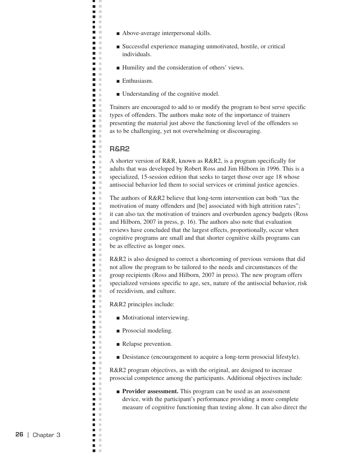- Above-average interpersonal skills.
- Successful experience managing unmotivated, hostile, or critical individuals.
- Humility and the consideration of others' views.
- Enthusiasm.
- Understanding of the cognitive model.

Trainers are encouraged to add to or modify the program to best serve specific types of offenders. The authors make note of the importance of trainers presenting the material just above the functioning level of the offenders so as to be challenging, yet not overwhelming or discouraging.

#### **R&R2**

ц J.  $\blacksquare$  $\mathbb{R}^n$  $\blacksquare$  $\mathcal{L}$ **C** n m  $\mathbf{r}$ m m  $\mathbf{L}$ n m a a **D** D n m n m n m **College** n a n m  $\blacksquare$  .  $\blacksquare$ a a n a **The Contract of the Contract of the Contract of the Contract of the Contract of the Contract of the Contract o**  $\blacksquare$  $\Box$  $\blacksquare$  $\mathcal{L}$  $\blacksquare$  .  $\blacksquare$ n m  $\blacksquare$  $\Box$ a a Ē.  $\mathbb{R}^d$  $\blacksquare$  .  $\blacksquare$  $\blacksquare$  $\blacksquare$  .  $\blacksquare$  $\blacksquare$ × m. m  $\blacksquare$  $\mathcal{C}$  $\blacksquare$  $\blacksquare$  .  $\mathbf{r}$  $\blacksquare$  .  $\blacksquare$  $\blacksquare$  .  $\blacksquare$  $\blacksquare$ n a  $\mathbb{R}^n$  $\blacksquare$  $\blacksquare$  .  $\blacksquare$ m. m  $\blacksquare$  $\Box$ n m  $\blacksquare$  $\mathbb{R}^n$ Ē,  $\mathcal{C}$  $\blacksquare$  .  $\blacksquare$  $\blacksquare$ n m n m  $\blacksquare$  $\blacksquare$  $\mathcal{L}$  $\Box$ ×  $\blacksquare$  .  $\blacksquare$ n m m. m n m  $\blacksquare$  .  $\blacksquare$  $\blacksquare$  $\mathbb{R}^n$ n m  $\blacksquare$  .  $\blacksquare$  $\mathbf{r}$  $\overline{\phantom{a}}$  $\mathbb{R}^n$ m. m  $\blacksquare$  $\blacksquare$  $\mathcal{C}$  $\overline{\phantom{a}}$  $\mathcal{L}$  $\blacksquare$  $\blacksquare$  .  $\blacksquare$  $\blacksquare$  $\sim$  $\blacksquare$  $\blacksquare$  .  $\blacksquare$  $\blacksquare$  $\mathcal{C}$  $\blacksquare$   $\blacksquare$  $\blacksquare$  $\mathbf{u}$  $\blacksquare$  $\mathcal{L}$  $\mathcal{C}$  $\blacksquare$  $\Box$ ×  $\blacksquare$  $\mathbb{R}^2$  $\Box$  $\mathcal{C}$  $\blacksquare$  $\mathbb{R}^n$  $\blacksquare$ ×

A shorter version of R&R, known as R&R2, is a program specifically for adults that was developed by Robert Ross and Jim Hilborn in 1996. This is a specialized, 15-session edition that seeks to target those over age 18 whose antisocial behavior led them to social services or criminal justice agencies.

The authors of R&R2 believe that long-term intervention can both "tax the motivation of many offenders and [be] associated with high attrition rates"; it can also tax the motivation of trainers and overburden agency budgets (Ross and Hilborn, 2007 in press, p. 16). The authors also note that evaluation reviews have concluded that the largest effects, proportionally, occur when cognitive programs are small and that shorter cognitive skills programs can be as effective as longer ones.

R&R2 is also designed to correct a shortcoming of previous versions that did not allow the program to be tailored to the needs and circumstances of the group recipients (Ross and Hilborn, 2007 in press). The new program offers specialized versions specific to age, sex, nature of the antisocial behavior, risk of recidivism, and culture.

R&R2 principles include:

- Motivational interviewing.
- Prosocial modeling.
- Relapse prevention.
- Desistance (encouragement to acquire a long-term prosocial lifestyle).

R&R2 program objectives, as with the original, are designed to increase prosocial competence among the participants. Additional objectives include:

■ **Provider assessment.** This program can be used as an assessment device, with the participant's performance providing a more complete measure of cognitive functioning than testing alone. It can also direct the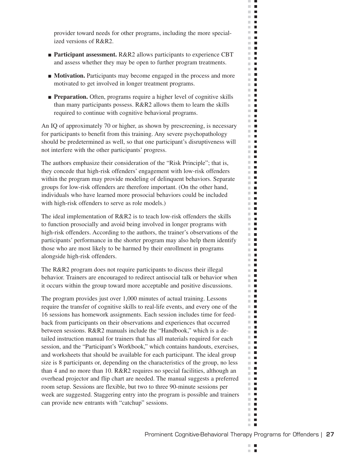provider toward needs for other programs, including the more specialized versions of R&R2.

- **Participant assessment.** R&R2 allows participants to experience CBT and assess whether they may be open to further program treatments.
- **Motivation.** Participants may become engaged in the process and more motivated to get involved in longer treatment programs.
- **Preparation.** Often, programs require a higher level of cognitive skills than many participants possess. R&R2 allows them to learn the skills required to continue with cognitive behavioral programs.

An IQ of approximately 70 or higher, as shown by prescreening, is necessary for participants to benefit from this training. Any severe psychopathology should be predetermined as well, so that one participant's disruptiveness will not interfere with the other participants' progress.

The authors emphasize their consideration of the "Risk Principle"; that is, they concede that high-risk offenders' engagement with low-risk offenders within the program may provide modeling of delinquent behaviors. Separate groups for low-risk offenders are therefore important. (On the other hand, individuals who have learned more prosocial behaviors could be included with high-risk offenders to serve as role models.)

The ideal implementation of R&R2 is to teach low-risk offenders the skills to function prosocially and avoid being involved in longer programs with high-risk offenders. According to the authors, the trainer's observations of the participants' performance in the shorter program may also help them identify those who are most likely to be harmed by their enrollment in programs alongside high-risk offenders.

The R&R2 program does not require participants to discuss their illegal behavior. Trainers are encouraged to redirect antisocial talk or behavior when it occurs within the group toward more acceptable and positive discussions.

The program provides just over 1,000 minutes of actual training. Lessons require the transfer of cognitive skills to real-life events, and every one of the 16 sessions has homework assignments. Each session includes time for feedback from participants on their observations and experiences that occurred between sessions. R&R2 manuals include the "Handbook," which is a detailed instruction manual for trainers that has all materials required for each session, and the "Participant's Workbook," which contains handouts, exercises, and worksheets that should be available for each participant. The ideal group size is 8 participants or, depending on the characteristics of the group, no less than 4 and no more than 10. R&R2 requires no special facilities, although an overhead projector and flip chart are needed. The manual suggests a preferred room setup. Sessions are flexible, but two to three 90-minute sessions per week are suggested. Staggering entry into the program is possible and trainers can provide new entrants with "catchup" sessions.

 $\mathbb{R}^n$  $\blacksquare$  $\mathcal{L}$ п

ш  $\blacksquare$  $\blacksquare$  $\mathbb{R}^d$  $\blacksquare$  $\Box$  .  $\Box$  $\mathbf{r}$  $\mathbb{R}^n$  $\overline{\phantom{a}}$ **The Co** m.  $\blacksquare$  $\blacksquare$  $\sim$  $\mathbb{R}^n$  $\blacksquare$  $\Box$  .  $\Box$  $\blacksquare$ m.  $\mathbb{R}^d$  $\blacksquare$  $\mathbb{R}^n$  $\mathcal{L}_{\mathcal{A}}$  $\mathbb{R}^2$  $\blacksquare$  $\mathbb{R}^n$  $\blacksquare$  $\mathbb{R}^d$  $\blacksquare$  $\mathbb{R}^n$  $\blacksquare$  $\mathbb{R}^n$  .  $\mathbb{R}^d$  $\blacksquare$  $\mathcal{L}_{\mathcal{A}}$  $\blacksquare$  $\mathbb{R}^n$  .  $\mathbb{R}^n$  $\blacksquare$  $\blacksquare$ m,  $\Box$  .  $\Box$  $\blacksquare$ m.  $\mathbb{R}^n$  $\blacksquare$  $\mathbb{R}^n$  $\mathcal{L}_{\mathcal{A}}$ m.  $\blacksquare$ Ē m.  $\mathbb{R}^n$  $\blacksquare$  $\blacksquare$  .  $\blacksquare$  $\blacksquare$  $\blacksquare$  $\mathbb{R}^d$  $\blacksquare$ m.  $\blacksquare$ m.  $\mathcal{L}_{\mathcal{A}}$ m.  $\blacksquare$  $\blacksquare$  $\overline{\phantom{a}}$  $\mathbb{R}^n$  .  $\mathbb{R}^n$  $\mathbb{R}^n$  .  $\mathbb{R}^n$ m.  $\blacksquare$  $\mathbf{u}$ m.  $\blacksquare$  $\mathbb{R}^n$  $\Box$ m.  $\blacksquare$  $\mathbf{r}$ **The Contract of the Contract of the Contract of the Contract of the Contract of the Contract of the Contract o**  $\mathbb{R}^d$  $\blacksquare$ m.  $\blacksquare$  $\mathbb{R}^d$  $\blacksquare$  $\mathcal{L}_{\mathcal{A}}$  $\overline{\phantom{a}}$ m.  $\blacksquare$  $\mathbf{r}$  $\blacksquare$ m.  $\overline{\phantom{a}}$ m.  $\blacksquare$ m. m.  $\mathcal{L}_{\mathcal{A}}$ m.  $\blacksquare$ m.  $\blacksquare$  $\mathbb{R}^n$  .  $\mathbb{R}^n$  $\blacksquare$ m. m.  $\mathcal{L}_{\mathcal{A}}$  $\mathbb{R}^n$  $\blacksquare$  $\mathbb{R}^n$  $\blacksquare$  $\blacksquare$  $\blacksquare$  $\mathbb{R}^n$  .  $\mathbb{R}^n$  $\mathbf{u} \cdot \mathbf{u}$  $\mathbb{R}^n$  $\mathcal{L}_{\mathcal{A}}$  $\blacksquare$  $\mathbb{R}^n$ m.  $\overline{\phantom{a}}$  $\overline{\phantom{a}}$  $\sim$ ш  $\blacksquare$ m.  $\blacksquare$  $\mathbb{R}^n$  $\blacksquare$  $\blacksquare$ m.  $\blacksquare$  $\mathbb{R}^n$  $\blacksquare$  $\blacksquare$  $\mathbb{R}^d$ **COL**  $\blacksquare$  $\blacksquare$  $\mathbf{r}$  .  $\mathbf{r}$  $\mathbb{R}^n$  $\blacksquare$  $\mathbb{R}^n$  .  $\mathbb{R}^n$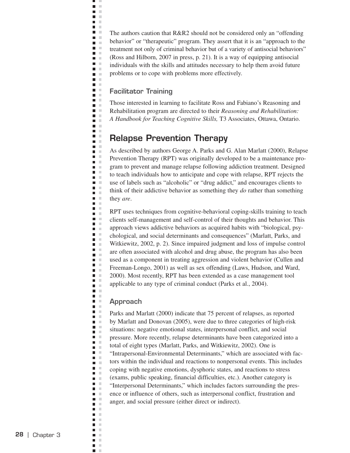The authors caution that R&R2 should not be considered only an "offending behavior" or "therapeutic" program. They assert that it is an "approach to the treatment not only of criminal behavior but of a variety of antisocial behaviors" (Ross and Hilborn, 2007 in press, p. 21). It is a way of equipping antisocial individuals with the skills and attitudes necessary to help them avoid future problems or to cope with problems more effectively.

## **Facilitator Training**

ц J.  $\blacksquare$  $\bar{\mathbf{u}}$  $\blacksquare$  $\mathbb{R}^2$ **C D** D  $\Box$  $\mathcal{L}$  $\blacksquare$  $\mathbf{u}$  .  $\blacksquare$ i.  $\Box$  $\blacksquare$  .  $\blacksquare$  $\blacksquare$  $\blacksquare$  $\blacksquare$  $\mathcal{C}$  $\blacksquare$  .  $\blacksquare$  $\blacksquare$  .  $\blacksquare$  $\blacksquare$  $\blacksquare$  .  $\blacksquare$  $\blacksquare$  $\blacksquare$  .  $\blacksquare$  $\blacksquare$  $\blacksquare$  $\blacksquare$  $\blacksquare$  $\mathcal{L}$  $\blacksquare$  $\mathcal{L}$  $\blacksquare$ ē  $\mathcal{C}$  $\blacksquare$ ×  $\blacksquare$ ×  $\blacksquare$  $\Box$ × m. m  $\blacksquare$  $\mathbb{R}^2$  $\Box$  $\mathcal{C}$  $\mathbb{R}^n$ П  $\blacksquare$  .  $\blacksquare$  $\blacksquare$  $\mathcal{L}$  $\Box$  $\mathbb{R}^n$  $\blacksquare$  .  $\blacksquare$  $\blacksquare$  $\mathcal{L}$  $\Box$  $\mathbb{R}^2$  $\mathcal{C}$  $\blacksquare$  $\blacksquare$  $\blacksquare$ ×  $\Box$  $\mathbb{R}^2$  $\blacksquare$ Ξ  $\mathbb{R}^2$ Ē,  $\mathcal{C}$  $\blacksquare$  .  $\blacksquare$  $\Box$  $\bar{\phantom{a}}$  $\blacksquare$ ×  $\blacksquare$  $\mathbb{R}^n$  $\blacksquare$  .  $\blacksquare$  $\mathcal{L}$  $\Box$  $\mathbb{R}^2$ ōΞ  $\blacksquare$  .  $\blacksquare$  $\blacksquare$  $\mathcal{C}$  $\blacksquare$  .  $\blacksquare$  $\blacksquare$  .  $\blacksquare$  $\blacksquare$ × п ×  $\blacksquare$  .  $\blacksquare$  $\blacksquare$  .  $\blacksquare$  $\overline{\phantom{a}}$  $\mathcal{L}$  $\blacksquare$  $\mathcal{C}$  $\Box$  $\mathbb{R}^n$  $\blacksquare$  $\mathbb{R}^2$  $\blacksquare$  $\mathbb{R}^2$  $\overline{\phantom{a}}$ **In**  $\mathcal{C}$  $\blacksquare$  $\blacksquare$ ×  $\blacksquare$ Ē,  $\mathbb{R}^2$  $\blacksquare$  $\mathbb{R}^2$  $\mathbb{R}^d$  $\blacksquare$ n in  $\mathbf{r}$  $\blacksquare$  $\mathcal{C}$  $\mathbb{R}^d$  $\overline{\phantom{a}}$  $\Box$ ×  $\blacksquare$  $\mathbb{R}^2$  $\overline{\phantom{a}}$  $\mathbb{R}^2$  $\blacksquare$  $\mathbb{R}^n$  $\blacksquare$ ×

Those interested in learning to facilitate Ross and Fabiano's Reasoning and Rehabilitation program are directed to their *Reasoning and Rehabilitation: A Handbook for Teaching Cognitive Skills,* T3 Associates, Ottawa, Ontario.

## **Relapse Prevention Therapy**

As described by authors George A. Parks and G. Alan Marlatt (2000), Relapse Prevention Therapy (RPT) was originally developed to be a maintenance program to prevent and manage relapse following addiction treatment. Designed to teach individuals how to anticipate and cope with relapse, RPT rejects the use of labels such as "alcoholic" or "drug addict," and encourages clients to think of their addictive behavior as something they *do* rather than something they *are*.

RPT uses techniques from cognitive-behavioral coping-skills training to teach clients self-management and self-control of their thoughts and behavior. This approach views addictive behaviors as acquired habits with "biological, psychological, and social determinants and consequences" (Marlatt, Parks, and Witkiewitz, 2002, p. 2). Since impaired judgment and loss of impulse control are often associated with alcohol and drug abuse, the program has also been used as a component in treating aggression and violent behavior (Cullen and Freeman-Longo, 2001) as well as sex offending (Laws, Hudson, and Ward, 2000). Most recently, RPT has been extended as a case management tool applicable to any type of criminal conduct (Parks et al., 2004).

### **Approach**

Parks and Marlatt (2000) indicate that 75 percent of relapses, as reported by Marlatt and Donovan (2005), were due to three categories of high-risk situations: negative emotional states, interpersonal conflict, and social pressure. More recently, relapse determinants have been categorized into a total of eight types (Marlatt, Parks, and Witkiewitz, 2002). One is "Intrapersonal-Environmental Determinants," which are associated with factors within the individual and reactions to nonpersonal events. This includes coping with negative emotions, dysphoric states, and reactions to stress (exams, public speaking, financial difficulties, etc.). Another category is "Interpersonal Determinants," which includes factors surrounding the presence or influence of others, such as interpersonal conflict, frustration and anger, and social pressure (either direct or indirect).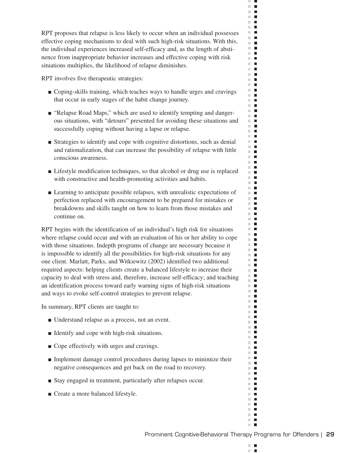RPT proposes that relapse is less likely to occur when an individual possesses effective coping mechanisms to deal with such high-risk situations. With this, the individual experiences increased self-efficacy and, as the length of abstinence from inappropriate behavior increases and effective coping with risk situations multiplies, the likelihood of relapse diminishes.

RPT involves five therapeutic strategies:

- Coping-skills training, which teaches ways to handle urges and cravings that occur in early stages of the habit change journey.
- "Relapse Road Maps," which are used to identify tempting and dangerous situations, with "detours" presented for avoiding these situations and successfully coping without having a lapse or relapse.
- Strategies to identify and cope with cognitive distortions, such as denial and rationalization, that can increase the possibility of relapse with little conscious awareness.
- Lifestyle modification techniques, so that alcohol or drug use is replaced with constructive and health-promoting activities and habits.
- Learning to anticipate possible relapses, with unrealistic expectations of perfection replaced with encouragement to be prepared for mistakes or breakdowns and skills taught on how to learn from those mistakes and continue on.

RPT begins with the identification of an individual's high risk for situations where relapse could occur and with an evaluation of his or her ability to cope with those situations. Indepth programs of change are necessary because it is impossible to identify all the possibilities for high-risk situations for any one client. Marlatt, Parks, and Witkiewitz (2002) identified two additional required aspects: helping clients create a balanced lifestyle to increase their capacity to deal with stress and, therefore, increase self-efficacy; and teaching an identification process toward early warning signs of high-risk situations and ways to evoke self-control strategies to prevent relapse.

In summary, RPT clients are taught to:

- Understand relapse as a process, not an event.
- Identify and cope with high-risk situations.
- Cope effectively with urges and cravings.
- Implement damage control procedures during lapses to minimize their negative consequences and get back on the road to recovery.
- Stay engaged in treatment, particularly after relapses occur.
- Create a more balanced lifestyle.

 $\mathbb{R}^n$  $\blacksquare$  $\mathcal{L}$ п

 $\mathbb{R}^n$  $\blacksquare$  $\mathbb{R}^n$  $\blacksquare$  $\Box$  .  $\Box$  $\mathbf{r}$  $\mathbb{R}^n$  $\mathcal{L}_{\mathcal{A}}$  $\mathbf{r}$  $\blacksquare$  $\mathbb{R}^n$  . In  $\mathbb{R}^n$  $\mathcal{L}_{\mathcal{A}}$  $\Box$  .  $\Box$  $\blacksquare$  .  $\blacksquare$  $\mathbb{R}^n$  .  $\mathbb{R}^n$  $\mathbb{R}^n$  .  $\mathbb{R}^n$  .  $\mathbb{R}^n$ **The Contract of the Contract of the Contract of the Contract of the Contract of the Contract of the Contract of the Contract of the Contract of the Contract of the Contract of the Contract of the Contract of the Contract**  $\mathbb{R}^n$  $\blacksquare$  $\mathbb{R}^n$  .  $\blacksquare$  .  $\blacksquare$  $\mathbb{R}^2$  $\Box$  .  $\Box$  $\mathbb{R}^n$  .  $\mathbb{R}^n$  $\blacksquare$  $\blacksquare$ m.  $\Box$  .  $\Box$ m m  $\Box$  .  $\Box$  $\mathbb{R}^n$  . H.  $\mathbb{R}^n$  $\mathcal{L}_{\mathcal{A}}$ **The Contract of the Contract of the Contract of the Contract of the Contract of the Contract of the Contract o** m in m.  $\blacksquare$  $\blacksquare$  $\mathbb{R}^n$  .  $\mathbb{R}^n$  .  $\mathbb{R}^n$  $\mathbb{R}^n$  $\blacksquare$  $\mathbb{R}^n$  .  $\mathbb{R}^n$  $\mathbb{R}^n$  .  $\mathbb{R}^n$ **The Co**  $\mathbf{u}$  $\mathbb{R}^n$  .  $\mathbb{R}^n$  $\mathbb{R}^n$  .  $\mathbb{R}^n$  $\mathbb{R}^n$  .  $\mathbb{R}^n$  $\mathbf{u}$  $\mathbb{R}^n$  .  $\mathbb{R}^n$ m.  $\blacksquare$  $\mathbf{u}$  $\blacksquare$ H.  $\mathbb{R}^n$  $\mathcal{L}_{\mathcal{A}}$ **The Contract of the Contract of the Contract of the Contract of the Contract of the Contract of the Contract o**  $\mathbf{r}$ **THE** m.  $\Box$  $\mathbf{H}$  .  $\mathbf{H}$ m.  $\blacksquare$ m.  $\mathcal{L}_{\mathcal{A}}$  $\mathbb{R}^n$  .  $\mathbb{R}^n$  $\mathbb{R}^n$  .  $\mathbb{R}^n$  $\mathbf{u}$  .  $\mathbf{u}$  $\mathbb{R}^d$  $\mathcal{L}_{\mathcal{A}}$  $\mathbb{R}^n$  .  $\mathbb{R}^n$  $\mathbb{R}^n$  $\blacksquare$  $\blacksquare$ m.  $\mathbb{R}^n$  .  $\mathbb{R}^n$  $\mathbf{u} \cdot \mathbf{u}$  $\mathbb{R}^n$  $\blacksquare$  $\blacksquare$ **The Co**  $\blacksquare$ m.  $\mathbb{R}^d$  $\blacksquare$  $\blacksquare$  $\mathbb{R}^n$  .  $\mathbb{R}^n$  $\mathbb{R}^n$  $\blacksquare$  $\blacksquare$  $\mathbb{R}^n$  $\mathbf{L}$  $\mathbb{R}^d$  $\blacksquare$ **COL**  $\blacksquare$  $\mathbb{R}^n$  .  $\mathbb{R}^n$  $\mathbf{r}$  .  $\mathbf{r}$  $\mathbb{R}^n$  $\overline{\phantom{a}}$  $\blacksquare$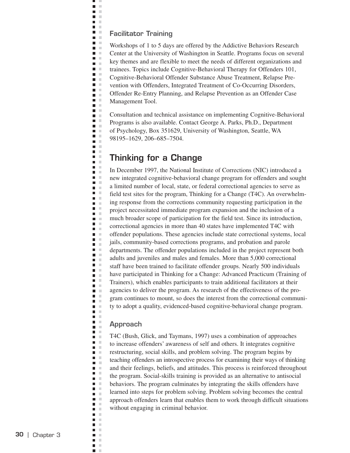#### **Facilitator Training**

Ë J.  $\bar{\mathbf{u}}$  $\blacksquare$  $\mathbb{R}^2$  $\blacksquare$  . **D** D  $\Box$  $\blacksquare$ **D** O  $\mathbf{u}$  $\blacksquare$ i.  $\blacksquare$  $\mathcal{L}$  $\blacksquare$  .  $\blacksquare$  $\blacksquare$  $\blacksquare$  $\blacksquare$ ×  $\blacksquare$  .  $\blacksquare$  $\mathbb{R}^n$  $\blacksquare$ n a **The Contract of the Contract of the Contract of the Contract of the Contract of the Contract of the Contract o**  $\blacksquare$  $\blacksquare$  $\mathcal{C}$  $\blacksquare$  $\mathcal{C}$  $\blacksquare$  .  $\blacksquare$  $\blacksquare$  $\blacksquare$  $\blacksquare$  .  $\blacksquare$  $\mathcal{C}$  $\blacksquare$ Ē  $\mathbb{R}^2$  $\bar{\mathbb{R}}$  $\Box$  $\blacksquare$  .  $\blacksquare$  $\bar{\mathbf{u}}$  $\Box$  $\Box$  $\mathcal{L}$  $\blacksquare$  .  $\blacksquare$  $\mathbb{R}^n$  $\Box$  $\mathcal{C}$  $\blacksquare$  .  $\blacksquare$  $\blacksquare$  .  $\blacksquare$  $\blacksquare$  $\mathcal{C}$  $\Box$  $\mathbb{R}^n$  $\blacksquare$  .  $\blacksquare$  $\mathcal{L}$  $\Box$  $\mathbb{R}^2$  $\mathcal{C}$  $\blacksquare$  $\blacksquare$  $\blacksquare$ ×  $\Box$  $\mathbb{R}^d$  $\blacksquare$  .  $\blacksquare$ Ξ  $\mathbb{R}^2$ Ē,  $\mathbb{R}^2$  $\blacksquare$  .  $\blacksquare$  $\blacksquare$  $\pm$  $\overline{\phantom{a}}$  $\mathcal{C}$  $\blacksquare$  $\mathbb{R}^n$  $\blacksquare$  .  $\blacksquare$  $\mathcal{C}$  $\Box$ ×  $\blacksquare$  .  $\blacksquare$  $\blacksquare$  $\mathbb{R}^2$  $\blacksquare$  $\mathcal{C}$  $\blacksquare$  $\mathcal{L}$  $\blacksquare$  $\mathcal{L}$  $\blacksquare$  $\bar{\alpha}$ п ×  $\blacksquare$  .  $\blacksquare$  $\blacksquare$  .  $\blacksquare$  $\overline{\phantom{a}}$  $\mathcal{C}$  $\blacksquare$  $\mathcal{C}$  $\Box$ ×  $\blacksquare$  $\mathbb{R}^2$  $\blacksquare$  $\mathbb{R}^2$  $\blacksquare$  $\mathcal{C}$  $\blacksquare$  $\blacksquare$ × n m  $\Box$  $\mathbb{R}^n$  $\blacksquare$  $\mathbb{R}^2$  $\mathcal{C}$  $\mathcal{L}_{\mathcal{A}}$  $\Box$  $\pm$  $\mathbf{r}$  $\blacksquare$  $\mathbb{R}^n$  $\mathbb{R}^d$  $\overline{\phantom{a}}$  $\blacksquare$  $\mathcal{C}$  $\blacksquare$  $\mathbb{R}^2$  $\overline{\phantom{a}}$  $\mathbb{R}^2$  $\blacksquare$  $\mathbb{R}^n$  $\blacksquare$  $\mathbb{R}^d$ 

Workshops of 1 to 5 days are offered by the Addictive Behaviors Research Center at the University of Washington in Seattle. Programs focus on several key themes and are flexible to meet the needs of different organizations and trainees. Topics include Cognitive-Behavioral Therapy for Offenders 101, Cognitive-Behavioral Offender Substance Abuse Treatment, Relapse Prevention with Offenders, Integrated Treatment of Co-Occurring Disorders, Offender Re-Entry Planning, and Relapse Prevention as an Offender Case Management Tool.

Consultation and technical assistance on implementing Cognitive-Behavioral Programs is also available. Contact George A. Parks, Ph.D., Department of Psychology, Box 351629, University of Washington, Seattle, WA 98195–1629, 206–685–7504.

## **Thinking for a Change**

In December 1997, the National Institute of Corrections (NIC) introduced a new integrated cognitive-behavioral change program for offenders and sought a limited number of local, state, or federal correctional agencies to serve as field test sites for the program, Thinking for a Change (T4C). An overwhelming response from the corrections community requesting participation in the project necessitated immediate program expansion and the inclusion of a much broader scope of participation for the field test. Since its introduction, correctional agencies in more than 40 states have implemented T4C with offender populations. These agencies include state correctional systems, local jails, community-based corrections programs, and probation and parole departments. The offender populations included in the project represent both adults and juveniles and males and females. More than 5,000 correctional staff have been trained to facilitate offender groups. Nearly 500 individuals have participated in Thinking for a Change: Advanced Practicum (Training of Trainers), which enables participants to train additional facilitators at their agencies to deliver the program. As research of the effectiveness of the program continues to mount, so does the interest from the correctional community to adopt a quality, evidenced-based cognitive-behavioral change program.

#### **Approach**

T4C (Bush, Glick, and Taymans, 1997) uses a combination of approaches to increase offenders' awareness of self and others. It integrates cognitive restructuring, social skills, and problem solving. The program begins by teaching offenders an introspective process for examining their ways of thinking and their feelings, beliefs, and attitudes. This process is reinforced throughout the program. Social-skills training is provided as an alternative to antisocial behaviors. The program culminates by integrating the skills offenders have learned into steps for problem solving. Problem solving becomes the central approach offenders learn that enables them to work through difficult situations without engaging in criminal behavior.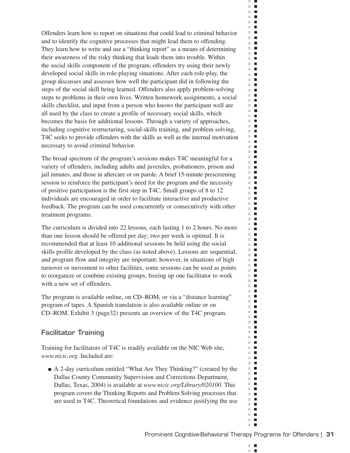Offenders learn how to report on situations that could lead to criminal behavior and to identify the cognitive processes that might lead them to offending. They learn how to write and use a "thinking report" as a means of determining their awareness of the risky thinking that leads them into trouble. Within the social skills component of the program, offenders try using their newly developed social skills in role-playing situations. After each role-play, the group discusses and assesses how well the participant did in following the steps of the social skill being learned. Offenders also apply problem-solving steps to problems in their own lives. Written homework assignments, a social skills checklist, and input from a person who knows the participant well are all used by the class to create a profile of necessary social skills, which becomes the basis for additional lessons. Through a variety of approaches, including cognitive restructuring, social-skills training, and problem solving, T4C seeks to provide offenders with the skills as well as the internal motivation necessary to avoid criminal behavior.

The broad spectrum of the program's sessions makes T4C meaningful for a variety of offenders, including adults and juveniles, probationers, prison and jail inmates, and those in aftercare or on parole. A brief 15-minute prescreening session to reinforce the participant's need for the program and the necessity of positive participation is the first step in T4C. Small groups of 8 to 12 individuals are encouraged in order to facilitate interactive and productive feedback. The program can be used concurrently or consecutively with other treatment programs.

The curriculum is divided into 22 lessons, each lasting 1 to 2 hours. No more than one lesson should be offered per day; two per week is optimal. It is recommended that at least 10 additional sessions be held using the social skills profile developed by the class (as noted above). Lessons are sequential, and program flow and integrity are important; however, in situations of high turnover or movement to other facilities, some sessions can be used as points to reorganize or combine existing groups, freeing up one facilitator to work with a new set of offenders.

The program is available online, on CD–ROM, or via a "distance learning" program of tapes. A Spanish translation is also available online or on CD–ROM. Exhibit 3 (page32) presents an overview of the T4C program.

## **Facilitator Training**

Training for facilitators of T4C is readily available on the NIC Web site, *www.nicic.org*. Included are:

■ A 2-day curriculum entitled "What Are They Thinking?" (created by the Dallas County Community Supervision and Corrections Department, Dallas, Texas, 2004) is available at *www.nicic.org/Library/020100*. This program covers the Thinking Reports and Problem Solving processes that are used in T4C. Theoretical foundations and evidence justifying the use

 $\mathbb{R}^n$  $\blacksquare$  $\mathcal{L}$ п

 $\mathbb{R}^n$  $\blacksquare$  $\mathbb{R}^n$  $\blacksquare$  $\Box$  .  $\Box$  $\mathbf{r}$  $\mathbb{R}^n$  $\blacksquare$ **The Contract of the Contract of the Contract of the Contract of the Contract of the Contract of the Contract o** m.  $\blacksquare$  $\blacksquare$  $\sim$  $\mathbb{R}^n$  $\blacksquare$  $\Box$  .  $\Box$  $\blacksquare$ m.  $\mathbb{R}^d$  $\blacksquare$  $\mathbb{R}^n$  $\blacksquare$  $\mathbb{R}^d$  $\blacksquare$  $\sim$  $\overline{\phantom{a}}$  $\mathbb{R}^d$  $\blacksquare$  $\mathbb{R}^n$  $\mathcal{L}_{\mathcal{A}}$  $\mathcal{L}$  $\blacksquare$  $\mathbb{R}^d$  $\blacksquare$  $\mathcal{L}_{\mathcal{A}}$  $\blacksquare$  $\mathbb{R}^n$  $\blacksquare$  $\mathbb{R}^n$  $\blacksquare$  $\blacksquare$ ш  $\mathbb{R}^n$  .  $\mathbb{R}^n$  .  $\mathbb{R}^n$  $\mathbb{R}^2$  $\mathcal{L}_{\mathcal{A}}$  $\mathbb{R}^n$  $\mathcal{L}_{\mathcal{A}}$  $\mathbb{R}^n$  .  $\mathbb{R}^n$  $\blacksquare$ m.  $\mathbb{R}^n$  $\blacksquare$ **The Contract of the Contract of the Contract of the Contract of the Contract of the Contract of the Contract o**  $\blacksquare$  $\blacksquare$ m.  $\blacksquare$  $\blacksquare$ m.  $\blacksquare$  $\mathbb{R}^n$  $\blacksquare$  $\mathbb{R}^n$  $\blacksquare$  $\mathbb{R}^n$  .  $\mathbb{R}^n$  $\mathbb{R}^n$  .  $\mathbb{R}^n$ m.  $\mathcal{L}_{\mathcal{A}}$  $\mathbf{u}$  $\mathbb{R}^n$  .  $\mathbb{R}^n$ m.  $\blacksquare$ m.  $\blacksquare$  $\mathbf{u}$  .  $\mathbf{u}$  $\blacksquare$  $\mathbb{R}^n$  $\mathcal{L}_{\mathcal{A}}$  $\mathbf{u}$  .  $\mathbf{u}$ m.  $\mathbb{R}^n$  $\blacksquare$ m.  $\blacksquare$  $\mathbf{r}$ m.  $\blacksquare$  $\blacksquare$  $\overline{\phantom{a}}$  $\mathbb{R}^n$  $\blacksquare$ m.  $\mathcal{L}_{\mathcal{A}}$  $\mathbb{R}^d$  $\overline{\phantom{a}}$ m.  $\blacksquare$  $\mathbb{R}^n$  $\blacksquare$  $\blacksquare$ m.  $\mathbb{R}^d$  $\blacksquare$ m.  $\blacksquare$  $\blacksquare$  $\mathbb{R}^n$  $\blacksquare$  $\blacksquare$  $\mathbb{R}^n$  .  $\mathbb{R}^n$  $\mathbf{u} \cdot \mathbf{u}$  $\mathbb{R}^n$  $\overline{\phantom{a}}$  $\blacksquare$ m.  $\blacksquare$  $\blacksquare$ m.  $\mathbb{R}^n$  $\blacksquare$  $\blacksquare$  $\mathbb{R}^n$  $\blacksquare$  $\blacksquare$  $\mathbb{R}^n$ m.  $\blacksquare$  $\mathbb{R}^n$  $\Box$  $\blacksquare$  $\mathbb{R}^d$ **The Co**  $\blacksquare$  $\mathbf{r}$  .  $\mathbf{r}$  $\mathbb{R}^n$  $\blacksquare$  $\mathbb{R}^n$  .  $\mathbb{R}^n$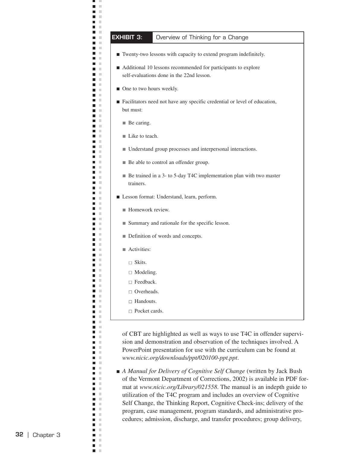# **EXHIBIT 3:** Overview of Thinking for a Change

- Twenty-two lessons with capacity to extend program indefinitely.
- Additional 10 lessons recommended for participants to explore self-evaluations done in the 22nd lesson.
- One to two hours weekly.
- Facilitators need not have any specific credential or level of education, but must:
	- Be caring.

щ J.  $\blacksquare$  $\mathbb{R}^d$ Ξ  $\mathbb{R}^2$ **C** n m  $\blacksquare$  $\mathcal{L}$  $\blacksquare$  .  $\blacksquare$  $\blacksquare$  $\mathbb{R}^n$ **D** O  $\blacksquare$  $\mathbb{R}$  $\mathbf{H}^{\prime}$  . If Ē.  $\blacksquare$  $\mathbb{R}^n$  $\blacksquare$ ×. **College**  $\blacksquare$  $\mathcal{L}$  $\blacksquare$  $\mathbb{R}^n$  $\blacksquare$  .  $\blacksquare$  $\blacksquare$  .  $\blacksquare$  $\blacksquare$  $\mathbb{R}^2$ **The Contract of the Contract of the Contract of the Contract of the Contract of the Contract of the Contract o**  $\mathbf{L}$  $\blacksquare$  $\mathbb{R}^n$  $\blacksquare$  $\mathbb{R}^n$  $\blacksquare$  .  $\blacksquare$  $\blacksquare$  $\mathbb{R}^n$  $\blacksquare$  $\mathbb{R}^n$  $\blacksquare$  $\sim$  $\blacksquare$  $\mathbb{R}^n$  $\blacksquare$  $\mathcal{C}$  $\overline{\phantom{a}}$  $\mathbb{R}^n$  $\blacksquare$  .  $\blacksquare$  $\overline{\phantom{a}}$  $\mathcal{L}$  $\Box$  $\mathcal{C}$ m. m  $\mathbb{R}^n$  $\blacksquare$  $\mathbb{R}^2$ п П  $\mathbb{R}^n$  $\blacksquare$  $\mathbb{R}^2$  $\blacksquare$  $\mathbb{R}^n$  $\overline{\phantom{a}}$  $\mathbb{R}^n$  $\overline{\phantom{a}}$  $\mathcal{L}$  $\blacksquare$  $\mathbb{R}^n$  $\mathbb{R}^d$ п  $\blacksquare$  $\mathcal{C}$  $\blacksquare$  $\blacksquare$  $\mathcal{L}$  $\overline{\phantom{a}}$  $\mathbb{R}^2$  $\blacksquare$  .  $\blacksquare$  $\blacksquare$  $\mathcal{L}$  $\Box$  $\mathcal{C}$  $\blacksquare$  $\mathcal{L}$  $\blacksquare$  $\sim$ п  $\mathbb{R}^n$ П  $\mathbb{R}^n$  $\mathbf{r}$  $\blacksquare$  $\mathbb{R}^n$  $\blacksquare$  $\mathcal{C}$  $\blacksquare$  .  $\blacksquare$  $\blacksquare$  .  $\blacksquare$  $\blacksquare$  $\mathcal{C}$  $\overline{\phantom{a}}$  $\mathbb{R}^n$  $\blacksquare$  $\mathbb{R}^n$  $\blacksquare$  $\mathbb{R}^n$ П  $\mathbb{R}^n$  $\blacksquare$  .  $\blacksquare$  $\overline{\phantom{a}}$  $\mathbb{R}^n$  $\blacksquare$  $\mathbb{R}^n$  $\mathcal{C}$  $\blacksquare$  $\Box$  $\mathbb{R}^n$  $\blacksquare$  $\mathcal{C}$  $\Box$  $\mathbb{R}^2$  $\blacksquare$   $\blacksquare$  $\blacksquare$  $\mathcal{L}$  $\Box$  $\mathbb{R}^d$  $\blacksquare$ П  $\mathcal{L}$  $\blacksquare$  $\mathcal{C}$  $\mathbb{R}^n$  $\blacksquare$ п  $\mathbb{R}^n$  $\blacksquare$  $\mathcal{C}$  $\blacksquare$  $\mathcal{L}$  $\mathcal{C}$ П ×  $\Box$  $\blacksquare$  $\mathbb{R}^2$  $\Box$  $\mathbb{R}^2$  $\blacksquare$ л  $\blacksquare$ ×

- Like to teach.
- Understand group processes and interpersonal interactions.
- Be able to control an offender group.
- Be trained in a 3- to 5-day T4C implementation plan with two master trainers.
- Lesson format: Understand, learn, perform.
	- Homework review.
	- Summary and rationale for the specific lesson.
	- Definition of words and concepts.
	- Activities:
		- □ Skits.
		- □ Modeling.
		- □ Feedback.
	- □ Overheads.
	- □ Handouts.
	- □ Pocket cards.

of CBT are highlighted as well as ways to use T4C in offender supervision and demonstration and observation of the techniques involved. A PowerPoint presentation for use with the curriculum can be found at *www.nicic.org/downloads/ppt/020100-ppt.ppt*.

■ *A Manual for Delivery of Cognitive Self Change* (written by Jack Bush of the Vermont Department of Corrections, 2002) is available in PDF format at *www.nicic.org/Library/021558*. The manual is an indepth guide to utilization of the T4C program and includes an overview of Cognitive Self Change, the Thinking Report, Cognitive Check-ins; delivery of the program, case management, program standards, and administrative procedures; admission, discharge, and transfer procedures; group delivery,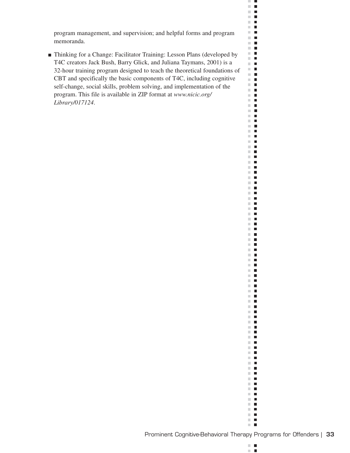program management, and supervision; and helpful forms and program memoranda.

■ Thinking for a Change: Facilitator Training: Lesson Plans (developed by T4C creators Jack Bush, Barry Glick, and Juliana Taymans, 2001) is a 32-hour training program designed to teach the theoretical foundations of CBT and specifically the basic components of T4C, including cognitive self-change, social skills, problem solving, and implementation of the program. This file is available in ZIP format at *www.nicic.org/ Library/017124*.

ЗĎ,  $\Box$  .  $\Box$  $\mathbf{H}$  .  $\mathbf{u}$  .  $\mathbf{u}$  $\mathbb{R}^n$  .  $\mathbb{R}^n$  .  $\mathbb{R}^n$  $\blacksquare$  .  $\mathbf{u} \in \mathbf{R}$  $\mathbb{R}^n$  . H  $\mathbb{R}^n$  .  $\mathbb{R}^n$  $\blacksquare$  .  $\blacksquare$  $\Box$  .  $\Box$  $\Box$  .  $\Box$  $\mathbb{R}^n$  .  $\mathbb{R}^n$  $\mathbb{R}^n$  .  $\mathbb{R}^n$  $\blacksquare$  .  $\mathbb{R}^n$  .  $\mathbb{R}^n$  $\Box$  .  $\Box$  $\blacksquare$  .  $\blacksquare$  $\Box$  .  $\Box$  $\mathbb{R}^n$  $\blacksquare$  $\blacksquare$  .  $\blacksquare$  $\Box$  .  $\Box$  $\mathbb{R}^n$  .  $\mathbb{R}^n$  $\Box$  .  $\Box$ H.  $\blacksquare$  .  $\blacksquare$  $\mathbb{R}^n$  .  $\mathbb{R}^n$  $\Box$  .  $\Box$  $\mathbb{R}^n$  .  $\mathbb{R}^n$  $\mathbb{R}^n$  .  $\mathbb{R}^n$  $\blacksquare$  .  $\blacksquare$  .  $\blacksquare$  $\mathbb{R}^n$  .  $\mathbb{R}^n$  $\mathbf{u} \cdot \mathbf{u}$  $\mathbb{R}^n$  .  $\mathbb{R}^n$  $\blacksquare$  .  $\blacksquare$  $\Box$  .  $\Box$  $\Box$  .  $\Box$  $\mathbb{R}^n$  .  $\mathbb{R}^n$  $\blacksquare$  .  $\blacksquare$  $\mathbf{H} \cdot \mathbf{H}$  $\mathbb{R}^n$  .  $\mathbb{R}^n$  $\blacksquare$  .  $\blacksquare$  $\mathbb{R}^n$  .  $\mathbb{R}^n$  $\Box$  .  $\blacksquare$  .  $\blacksquare$ n B  $\mathbf{H}$  .  $\mathbf{H}$  $\mathbf{H}$  $\mathbb{R}^n$  .  $\mathbb{R}^n$  $\mathbb{R}^n$  .  $\mathbb{R}^n$ **The Co**  $\mathbf{H}$  .  $\mathbf{H}$  $\mathbb{R}^n$  .  $\mathbb{R}^n$  $\mathbb{R}^n$  .  $\mathbb{R}^n$ ii a  $\blacksquare$  .  $\blacksquare$  $\mathbb{R}^n$  .  $\mathbb{R}^n$  $\blacksquare$  <br> If  $\mathbb{R}^n$  $\Box$  $\mathbb{R}^d$  .  $\blacksquare$  .  $\blacksquare$  $\mathbf{H}$  .  $\mathbf{H}$  $\mathbf{H}$  .  $\blacksquare$  .  $\blacksquare$  $\mathbf{H}^{\prime}$  .  $\mathbb{R}^n$  $\blacksquare$  $\Box$  $\mathbb{R}^n$  .  $\mathbb{R}^n$  $\mathbf{u}$  .  $\mathbf{u}$  $\mathbb{R}^n$  .  $\mathbb{R}^n$  $\blacksquare$  .  $\blacksquare$  $\mathbb{R}^n$  .  $\mathbb{R}^n$  $\mathbb{R}^n$  .  $\mathbb{R}^n$  $\blacksquare$  .  $\blacksquare$  $\mathbb{R}^n$  .  $\mathbb{R}^n$  $\mathbb{R}^n$  .  $\mathbb{R}^n$  $\mathbf{H}^{\dagger}$  .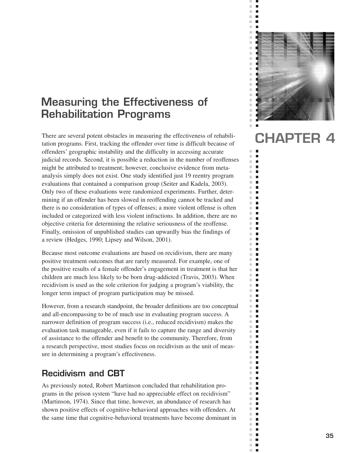# **Measuring the Effectiveness of Rehabilitation Programs**

There are several potent obstacles in measuring the effectiveness of rehabilitation programs. First, tracking the offender over time is difficult because of offenders' geographic instability and the difficulty in accessing accurate judicial records. Second, it is possible a reduction in the number of reoffenses might be attributed to treatment; however, conclusive evidence from metaanalysis simply does not exist. One study identified just 19 reentry program evaluations that contained a comparison group (Seiter and Kadela, 2003). Only two of these evaluations were randomized experiments. Further, determining if an offender has been slowed in reoffending cannot be tracked and there is no consideration of types of offenses; a more violent offense is often included or categorized with less violent infractions. In addition, there are no objective criteria for determining the relative seriousness of the reoffense. Finally, omission of unpublished studies can upwardly bias the findings of a review (Hedges, 1990; Lipsey and Wilson, 2001).

Because most outcome evaluations are based on recidivism, there are many positive treatment outcomes that are rarely measured. For example, one of the positive results of a female offender's engagement in treatment is that her children are much less likely to be born drug-addicted (Travis, 2003). When recidivism is used as the sole criterion for judging a program's viability, the longer term impact of program participation may be missed.

However, from a research standpoint, the broader definitions are too conceptual and all-encompassing to be of much use in evaluating program success. A narrower definition of program success (i.e., reduced recidivism) makes the evaluation task manageable, even if it fails to capture the range and diversity of assistance to the offender and benefit to the community. Therefore, from a research perspective, most studies focus on recidivism as the unit of measure in determining a program's effectiveness.

## **Recidivism and CBT**

As previously noted, Robert Martinson concluded that rehabilitation programs in the prison system "have had no appreciable effect on recidivism" (Martinson, 1974). Since that time, however, an abundance of research has shown positive effects of cognitive-behavioral approaches with offenders. At the same time that cognitive-behavioral treatments have become dominant in



ш  $\blacksquare$  $\overline{\phantom{a}}$  $\bar{\phantom{a}}$  $\blacksquare$  $\overline{\phantom{a}}$  $\blacksquare$  $\mathbb{R}^d$  $\blacksquare$ 

Ì.  $\mathbb{R}^n$ п  $\blacksquare$  $\mathbb{R}^n$  $\mathbb{R}^n$  $\mathbf{r}$  $\sim$ п  $\mathbb{R}^d$  $\blacksquare$  $\mathbb{R}^d$  $\blacksquare$  $\mathbb{R}^n$  $\blacksquare$ m,  $\blacksquare$  $\mathbb{R}^d$  $\blacksquare$  $\mathbb{R}^d$ п  $\overline{\phantom{a}}$ П  $\mathcal{C}$  $\blacksquare$  $\overline{\phantom{a}}$  $\blacksquare$  $\bar{\phantom{a}}$  $\blacksquare$  $\mathbb{R}^n$  $\Box$  $\overline{\phantom{a}}$  $\Box$  $\mathbb{R}^d$ п  $\mathbb{R}^n$ П  $\overline{\phantom{a}}$  $\blacksquare$  $\mathbb{R}^d$  $\Box$  $\mathbb{R}^n$  $\blacksquare$  $\mathbb{R}^d$  $\blacksquare$  $\mathbb{R}^n$  $\Box$  $\mathbb{R}^n$  $\blacksquare$  $\mathbb{R}^d$ п  $\mathbb{R}^n$  $\blacksquare$  $\blacksquare$  $\mathbb{R}^d$  $\overline{\phantom{a}}$  $\Box$  $\blacksquare$  $\mathbb{R}^n$  $\mathbb{R}^d$  $\blacksquare$  $\mathbb{R}^d$  $\blacksquare$  $\mathbb{R}^n$ п  $\mathbb{R}^d$  $\mathbb{Z}$  $\blacksquare$  $\blacksquare$  $\mathbb{R}^d$ П  $\mathbb{R}^d$  $\blacksquare$  $\mathbb{R}^n$  $\Box$  $\overline{\phantom{a}}$  $\Box$ u.  $\blacksquare$  $\mathbb{R}^n$ П  $\blacksquare$  $\blacksquare$  $\mathbb{R}^n$  $\blacksquare$  $\mathbb{R}^n$  $\blacksquare$  $\mathbb{R}^d$  $\blacksquare$  $\mathbb{R}^d$  $\blacksquare$  $\mathbb{R}^n$  $\overline{\phantom{a}}$ m,  $\mathbb{Z}$  $\blacksquare$  $\Box$  $\blacksquare$  $\mathbb{R}^n$  $\blacksquare$ m,  $\mathbb{R}^n$  $\blacksquare$ m,  $\overline{\phantom{a}}$  $\mathbb{R}^n$  $\blacksquare$  $\mathbb{R}^n$  $\Box$  $\blacksquare$  $\blacksquare$  $\mathbb{R}^n$  .  $\mathbb{R}^n$ ×.  $\overline{\phantom{a}}$  $\overline{\phantom{a}}$  $\mathbf{r}$ 

# **CHAPTER 4**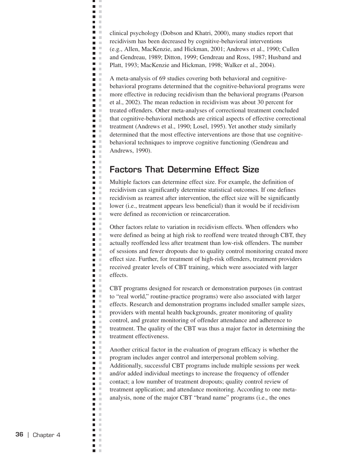clinical psychology (Dobson and Khatri, 2000), many studies report that recidivism has been decreased by cognitive-behavioral interventions (e.g., Allen, MacKenzie, and Hickman, 2001; Andrews et al., 1990; Cullen and Gendreau, 1989; Ditton, 1999; Gendreau and Ross, 1987; Husband and Platt, 1993; MacKenzie and Hickman, 1998; Walker et al., 2004).

ц J.  $\blacksquare$  $\bar{\mathbf{u}}$  $\blacksquare$  $\mathcal{L}$  $\blacksquare$  . **D** D  $\mathcal{L}$ **Contract D** O n a  $\blacksquare$  $\blacksquare$  . n n  $\Box$ m in  $\blacksquare$ **The Contract State**  $\blacksquare$  $\blacksquare$  .  $\blacksquare$  $\blacksquare$  .  $\blacksquare$  $\blacksquare$ **The Contract of the Contract of the Contract of the Contract of the Contract of the Contract of the Contract o**  $\blacksquare$  $\blacksquare$  .  $\blacksquare$  $\blacksquare$  .  $\blacksquare$  $\blacksquare$  $\mathbf{r}$  $\blacksquare$  $\blacksquare$  .  $\blacksquare$  $\Box$ Ē.  $\mathcal{C}$  $\blacksquare$  .  $\blacksquare$  $\blacksquare$  .  $\blacksquare$  $\mathbb{R}^n$  $\Box$  $\Box$  $\mathcal{C}$  $\blacksquare$  $\mathcal{C}$  $\blacksquare$  $\mathbb{R}^n$  $\blacksquare$  $\mathbb{R}^2$  $\blacksquare$  .  $\blacksquare$  $\blacksquare$  .  $\blacksquare$  $\blacksquare$  .  $\blacksquare$  $\Box$  $\mathbb{R}^n$  $\blacksquare$  .  $\blacksquare$ л  $\blacksquare$  $\mathbb{R}^2$  $\mathcal{C}$  $\blacksquare$  $\blacksquare$  $\blacksquare$  $\mathcal{C}$  $\Box$  $\mathbb{R}^2$  $\blacksquare$ Ξ  $\mathbb{R}^2$ Ē,  $\mathbb{R}^2$  $\blacksquare$  .  $\blacksquare$  $\blacksquare$  $\mathbb{R}^2$  $\blacksquare$  $\mathcal{C}$  $\blacksquare$  $\sim$  $\blacksquare$  .  $\blacksquare$  $\mathcal{L}$  $\Box$ ×  $\blacksquare$  .  $\blacksquare$  $\blacksquare$  $\sim$ m. m m m  $\blacksquare$  .  $\blacksquare$  $\blacksquare$  $\bar{a}$ n m  $\blacksquare$  .  $\blacksquare$  $\blacksquare$  .  $\blacksquare$  $\blacksquare$  $\mathcal{L}$  $\blacksquare$  .  $\blacksquare$  $\blacksquare$  .  $\blacksquare$  $\blacksquare$  $\mathcal{C}$  $\blacksquare$ ×  $\blacksquare$  $\blacksquare$  .  $\blacksquare$  $\blacksquare$  $\bar{a}$  $\blacksquare$  $\blacksquare$  .  $\blacksquare$  $\blacksquare$  $\mathbb{R}^2$  $\blacksquare$  .  $\blacksquare$  $\blacksquare$  $\mathbf{r}$  $\blacksquare$  $\mathcal{L}$  $\mathbb{R}^n$  $\blacksquare$  $\Box$  $\mathcal{C}$  $\blacksquare$  $\mathbb{R}^2$  $\overline{\phantom{a}}$  $\mathcal{C}$  $\blacksquare$  $\mathbb{R}^n$  $\blacksquare$ ×

A meta-analysis of 69 studies covering both behavioral and cognitivebehavioral programs determined that the cognitive-behavioral programs were more effective in reducing recidivism than the behavioral programs (Pearson et al., 2002). The mean reduction in recidivism was about 30 percent for treated offenders. Other meta-analyses of correctional treatment concluded that cognitive-behavioral methods are critical aspects of effective correctional treatment (Andrews et al., 1990; Losel, 1995). Yet another study similarly determined that the most effective interventions are those that use cognitivebehavioral techniques to improve cognitive functioning (Gendreau and Andrews, 1990).

## **Factors That Determine Effect Size**

Multiple factors can determine effect size. For example, the definition of recidivism can significantly determine statistical outcomes. If one defines recidivism as rearrest after intervention, the effect size will be significantly lower (i.e., treatment appears less beneficial) than it would be if recidivism were defined as reconviction or reincarceration.

Other factors relate to variation in recidivism effects. When offenders who were defined as being at high risk to reoffend were treated through CBT, they actually reoffended less after treatment than low-risk offenders. The number of sessions and fewer dropouts due to quality control monitoring created more effect size. Further, for treatment of high-risk offenders, treatment providers received greater levels of CBT training, which were associated with larger effects.

CBT programs designed for research or demonstration purposes (in contrast to "real world," routine-practice programs) were also associated with larger effects. Research and demonstration programs included smaller sample sizes, providers with mental health backgrounds, greater monitoring of quality control, and greater monitoring of offender attendance and adherence to treatment. The quality of the CBT was thus a major factor in determining the treatment effectiveness.

Another critical factor in the evaluation of program efficacy is whether the program includes anger control and interpersonal problem solving. Additionally, successful CBT programs include multiple sessions per week and/or added individual meetings to increase the frequency of offender contact; a low number of treatment dropouts; quality control review of treatment application; and attendance monitoring. According to one metaanalysis, none of the major CBT "brand name" programs (i.e., the ones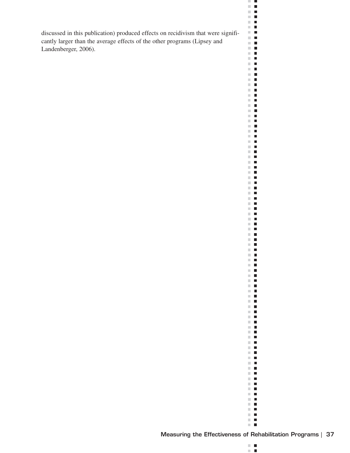discussed in this publication) produced effects on recidivism that were significantly larger than the average effects of the other programs (Lipsey and Landenberger, 2006).



 $\mathbb{R}^n$  .  $\mathbb{R}^n$  $\blacksquare$  $\mathbb{R}^n$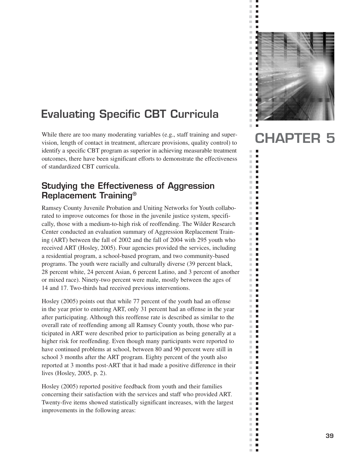# **Evaluating Specific CBT Curricula**

While there are too many moderating variables (e.g., staff training and supervision, length of contact in treatment, aftercare provisions, quality control) to identify a specific CBT program as superior in achieving measurable treatment outcomes, there have been significant efforts to demonstrate the effectiveness of standardized CBT curricula.

# **Studying the Effectiveness of Aggression Replacement Training®**

Ramsey County Juvenile Probation and Uniting Networks for Youth collaborated to improve outcomes for those in the juvenile justice system, specifically, those with a medium-to-high risk of reoffending. The Wilder Research Center conducted an evaluation summary of Aggression Replacement Training (ART) between the fall of 2002 and the fall of 2004 with 295 youth who received ART (Hosley, 2005). Four agencies provided the services, including a residential program, a school-based program, and two community-based programs. The youth were racially and culturally diverse (39 percent black, 28 percent white, 24 percent Asian, 6 percent Latino, and 3 percent of another or mixed race). Ninety-two percent were male, mostly between the ages of 14 and 17. Two-thirds had received previous interventions.

Hosley (2005) points out that while 77 percent of the youth had an offense in the year prior to entering ART, only 31 percent had an offense in the year after participating. Although this reoffense rate is described as similar to the overall rate of reoffending among all Ramsey County youth, those who participated in ART were described prior to participation as being generally at a higher risk for reoffending. Even though many participants were reported to have continued problems at school, between 80 and 90 percent were still in school 3 months after the ART program. Eighty percent of the youth also reported at 3 months post-ART that it had made a positive difference in their lives (Hosley, 2005, p. 2).

Hosley (2005) reported positive feedback from youth and their families concerning their satisfaction with the services and staff who provided ART. Twenty-five items showed statistically significant increases, with the largest improvements in the following areas:



 $\bar{\phantom{a}}$  $\blacksquare$  $\blacksquare$  $\overline{\phantom{a}}$  $\bar{\phantom{a}}$  $\blacksquare$  $\mathbb{R}^d$  $\blacksquare$ 

×  $\mathbb{R}^n$ п  $\blacksquare$  $\mathbb{R}^n$  $\blacksquare$  $\overline{\phantom{a}}$  $\mathbb{R}^n$  $\blacksquare$  $\mathbb{R}^d$  $\blacksquare$  $\overline{\phantom{a}}$  $\blacksquare$  $\mathbb{R}^n$  $\blacksquare$  $\mathbb{R}^d$  $\blacksquare$  $\mathbb{R}^d$  $\blacksquare$  $\mathbb{R}^d$ п  $\overline{\phantom{a}}$ П  $\blacksquare$  $\mathbb{R}^n$  $\overline{\phantom{a}}$  $\blacksquare$  $\blacksquare$  $\mathbb{R}^2$  $\mathbb{R}^n$  $\Box$  $\overline{\phantom{a}}$  $\Box$  $\mathbb{R}^d$  $\blacksquare$  $\mathbb{R}^n$  $\blacksquare$  $\overline{\phantom{a}}$  $\Box$  $\blacksquare$  $\Box$  $\mathbb{R}^n$  $\blacksquare$  $\mathbb{R}^d$  $\blacksquare$  $\overline{\phantom{a}}$  $\Box$  $\mathbb{R}^n$  $\blacksquare$  $\mathbb{R}^d$  $\blacksquare$  $\mathbb{R}^n$  $\Box$  $\bar{\phantom{a}}$  $\blacksquare$  $\mathbb{R}^n$  $\Box$  $\blacksquare$  $\mathbb{R}^n$ ×.  $\mathbf{r}$  $\mathbb{R}^d$  $\blacksquare$  $\mathbb{R}^n$ п  $\mathbb{R}^d$  $\blacksquare$  $\blacksquare$  $\blacksquare$  $\mathbb{R}^d$ П  $\mathbb{R}^d$  $\Box$  $\mathcal{C}$  $\Box$  $\overline{\phantom{a}}$  $\Box$  $\mathbb{R}^d$  $\blacksquare$  $\overline{\phantom{a}}$ П  $\blacksquare$  $\blacksquare$  $\overline{\phantom{a}}$  $\blacksquare$  $\mathbb{R}^n$  $\blacksquare$  $\mathbb{R}^d$  $\blacksquare$  $\mathbb{R}^d$  $\blacksquare$  $\mathbb{R}^n$  $\Box$  $\mathbb{R}^d$  $\blacksquare$  $\overline{\phantom{a}}$  $\Box$  $\mathcal{C}$  $\blacksquare$  $\blacksquare$ ×.  $\mathbb{R}^n$  $\blacksquare$  $\mathbb{R}^n$  $\blacksquare$  $\mathbb{R}^n$  $\blacksquare$  $\mathbb{R}^n$  $\blacksquare$  $\overline{\phantom{a}}$  $\mathbb{Z}$  $\mathbb{R}^n$  .  $\mathbb{R}^n$ m,  $\overline{\phantom{a}}$  $\overline{\phantom{a}}$  $\mathbf{r}$ 

# **CHAPTER 5**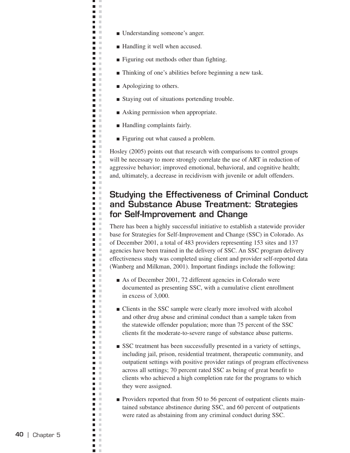- Understanding someone's anger.
- Handling it well when accused.
- Figuring out methods other than fighting.
- Thinking of one's abilities before beginning a new task.
- Apologizing to others.

щ J.  $\blacksquare$  $\mathbb{R}^2$  $\blacksquare$  $\mathbb{R}^2$ **C** n m  $\mathbf{r}$ n m **D** O  $\blacksquare$  . a a n m m.  $\mathbf{r}$ n T **College The Contract of the Contract of the Contract of the Contract of the Contract of the Contract of the Contract o**  $\blacksquare$  $\mathcal{C}$  $\blacksquare$   $\blacksquare$  $\Box$  $\blacksquare$  $\mathbb{R}^2$ **The Contract of the Contract of the Contract of the Contract of the Contract of the Contract of the Contract o D** O n T  $\blacksquare$  $\mathcal{L}$  $\blacksquare$  .  $\blacksquare$ n m **C** a a  $\blacksquare$  $\mathbb{R}^n$  $\blacksquare$  $\mathbb{R}^2$  $\Box$ ×  $\blacksquare$  .  $\blacksquare$  $\overline{\phantom{a}}$  $\sim$  $\Box$ ×  $\blacksquare$  $\mathcal{C}$  $\mathbb{R}^2$  $\blacksquare$  $\mathcal{C}$  $\blacksquare$  $\mathbb{R}^2$ П  $\blacksquare$  $\mathcal{C}$  $\Box$ ×  $\mathbb{R}^2$  $\overline{\phantom{a}}$  $\bar{\phantom{a}}$  $\blacksquare$  $\blacksquare$ ×  $\mathbb{R}^2$  $\blacksquare$  $\blacksquare$  $\mathcal{C}$  $\blacksquare$  $\blacksquare$ **In**  $\Box$  $\mathbb{R}^2$  $\overline{\phantom{a}}$ ×  $\blacksquare$  $\mathbb{R}^n$ Ē,  $\mathcal{C}$  $\blacksquare$  $\mathcal{L}$  $\blacksquare$  $\sim$ п  $\mathbb{R}^n$  $\blacksquare$  $\mathbb{R}^n$  $\mathbf{u}$  .  $\mathbf{u}$  $\blacksquare$  $\mathcal{L}$  $\Box$  $\mathcal{C}$  $\blacksquare$   $\blacksquare$  $\blacksquare$  $\mathbb{R}^2$  $\blacksquare$  $\sim$  $\blacksquare$  $\mathcal{L}$  $\blacksquare$  .  $\blacksquare$ п  $\mathbb{R}^n$ п  $\mathbb{R}^n$  $\blacksquare$  .  $\blacksquare$  $\Box$  $\mathcal{L}$  $\overline{\phantom{a}}$  $\mathbb{R}^n$  $\blacksquare$  $\blacksquare$  $\pm$  $\mathcal{L}$  $\blacksquare$  $\overline{\phantom{a}}$  $\mathcal{C}$  $\blacksquare$  .  $\blacksquare$ n H  $\blacksquare$  $\mathcal{C}$ **The Contract State** п  $\sim$  $\blacksquare$  $\mathcal{C}$  $\blacksquare$   $\blacksquare$  $\blacksquare$ m. m  $\blacksquare$  $\mathcal{L}$  $\mathcal{C}$  $\blacksquare$  $\blacksquare$ ×  $\blacksquare$  $\mathbb{R}^2$  $\overline{\phantom{a}}$  $\mathcal{C}$  $\blacksquare$ л  $\blacksquare$ ×

- Staying out of situations portending trouble.
- Asking permission when appropriate.
- Handling complaints fairly.
- Figuring out what caused a problem.

Hosley (2005) points out that research with comparisons to control groups will be necessary to more strongly correlate the use of ART in reduction of aggressive behavior; improved emotional, behavioral, and cognitive health; and, ultimately, a decrease in recidivism with juvenile or adult offenders.

## **Studying the Effectiveness of Criminal Conduct and Substance Abuse Treatment: Strategies for Self-Improvement and Change**

There has been a highly successful initiative to establish a statewide provider base for Strategies for Self-Improvement and Change (SSC) in Colorado. As of December 2001, a total of 483 providers representing 153 sites and 137 agencies have been trained in the delivery of SSC. An SSC program delivery effectiveness study was completed using client and provider self-reported data (Wanberg and Milkman, 2001). Important findings include the following:

- As of December 2001, 72 different agencies in Colorado were documented as presenting SSC, with a cumulative client enrollment in excess of 3,000.
- Clients in the SSC sample were clearly more involved with alcohol and other drug abuse and criminal conduct than a sample taken from the statewide offender population; more than 75 percent of the SSC clients fit the moderate-to-severe range of substance abuse patterns.
- SSC treatment has been successfully presented in a variety of settings, including jail, prison, residential treatment, therapeutic community, and outpatient settings with positive provider ratings of program effectiveness across all settings; 70 percent rated SSC as being of great benefit to clients who achieved a high completion rate for the programs to which they were assigned.
- Providers reported that from 50 to 56 percent of outpatient clients maintained substance abstinence during SSC, and 60 percent of outpatients were rated as abstaining from any criminal conduct during SSC.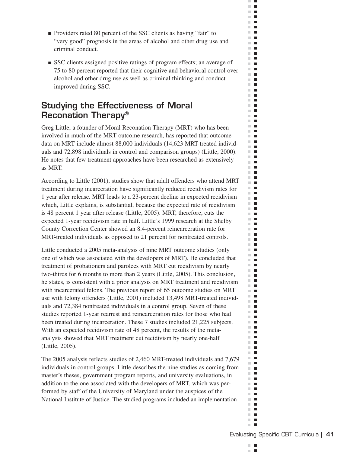■ Providers rated 80 percent of the SSC clients as having "fair" to "very good" prognosis in the areas of alcohol and other drug use and criminal conduct.

ш  $\mathcal{C}$  $\blacksquare$  $\mathbb{R}^d$  $\blacksquare$  $\blacksquare$  .  $\blacksquare$  $\mathbf{r}$  $\mathbb{R}^d$  $\blacksquare$ m.  $\blacksquare$  $\mathbb{R}^n$ П  $\sim$  $\blacksquare$  $\mathbb{R}^n$  $\overline{\phantom{a}}$  $\Box$  .  $\Box$  $\blacksquare$ m.  $\mathbb{R}^d$  $\blacksquare$  $\mathbb{R}^n$  $\blacksquare$  $\mathbb{R}^d$  $\blacksquare$  $\mathbb{R}^n$  $\blacksquare$  $\mathbb{R}^d$  $\blacksquare$  $\mathcal{C}$  $\blacksquare$ m.  $\blacksquare$  $\mathbb{R}^d$  $\blacksquare$  $\mathbb{R}^n$  $\blacksquare$  $\mathbb{R}^n$  $\blacksquare$  $\mathbb{R}^d$  $\blacksquare$  $\blacksquare$ ш m.  $\blacksquare$ m.  $\blacksquare$  $\mathbb{R}^n$  $\mathcal{L}_{\mathcal{A}}$  $\blacksquare$  $\mathbb{R}^n$ m.  $\blacksquare$ m.  $\blacksquare$  $\blacksquare$ ш **The Contract of the Contract of the Contract of the Contract of the Contract of the Contract of the Contract o COL**  $\blacksquare$  $\mathbb{R}^n$  $\blacksquare$  $\blacksquare$ m.  $\blacksquare$ m.  $\blacksquare$  $\blacksquare$  $\overline{\phantom{a}}$  $\mathbb{R}^n$  .  $\mathbb{R}^n$  $\mathbb{R}^n$  $\blacksquare$ m.  $\mathcal{L}_{\mathcal{A}}$ m.  $\blacksquare$ m.  $\blacksquare$ m.  $\blacksquare$  $\blacksquare$  $\blacksquare$  $\mathbf{u}$ m.  $\blacksquare$  $\mathbb{R}^d$  $\blacksquare$ m. **I** m,  $\blacksquare$  $\mathbb{R}^d$  $\blacksquare$  $\mathbb{R}^n$  $\blacksquare$  $\mathbf{r}$ m.  $\blacksquare$ П  $\blacksquare$  $\blacksquare$ m. H.  $\blacksquare$ m.  $\blacksquare$ m.  $\blacksquare$  $\mathbb{R}^n$  .  $\mathbb{R}^n$  $\blacksquare$ m.  $\mathbb{R}^d$  $\blacksquare$ m.  $\overline{\phantom{a}}$  $\mathbb{R}^d$  $\blacksquare$  $\blacksquare$  $\overline{\phantom{a}}$  $\mathbb{R}^n$  .  $\mathbb{R}^n$  $\mathbb{R}^n$  $\blacksquare$  $\mathbb{R}^d$  $\overline{\phantom{a}}$  $\overline{\phantom{a}}$ m. m.  $\blacksquare$  $\blacksquare$  $\mathbb{R}^d$  $\mathbb{R}^n$  $\overline{\phantom{a}}$ m.  $\Box$  $\blacksquare$  $\overline{\phantom{a}}$  $\blacksquare$  $\mathbb{R}^d$ m.  $\blacksquare$ ш  $\blacksquare$  $\mathbb{R}^2$  $\blacksquare$  $\mathcal{L}_{\mathcal{A}}$  $\mathcal{L}_{\mathcal{A}}$  $\blacksquare$  $\mathbf{r}$  .  $\mathbf{r}$  $\mathbb{R}^n$  $\overline{\phantom{a}}$  $\blacksquare$ 

■ SSC clients assigned positive ratings of program effects; an average of 75 to 80 percent reported that their cognitive and behavioral control over alcohol and other drug use as well as criminal thinking and conduct improved during SSC.

# **Studying the Effectiveness of Moral Reconation Therapy®**

Greg Little, a founder of Moral Reconation Therapy (MRT) who has been involved in much of the MRT outcome research, has reported that outcome data on MRT include almost 88,000 individuals (14,623 MRT-treated individuals and 72,898 individuals in control and comparison groups) (Little, 2000). He notes that few treatment approaches have been researched as extensively as MRT.

According to Little (2001), studies show that adult offenders who attend MRT treatment during incarceration have significantly reduced recidivism rates for 1 year after release. MRT leads to a 23-percent decline in expected recidivism which, Little explains, is substantial, because the expected rate of recidivism is 48 percent 1 year after release (Little, 2005). MRT, therefore, cuts the expected 1-year recidivism rate in half. Little's 1999 research at the Shelby County Correction Center showed an 8.4-percent reincarceration rate for MRT-treated individuals as opposed to 21 percent for nontreated controls.

Little conducted a 2005 meta-analysis of nine MRT outcome studies (only one of which was associated with the developers of MRT). He concluded that treatment of probationers and parolees with MRT cut recidivism by nearly two-thirds for 6 months to more than 2 years (Little, 2005). This conclusion, he states, is consistent with a prior analysis on MRT treatment and recidivism with incarcerated felons. The previous report of 65 outcome studies on MRT use with felony offenders (Little, 2001) included 13,498 MRT-treated individuals and 72,384 nontreated individuals in a control group. Seven of these studies reported 1-year rearrest and reincarceration rates for those who had been treated during incarceration. These 7 studies included 21,225 subjects. With an expected recidivism rate of 48 percent, the results of the metaanalysis showed that MRT treatment cut recidivism by nearly one-half (Little, 2005).

The 2005 analysis reflects studies of 2,460 MRT-treated individuals and 7,679 individuals in control groups. Little describes the nine studies as coming from master's theses, government program reports, and university evaluations, in addition to the one associated with the developers of MRT, which was performed by staff of the University of Maryland under the auspices of the National Institute of Justice. The studied programs included an implementation

m. п ×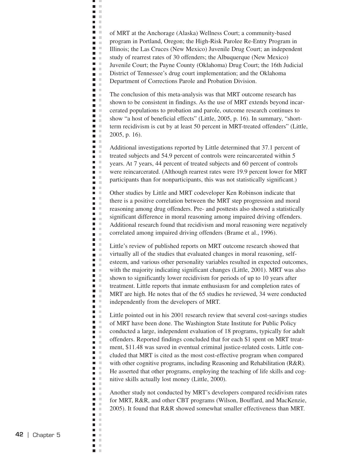of MRT at the Anchorage (Alaska) Wellness Court; a community-based program in Portland, Oregon; the High-Risk Parolee Re-Entry Program in Illinois; the Las Cruces (New Mexico) Juvenile Drug Court; an independent study of rearrest rates of 30 offenders; the Albuquerque (New Mexico) Juvenile Court; the Payne County (Oklahoma) Drug Court; the 16th Judicial District of Tennessee's drug court implementation; and the Oklahoma Department of Corrections Parole and Probation Division.

щ J.  $\blacksquare$  $\bar{\mathbf{u}}$  $\blacksquare$  $\mathbb{R}^2$ **C D** D  $\Box$ **Contract D** O **D** O  $\blacksquare$ Ē.  $\Box$  $\blacksquare$  .  $\blacksquare$  $\blacksquare$  $\blacksquare$  .  $\blacksquare$  $\blacksquare$  $\mathcal{C}$  $\blacksquare$   $\blacksquare$  $\blacksquare$  $\blacksquare$ m m  $\blacksquare$  $\Box$  $\blacksquare$  .  $\blacksquare$  $\blacksquare$  .  $\blacksquare$  $\mathbf{r}$  $\blacksquare$  .  $\blacksquare$  .  $\blacksquare$  $\Box$ Ē  $\mathcal{C}$  $\blacksquare$  $\mathcal{C}$  $\blacksquare$  $\sim$  $\overline{\phantom{a}}$  $\Box$  $\mathcal{L}$ a m  $\blacksquare$  .  $\blacksquare$  $\Box$  $\mathcal{C}$  $\bar{\alpha}$  $\blacksquare$  $\blacksquare$  .  $\blacksquare$  $\blacksquare$  $\mathcal{C}$  $\Box$  $\mathbb{R}$  $\blacksquare$  $\blacksquare$  $\mathcal{L}$  $\overline{\phantom{a}}$  $\mathbb{R}^d$  $\mathcal{C}$  $\blacksquare$  $\mathbf{u}$  .  $\mathbf{u}$  $\blacksquare$  .  $\blacksquare$  $\Box$  $\mathbb{R}^n$  $\blacksquare$ Ξ  $\mathbb{R}^2$ Ē,  $\mathbb{R}^2$  $\blacksquare$  .  $\blacksquare$  $\blacksquare$  $\blacksquare$  $\mathcal{L}$  $\blacksquare$  $\mathcal{C}$  $\blacksquare$  .  $\blacksquare$  $\mathcal{L}$  $\Box$  $\mathbb{R}^2$  $\blacksquare$  .  $\blacksquare$ n a Ē.  $\bar{a}$  $\blacksquare$  $\mathbb{R}^2$  $\blacksquare$  $\blacksquare$  $\mathcal{C}$ **DOM:**  $\blacksquare$  .  $\blacksquare$  $\blacksquare$  .  $\overline{\phantom{a}}$  $\mathcal{C}$  $\blacksquare$  $\mathbb{R}^2$  $\blacksquare$  $\blacksquare$  $\mathbb{R}^2$  $\overline{\phantom{a}}$ ×  $\blacksquare$  $\blacksquare$  .  $\blacksquare$  $\blacksquare$  $\mathcal{C}$  $\blacksquare$  $\blacksquare$  $\mathcal{L}$  $\blacksquare$  $\mathbb{R}^2$  $\mathbb{R}^n$  $\mathcal{L}_{\mathcal{A}}$  $\blacksquare$  $\pm$  $\mathbf{r}$  $\blacksquare$  $\mathbb{R}^n$  $\mathbb{R}^d$  $\overline{\phantom{a}}$  $\blacksquare$  $\mathbb{R}^2$  $\blacksquare$  $\mathbb{R}^2$  $\overline{\phantom{a}}$  $\mathbb{R}^2$  $\blacksquare$  $\mathbb{R}^n$  $\blacksquare$  $\mathbb{R}^d$ 

The conclusion of this meta-analysis was that MRT outcome research has shown to be consistent in findings. As the use of MRT extends beyond incarcerated populations to probation and parole, outcome research continues to show "a host of beneficial effects" (Little, 2005, p. 16). In summary, "shortterm recidivism is cut by at least 50 percent in MRT-treated offenders" (Little, 2005, p. 16).

Additional investigations reported by Little determined that 37.1 percent of treated subjects and 54.9 percent of controls were reincarcerated within 5 years. At 7 years, 44 percent of treated subjects and 60 percent of controls were reincarcerated. (Although rearrest rates were 19.9 percent lower for MRT participants than for nonparticipants, this was not statistically significant.)

Other studies by Little and MRT codeveloper Ken Robinson indicate that there is a positive correlation between the MRT step progression and moral reasoning among drug offenders. Pre- and posttests also showed a statistically significant difference in moral reasoning among impaired driving offenders. Additional research found that recidivism and moral reasoning were negatively correlated among impaired driving offenders (Brame et al., 1996).

Little's review of published reports on MRT outcome research showed that virtually all of the studies that evaluated changes in moral reasoning, selfesteem, and various other personality variables resulted in expected outcomes, with the majority indicating significant changes (Little, 2001). MRT was also shown to significantly lower recidivism for periods of up to 10 years after treatment. Little reports that inmate enthusiasm for and completion rates of MRT are high. He notes that of the 65 studies he reviewed, 34 were conducted independently from the developers of MRT.

Little pointed out in his 2001 research review that several cost-savings studies of MRT have been done. The Washington State Institute for Public Policy conducted a large, independent evaluation of 18 programs, typically for adult offenders. Reported findings concluded that for each \$1 spent on MRT treatment, \$11.48 was saved in eventual criminal justice-related costs. Little concluded that MRT is cited as the most cost-effective program when compared with other cognitive programs, including Reasoning and Rehabilitation (R&R). He asserted that other programs, employing the teaching of life skills and cognitive skills actually lost money (Little, 2000).

Another study not conducted by MRT's developers compared recidivism rates for MRT, R&R, and other CBT programs (Wilson, Bouffard, and MacKenzie, 2005). It found that R&R showed somewhat smaller effectiveness than MRT.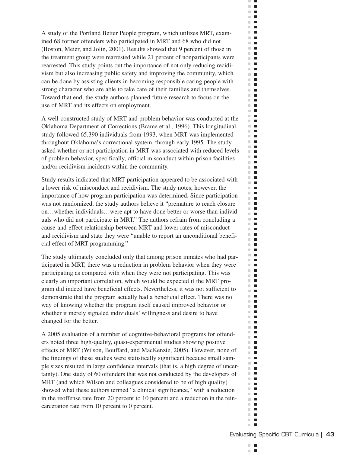A study of the Portland Better People program, which utilizes MRT, examined 68 former offenders who participated in MRT and 68 who did not (Boston, Meier, and Jolin, 2001). Results showed that 9 percent of those in the treatment group were rearrested while 21 percent of nonparticipants were rearrested. This study points out the importance of not only reducing recidivism but also increasing public safety and improving the community, which can be done by assisting clients in becoming responsible caring people with strong character who are able to take care of their families and themselves. Toward that end, the study authors planned future research to focus on the use of MRT and its effects on employment.

A well-constructed study of MRT and problem behavior was conducted at the Oklahoma Department of Corrections (Brame et al., 1996). This longitudinal study followed 65,390 individuals from 1993, when MRT was implemented throughout Oklahoma's correctional system, through early 1995. The study asked whether or not participation in MRT was associated with reduced levels of problem behavior, specifically, official misconduct within prison facilities and/or recidivism incidents within the community.

Study results indicated that MRT participation appeared to be associated with a lower risk of misconduct and recidivism. The study notes, however, the importance of how program participation was determined. Since participation was not randomized, the study authors believe it "premature to reach closure on…whether individuals…were apt to have done better or worse than individuals who did not participate in MRT." The authors refrain from concluding a cause-and-effect relationship between MRT and lower rates of misconduct and recidivism and state they were "unable to report an unconditional beneficial effect of MRT programming."

The study ultimately concluded only that among prison inmates who had participated in MRT, there was a reduction in problem behavior when they were participating as compared with when they were not participating. This was clearly an important correlation, which would be expected if the MRT program did indeed have beneficial effects. Nevertheless, it was not sufficient to demonstrate that the program actually had a beneficial effect. There was no way of knowing whether the program itself caused improved behavior or whether it merely signaled individuals' willingness and desire to have changed for the better.

A 2005 evaluation of a number of cognitive-behavioral programs for offenders noted three high-quality, quasi-experimental studies showing positive effects of MRT (Wilson, Bouffard, and MacKenzie, 2005). However, none of the findings of these studies were statistically significant because small sample sizes resulted in large confidence intervals (that is, a high degree of uncertainty). One study of 60 offenders that was not conducted by the developers of MRT (and which Wilson and colleagues considered to be of high quality) showed what these authors termed "a clinical significance," with a reduction in the reoffense rate from 20 percent to 10 percent and a reduction in the reincarceration rate from 10 percent to 0 percent.

m. п ×

ш  $\mathcal{C}$  $\blacksquare$  $\mathbb{R}^d$  $\blacksquare$  $\Box$  .  $\Box$  $\mathbf{r}$  $\mathbb{R}^n$  $\mathcal{L}_{\mathcal{A}}$  $\mathbf{r}$ m.  $\blacksquare$  $\sim$  $\blacksquare$  $\mathcal{L}$  $\overline{\phantom{a}}$  $\Box$  .  $\Box$  $\blacksquare$ m.  $\mathbb{R}^d$  $\blacksquare$  $\mathbb{R}^n$  $\blacksquare$  $\mathbb{R}^n$  $\blacksquare$ m.  $\overline{\phantom{a}}$  $\mathbb{R}^d$  $\mathcal{L}_{\mathcal{A}}$  $\mathbb{R}^n$  $\mathcal{L}_{\mathcal{A}}$  $\mathbb{R}^n$  .  $\mathbb{R}^n$  $\blacksquare$  $\mathcal{L}$  $\blacksquare$  $\mathbf{r}$  $\mathbb{R}^n$  $\blacksquare$  $\blacksquare$  $\mathbb{R}^n$  $\mathbb{R}^n$  $\blacksquare$  $\blacksquare$ m.  $\mathbb{R}^d$  $\mathcal{L}_{\mathcal{A}}$  $\mathbb{R}^n$  $\mathcal{L}_{\mathcal{A}}$ H.  $\mathbb{R}^n$  $\blacksquare$ **The Contract of the Contract of the Contract of the Contract of the Contract of the Contract of the Contract o COL**  $\blacksquare$  $\mathbb{R}^n$  $\blacksquare$  $\blacksquare$  $\mathbb{R}^n$  .  $\mathbb{R}^n$  $\blacksquare$  $\blacksquare$  $\blacksquare$  $\mathbb{R}^n$  .  $\mathbb{R}^n$  $\mathbb{R}^n$  .  $\mathbb{R}^n$ m.  $\mathcal{L}_{\mathcal{A}}$  $\mathbf{u}$  $\mathbb{R}^n$  .  $\mathbb{R}^n$  $\blacksquare$ m. m.  $\Box$  $\mathbf{u}$  .  $\mathbf{u}$ **The Contract of the Contract of the Contract of the Contract of the Contract of the Contract of the Contract o** m.  $\blacksquare$  $\mathbf{u}$ H.  $\mathbb{R}^n$  $\overline{\phantom{a}}$ m.  $\blacksquare$  $\mathbf{u} \cdot \mathbf{u}$ m.  $\blacksquare$  $\overline{\phantom{a}}$  $\mathcal{L}_{\mathcal{A}}$  $\mathbb{R}^n$  $\mathcal{L}_{\mathcal{A}}$ ×.  $\mathcal{L}_{\mathcal{A}}$  $\mathbb{R}^d$  $\blacksquare$ m.  $\Box$  $\mathbb{R}^n$  .  $\mathbb{R}^n$  $\blacksquare$ m.  $\mathbb{R}^d$  $\mathcal{L}_{\mathcal{A}}$  $\mathbb{R}^n$  .  $\mathbb{R}^n$  $\mathbb{R}^n$  $\blacksquare$  $\blacksquare$  $\blacksquare$  $\mathbb{R}^n$  .  $\mathbb{R}^n$  $\mathbb{R}^n$  $\blacksquare$  $\mathbb{R}^d$  $\mathcal{L}_{\mathcal{A}}$ m.  $\Box$ m.  $\mathcal{L}_{\mathcal{A}}$  $\sim$  $\mathcal{L}_{\mathcal{A}}$  $\mathbb{R}^n$  $\blacksquare$  $\blacksquare$  $\mathcal{L}$  $\blacksquare$  $\blacksquare$  $\mathbb{R}^n$ m.  $\blacksquare$  $\mathbb{R}^n$  $\Box$  $\blacksquare$  $\mathbb{R}^n$  $\mathcal{L}$  $\blacksquare$  $\blacksquare$  $\mathbf{r}$  .  $\mathbf{r}$  $\mathbb{R}^n$  $\overline{\phantom{a}}$  $\blacksquare$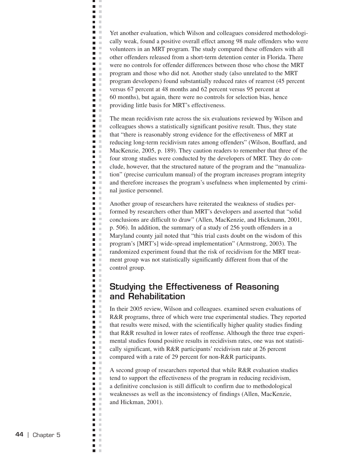Yet another evaluation, which Wilson and colleagues considered methodologically weak, found a positive overall effect among 98 male offenders who were volunteers in an MRT program. The study compared these offenders with all other offenders released from a short-term detention center in Florida. There were no controls for offender differences between those who chose the MRT program and those who did not. Another study (also unrelated to the MRT program developers) found substantially reduced rates of rearrest (45 percent versus 67 percent at 48 months and 62 percent versus 95 percent at 60 months), but again, there were no controls for selection bias, hence providing little basis for MRT's effectiveness.

щ J.  $\blacksquare$  $\bar{\mathbf{u}}$  $\blacksquare$  $\mathbb{R}^2$ **C D** D  $\Box$ **Contract D** O **D** O  $\blacksquare$ Ē.  $\Box$  $\blacksquare$  .  $\blacksquare$  $\blacksquare$  $\blacksquare$  $\mathcal{L}$  $\blacksquare$ ×  $\blacksquare$  .  $\blacksquare$  $\blacksquare$  .  $\blacksquare$  $\blacksquare$ **COLLEGE**  $\blacksquare$  $\blacksquare$   $\blacksquare$  $\blacksquare$  $\mathcal{L}$  $\blacksquare$  $\blacksquare$  $\blacksquare$  $\blacksquare$  .  $\blacksquare$  $\blacksquare$ **In**  $\blacksquare$  $\mathbb{R}^2$  $\blacksquare$ ×  $\blacksquare$  $\sim$  $\mathcal{C}$  $\overline{\phantom{a}}$  $\blacksquare$ ×  $\mathbb{R}^2$  $\blacksquare$  $\blacksquare$  $\mathbb{R}^n$  $\blacksquare$  $\mathcal{C}$  $\mathcal{C}$  $\blacksquare$  $\blacksquare$  .  $\blacksquare$  $\blacksquare$  $\mathcal{C}$  $\Box$  $\mathbb{R}^n$  $\blacksquare$  .  $\blacksquare$  $\mathcal{L}$  $\blacksquare$  $\mathbb{R}^2$  $\Box$  $\mathcal{C}$  $\blacksquare$  $\blacksquare$ ×  $\Box$ ×  $\mathbb{R}^2$  $\overline{\phantom{a}}$ Ξ  $\mathbb{R}^2$ Ē,  $\mathcal{C}$  $\blacksquare$  .  $\blacksquare$  $\Box$  $\mathbb{R}^2$  $\overline{\phantom{a}}$  $\mathcal{C}$ П  $\mathbb{R}^2$  $\blacksquare$  $\mathcal{C}$  $\bar{\mathbb{R}}$  $\blacksquare$  $\Box$  $\bar{\mathbb{R}}$  $\blacksquare$  .  $\blacksquare$  $\blacksquare$  $\mathbb{R}^2$  $\blacksquare$  $\bar{a}$  $\overline{\phantom{a}}$ ×  $\blacksquare$  $\mathcal{L}$  $\blacksquare$  $\mathcal{C}$ п ×  $\blacksquare$  $\sim$  $\mathcal{C}$  $\overline{\phantom{a}}$  $\overline{\phantom{a}}$  $\mathcal{C}$  $\blacksquare$  $\mathcal{C}$  $\Box$  $\mathbb{R}$  $\blacksquare$  $\mathbb{R}^2$  $\Box$ ×  $\overline{\phantom{a}}$  $\sim$  $\blacksquare$  .  $\blacksquare$  $\blacksquare$ ×  $\blacksquare$  . Ē,  $\mathbb{R}^2$  $\blacksquare$  $\mathbb{R}^2$  $\mathcal{C}$  $\blacksquare$  $\blacksquare$  $\blacksquare$  $\pm$  $\blacksquare$  $\mathcal{C}$  $\mathbb{R}^d$  $\overline{\phantom{a}}$  $\blacksquare$  $\mathcal{C}$  $\blacksquare$  $\mathbb{R}^2$  $\overline{\phantom{a}}$  $\mathcal{C}$  $\blacksquare$  $\mathbb{R}^n$  $\blacksquare$ ×

The mean recidivism rate across the six evaluations reviewed by Wilson and colleagues shows a statistically significant positive result. Thus, they state that "there is reasonably strong evidence for the effectiveness of MRT at reducing long-term recidivism rates among offenders" (Wilson, Bouffard, and MacKenzie, 2005, p. 189). They caution readers to remember that three of the four strong studies were conducted by the developers of MRT. They do conclude, however, that the structured nature of the program and the "manualization" (precise curriculum manual) of the program increases program integrity and therefore increases the program's usefulness when implemented by criminal justice personnel.

Another group of researchers have reiterated the weakness of studies performed by researchers other than MRT's developers and asserted that "solid conclusions are difficult to draw" (Allen, MacKenzie, and Hickmann, 2001, p. 506). In addition, the summary of a study of 256 youth offenders in a Maryland county jail noted that "this trial casts doubt on the wisdom of this program's [MRT's] wide-spread implementation" (Armstrong, 2003). The randomized experiment found that the risk of recidivism for the MRT treatment group was not statistically significantly different from that of the control group.

## **Studying the Effectiveness of Reasoning and Rehabilitation**

In their 2005 review, Wilson and colleagues. examined seven evaluations of R&R programs, three of which were true experimental studies. They reported that results were mixed, with the scientifically higher quality studies finding that R&R resulted in lower rates of reoffense. Although the three true experimental studies found positive results in recidivism rates, one was not statistically significant, with R&R participants' recidivism rate at 26 percent compared with a rate of 29 percent for non-R&R participants.

A second group of researchers reported that while R&R evaluation studies tend to support the effectiveness of the program in reducing recidivism, a definitive conclusion is still difficult to confirm due to methodological weaknesses as well as the inconsistency of findings (Allen, MacKenzie, and Hickman, 2001).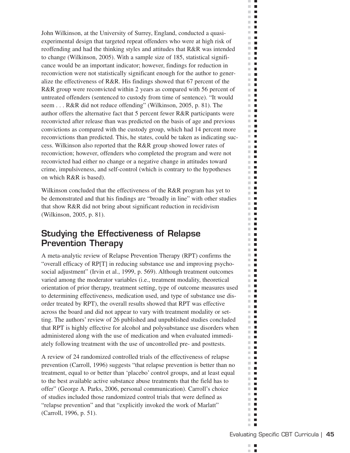John Wilkinson, at the University of Surrey, England, conducted a quasiexperimental design that targeted repeat offenders who were at high risk of reoffending and had the thinking styles and attitudes that R&R was intended to change (Wilkinson, 2005). With a sample size of 185, statistical significance would be an important indicator; however, findings for reduction in reconviction were not statistically significant enough for the author to generalize the effectiveness of R&R. His findings showed that 67 percent of the R&R group were reconvicted within 2 years as compared with 56 percent of untreated offenders (sentenced to custody from time of sentence). "It would seem... R&R did not reduce offending" (Wilkinson, 2005, p. 81). The author offers the alternative fact that 5 percent fewer R&R participants were reconvicted after release than was predicted on the basis of age and previous convictions as compared with the custody group, which had 14 percent more reconvictions than predicted. This, he states, could be taken as indicating success. Wilkinson also reported that the R&R group showed lower rates of reconviction; however, offenders who completed the program and were not reconvicted had either no change or a negative change in attitudes toward crime, impulsiveness, and self-control (which is contrary to the hypotheses on which R&R is based).

Wilkinson concluded that the effectiveness of the R&R program has yet to be demonstrated and that his findings are "broadly in line" with other studies that show R&R did not bring about significant reduction in recidivism (Wilkinson, 2005, p. 81).

## **Studying the Effectiveness of Relapse Prevention Therapy**

A meta-analytic review of Relapse Prevention Therapy (RPT) confirms the "overall efficacy of RP[T] in reducing substance use and improving psychosocial adjustment" (Irvin et al., 1999, p. 569). Although treatment outcomes varied among the moderator variables (i.e., treatment modality, theoretical orientation of prior therapy, treatment setting, type of outcome measures used to determining effectiveness, medication used, and type of substance use disorder treated by RPT), the overall results showed that RPT was effective across the board and did not appear to vary with treatment modality or setting. The authors' review of 26 published and unpublished studies concluded that RPT is highly effective for alcohol and polysubstance use disorders when administered along with the use of medication and when evaluated immediately following treatment with the use of uncontrolled pre- and posttests.

A review of 24 randomized controlled trials of the effectiveness of relapse prevention (Carroll, 1996) suggests "that relapse prevention is better than no treatment, equal to or better than 'placebo' control groups, and at least equal to the best available active substance abuse treatments that the field has to offer" (George A. Parks, 2006, personal communication). Carroll's choice of studies included those randomized control trials that were defined as "relapse prevention" and that "explicitly invoked the work of Marlatt" (Carroll, 1996, p. 51).

m. п ×

ш  $\mathcal{C}$  $\blacksquare$  $\mathbb{R}^d$  $\blacksquare$  $\Box$  .  $\Box$  $\mathbf{r}$  $\mathbb{R}^d$  $\blacksquare$ m.  $\blacksquare$  $\mathbb{R}^n$ П  $\sim$  $\blacksquare$  $\mathcal{L}$  $\overline{\phantom{a}}$ m.  $\mathcal{L}_{\mathcal{A}}$  $\blacksquare$ m.  $\mathbb{R}^d$  $\blacksquare$  $\mathbb{R}^n$  $\blacksquare$  $\mathbb{R}^d$  $\blacksquare$ ×.  $\overline{\phantom{a}}$  $\mathbb{R}^d$  $\blacksquare$  $\mathbb{R}^n$  $\mathcal{L}_{\mathcal{A}}$  $\mathbb{R}^n$  $\blacksquare$  $\mathbb{R}^d$  $\blacksquare$  $\mathcal{L}_{\mathcal{A}}$  $\blacksquare$ m.  $\mathcal{L}_{\mathcal{A}}$  $\mathbb{R}^n$  $\blacksquare$  $\blacksquare$  $\mathbb{R}^n$ m.  $\blacksquare$ m.  $\mathbb{R}^n$  $\mathcal{L}_{\mathcal{A}}$  $\mathbb{R}^n$  $\blacksquare$  $\mathbb{R}^n$  $\blacksquare$  $\blacksquare$ m.  $\mathcal{L}_{\mathcal{A}}$  $\blacksquare$ **The Contract of the Contract of the Contract of the Contract of the Contract of the Contract of the Contract o**  $\overline{\phantom{a}}$  $\blacksquare$  $\mathbb{R}^d$  $\blacksquare$ m.  $\Box$  $\mathbb{R}^n$  $\mathcal{L}_{\mathcal{A}}$  $\mathbb{R}^n$  $\blacksquare$  $\blacksquare$  $\overline{\phantom{a}}$  $\mathbb{R}^n$  $\blacksquare$ m.  $\blacksquare$ m.  $\mathcal{L}_{\mathcal{A}}$  $\mathbb{R}^n$  $\mathcal{L}_{\mathcal{A}}$  $\mathbb{R}^n$  $\blacksquare$  $\mathbb{R}^d$  $\blacksquare$  $\mathbb{R}^d$  $\blacksquare$  $\mathbf{u}$ m.  $\blacksquare$  $\mathbb{R}^d$  $\blacksquare$ m.  $\blacksquare$ m,  $\blacksquare$  $\mathbb{R}^d$  $\blacksquare$  $\mathbb{R}^n$  $\overline{\phantom{a}}$  $\mathbf{r}$ m.  $\blacksquare$  $\overline{\phantom{a}}$  $\mathcal{L}_{\mathcal{A}}$  $\mathbf{u} \cdot \mathbf{u}$ H.  $\blacksquare$  $\mathbb{R}^d$  $\blacksquare$ m.  $\blacksquare$  $\mathbb{R}^n$  .  $\mathbb{R}^n$  $\blacksquare$ m.  $\mathbb{R}^d$  $\blacksquare$  $\mathbb{R}^n$  $\overline{\phantom{a}}$  $\mathbb{R}^n$  $\blacksquare$  $\blacksquare$  $\blacksquare$  $\mathbb{R}^n$  $\blacksquare$  $\mathbb{R}^n$  $\overline{\phantom{a}}$  $\mathbb{R}^d$  $\overline{\phantom{a}}$  $\overline{\phantom{a}}$ m. m.  $\blacksquare$  $\sim$  $\overline{\phantom{a}}$ ш  $\overline{\phantom{a}}$ m.  $\blacksquare$  $\blacksquare$  $\overline{\phantom{a}}$  $\blacksquare$  $\mathbb{R}^d$ m.  $\Box$ ш  $\blacksquare$  $\mathbb{R}^2$  $\blacksquare$ **COL**  $\mathcal{L}_{\mathcal{A}}$  $\blacksquare$  $\mathbf{r}$  $\mathbb{R}^n$  $\overline{\phantom{a}}$  $\blacksquare$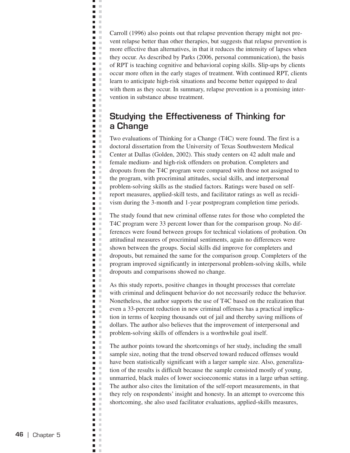Carroll (1996) also points out that relapse prevention therapy might not prevent relapse better than other therapies, but suggests that relapse prevention is more effective than alternatives, in that it reduces the intensity of lapses when they occur. As described by Parks (2006, personal communication), the basis of RPT is teaching cognitive and behavioral coping skills. Slip-ups by clients occur more often in the early stages of treatment. With continued RPT, clients learn to anticipate high-risk situations and become better equipped to deal with them as they occur. In summary, relapse prevention is a promising intervention in substance abuse treatment.

Ë, J.  $\bar{\mathbf{u}}$  $\blacksquare$  $\mathbb{R}^2$  $\blacksquare$  . **D** D  $\Box$  $\blacksquare$ **D** O **D** O  $\blacksquare$ Ē.  $\Box$  $\blacksquare$  .  $\blacksquare$  $\blacksquare$  $\blacksquare$  $\mathcal{L}$  $\blacksquare$ ×  $\blacksquare$  .  $\blacksquare$  $\blacksquare$  .  $\blacksquare$  $\blacksquare$ **The Contract of the Contract of the Contract of the Contract of the Contract of the Contract of the Contract o**  $\blacksquare$  $\overline{\phantom{a}}$  $\mathcal{L}$  $\mathbb{R}^2$  $\blacksquare$  .  $\blacksquare$  $\blacksquare$  $\blacksquare$  $\blacksquare$  $\overline{\phantom{a}}$  $\mathbb{R}^2$  $\mathbb{R}^2$  $\blacksquare$ ×  $\blacksquare$  $\mathbb{R}^n$  $\Box$  $\Box$  $\mathcal{C}$  $\blacksquare$ ×  $\blacksquare$  $\mathbb{R}^2$  $\Box$  $\mathbb{R}^2$  $\blacksquare$  $\bar{\alpha}$  $\blacksquare$  .  $\blacksquare$  $\blacksquare$  $\mathcal{C}$  $\Box$  $\mathbb{R}^d$  $\blacksquare$  .  $\blacksquare$  $\mathbb{R}^n$  $\Box$  $\mathbb{R}^d$  $\bar{a}$  $\Box$  $\blacksquare$  $\mathcal{L}_{\mathcal{A}}$  $\blacksquare$  $\mathcal{C}$  $\overline{\phantom{a}}$  $\mathcal{C}$  $\blacksquare$  .  $\blacksquare$ Ξ  $\mathbb{R}^2$ Ē,  $\mathbb{R}^2$  $\blacksquare$  .  $\blacksquare$  $\blacksquare$  $\blacksquare$  $\mathcal{C}$  $\blacksquare$  $\mathbb{R}^2$  $\blacksquare$  .  $\blacksquare$  $\mathcal{L}$  $\Box$  $\mathbb{R}^2$  $\blacksquare$  .  $\blacksquare$  $\blacksquare$  $\sim$  $\blacksquare$  $\bar{a}$  $\blacksquare$ ×  $\Box$  $\mathbb{R}^n$  $\blacksquare$ ×  $\blacksquare$ ×  $\blacksquare$  .  $\blacksquare$  $\bar{\phantom{a}}$  $\overline{\phantom{a}}$  $\blacksquare$  $\mathcal{L}$ Ē  $\mathcal{C}$  $\Box$  $\sim$  $\blacksquare$  $\mathbb{R}^2$  $\Box$ ×  $\overline{\phantom{a}}$ **In**  $\mathcal{C}$  $\blacksquare$  $\blacksquare$ ×  $\blacksquare$  . Ē,  $\mathbb{R}^2$  $\blacksquare$  $\mathbb{R}^2$  $\mathcal{C}$  $\blacksquare$ n in  $\blacksquare$  $\mathbb{R}^2$  $\blacksquare$  $\mathcal{C}$  $\mathbb{R}^d$  $\overline{\phantom{a}}$  $\blacksquare$ ×  $\blacksquare$  $\mathbb{R}^2$  $\Box$  $\mathbb{R}^2$  $\blacksquare$  $\mathbb{R}^n$  $\blacksquare$ ×

# **Studying the Effectiveness of Thinking for a Change**

Two evaluations of Thinking for a Change (T4C) were found. The first is a doctoral dissertation from the University of Texas Southwestern Medical Center at Dallas (Golden, 2002). This study centers on 42 adult male and female medium- and high-risk offenders on probation. Completers and dropouts from the T4C program were compared with those not assigned to the program, with procriminal attitudes, social skills, and interpersonal problem-solving skills as the studied factors. Ratings were based on selfreport measures, applied-skill tests, and facilitator ratings as well as recidivism during the 3-month and 1-year postprogram completion time periods.

The study found that new criminal offense rates for those who completed the T4C program were 33 percent lower than for the comparison group. No differences were found between groups for technical violations of probation. On attitudinal measures of procriminal sentiments, again no differences were shown between the groups. Social skills did improve for completers and dropouts, but remained the same for the comparison group. Completers of the program improved significantly in interpersonal problem-solving skills, while dropouts and comparisons showed no change.

As this study reports, positive changes in thought processes that correlate with criminal and delinquent behavior do not necessarily reduce the behavior. Nonetheless, the author supports the use of T4C based on the realization that even a 33-percent reduction in new criminal offenses has a practical implication in terms of keeping thousands out of jail and thereby saving millions of dollars. The author also believes that the improvement of interpersonal and problem-solving skills of offenders is a worthwhile goal itself.

The author points toward the shortcomings of her study, including the small sample size, noting that the trend observed toward reduced offenses would have been statistically significant with a larger sample size. Also, generalization of the results is difficult because the sample consisted mostly of young, unmarried, black males of lower socioeconomic status in a large urban setting. The author also cites the limitation of the self-report measurements, in that they rely on respondents' insight and honesty. In an attempt to overcome this shortcoming, she also used facilitator evaluations, applied-skills measures,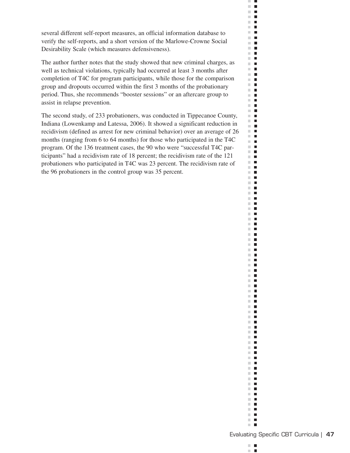several different self-report measures, an official information database to verify the self-reports, and a short version of the Marlowe-Crowne Social Desirability Scale (which measures defensiveness).

The author further notes that the study showed that new criminal charges, as well as technical violations, typically had occurred at least 3 months after completion of T4C for program participants, while those for the comparison group and dropouts occurred within the first 3 months of the probationary period. Thus, she recommends "booster sessions" or an aftercare group to assist in relapse prevention.

The second study, of 233 probationers, was conducted in Tippecanoe County, Indiana (Lowenkamp and Latessa, 2006). It showed a significant reduction in recidivism (defined as arrest for new criminal behavior) over an average of 26 months (ranging from 6 to 64 months) for those who participated in the T4C program. Of the 136 treatment cases, the 90 who were "successful T4C participants" had a recidivism rate of 18 percent; the recidivism rate of the 121 probationers who participated in T4C was 23 percent. The recidivism rate of the 96 probationers in the control group was 35 percent.



u.  $\mathcal{C}^{\mathcal{C}}$ 

 $\mathbb{R}^n$ 

 $\mathcal{L}_{\mathcal{A}}$ 

 $\mathbb{R}^n$ 

 $\mathbb{R}^n$ 

 $\mathbb{R}^n$ 

m.  $\mathbb{R}^n$ 

m.

 $\mathbb{R}^n$ 

 $\mathbb{R}^n$ 

 $\mathbb{R}^n$ 

 $\mathbb{R}^n$ 

 $\mathbb{R}^n$ 

 $\mathbb{R}^n$ 

 $\mathbb{R}^n$ 

 $\mathbb{R}^n$ 

m.

 $\mathbb{R}^n$ 

 $\mathbb{R}^n$ 

 $\mathbb{R}^n$ 

 $\mathbb{R}^n$ 

 $\mathcal{L}$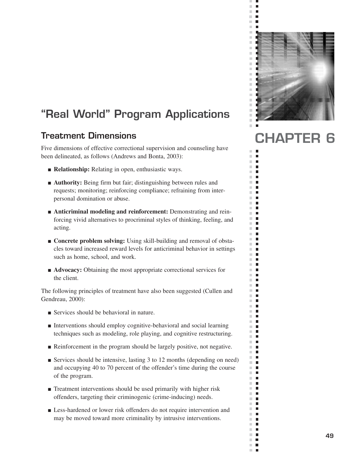

 $\bar{\phantom{a}}$  $\overline{\phantom{a}}$  $\mathbb{R}^2$  $\blacksquare$  $\mathbb{R}^n$  $\blacksquare$  $\mathcal{C}$  $\blacksquare$ 

 $\blacksquare$  $\mathbb{R}^n$ п  $\blacksquare$  $\mathcal{L}_{\mathcal{A}}$  $\blacksquare$  $\mathbb{R}^n$  $\mathbb{R}^n$ п m.  $\mathbf{r}$  $\mathbb{R}^d$ п  $\overline{\phantom{a}}$ П  $\mathbb{R}^n$ п m. п  $\mathbb{R}^d$ п  $\overline{\phantom{a}}$ П  $\mathcal{C}^{\mathcal{C}}$  $\blacksquare$  $\overline{\phantom{a}}$  $\blacksquare$  $\blacksquare$ m, m.  $\Box$  $\mathbb{R}^n$  $\Box$  $\bar{a}$ п  $\overline{\phantom{a}}$ П  $\Box$  $\mathbb{R}^d$  $\Box$ ш  $\blacksquare$  $\mathbb{R}^d$  $\Box$  $\overline{\phantom{a}}$  $\Box$  $\mathbb{R}^n$  $\blacksquare$  $\mathbb{R}^d$ п  $\overline{\phantom{a}}$  $\Box$  $\mathbb{R}^d$ п  $\blacksquare$  $\mathbb{R}^n$ П  $\mathbb{R}^n$  $\mathbf{r}$  $\mathbb{R}^d$ п  $\mathbb{R}^n$ п Ľ. Ē  $\blacksquare$ п  $\mathbb{R}^n$ п  $\mathbb{R}^d$  $\Box$  $\mathbb{R}^n$ п  $\overline{\phantom{a}}$  $\mathbb{Z}$ m.  $\mathbf{r}$  $\mathbb{R}^n$ П  $\blacksquare$ П  $\blacksquare$  $\blacksquare$  $\mathcal{L}_{\mathcal{A}}$  $\blacksquare$  $\mathbb{R}^2$  $\blacksquare$  $\mathbb{R}^d$  $\blacksquare$  $\mathbb{R}^n$  $\Box$  $\mathbb{R}^d$  $\mathbb{Z}$  $\mathbb{R}^2$ п  $\blacksquare$  $\mathbb{R}^n$  $\blacksquare$ m,  $\mathbb{R}^n$  $\blacksquare$ m,  $\mathbb{Z}$  $\mathbb{R}^n$ П п  $\mathbb{R}^n$  $\overline{\phantom{a}}$  $\mathbb{Z}$  $\mathbb{R}^n \times \mathbb{R}^n$ m,  $\overline{\phantom{a}}$  $\bar{\phantom{a}}$ п

# **"Real World" Program Applications**

# Treatment Dimensions **CHAPTER**

Five dimensions of effective correctional supervision and counseling have been delineated, as follows (Andrews and Bonta, 2003):

- **Relationship:** Relating in open, enthusiastic ways.
- **Authority:** Being firm but fair; distinguishing between rules and requests; monitoring; reinforcing compliance; refraining from inter personal domination or abuse.
- **Anticriminal modeling and reinforcement:** Demonstrating and rein forcing vivid alternatives to procriminal styles of thinking, feeling, and acting.
- **Concrete problem solving:** Using skill-building and removal of obstacles toward increased reward levels for anticriminal behavior in settings such as home, school, and work.
- **Advocacy:** Obtaining the most appropriate correctional services for the client.

The following principles of treatment have also been suggested (Cullen and Gendreau, 2000):

- Services should be behavioral in nature.
- Interventions should employ cognitive-behavioral and social learning techniques such as modeling, role playing, and cognitive restructuring.
- Reinforcement in the program should be largely positive, not negative.
- Services should be intensive, lasting 3 to 12 months (depending on need) and occupying 40 to 70 percent of the offender's time during the course of the program.
- Treatment interventions should be used primarily with higher risk offenders, targeting their criminogenic (crime-inducing) needs.
- Less-hardened or lower risk offenders do not require intervention and may be moved toward more criminality by intrusive interventions.

**49**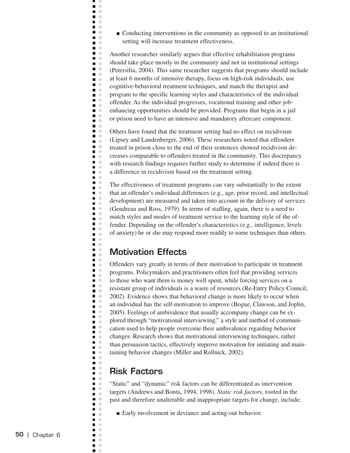■ Conducting interventions in the community as opposed to an institutional setting will increase treatment effectiveness.

Another researcher similarly argues that effective rehabilitation programs should take place mostly in the community and not in institutional settings (Petersilia, 2004). This same researcher suggests that programs should include at least 6 months of intensive therapy, focus on high-risk individuals, use cognitive-behavioral treatment techniques, and match the therapist and program to the specific learning styles and characteristics of the individual offender. As the individual progresses, vocational training and other jobenhancing opportunities should be provided. Programs that begin in a jail or prison need to have an intensive and mandatory aftercare component.

Others have found that the treatment setting had no effect on recidivism (Lipsey and Landenberger, 2006). These researchers noted that offenders treated in prison close to the end of their sentences showed recidivism decreases comparable to offenders treated in the community. This discrepancy with research findings requires further study to determine if indeed there is a difference in recidivism based on the treatment setting.

The effectiveness of treatment programs can vary substantially to the extent that an offender's individual differences (e.g., age, prior record, and intellectual development) are measured and taken into account in the delivery of services (Gendreau and Ross, 1979). In terms of staffing, again, there is a need to match styles and modes of treatment service to the learning style of the offender. Depending on the offender's characteristics (e.g., intelligence, levels of anxiety) he or she may respond more readily to some techniques than others.

#### **Motivation Effects**

щ J.  $\blacksquare$  $\bar{\mathbf{u}}$  $\blacksquare$  $\mathbb{R}^2$ **C** n m  $\mathcal{L}$ n m  $\mathbf{L}$ n a  $\blacksquare$  $\blacksquare$  $\mathcal{C}$ Ē. ×  $\blacksquare$ ×  $\blacksquare$  .  $\blacksquare$  $\blacksquare$  $\blacksquare$ л  $\blacksquare$ ×  $\blacksquare$  .  $\blacksquare$  $\mathbb{R}^d$  $\blacksquare$  $\blacksquare$ m m  $\mathbb{R}^n$  . ×  $\blacksquare$  $\blacksquare$ ×  $\blacksquare$   $\blacksquare$  $\blacksquare$  .  $\blacksquare$  $\blacksquare$ ×  $\blacksquare$ ×  $\blacksquare$ × Ē  $\mathbb{R}^2$  $\blacksquare$ ×  $\blacksquare$ ×  $\overline{\phantom{a}}$  $\Box$  $\mathcal{C}$ m. m  $\blacksquare$  $\mathbb{R}^n$  $\overline{\phantom{a}}$  $\mathbb{R}^2$  $\mathbb{R}^d$ П  $\blacksquare$  .  $\blacksquare$  $\Box$ ×  $\Box$  $\mathbb{R}^d$  $\blacksquare$  $\blacksquare$ л  $\blacksquare$  $\mathbb{R}^d$  $\mathcal{C}$  $\Box$  $\blacksquare$  $\mathcal{L}_{\mathcal{A}}$  $\blacksquare$  $\mathcal{L}$  $\overline{\phantom{a}}$ ×  $\mathcal{C}$  $\overline{\phantom{a}}$ Ξ  $\mathbb{R}^2$ Ē, ×  $\blacksquare$  $\mathcal{C}$  $\blacksquare$  $\mathbb{R}^2$  $\blacksquare$ ×  $\blacksquare$  $\mathbb{R}^n$  $\blacksquare$  .  $\blacksquare$  $\mathbb{R}^n$  $\Box$ ×  $\blacksquare$  $\mathcal{C}$  $\blacksquare$  $\mathcal{C}$  $\blacksquare$  $\bar{a}$  $\blacksquare$ ×  $\blacksquare$  $\mathcal{L}$  $\blacksquare$  $\bar{a}$  $\blacksquare$ п  $\blacksquare$ ×  $\blacksquare$ ×  $\blacksquare$  $\mathcal{L}$  $\blacksquare$  $\bar{a}$  $\blacksquare$ ×  $\blacksquare$  $\mathbb{R}^2$  $\Box$  $\mathbb{R}^2$  $\mathcal{C}$  $\blacksquare$ ×  $\blacksquare$  $\blacksquare$ ×  $\mathbb{R}^2$ п  $\Box$  $\mathbb{R}^2$  $\blacksquare$  $\mathbb{R}^2$  $\mathcal{C}$  $\mathcal{L}_{\mathcal{A}}$  $\blacksquare$  $\mathbf{r}$  $\blacksquare$  $\mathcal{L}$  $\mathbb{R}^d$  $\overline{\phantom{a}}$  $\blacksquare$ ×  $\blacksquare$  $\mathbb{R}^2$  $\overline{\phantom{a}}$  $\mathbb{R}^2$  $\blacksquare$ л  $\blacksquare$ ×

Offenders vary greatly in terms of their motivation to participate in treatment programs. Policymakers and practitioners often feel that providing services to those who want them is money well spent, while forcing services on a resistant group of individuals is a waste of resources (Re-Entry Policy Council, 2002). Evidence shows that behavioral change is more likely to occur when an individual has the self-motivation to improve (Bogue, Clawson, and Joplin, 2005). Feelings of ambivalence that usually accompany change can be explored through "motivational interviewing," a style and method of communication used to help people overcome their ambivalence regarding behavior changes. Research shows that motivational interviewing techniques, rather than persuasion tactics, effectively improve motivation for initiating and maintaining behavior changes (Miller and Rollnick, 2002).

#### **Risk Factors**

"Static" and "dynamic" risk factors can be differentiated as intervention targets (Andrews and Bonta, 1994, 1998). *Static risk factors,* rooted in the past and therefore unalterable and inappropriate targets for change, include:

■ Early involvement in deviance and acting-out behavior.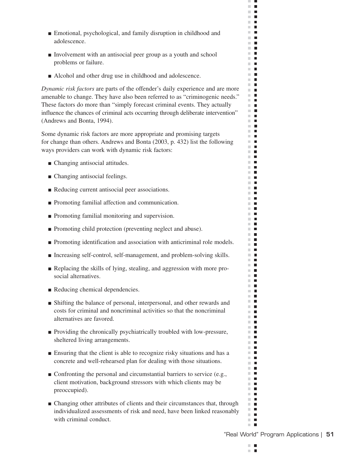- Emotional, psychological, and family disruption in childhood and adolescence.
- Involvement with an antisocial peer group as a youth and school problems or failure.
- Alcohol and other drug use in childhood and adolescence.

*Dynamic risk factors* are parts of the offender's daily experience and are more amenable to change. They have also been referred to as "criminogenic needs." These factors do more than "simply forecast criminal events. They actually influence the chances of criminal acts occurring through deliberate intervention" (Andrews and Bonta, 1994).

Some dynamic risk factors are more appropriate and promising targets for change than others. Andrews and Bonta (2003, p. 432) list the following ways providers can work with dynamic risk factors:

- Changing antisocial attitudes.
- Changing antisocial feelings.
- Reducing current antisocial peer associations.
- Promoting familial affection and communication.
- Promoting familial monitoring and supervision.
- Promoting child protection (preventing neglect and abuse).
- Promoting identification and association with anticriminal role models.
- Increasing self-control, self-management, and problem-solving skills.
- Replacing the skills of lying, stealing, and aggression with more pro social alternatives.
- Reducing chemical dependencies.
- Shifting the balance of personal, interpersonal, and other rewards and costs for criminal and noncriminal activities so that the noncriminal alternatives are favored.
- Providing the chronically psychiatrically troubled with low-pressure, sheltered living arrangements.
- Ensuring that the client is able to recognize risky situations and has a concrete and well-rehearsed plan for dealing with those situations.
- Confronting the personal and circumstantial barriers to service (e.g., client motivation, background stressors with which clients may be preoccupied).
- Changing other attributes of clients and their circumstances that, through individualized assessments of risk and need, have been linked reasonably with criminal conduct.

m.  $\blacksquare$ п ×

 $\mathcal{C}^{\mathcal{C}}$  $\Box$  $\mathbb{R}^d$  $\blacksquare$ **The Contract**  $\mathbf{r}$  $\mathbb{R}^n$  $\blacksquare$ **The Contract of the Contract of the Contract of the Contract of the Contract of the Contract of the Contract o**  $\blacksquare$  $\mathbf{r}$  $\mathcal{L}$  $\blacksquare$  $\mathbf{H}$  $\mathbf{r}$  .  $\mathbf{r}$ m an  $\mathbb{R}^n$  .  $\mathbf{r}$  .  $\mathbf{r}$ **The Contract of the Contract of the Contract of the Contract of the Contract of the Contract of the Contract of the Contract of the Contract of the Contract of the Contract of the Contract of the Contract of the Contract**  $\mathbb{R}^2$  $\blacksquare$  $\Box$  $\Box$  .  $\Box$  $\mathbb{R}^2$  $\blacksquare$  $\Box$  .  $\Box$  $\mathbb{R}^n$  . m.  $\blacksquare$  $\blacksquare$ m,  $\mathbb{R}^n$  .  $\mathbf{r}$  .  $\mathbf{r}$  $\Box$  .  $\Box$  $\mathbb{R}^n$  $\blacksquare$  $\mathbb{R}^n$  .  $\mathbb{R}^n$  $\blacksquare$ m.  $\mathbb{R}^d$  $\mathcal{L}_{\mathcal{A}}$  $\blacksquare$  .  $\blacksquare$ **The Co**  $\mathbb{R}^d$  $\blacksquare$ **The Contract of the Contract of the Contract of the Contract of the Contract of the Contract of the Contract of the Contract of the Contract of the Contract of the Contract of the Contract of the Contract of the Contract**  $\mathbb{R}^n$  .  $\mathbb{R}^n$  $\mathbf{L}$  $\blacksquare$ **COL**  $\mathbf{r}$ **The Co**  $\mathbb{R}^n$  .  $\mathbb{R}^n$  $\blacksquare$ **The Contract of the Contract of the Contract of the Contract of the Contract of the Contract of the Contract of the Contract of the Contract of the Contract of the Contract of the Contract of the Contract of the Contract** m.  $\blacksquare$  $\sim$  10  $\pm$  $\mathbf{u}$  $\blacksquare$ m.  $\blacksquare$  $\blacksquare$ m.  $\overline{\phantom{a}}$ m.  $\blacksquare$ **The Contract of the Contract of the Contract of the Contract of the Contract of the Contract of the Contract o**  $\mathbf{r}$  $\blacksquare$ m.  $\Box$  $\blacksquare$  $\mathbf{r}$ m.  $\mathcal{L}_{\mathcal{A}}$ **The Contract of the Contract of the Contract of the Contract of the Contract of the Contract of the Contract o**  $\mathbb{R}^n$  .  $\mathbb{R}^n$  $\mathbf{r}$  .  $\mathbf{r}$  $\mathbb{R}^n$  $\mathcal{L}_{\mathcal{A}}$  $\blacksquare$  <br> If m.  $\blacksquare$  $\blacksquare$  $\blacksquare$  $\mathbf{r}$  $\mathbf{u} \cdot \mathbf{u}$  $\mathbb{R}^n$  $\mathcal{L}_{\mathcal{A}}$ **THE R** m.  $\blacksquare$  $\mathbb{R}^n$  $\blacksquare$  $\mathbb{R}^d$  $\blacksquare$  $\blacksquare$  $\blacksquare$   $\blacksquare$  $\mathbb{R}^n$  .  $\mathbb{R}^n$  $\blacksquare$ m n  $\mathbb{R}^n$  $\blacksquare$ **The Co**  $\blacksquare$  $\sim 10$  $\mathbb{R}^n$  $\blacksquare$  $\mathbb{R}^n$  .  $\mathbb{R}^n$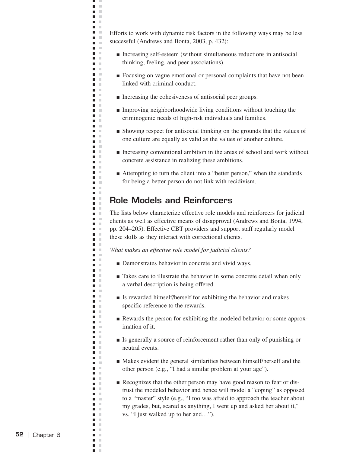Efforts to work with dynamic risk factors in the following ways may be less successful (Andrews and Bonta, 2003, p. 432):

- Increasing self-esteem (without simultaneous reductions in antisocial thinking, feeling, and peer associations).
- Focusing on vague emotional or personal complaints that have not been linked with criminal conduct.
- Increasing the cohesiveness of antisocial peer groups.

ц J.  $\Box$  $\blacksquare$  $\mathcal{L}$ **C** n m  $\mathcal{L}$ **The Co D** O m m a a n m **The College** m. m m in **College The Contract of the Contract of the Contract of the Contract of the Contract of the Contract of the Contract o** n m  $\blacksquare$   $\blacksquare$  $\blacksquare$  .  $\blacksquare$ n a **The Contract of the Contract of the Contract of the Contract of the Contract of the Contract of the Contract o D** O **COLLEGE**  $\mathbf{r}$  $\blacksquare$  .  $\blacksquare$ n m **C** m in  $\blacksquare$   $\blacksquare$ m. m  $\mathbf{r}$ a m  $\blacksquare$  .  $\blacksquare$  $\blacksquare$  $\mathcal{C}$  $\blacksquare$  $\Box$  $\mathbb{R}^d$ п  $\blacksquare$  $\mathbb{R}^n$  $\blacksquare$  .  $\blacksquare$  $\blacksquare$ ×  $\blacksquare$ п  $\blacksquare$  .  $\blacksquare$  $\blacksquare$ л  $\mathbb{R}^2$  $\blacksquare$  $\blacksquare$  $\mathcal{C}$  $\blacksquare$  $\blacksquare$  .  $\blacksquare$ ×  $\blacksquare$  $\blacksquare$  $\blacksquare$  $\mathcal{L}$  $\blacksquare$  $\mathbb{R}^n$ m. m n m  $\blacksquare$  $\mathcal{L}$  $\blacksquare$ ×  $\blacksquare$  $\blacksquare$  $\mathcal{L}$  $\overline{\phantom{a}}$  $\mathcal{C}$  $\blacksquare$  .  $\blacksquare$ n m m. m  $\mathbf{r}$  $\blacksquare$  .  $\blacksquare$  $\blacksquare$  $\mathbb{R}^n$  $\blacksquare$ ×  $\blacksquare$  .  $\blacksquare$  $\mathbf{r}$  $\overline{\phantom{a}}$  $\mathcal{C}$  $\blacksquare$  $\blacksquare$  $\mathcal{C}$  $\blacksquare$  $\overline{\phantom{a}}$  $\mathcal{L}$  $\blacksquare$   $\blacksquare$ n H  $\blacksquare$  $\sim$ **TELEVISION** n a  $\blacksquare$  $\mathcal{C}$  $\blacksquare$ n in m. m  $\blacksquare$  $\mathcal{L}$  $\blacksquare$ ×  $\Box$  $\blacksquare$  $\mathbb{R}^2$  $\overline{\phantom{a}}$  $\mathcal{C}$  $\blacksquare$ л  $\blacksquare$ ×

- Improving neighborhoodwide living conditions without touching the criminogenic needs of high-risk individuals and families.
- Showing respect for antisocial thinking on the grounds that the values of one culture are equally as valid as the values of another culture.
- Increasing conventional ambition in the areas of school and work without concrete assistance in realizing these ambitions.
- Attempting to turn the client into a "better person," when the standards for being a better person do not link with recidivism.

### **Role Models and Reinforcers**

The lists below characterize effective role models and reinforcers for judicial clients as well as effective means of disapproval (Andrews and Bonta, 1994, pp. 204–205). Effective CBT providers and support staff regularly model these skills as they interact with correctional clients.

*What makes an effective role model for judicial clients?* 

- Demonstrates behavior in concrete and vivid ways.
- Takes care to illustrate the behavior in some concrete detail when only a verbal description is being offered.
- Is rewarded himself/herself for exhibiting the behavior and makes specific reference to the rewards.
- Rewards the person for exhibiting the modeled behavior or some approximation of it.
- Is generally a source of reinforcement rather than only of punishing or neutral events.
- Makes evident the general similarities between himself/herself and the other person (e.g., "I had a similar problem at your age").
- Recognizes that the other person may have good reason to fear or distrust the modeled behavior and hence will model a "coping" as opposed to a "master" style (e.g., "I too was afraid to approach the teacher about my grades, but, scared as anything, I went up and asked her about it," vs. "I just walked up to her and…").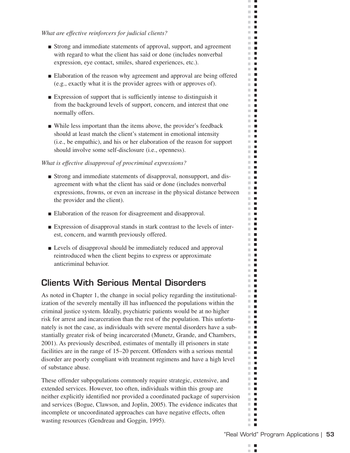#### *What are effective reinforcers for judicial clients?*

- Strong and immediate statements of approval, support, and agreement with regard to what the client has said or done (includes nonverbal expression, eye contact, smiles, shared experiences, etc.).
- Elaboration of the reason why agreement and approval are being offered (e.g., exactly what it is the provider agrees with or approves of).
- Expression of support that is sufficiently intense to distinguish it from the background levels of support, concern, and interest that one normally offers.
- While less important than the items above, the provider's feedback should at least match the client's statement in emotional intensity (i.e., be empathic), and his or her elaboration of the reason for support should involve some self-disclosure (i.e., openness).

#### *What is effective disapproval of procriminal expressions?*

- Strong and immediate statements of disapproval, nonsupport, and disagreement with what the client has said or done (includes nonverbal expressions, frowns, or even an increase in the physical distance between the provider and the client).
- Elaboration of the reason for disagreement and disapproval.
- Expression of disapproval stands in stark contrast to the levels of interest, concern, and warmth previously offered.
- Levels of disapproval should be immediately reduced and approval reintroduced when the client begins to express or approximate anticriminal behavior.

# **Clients With Serious Mental Disorders**

As noted in Chapter 1, the change in social policy regarding the institutionalization of the severely mentally ill has influenced the populations within the criminal justice system. Ideally, psychiatric patients would be at no higher risk for arrest and incarceration than the rest of the population. This unfortunately is not the case, as individuals with severe mental disorders have a substantially greater risk of being incarcerated (Munetz, Grande, and Chambers, 2001). As previously described, estimates of mentally ill prisoners in state facilities are in the range of 15–20 percent. Offenders with a serious mental disorder are poorly compliant with treatment regimens and have a high level of substance abuse.

These offender subpopulations commonly require strategic, extensive, and extended services. However, too often, individuals within this group are neither explicitly identified nor provided a coordinated package of supervision and services (Bogue, Clawson, and Joplin, 2005). The evidence indicates that incomplete or uncoordinated approaches can have negative effects, often wasting resources (Gendreau and Goggin, 1995).

m. п ×

 $\mathcal{C}$  $\blacksquare$  $\mathcal{C}$  $\blacksquare$  $\mathbf{H} \in \mathbf{R}$  $\mathbf{r}$  $\mathbb{R}^n$  $\blacksquare$ **The Contract of the Contract of the Contract of the Contract of the Contract of the Contract of the Contract o** m.  $\mathbf{L}$  $\mathbb{R}^n$  . In  $\mathbb{R}^n$  $\blacksquare$  $\mathbf{r}$  $\blacksquare$  .  $\mathbb{R}^d$  $\blacksquare$  $\mathbb{R}^n$  $\blacksquare$  $\mathbb{R}^d$  $\blacksquare$ m.  $\blacksquare$  $\mathbb{R}^d$  $\blacksquare$  $\mathbb{R}^n$  $\blacksquare$  $\blacksquare$  .  $\mathbb{R}^n$  $\blacksquare$  $\mathcal{L}_{\mathcal{A}}$  $\blacksquare$ m.  $\blacksquare$  $\mathbb{R}^n$  $\blacksquare$  $\blacksquare$ ш  $\mathbb{R}^n$  . m an  $\mathbb{R}^n$  $\blacksquare$  $\mathbb{R}^n$  $\blacksquare$ m.  $\mathcal{L}_{\mathcal{A}}$ m.  $\blacksquare$  $\mathbb{R}^d$  $\blacksquare$  $\blacksquare$  .  $\blacksquare$ **COL**  $\overline{\phantom{a}}$ m.  $\blacksquare$ m m m.  $\blacksquare$ m.  $\blacksquare$  $\blacksquare$  $\overline{\phantom{a}}$ **The Contract of the Contract of the Contract of the Contract of the Contract of the Contract of the Contract o** m.  $\blacksquare$ m.  $\blacksquare$  $\mathbf{u}$ **The Contract**  $\mathbb{R}^n$  $\Box$ m.  $\blacksquare$ **The Co**  $\blacksquare$ m.  $\mathcal{L}_{\mathcal{A}}$  $\mathbf{u}$ m.  $\blacksquare$ m.  $\blacksquare$  $\blacksquare$  $\blacksquare$  $\blacksquare$ m.  $\blacksquare$  $\blacksquare$ m.  $\blacksquare$  $\mathbb{R}^d$  $\mathcal{L}_{\mathcal{A}}$ **The Contract of the Contract of the Contract of the Contract of the Contract of the Contract of the Contract o**  $\blacksquare$  $\mathbb{R}^n$  .  $\mathbb{R}^n$  $\mathbb{R}^d$  $\mathcal{L}_{\mathcal{A}}$  $\mathbb{R}^n$  .  $\mathbb{R}^n$ m.  $\blacksquare$  $\blacksquare$  $\blacksquare$  $\mathbb{R}^n$  .  $\mathbb{R}^n$  $\mathbf{u} \cdot \mathbf{u}$  $\mathbb{R}^d$  $\mathcal{L}_{\mathcal{A}}$  $\Box$ m. m.  $\blacksquare$  $\mathcal{L}_{\mathcal{A}}$ m.  $\mathbb{R}^n$  $\blacksquare$  $\blacksquare$  $\mathbb{R}^n$  .  $\mathbb{R}^n$  $\mathbb{R}^n$  $\blacksquare$  $\blacksquare$ m in  $\blacksquare$  $\mathbb{R}^d$  $\blacksquare$  $\mathcal{L}_{\mathcal{A}}$ m in  $\blacksquare$  $\mathcal{C}^{\mathcal{C}}$  $\mathbb{R}^n$  $\blacksquare$  $\mathbb{R}^n$  $\blacksquare$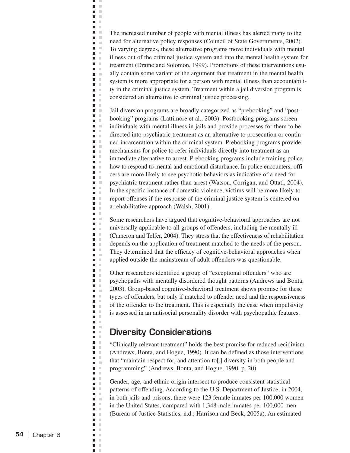The increased number of people with mental illness has alerted many to the need for alternative policy responses (Council of State Governments, 2002). To varying degrees, these alternative programs move individuals with mental illness out of the criminal justice system and into the mental health system for treatment (Draine and Solomon, 1999). Promotions of these interventions usually contain some variant of the argument that treatment in the mental health system is more appropriate for a person with mental illness than accountability in the criminal justice system. Treatment within a jail diversion program is considered an alternative to criminal justice processing.

щ J.  $\blacksquare$  $\bar{\mathbf{u}}$  $\blacksquare$  $\mathbb{R}^2$ **C D** D  $\blacksquare$ × **Contract**  $\blacksquare$  $\mathbf{u}$  $\blacksquare$ Ē.  $\Box$  $\blacksquare$  .  $\blacksquare$  $\blacksquare$  $\blacksquare$ л  $\blacksquare$ ×  $\blacksquare$  .  $\blacksquare$  $\blacksquare$  .  $\blacksquare$  $\blacksquare$  $\mathbb{R}^2$  $\blacksquare$ ×  $\blacksquare$ ×  $\blacksquare$  $\blacksquare$ ×  $\blacksquare$  $\blacksquare$  $\blacksquare$  $\blacksquare$  .  $\blacksquare$  $\blacksquare$ ×  $\blacksquare$  $\mathbb{R}^2$  $\blacksquare$ ×  $\blacksquare$  $\mathcal{C}$  $\overline{\phantom{a}}$  $\Box$ × m. m  $\blacksquare$  $\mathbb{R}^d$  $\blacksquare$  $\mathbb{R}^2$  $\mathbb{R}^d$  $\blacksquare$  $\blacksquare$  .  $\blacksquare$  $\blacksquare$ ×  $\Box$  $\mathbb{R}^d$  $\mathbb{R}^2$  $\blacksquare$  $\blacksquare$ л  $\blacksquare$  $\mathbb{R}^d$  $\blacksquare$  $\mathcal{L}$  $\blacksquare$  $\blacksquare$ ×  $\Box$  $\mathbb{R}^d$  $\mathcal{C}$  $\overline{\phantom{a}}$ Ξ  $\mathbb{R}^2$ Ē,  $\mathbb{R}^2$  $\blacksquare$  $\mathcal{C}$  $\Box$  $\bar{a}$  $\blacksquare$  $\mathcal{C}$  $\blacksquare$  $\mathbb{R}^2$  $\blacksquare$  $\mathbb{R}^2$  $\blacksquare$  $\mathbb{R}^n$  $\Box$ ×  $\blacksquare$  $\mathcal{L}$  $\blacksquare$  $\mathcal{L}$  $\blacksquare$  $\mathcal{C}$  $\blacksquare$ ×  $\Box$  $\mathcal{L}$  $\blacksquare$  $\bar{\alpha}$  $\blacksquare$  $\mathbb{R}^n$  $\blacksquare$  .  $\blacksquare$  $\bar{a}$  $\blacksquare$  $\overline{\phantom{a}}$  $\mathcal{L}$  $\blacksquare$  $\bar{a}$  $\Box$  $\mathbb{R}^n$  $\blacksquare$  $\mathbb{R}^2$  $\Box$  $\mathbb{R}^2$  $\overline{\phantom{a}}$  $\sim$  $\mathbb{R}^2$  $\blacksquare$  $\blacksquare$  $\bar{a}$  $\overline{\phantom{a}}$  $\mathbb{R}^n$ Ē,  $\mathbb{R}^2$  $\blacksquare$  $\mathbb{R}^2$  $\mathcal{C}$  $\blacksquare$  $\blacksquare$  $\mathbb{R}^n$  $\blacksquare$  $\mathcal{C}$  $\blacksquare$  $\mathcal{L}$  $\mathbb{R}^d$  $\overline{\phantom{a}}$  $\blacksquare$  $\mathbb{R}^2$  $\blacksquare$  $\mathbb{R}^2$  $\Box$  $\mathbb{R}^2$  $\blacksquare$  $\mathbb{R}^n$  $\blacksquare$ ×

Jail diversion programs are broadly categorized as "prebooking" and "postbooking" programs (Lattimore et al., 2003). Postbooking programs screen individuals with mental illness in jails and provide processes for them to be directed into psychiatric treatment as an alternative to prosecution or continued incarceration within the criminal system. Prebooking programs provide mechanisms for police to refer individuals directly into treatment as an immediate alternative to arrest. Prebooking programs include training police how to respond to mental and emotional disturbance. In police encounters, officers are more likely to see psychotic behaviors as indicative of a need for psychiatric treatment rather than arrest (Watson, Corrigan, and Ottati, 2004). In the specific instance of domestic violence, victims will be more likely to report offenses if the response of the criminal justice system is centered on a rehabilitative approach (Walsh, 2001).

Some researchers have argued that cognitive-behavioral approaches are not universally applicable to all groups of offenders, including the mentally ill (Cameron and Telfer, 2004). They stress that the effectiveness of rehabilitation depends on the application of treatment matched to the needs of the person. They determined that the efficacy of cognitive-behavioral approaches when applied outside the mainstream of adult offenders was questionable.

Other researchers identified a group of "exceptional offenders" who are psychopaths with mentally disordered thought patterns (Andrews and Bonta, 2003). Group-based cognitive-behavioral treatment shows promise for these types of offenders, but only if matched to offender need and the responsiveness of the offender to the treatment. This is especially the case when impulsivity is assessed in an antisocial personality disorder with psychopathic features.

#### **Diversity Considerations**

"Clinically relevant treatment" holds the best promise for reduced recidivism (Andrews, Bonta, and Hogue, 1990). It can be defined as those interventions that "maintain respect for, and attention to[,] diversity in both people and programming" (Andrews, Bonta, and Hogue, 1990, p. 20).

Gender, age, and ethnic origin intersect to produce consistent statistical patterns of offending. According to the U.S. Department of Justice, in 2004, in both jails and prisons, there were 123 female inmates per 100,000 women in the United States, compared with 1,348 male inmates per 100,000 men (Bureau of Justice Statistics, n.d.; Harrison and Beck, 2005a). An estimated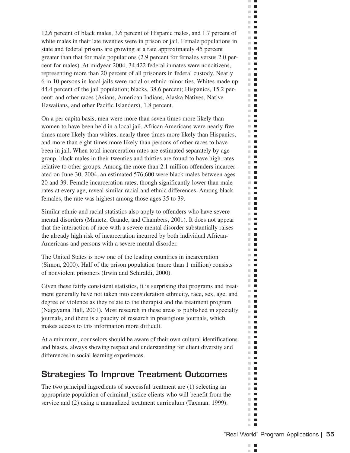12.6 percent of black males, 3.6 percent of Hispanic males, and 1.7 percent of white males in their late twenties were in prison or jail. Female populations in state and federal prisons are growing at a rate approximately 45 percent greater than that for male populations (2.9 percent for females versus 2.0 percent for males). At midyear 2004, 34,422 federal inmates were noncitizens, representing more than 20 percent of all prisoners in federal custody. Nearly 6 in 10 persons in local jails were racial or ethnic minorities. Whites made up 44.4 percent of the jail population; blacks, 38.6 percent; Hispanics, 15.2 percent; and other races (Asians, American Indians, Alaska Natives, Native Hawaiians, and other Pacific Islanders), 1.8 percent.

On a per capita basis, men were more than seven times more likely than women to have been held in a local jail. African Americans were nearly five times more likely than whites, nearly three times more likely than Hispanics, and more than eight times more likely than persons of other races to have been in jail. When total incarceration rates are estimated separately by age group, black males in their twenties and thirties are found to have high rates relative to other groups. Among the more than 2.1 million offenders incarcerated on June 30, 2004, an estimated 576,600 were black males between ages 20 and 39. Female incarceration rates, though significantly lower than male rates at every age, reveal similar racial and ethnic differences. Among black females, the rate was highest among those ages 35 to 39.

Similar ethnic and racial statistics also apply to offenders who have severe mental disorders (Munetz, Grande, and Chambers, 2001). It does not appear that the interaction of race with a severe mental disorder substantially raises the already high risk of incarceration incurred by both individual African-Americans and persons with a severe mental disorder.

The United States is now one of the leading countries in incarceration (Simon, 2000). Half of the prison population (more than 1 million) consists of nonviolent prisoners (Irwin and Schiraldi, 2000).

Given these fairly consistent statistics, it is surprising that programs and treatment generally have not taken into consideration ethnicity, race, sex, age, and degree of violence as they relate to the therapist and the treatment program (Nagayama Hall, 2001). Most research in these areas is published in specialty journals, and there is a paucity of research in prestigious journals, which makes access to this information more difficult.

At a minimum, counselors should be aware of their own cultural identifications and biases, always showing respect and understanding for client diversity and differences in social learning experiences.

# **Strategies To Improve Treatment Outcomes**

The two principal ingredients of successful treatment are (1) selecting an appropriate population of criminal justice clients who will benefit from the service and (2) using a manualized treatment curriculum (Taxman, 1999).

m.  $\blacksquare$ п ×

 $\mathcal{C}^{\mathcal{C}}$  $\blacksquare$  $\mathbb{R}^d$  $\blacksquare$  $\Box$  .  $\Box$  $\mathbf{r}$  $\mathbb{R}^n$  $\mathcal{L}_{\mathcal{A}}$ **The Co** m.  $\overline{\phantom{a}}$  $\blacksquare$  $\sim$  $\mathbb{R}^n$  $\overline{\phantom{a}}$  $\Box$  .  $\Box$  $\blacksquare$  .  $\blacksquare$  $\mathbb{R}^2$  $\blacksquare$  $\mathbb{R}^n$  $\mathcal{L}_{\mathcal{A}}$  $\mathbb{R}^n$  $\blacksquare$ m.  $\overline{\phantom{a}}$  $\mathbb{R}^d$  $\blacksquare$  $\mathbb{R}^n$  $\mathcal{L}_{\mathcal{A}}$ m. **I**  $\mathbb{R}^d$  $\blacksquare$  $\mathcal{L}_{\mathcal{A}}$  $\blacksquare$ m.  $\blacksquare$  $\mathbb{R}^n$  $\blacksquare$  $\blacksquare$ ш  $\mathbf{r}$ m.  $\blacksquare$  $\mathbb{R}^n$  $\mathcal{L}_{\mathcal{A}}$  $\mathbb{R}^n$  $\mathcal{L}_{\mathcal{A}}$  $\mathbb{R}^n$  $\blacksquare$ m.  $\blacksquare$  $\mathcal{L}_{\mathcal{A}}$  $\blacksquare$ **The Contract of the Contract of the Contract of the Contract of the Contract of the Contract of the Contract o**  $\blacksquare$  $\blacksquare$ m.  $\blacksquare$ m.  $\blacksquare$ m.  $\blacksquare$ m.  $\overline{\phantom{a}}$  $\blacksquare$  $\mathcal{L}_{\mathcal{A}}$  $\mathbb{R}^n$  .  $\mathbb{R}^n$  $\mathbb{R}^n$  .  $\mathbb{R}^n$ m.  $\blacksquare$ m.  $\blacksquare$  $\mathbb{R}^n$  $\blacksquare$  $\mathbb{R}^n$  $\blacksquare$  $\mathbb{R}^n$  $\overline{\phantom{a}}$  $\mathbf{u}$ **The Contract of the Contract of the Contract of the Contract of the Contract of the Contract of the Contract o**  $\mathbb{R}^d$  $\overline{\phantom{a}}$  $\mathbf{u}$  .  $\mathbf{u}$ m.  $\overline{\phantom{a}}$  $\mathbb{R}^n$  $\blacksquare$ m.  $\blacksquare$  $\mathbf{r}$ m.  $\blacksquare$  $\blacksquare$  $\overline{\phantom{a}}$  $\mathbb{R}^n$  $\blacksquare$ m,  $\mathcal{L}_{\mathcal{A}}$ m.  $\blacksquare$ m.  $\blacksquare$  $\mathbf{H} \cdot \mathbf{B}$  $\blacksquare$ m. m.  $\blacksquare$ m.  $\blacksquare$  $\mathbb{R}^n$  $\overline{\phantom{a}}$  $\blacksquare$  $\blacksquare$  $\mathbb{R}^n$  $\blacksquare$ m.  $\overline{\phantom{a}}$  $\mathbb{R}^d$  $\overline{\phantom{a}}$  $\blacksquare$ m.  $\mathbb{R}^d$  $\blacksquare$  $\mathcal{C}$  $\overline{\phantom{a}}$  $\blacksquare$  $\blacksquare$ m.  $\blacksquare$  $\blacksquare$  $\blacksquare$  $\blacksquare$  $\mathbb{R}^d$ m.  $\Box$ ш П  $\blacksquare$  $\mathbb{R}^d$  $\mathcal{L}_{\mathcal{A}}$  $\mathcal{L}_{\mathcal{A}}$  $\blacksquare$  $\blacksquare$  $\mathcal{C}^{\mathcal{C}}$  $\mathbb{R}^n$  $\blacksquare$ m.  $\blacksquare$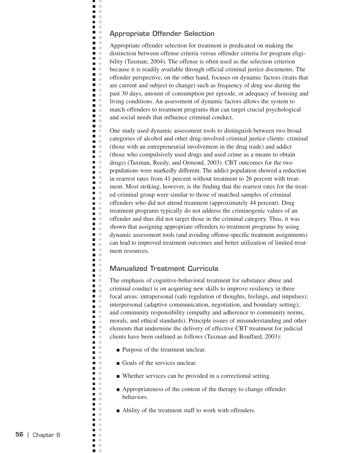#### **Appropriate Offender Selection**

ц J.  $\blacksquare$  $\bar{\mathbf{u}}$  $\blacksquare$  $\mathbb{R}^2$ **C D** D a a  $\blacksquare$  .  $\mathbf{L}$ **D** O  $\blacksquare$ i.  $\Box$  $\blacksquare$  .  $\blacksquare$  $\blacksquare$ n m  $\blacksquare$  $\mathcal{C}$  $\blacksquare$  .  $\blacksquare$  $\blacksquare$  $\blacksquare$ **The Contract of the Contract of the Contract of the Contract of the Contract of the Contract of the Contract o**  $\blacksquare$  $\blacksquare$  .  $\blacksquare$  $\blacksquare$  .  $\blacksquare$  $\blacksquare$   $\blacksquare$ n m  $\blacksquare$  $\blacksquare$  .  $\blacksquare$  $\blacksquare$ Ē.  $\mathbb{R}^2$  $\blacksquare$  .  $\blacksquare$  $\blacksquare$ ×  $\blacksquare$  $\Box$  $\mathcal{C}^{\mathcal{C}}$ m. m  $\blacksquare$  $\blacksquare$  $\mathbb{R}^2$  $\blacksquare$  . m. m m. m  $\blacksquare$  $\mathbb{R}$  $\blacksquare$  $\blacksquare$  $\mathbb{R}^n$  $\overline{\phantom{a}}$  $\mathbb{R}^d$ n m  $\blacksquare$  $\blacksquare$  $\mathcal{L}$  $\overline{\phantom{a}}$  $\mathcal{C}$  $\mathbf{u}$  .  $\mathbf{u}$  $\blacksquare$  $\mathcal{C}$  $\blacksquare$  $\mathbb{R}^2$  $\blacksquare$  .  $\blacksquare$  $\Box$  $\mathbb{R}^2$  $\blacksquare$  $\mathcal{L}$  $\blacksquare$  .  $\blacksquare$  $\blacksquare$ **COLLEGE**  $\Box$ ×  $\blacksquare$  .  $\blacksquare$  $\blacksquare$  $\pm$ m. m n m  $\blacksquare$  .  $\blacksquare$  $\blacksquare$  $\sim$  $\blacksquare$  $\sim$  $\blacksquare$  .  $\blacksquare$  $\mathbf{r}$  $\overline{\phantom{a}}$  $\mathcal{C}$ n m  $\overline{\phantom{a}}$  $\pm$  $\mathcal{C}$  $\blacksquare$  $\blacksquare$  $\mathbb{R}^2$  $\blacksquare$  $\blacksquare$  .  $\blacksquare$  $\blacksquare$  $\mathcal{C}$  $\blacksquare$  $\Box$  $\mathbb{R}^n$  $\blacksquare$  $\mathcal{C}$  $\sim$  $\blacksquare$  $\Box$  $\mathbb{R}^n$  $\mathbf{r}$  $\blacksquare$  $\mathcal{L}$  $\mathbb{R}^d$  $\blacksquare$  $\blacksquare$ ×  $\blacksquare$  $\mathbb{R}^2$  $\overline{\phantom{a}}$  $\mathcal{C}$  $\blacksquare$  $\mathbb{R}^n$  $\blacksquare$ ×

Appropriate offender selection for treatment is predicated on making the distinction between offense criteria versus offender criteria for program eligibility (Taxman, 2004). The offense is often used as the selection criterion because it is readily available through official criminal justice documents. The offender perspective, on the other hand, focuses on dynamic factors (traits that are current and subject to change) such as frequency of drug use during the past 30 days, amount of consumption per episode, or adequacy of housing and living conditions. An assessment of dynamic factors allows the system to match offenders to treatment programs that can target crucial psychological and social needs that influence criminal conduct.

One study used dynamic assessment tools to distinguish between two broad categories of alcohol and other drug-involved criminal justice clients: criminal (those with an entrepreneurial involvement in the drug trade) and addict (those who compulsively used drugs and used crime as a means to obtain drugs) (Taxman, Reedy, and Ormond, 2003). CBT outcomes for the two populations were markedly different. The addict population showed a reduction in rearrest rates from 41 percent without treatment to 26 percent with treatment. Most striking, however, is the finding that the rearrest rates for the treated criminal group were similar to those of matched samples of criminal offenders who did not attend treatment (approximately 44 percent). Drug treatment programs typically do not address the criminogenic values of an offender and thus did not target those in the criminal category. Thus, it was shown that assigning appropriate offenders to treatment programs by using dynamic assessment tools (and avoiding offense-specific treatment assignments) can lead to improved treatment outcomes and better utilization of limited treatment resources.

#### **Manualized Treatment Curricula**

The emphasis of cognitive-behavioral treatment for substance abuse and criminal conduct is on acquiring new skills to improve resiliency in three focal areas: intrapersonal (safe regulation of thoughts, feelings, and impulses); interpersonal (adaptive communication, negotiation, and boundary setting); and community responsibility (empathy and adherence to community norms, morals, and ethical standards). Principle issues of misunderstanding and other elements that undermine the delivery of effective CBT treatment for judicial clients have been outlined as follows (Taxman and Bouffard, 2003):

- Purpose of the treatment unclear.
- Goals of the services unclear.
- Whether services can be provided in a correctional setting.
- Appropriateness of the content of the therapy to change offender behaviors.
- Ability of the treatment staff to work with offenders.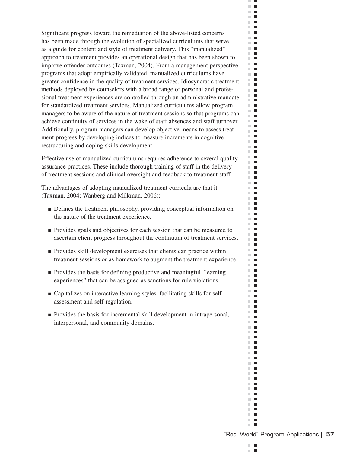Significant progress toward the remediation of the above-listed concerns has been made through the evolution of specialized curriculums that serve as a guide for content and style of treatment delivery. This "manualized" approach to treatment provides an operational design that has been shown to improve offender outcomes (Taxman, 2004). From a management perspective, programs that adopt empirically validated, manualized curriculums have greater confidence in the quality of treatment services. Idiosyncratic treatment methods deployed by counselors with a broad range of personal and professional treatment experiences are controlled through an administrative mandate for standardized treatment services. Manualized curriculums allow program managers to be aware of the nature of treatment sessions so that programs can achieve continuity of services in the wake of staff absences and staff turnover. Additionally, program managers can develop objective means to assess treatment progress by developing indices to measure increments in cognitive restructuring and coping skills development.

Effective use of manualized curriculums requires adherence to several quality assurance practices. These include thorough training of staff in the delivery of treatment sessions and clinical oversight and feedback to treatment staff.

The advantages of adopting manualized treatment curricula are that it (Taxman, 2004; Wanberg and Milkman, 2006):

- Defines the treatment philosophy, providing conceptual information on the nature of the treatment experience.
- Provides goals and objectives for each session that can be measured to ascertain client progress throughout the continuum of treatment services.
- Provides skill development exercises that clients can practice within treatment sessions or as homework to augment the treatment experience.
- Provides the basis for defining productive and meaningful "learning experiences" that can be assigned as sanctions for rule violations.
- Capitalizes on interactive learning styles, facilitating skills for selfassessment and self-regulation.
- Provides the basis for incremental skill development in intrapersonal, interpersonal, and community domains.

m.  $\blacksquare$ п ×

 $\mathcal{C}$  $\blacksquare$  $\mathbb{R}^d$  $\blacksquare$  $\mathbf{H} \in \mathbf{R}$  $\mathbf{H}$  $\mathbb{R}^n$  $\blacksquare$ **The Contract of the Contract of the Contract of the Contract of the Contract of the Contract of the Contract o** m.  $\blacksquare$  $\blacksquare$  $\sim$  $\mathbb{R}^n$  $\overline{\phantom{a}}$  $\mathbf{H}$  $\blacksquare$  .  $\blacksquare$  $\mathbb{R}^d$  $\blacksquare$  $\mathbb{R}^n$  $\overline{\phantom{a}}$  $\mathbf{r}$  .  $\mathbf{r}$ **The Contract of the Contract of the Contract of the Contract of the Contract of the Contract of the Contract of the Contract of the Contract of the Contract of the Contract of the Contract of the Contract of the Contract**  $\mathbb{R}^2$  $\mathcal{L}_{\mathcal{A}}$  $\mathbb{R}^n$  $\blacksquare$ **The Co**  $\sim$  $\blacksquare$  $\mathbb{R}^n$  $\blacksquare$  $\mathbb{R}^n$  .  $\mathbb{R}^n$  $\blacksquare$  $\blacksquare$ m,  $\mathbb{R}^n$  .  $\mathbb{R}^n$ m m  $\mathbb{R}^2$  $\blacksquare$  $\mathbb{R}^n$  $\blacksquare$  $\mathbb{R}^n$  .  $\mathbb{R}^n$ Ē m.  $\mathbb{R}^n$  $\blacksquare$ **The Contract of the Contract of the Contract of the Contract of the Contract of the Contract of the Contract o**  $\mathbb{R}^n$  $\overline{\phantom{a}}$  $\mathbb{R}^d$  $\blacksquare$ m.  $\blacksquare$ m.  $\mathcal{L}_{\mathcal{A}}$  $\overline{\phantom{a}}$ m. m.  $\blacksquare$  $\mathbf{r}$  .  $\mathbf{r}$ m.  $\blacksquare$ m.  $\mathcal{L}_{\mathcal{A}}$  $\mathbf{u}$ m.  $\blacksquare$ m.  $\blacksquare$ m.  $\blacksquare$  $\mathbf{u}$  $\mathbf{r}$ m.  $\mathcal{L}_{\mathcal{A}}$  $\mathbf{u}$  $\blacksquare$ m.  $\mathbb{R}^n$  $\overline{\phantom{a}}$ m.  $\blacksquare$  $\blacksquare$ m.  $\blacksquare$  $\mathbb{R}^n$ П  $\mathbb{R}^n$  $\blacksquare$ m,  $\mathcal{L}_{\mathcal{A}}$ m.  $\blacksquare$ m.  $\blacksquare$  $\mathbb{R}^n$  .  $\mathbb{R}^n$  $\blacksquare$  $\mathbb{R}^n$ m.  $\blacksquare$ m.  $\blacksquare$  $\blacksquare$ m.  $\blacksquare$  $\blacksquare$ m an  $\mathbf{u} \cdot \mathbf{u}$  $\mathbb{R}^n$  $\mathcal{L}_{\mathcal{A}}$  $\blacksquare$ m.  $\overline{\phantom{a}}$  $\mathbb{R}^n$  $\blacksquare$  $\mathbb{R}^d$  $\blacksquare$  $\Box$  .  $\Box$  $\mathbb{R}^n$  .  $\mathbb{R}^n$  $\mathbb{R}^n$  $\blacksquare$  $\blacksquare$ **The Contract of the Contract of the Contract of the Contract of the Contract of the Contract of the Contract o**  $\mathbb{R}^d$  $\blacksquare$ **The Co**  $\blacksquare$  $\mathbf{r}$  .  $\mathbf{r}$  $\mathbb{R}^n$  $\overline{\phantom{a}}$  $\mathbb{R}^n$  $\blacksquare$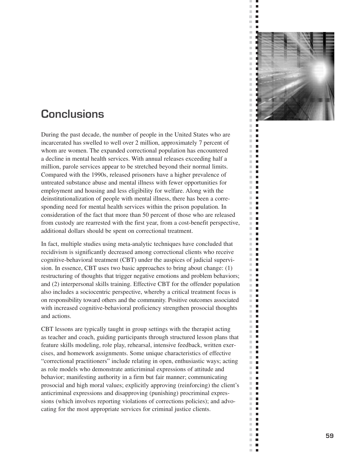

 $\bar{\phantom{a}}$  $\blacksquare$ Ē.  $\overline{\phantom{a}}$  $\bar{\phantom{a}}$  $\blacksquare$ 

 $\mathcal{C}$ п  $\bar{\phantom{a}}$  $\Box$  $\bar{\mathbf{r}}$ г  $\mathbb{R}^2$  $\Box$  $\bar{\phantom{a}}$  $\Box$  $\mathbb{R}^n$  $\Box$  $\blacksquare$  $\mathbb{R}^n$  $\equiv$  $\blacksquare$  $\mathbb{R}^n$  $\blacksquare$  $\mathbb{R}^d$  $\blacksquare$  $\bar{\phantom{a}}$  $\blacksquare$  $\mathcal{C}$  $\blacksquare$  $\mathbb{R}^d$  $\blacksquare$  $\bar{\phantom{a}}$  $\blacksquare$  $\mathbb{R}^d$ п  $\mathbb{R}^n$  $\Box$  $\mathcal{C}$  $\overline{\phantom{a}}$  $\overline{\phantom{a}}$  $\blacksquare$  $\bar{\phantom{a}}$  $\blacksquare$ m.  $\Box$  $\mathbb{R}^n$  $\blacksquare$  $\mathbb{R}^d$  $\blacksquare$  $\mathbb{R}^n$ П  $\overline{\phantom{a}}$  $\blacksquare$  $\blacksquare$  $\blacksquare$  $\mathbb{R}^n$  $\blacksquare$  $\mathbb{R}^n$  $\blacksquare$  $\mathbb{R}^n$  $\blacksquare$  $\mathbb{R}^n$  $\blacksquare$  $\mathbb{R}^d$  $\blacksquare$  $\mathbb{R}^n$  $\blacksquare$  $\blacksquare$  $\overline{\phantom{a}}$  $\overline{\phantom{a}}$  $\Box$  $\blacksquare$  $\mathbb{R}^n$  $\mathbb{R}^n$  $\blacksquare$  $\bar{\phantom{a}}$  $\blacksquare$  $\mathbb{R}^n$ п  $\mathbb{R}^d$  $\Box$  $\blacksquare$  $\blacksquare$  $\blacksquare$  $\mathbb{R}^d$  $\mathbb{R}^d$  $\blacksquare$  $\mathbb{R}^n$  $\Box$  $\overline{\phantom{a}}$  $\blacksquare$  $\mathbb{R}^d$  $\blacksquare$  $\blacksquare$  $\overline{\phantom{a}}$  $\blacksquare$  $\blacksquare$  $\blacksquare$  $\blacksquare$  $\mathbb{R}^n$  $\blacksquare$  $\mathbb{R}^2$  $\overline{\phantom{a}}$  $\mathbb{R}^d$  $\blacksquare$  $\mathcal{L}_{\mathcal{A}}$  $\Box$  $\mathbb{R}^n$  $\blacksquare$  $\overline{\phantom{a}}$  $\Box$  $\mathcal{C}^{\mathcal{C}}$  $\blacksquare$  $\mathbb{R}^n$  $\blacksquare$  $\mathbb{R}^2$  $\blacksquare$  $\mathbb{R}^n$  $\blacksquare$  $\blacksquare$  $\mathbb{R}^n$  $\Box$  $\overline{\phantom{a}}$  $\Box$  $\mathcal{C}^{\mathcal{C}}$  $\mathbf{r}$  $\mathbb{R}^n$  $\overline{\phantom{a}}$  $\overline{\phantom{a}}$ п

# **Conclusions**

During the past decade, the number of people in the United States who are incarcerated has swelled to well over 2 million, approximately 7 percent of whom are women. The expanded correctional population has encountered a decline in mental health services. With annual releases exceeding half a million, parole services appear to be stretched beyond their normal limits. Compared with the 1990s, released prisoners have a higher prevalence of untreated substance abuse and mental illness with fewer opportunities for employment and housing and less eligibility for welfare. Along with the deinstitutionalization of people with mental illness, there has been a corresponding need for mental health services within the prison population. In consideration of the fact that more than 50 percent of those who are released from custody are rearrested with the first year, from a cost-benefit perspective, additional dollars should be spent on correctional treatment.

In fact, multiple studies using meta-analytic techniques have concluded that recidivism is significantly decreased among correctional clients who receive cognitive-behavioral treatment (CBT) under the auspices of judicial supervision. In essence, CBT uses two basic approaches to bring about change: (1) restructuring of thoughts that trigger negative emotions and problem behaviors; and (2) interpersonal skills training. Effective CBT for the offender population also includes a sociocentric perspective, whereby a critical treatment focus is on responsibility toward others and the community. Positive outcomes associated with increased cognitive-behavioral proficiency strengthen prosocial thoughts and actions.

CBT lessons are typically taught in group settings with the therapist acting as teacher and coach, guiding participants through structured lesson plans that feature skills modeling, role play, rehearsal, intensive feedback, written exercises, and homework assignments. Some unique characteristics of effective "correctional practitioners" include relating in open, enthusiastic ways; acting as role models who demonstrate anticriminal expressions of attitude and behavior; manifesting authority in a firm but fair manner; communicating prosocial and high moral values; explicitly approving (reinforcing) the client's anticriminal expressions and disapproving (punishing) procriminal expressions (which involves reporting violations of corrections policies); and advocating for the most appropriate services for criminal justice clients.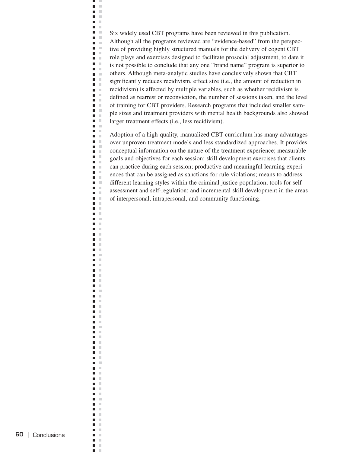Six widely used CBT programs have been reviewed in this publication. Although all the programs reviewed are "evidence-based" from the perspective of providing highly structured manuals for the delivery of cogent CBT role plays and exercises designed to facilitate prosocial adjustment, to date it is not possible to conclude that any one "brand name" program is superior to others. Although meta-analytic studies have conclusively shown that CBT significantly reduces recidivism, effect size (i.e., the amount of reduction in recidivism) is affected by multiple variables, such as whether recidivism is defined as rearrest or reconviction, the number of sessions taken, and the level of training for CBT providers. Research programs that included smaller sample sizes and treatment providers with mental health backgrounds also showed larger treatment effects (i.e., less recidivism).

Ë, J.  $\bar{\mathbf{u}}$  $\blacksquare$  $\mathbb{R}^2$  $\blacksquare$  . n.  $\Box$  $\blacksquare$  . **D** O n.  $\blacksquare$ i.  $\Box$  $\mathbf{m} \in \mathbb{R}$  $\blacksquare$ n m  $\blacksquare$ ×  $\blacksquare$  $\blacksquare$  $\blacksquare$ **The Contract of the Contract of the Contract of the Contract of the Contract of the Contract of the Contract o**  $\blacksquare$  $\blacksquare$  .  $\blacksquare$  $\blacksquare$  $\mathcal{L}$  $\blacksquare$  .  $\blacksquare$  $\blacksquare$  .  $\blacksquare$  $\blacksquare$  $\blacksquare$  .  $\blacksquare$  $\blacksquare$  $\blacksquare$  $\mathbb{R}^2$  $\blacksquare$  $\mathcal{L}$  $\blacksquare$  $\sim$  $\blacksquare$  $\blacksquare$  $\mathbb{R}^n$ m. m  $\blacksquare$  .  $\blacksquare$  $\mathcal{C}$  $\blacksquare$  $\blacksquare$  .  $\blacksquare$  $\blacksquare$  .  $\blacksquare$  $\blacksquare$  .  $\blacksquare$  $\blacksquare$  $\mathbb{R}^n$  $\blacksquare$  .  $\blacksquare$  $\blacksquare$  $\mathbb{R}^n$  $\overline{\phantom{a}}$  $\mathbb{R}^d$  $\Box$  $\mathbb{R}^2$  $\overline{\phantom{a}}$  $\pm$  $\blacksquare$  $\mathbb{R}^n$  $\overline{\phantom{a}}$  $\mathbb{R}^d$  $\mathcal{L}$  $\blacksquare$ Ξ  $\mathbb{R}^2$  $\Box$  $\mathbb{R}^2$  $\blacksquare$  $\mathcal{L}$  $\Box$  $\mathcal{L}$  $\blacksquare$  $\mathbb{R}^n$  $\blacksquare$  $\mathbb{R}^n$  $\blacksquare$  $\mathbb{R}^2$  $\blacksquare$  $\mathcal{L}$  $\overline{\phantom{a}}$  $\mathcal{C}$  $\blacksquare$  $\mathbb{R}^2$  $\blacksquare$  $\mathbb{R}^2$  $\blacksquare$  $\mathcal{C}$  $\overline{\phantom{a}}$  $\mathcal{C}$  $\Box$  $\mathbb{R}^n$  $\blacksquare$  $\mathcal{C}$ П  $\mathbb{R}^n$  $\blacksquare$  $\sim$  $\overline{\phantom{a}}$  $\mathcal{L}$  $\blacksquare$  $\mathbb{R}^n$  $\Box$  $\mathcal{C}$  $\Box$  $\mathcal{C}$  $\blacksquare$  $\mathcal{C}$  $\overline{\phantom{a}}$  $\mathcal{C}$  $\overline{\phantom{a}}$  $\sim$  $\mathcal{C}$  $\blacksquare$  $\blacksquare$  $\mathcal{C}$ п  $\mathcal{L}$  $\Box$  $\mathbb{R}^n$  $\blacksquare$  $\mathcal{C}$  $\sim$  $\blacksquare$  $\blacksquare$  $\mathbb{R}^n$  $\blacksquare$  $\pm$  $\blacksquare$  $\mathcal{L}$  $\mathcal{C}$  $\overline{\phantom{a}}$  $\Box$  $\mathcal{C}$  $\blacksquare$  $\mathbb{R}^2$  $\Box$  $\mathcal{C}$  $\blacksquare$  $\mathbb{R}^n$  $\blacksquare$ ×

Adoption of a high-quality, manualized CBT curriculum has many advantages over unproven treatment models and less standardized approaches. It provides conceptual information on the nature of the treatment experience; measurable goals and objectives for each session; skill development exercises that clients can practice during each session; productive and meaningful learning experiences that can be assigned as sanctions for rule violations; means to address different learning styles within the criminal justice population; tools for selfassessment and self-regulation; and incremental skill development in the areas of interpersonal, intrapersonal, and community functioning.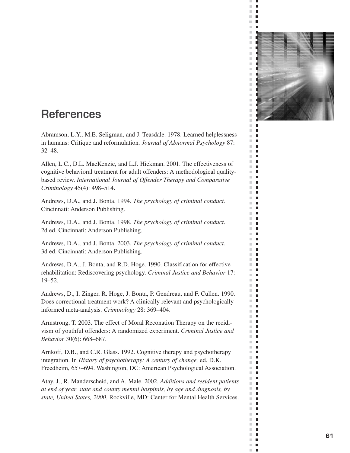

ш  $\bar{\phantom{a}}$  $\blacksquare$  $\blacksquare$  $\blacksquare$  $\overline{\phantom{a}}$  $\blacksquare$ 

 $\mathcal{L}$ п  $\bar{\phantom{a}}$  $\Box$  $\mathbb{R}^d$ г  $\blacksquare$  $\blacksquare$  $\bar{\phantom{a}}$  $\Box$  $\mathbb{R}^n$  $\Box$  $\blacksquare$  $\mathbb{R}^n$  $\blacksquare$  $\overline{\phantom{a}}$  $\mathbb{R}^n$  $\blacksquare$ Ľ.  $\blacksquare$  $\overline{\phantom{a}}$  $\blacksquare$  $\mathbb{R}^n$  $\blacksquare$  $\mathbb{R}^d$  $\blacksquare$  $\bar{\phantom{a}}$  $\blacksquare$  $\mathbb{R}^d$ п  $\overline{\phantom{a}}$ г  $\mathbb{R}^d$ п  $\overline{\phantom{a}}$  $\blacksquare$  $\blacksquare$  $\blacksquare$  $\mathbb{R}^n$ п  $\overline{\phantom{a}}$  $\Box$  $\bar{a}$ п  $\overline{\phantom{a}}$ г  $\overline{\phantom{a}}$  $\Box$  $\blacksquare$  $\Box$ ш  $\blacksquare$  $\mathbb{R}^d$  $\blacksquare$  $\overline{\phantom{a}}$  $\Box$  $\mathbb{R}^n$  $\blacksquare$  $\mathbb{R}^d$ п  $\overline{\phantom{a}}$  $\blacksquare$  $\blacksquare$  $\mathbb{R}^d$  $\overline{\phantom{a}}$  $\Box$  $\blacksquare$  $\mathbb{R}^n$  $\mathbb{R}^d$  $\blacksquare$  $\mathbb{R}^d$  $\blacksquare$  $\mathbb{R}^n$ п Ľ.  $\mathbb{Z}$  $\blacksquare$  $\blacksquare$  $\mathbb{R}^d$ П  $\mathbb{R}^d$  $\overline{\phantom{a}}$  $\mathbb{R}^n$  $\Box$  $\overline{\phantom{a}}$  $\mathbb{Z}$ Ľ.  $\blacksquare$  $\mathbb{R}^n$ П  $\blacksquare$ П  $\mathbb{R}^d$  $\blacksquare$  $\mathbb{R}^n$  $\blacksquare$  $\blacksquare$  $\mathbb{R}^d$  $\mathbb{R}^d$  $\blacksquare$  $\mathbb{R}^n$  $\overline{\phantom{a}}$ m,  $\mathbb{Z}$  $\overline{\phantom{a}}$  $\Box$  $\mathcal{C}^{\mathcal{C}}$  $\blacksquare$  $\blacksquare$ ×.  $\mathbb{R}^n$  $\blacksquare$ m,  $\mathbb{Z}$  $\mathbb{R}^n$ П  $\mathbb{R}^n$ п  $\overline{\phantom{a}}$  $\mathbb{Z}$  $\mathcal{C}^{\mathcal{C}}$  $\mathbf{r}$ m,  $\overline{\phantom{a}}$  $\bar{\phantom{a}}$ п

# **References**

Abramson, L.Y., M.E. Seligman, and J. Teasdale. 1978. Learned helplessness in humans: Critique and reformulation. *Journal of Abnormal Psychology* 87: 32–48.

Allen, L.C., D.L. MacKenzie, and L.J. Hickman. 2001. The effectiveness of cognitive behavioral treatment for adult offenders: A methodological qualitybased review. *International Journal of Offender Therapy and Comparative Criminology* 45(4): 498–514.

Andrews, D.A., and J. Bonta. 1994. *The psychology of criminal conduct.*  Cincinnati: Anderson Publishing.

Andrews, D.A., and J. Bonta. 1998. *The psychology of criminal conduct*. 2d ed. Cincinnati: Anderson Publishing.

Andrews, D.A., and J. Bonta. 2003. *The psychology of criminal conduct.*  3d ed. Cincinnati: Anderson Publishing.

Andrews, D.A., J. Bonta, and R.D. Hoge. 1990. Classification for effective rehabilitation: Rediscovering psychology. *Criminal Justice and Behavior* 17: 19–52.

Andrews, D., I. Zinger, R. Hoge, J. Bonta, P. Gendreau, and F. Cullen. 1990. Does correctional treatment work? A clinically relevant and psychologically informed meta-analysis. *Criminology* 28: 369–404.

Armstrong, T. 2003. The effect of Moral Reconation Therapy on the recidivism of youthful offenders: A randomized experiment. *Criminal Justice and Behavior* 30(6): 668–687.

Arnkoff, D.B., and C.R. Glass. 1992. Cognitive therapy and psychotherapy integration. In *History of psychotherapy: A century of change,* ed. D.K. Freedheim, 657–694. Washington, DC: American Psychological Association.

Atay, J., R. Manderscheid, and A. Male. 2002. *Additions and resident patients at end of year, state and county mental hospitals, by age and diagnosis, by state, United States, 2000.* Rockville, MD: Center for Mental Health Services.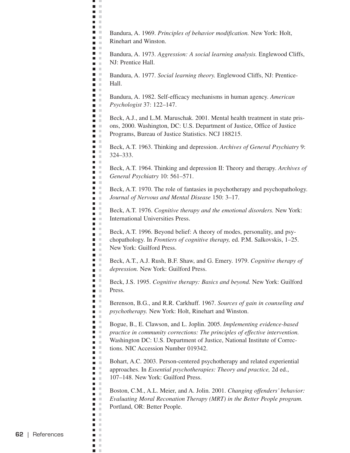Bandura, A. 1969. *Principles of behavior modification.* New York: Holt, Rinehart and Winston.

 $\overline{\phantom{0}}$ a s  $\blacksquare$  .  $\blacksquare$  $\blacksquare$ n m n m  $\mathcal{L}$ **COLOR D** O n a a a **Contract DOM:**  $\blacksquare$  .  $\blacksquare$ n T **District The Contract of the Contract of the Contract of the Contract of the Contract of the Contract of the Contract o**  $\blacksquare$  .  $\blacksquare$   $\blacksquare$ a a n a **The Co**  $\blacksquare$  $\blacksquare$  .  $\mathbf{r}$  $\blacksquare$  .  $\blacksquare$  $\mathbf{r}$  $\blacksquare$  .  $\Box$ a a ā u  $\mathbf{r}$  $\blacksquare$  .  $\blacksquare$  $\blacksquare$  .  $\blacksquare$  $\Box$  $\mathcal{L}$  $\blacksquare$  $\blacksquare$  .  $\blacksquare$  $\blacksquare$  .  $\blacksquare$  $\blacksquare$  .  $\blacksquare$  $\blacksquare$  .  $\blacksquare$  $\blacksquare$  .  $\blacksquare$  $\blacksquare$  .  $\blacksquare$  $\blacksquare$  .  $\blacksquare$ **C**  $\blacksquare$  $\blacksquare$  .  $\blacksquare$  $\blacksquare$  $\blacksquare$  .  $\blacksquare$  $\blacksquare$  $\mathbb{R}$  $\blacksquare$  .  $\blacksquare$  $\blacksquare$  $\mathcal{L}$ Ē,  $\mathcal{C}$  $\mathbf{u} \in \mathbb{R}$  $\blacksquare$  .  $\blacksquare$  $\blacksquare$  $\blacksquare$  $\mathbf{B}$  . In **E** F  $\blacksquare$  .  $\blacksquare$  $\blacksquare$  .  $\blacksquare$  $\blacksquare$ a m n m  $\blacksquare$  .  $\blacksquare$ m. **DOM:**  $\blacksquare$  .  $\blacksquare$  $\blacksquare$  .  $\blacksquare$  $\blacksquare$ m. m  $\blacksquare$   $\blacksquare$ n m  $\blacksquare$  $\blacksquare$  $\mathbf{u} \in \mathbb{R}$ m. **TELEVISION D** D  $\blacksquare$  $\mathcal{C}$  $\blacksquare$   $\blacksquare$  $\blacksquare$ n m  $\blacksquare$  $\sim$  $\blacksquare$  $\mathcal{C}$  $\Box$  $\blacksquare$  $\mathcal{L}$  $\blacksquare$  $\mathbb{R}^n$  $\blacksquare$  $\mathbb{R}^n$  $\blacksquare$ ×

Bandura, A. 1973. *Aggression: A social learning analysis.* Englewood Cliffs, NJ: Prentice Hall.

Bandura, A. 1977. *Social learning theory.* Englewood Cliffs, NJ: Prentice-Hall.

Bandura, A. 1982. Self-efficacy mechanisms in human agency. *American Psychologist* 37: 122–147.

Beck, A.J., and L.M. Maruschak. 2001. Mental health treatment in state prisons, 2000. Washington, DC: U.S. Department of Justice, Office of Justice Programs, Bureau of Justice Statistics. NCJ 188215.

Beck, A.T. 1963. Thinking and depression. *Archives of General Psychiatry* 9: 324–333.

Beck, A.T. 1964. Thinking and depression II: Theory and therapy. *Archives of General Psychiatry* 10: 561–571.

Beck, A.T. 1970. The role of fantasies in psychotherapy and psychopathology. *Journal of Nervous and Mental Disease* 150: 3–17.

Beck, A.T. 1976. *Cognitive therapy and the emotional disorders.* New York: International Universities Press.

Beck, A.T. 1996. Beyond belief: A theory of modes, personality, and psychopathology. In *Frontiers of cognitive therapy,* ed. P.M. Salkovskis, 1–25. New York: Guilford Press.

Beck, A.T., A.J. Rush, B.F. Shaw, and G. Emery. 1979. *Cognitive therapy of depression.* New York: Guilford Press.

Beck, J.S. 1995. *Cognitive therapy: Basics and beyond.* New York: Guilford Press.

Berenson, B.G., and R.R. Carkhuff. 1967. *Sources of gain in counseling and psychotherapy.* New York: Holt, Rinehart and Winston.

Bogue, B., E. Clawson, and L. Joplin. 2005. *Implementing evidence-based practice in community corrections: The principles of effective intervention.*  Washington DC: U.S. Department of Justice, National Institute of Corrections. NIC Accession Number 019342.

Bohart, A.C. 2003. Person-centered psychotherapy and related experiential approaches. In *Essential psychotherapies: Theory and practice,* 2d ed., 107–148. New York: Guilford Press.

Boston, C.M., A.L. Meier, and A. Jolin. 2001. *Changing offenders' behavior: Evaluating Moral Reconation Therapy (MRT) in the Better People program.*  Portland, OR: Better People.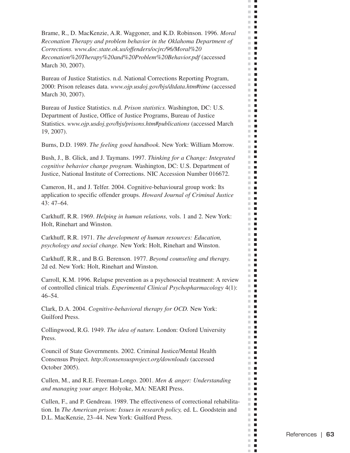Brame, R., D. MacKenzie, A.R. Waggoner, and K.D. Robinson. 1996. *Moral Reconation Therapy and problem behavior in the Oklahoma Department of Corrections. www.doc.state.ok.us/offenders/ocjrc/96/Moral%20 Reconation%20Therapy%20and%20Problem%20Behavior.pdf* (accessed March 30, 2007).

 $\mathcal{C}$  $\blacksquare$  $\mathbb{R}^d$  $\blacksquare$ 医肾 **THE R**  $\blacksquare$ m.  $\Box$  $\mathbb{R}^n$ П  $\blacksquare$  $\mathbb{R}^n$  $\mathcal{L}$  $\overline{\phantom{a}}$  $\mathbf{r}$  $\blacksquare$ m.  $\mathbb{R}^d$  $\blacksquare$  $\mathbb{R}^d$  $\blacksquare$  $\mathbb{R}^d$  $\blacksquare$  $\mathbb{R}^n$  $\overline{\phantom{a}}$  $\mathbb{R}^d$  $\blacksquare$  $\mathbb{R}^d$  $\blacksquare$ m.  $\blacksquare$  $\mathbb{R}^d$  $\blacksquare$  $\mathbb{R}^n$  $\blacksquare$ m.  $\blacksquare$  $\mathbb{R}^n$  $\blacksquare$  $\blacksquare$ ш m.  $\blacksquare$ m.  $\blacksquare$  $\mathbb{R}^n$  .  $\mathbb{R}^n$  $\mathbb{R}^n$  $\mathcal{L}_{\mathcal{A}}$ m.  $\blacksquare$ m.  $\blacksquare$  $\blacksquare$  $\blacksquare$ **The Contract of the Contract of the Contract of the Contract of the Contract of the Contract of the Contract o**  $\blacksquare$  $\blacksquare$  $\mathbb{R}^d$  $\blacksquare$ m.  $\blacksquare$ m.  $\blacksquare$  $\mathbb{R}^n$  $\blacksquare$  $\blacksquare$  $\overline{\phantom{a}}$ m an m.  $\blacksquare$ m.  $\blacksquare$ m.  $\blacksquare$  $\blacksquare$  $\blacksquare$  $\mathbb{R}^d$  $\blacksquare$  $\mathbb{R}^d$  $\overline{\phantom{a}}$  $\mathbf{r}$ **The Contract of the Contract of the Contract of the Contract of the Contract of the Contract of the Contract of the Contract of the Contract of the Contract of the Contract of the Contract of the Contract of the Contract**  $\mathbb{R}^d$  $\blacksquare$ m.  $\blacksquare$ m,  $\blacksquare$  $\mathcal{L}_{\mathcal{A}}$  $\blacksquare$ m.  $\blacksquare$  $\blacksquare$ m.  $\blacksquare$  $\overline{\phantom{a}}$  $\mathbb{R}^n$  $\blacksquare$ m.  $\mathbb{R}^n$  $\mathcal{L}_{\mathcal{A}}$  $\mathbb{R}^d$  $\blacksquare$  $\mathbb{R}^n$  $\blacksquare$  $\mathbb{R}^n$  $\blacksquare$ m. m.  $\blacksquare$ m.  $\blacksquare$  $\mathbb{R}^n$ П  $\blacksquare$ П m.  $\blacksquare$ m.  $\blacksquare$  $\mathbb{R}^d$  $\overline{\phantom{a}}$  $\blacksquare$ П m,  $\blacksquare$  $\mathbb{R}^n$  $\blacksquare$  $\mathbb{R}^d$  $\blacksquare$  $\blacksquare$  $\blacksquare$  $\blacksquare$  $\blacksquare$ m. m.  $\blacksquare$ ш  $\blacksquare$  $\blacksquare$ m.  $\mathbb{R}^n$  $\blacksquare$ m.  $\blacksquare$  $\blacksquare$ m.  $\mathbb{R}^d$  $\blacksquare$ m.  $\blacksquare$ m.  $\blacksquare$ m.  $\mathcal{L}_{\mathcal{A}}$  $\mathcal{C}$  $\overline{\phantom{a}}$  $\mathbb{R}^d$ п п

Bureau of Justice Statistics. n.d. National Corrections Reporting Program, 2000: Prison releases data. *www.ojp.usdoj.gov/bjs/dtdata.htm#time* (accessed March 30, 2007).

Bureau of Justice Statistics. n.d. *Prison statistics.* Washington, DC: U.S. Department of Justice, Office of Justice Programs, Bureau of Justice Statistics. *www.ojp.usdoj.gov/bjs/prisons.htm#publications* (accessed March 19, 2007).

Burns, D.D. 1989. *The feeling good handbook.* New York: William Morrow.

Bush, J., B. Glick, and J. Taymans. 1997. *Thinking for a Change: Integrated cognitive behavior change program.* Washington, DC: U.S. Department of Justice, National Institute of Corrections. NIC Accession Number 016672.

Cameron, H., and J. Telfer. 2004. Cognitive-behavioural group work: Its application to specific offender groups. *Howard Journal of Criminal Justice*  43: 47–64.

Carkhuff, R.R. 1969. *Helping in human relations,* vols. 1 and 2. New York: Holt, Rinehart and Winston.

Carkhuff, R.R. 1971. *The development of human resources: Education, psychology and social change.* New York: Holt, Rinehart and Winston.

Carkhuff, R.R., and B.G. Berenson. 1977. *Beyond counseling and therapy.*  2d ed. New York: Holt, Rinehart and Winston.

Carroll, K.M. 1996. Relapse prevention as a psychosocial treatment: A review of controlled clinical trials. *Experimental Clinical Psychopharmacology* 4(1): 46–54.

Clark, D.A. 2004. *Cognitive-behavioral therapy for OCD.* New York: Guilford Press.

Collingwood, R.G. 1949. *The idea of nature.* London: Oxford University Press.

Council of State Governments. 2002. Criminal Justice/Mental Health Consensus Project. *http://consensusproject.org/downloads* (accessed October 2005).

Cullen, M., and R.E. Freeman-Longo. 2001. *Men & anger: Understanding and managing your anger.* Holyoke, MA: NEARI Press.

Cullen, F., and P. Gendreau. 1989. The effectiveness of correctional rehabilitation. In *The American prison: Issues in research policy,* ed. L. Goodstein and D.L. MacKenzie, 23–44. New York: Guilford Press.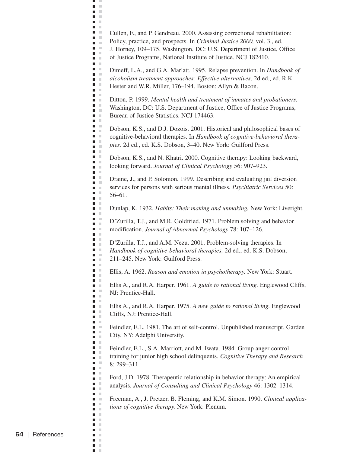Cullen, F., and P. Gendreau. 2000. Assessing correctional rehabilitation:

Policy, practice, and prospects. In *Criminal Justice 2000,* vol. 3., ed.

ш J.  $\blacksquare$  .  $\blacksquare$  $\blacksquare$ **C** n m  $\mathcal{L}$  $\blacksquare$  .  $\blacksquare$ **D** O **D** O  $\blacksquare$ H  $\blacksquare$  .  $\blacksquare$ a a **College TIME**  $\blacksquare$  $\blacksquare$   $\blacksquare$  $\Box$ n a **The Contract of the Contract of the Contract of the Contract of the Contract of the Contract of the Contract o D** O  $\blacksquare$   $\blacksquare$  $\blacksquare$  .  $\blacksquare$  $\blacksquare$  .  $\blacksquare$  $\mathbf{r}$ **C**  $\blacksquare$   $\blacksquare$  $\Box$ ē.  $\mathcal{C}$  $\blacksquare$  .  $\blacksquare$  $\blacksquare$  $\blacksquare$   $\blacksquare$  $\Box$  $\mathcal{L}$  $\blacksquare$  $\blacksquare$  .  $\blacksquare$  $\mathbb{R}^2$  $\blacksquare$  $\blacksquare$  .  $\blacksquare$  $\mathbf{u} \in \mathbb{R}$  $\blacksquare$  $\mathcal{L}$  $\blacksquare$   $\blacksquare$  $\blacksquare$ **C**  $\blacksquare$  $\blacksquare$  .  $\blacksquare$  $\blacksquare$  $\blacksquare$  .  $\blacksquare$  $\blacksquare$  $\mathbb{R}$  $\blacksquare$  $\blacksquare$  $\mathbb{R}^2$ Ē,  $\mathcal{C}$  $\blacksquare$  .  $\blacksquare$  $\mathbf{r}$  $\blacksquare$ n m  $\mathbf{u}$  . **E** F  $\overline{\phantom{a}}$  $\mathcal{L}$  $\blacksquare$   $\blacksquare$  $\blacksquare$  $\blacksquare$  .  $\blacksquare$  $\mathbf{r}$  $\blacksquare$  .  $\blacksquare$  $\blacksquare$  $\mathcal{C}$ **DOM:**  $\blacksquare$  .  $\blacksquare$  $\blacksquare$  .  $\blacksquare$  $\blacksquare$  $\blacksquare$  .  $\blacksquare$  $\blacksquare$ **D** D  $\overline{\phantom{a}}$  $\mathcal{L}$  $\blacksquare$  $\blacksquare$  .  $\blacksquare$  $\blacksquare$  .  $\blacksquare$  $\blacksquare$  $\blacksquare$  $\blacksquare$  $\mathcal{C}$  $\blacksquare$  .  $\blacksquare$  $\blacksquare$  $\mathbf{r}$  $\blacksquare$  $\mathcal{L}$  $\blacksquare$   $\blacksquare$  $\Box$  $\mathcal{C}$  $\blacksquare$  $\mathbb{R}^2$  $\blacksquare$  $\mathcal{L}$  $\blacksquare$  $\mathbb{R}^n$  $\blacksquare$ ×

J. Horney, 109–175. Washington, DC: U.S. Department of Justice, Office of Justice Programs, National Institute of Justice. NCJ 182410.

Dimeff, L.A., and G.A. Marlatt. 1995. Relapse prevention. In *Handbook of alcoholism treatment approaches: Effective alternatives,* 2d ed., ed. R.K. Hester and W.R. Miller, 176–194. Boston: Allyn & Bacon.

Ditton, P. 1999. *Mental health and treatment of inmates and probationers.*  Washington, DC: U.S. Department of Justice, Office of Justice Programs, Bureau of Justice Statistics. NCJ 174463.

Dobson, K.S., and D.J. Dozois. 2001. Historical and philosophical bases of cognitive-behavioral therapies. In *Handbook of cognitive-behavioral therapies,* 2d ed., ed. K.S. Dobson, 3–40. New York: Guilford Press.

Dobson, K.S., and N. Khatri. 2000. Cognitive therapy: Looking backward, looking forward. *Journal of Clinical Psychology* 56: 907–923.

Draine, J., and P. Solomon. 1999. Describing and evaluating jail diversion services for persons with serious mental illness. *Psychiatric Services* 50: 56–61.

Dunlap, K. 1932. *Habits: Their making and unmaking.* New York: Liveright.

D'Zurilla, T.J., and M.R. Goldfried. 1971. Problem solving and behavior modification. *Journal of Abnormal Psychology* 78: 107–126.

D'Zurilla, T.J., and A.M. Nezu. 2001. Problem-solving therapies. In *Handbook of cognitive-behavioral therapies,* 2d ed., ed. K.S. Dobson, 211–245. New York: Guilford Press.

Ellis, A. 1962. *Reason and emotion in psychotherapy.* New York: Stuart.

Ellis A., and R.A. Harper. 1961. *A guide to rational living.* Englewood Cliffs, NJ: Prentice-Hall.

Ellis A., and R.A. Harper. 1975. *A new guide to rational living.* Englewood Cliffs, NJ: Prentice-Hall.

Feindler, E.L. 1981. The art of self-control. Unpublished manuscript. Garden City, NY: Adelphi University.

Feindler, E.L., S.A. Marriott, and M. Iwata. 1984. Group anger control training for junior high school delinquents. *Cognitive Therapy and Research*  8: 299–311.

Ford, J.D. 1978. Therapeutic relationship in behavior therapy: An empirical analysis. *Journal of Consulting and Clinical Psychology* 46: 1302–1314.

Freeman, A., J. Pretzer, B. Fleming, and K.M. Simon. 1990. *Clinical applications of cognitive therapy.* New York: Plenum.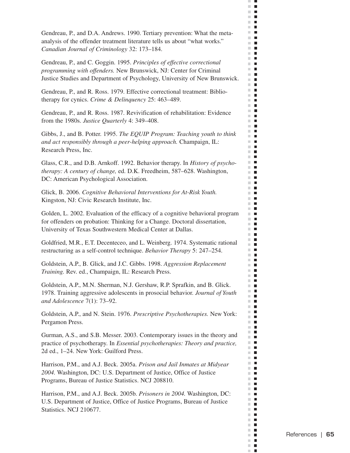Gendreau, P., and D.A. Andrews. 1990. Tertiary prevention: What the metaanalysis of the offender treatment literature tells us about "what works." *Canadian Journal of Criminology* 32: 173–184.

 $\bar{\mathbf{r}}$  $\Box$  $\mathbb{R}^d$  $\blacksquare$ 医肾 **THE R**  $\mathbb{R}^d$  $\blacksquare$ **The State** H  $\mathbb{R}^n$ П  $\Box$ m.  $\mathcal{L}$  $\blacksquare$  $\mathbb{R}^n$  $\blacksquare$  $\blacksquare$  $\mathbb{R}^n$  $\mathbb{R}^d$  $\blacksquare$  $\mathcal{C}$  $\blacksquare$  $\mathbb{R}^d$  $\blacksquare$  $\mathbb{R}^n$  $\blacksquare$  $\mathbb{R}^d$  $\blacksquare$  $\mathbb{R}^n$  $\blacksquare$ m.  $\overline{\phantom{a}}$  $\mathbb{R}^d$  $\blacksquare$  $\mathbb{R}^n$  $\blacksquare$ m.  $\mathcal{L}_{\mathcal{A}}$  $\mathbb{R}^n$  $\blacksquare$  $\blacksquare$ ш  $\mathbb{R}^n$  .  $\blacksquare$ m.  $\mathbb{R}^d$  $\blacksquare$  $\mathbb{R}^n$  $\mathcal{L}_{\mathcal{A}}$ m.  $\blacksquare$ m.  $\blacksquare$  $\blacksquare$  $\blacksquare$ **The Contract of the Contract of the Contract of the Contract of the Contract of the Contract of the Contract o**  $\overline{\phantom{a}}$  $\blacksquare$  $\blacksquare$  $\blacksquare$ П  $\mathbb{R}^n$  $\blacksquare$ m.  $\blacksquare$  $\blacksquare$  $\overline{\phantom{a}}$  $\mathbf{r}$  $\blacksquare$ m. m.  $\mathcal{L}_{\mathcal{A}}$ m.  $\mathcal{L}_{\mathcal{A}}$  $\blacksquare$  $\blacksquare$  $\blacksquare$  $\blacksquare$ m.  $\overline{\phantom{a}}$  $\mathbf{u}$ m.  $\overline{\phantom{a}}$  $\mathbb{R}^d$  $\blacksquare$ m. **II** ш  $\blacksquare$  $\mathbb{R}^d$  $\blacksquare$ m.  $\overline{\phantom{a}}$  $\mathbf{r}$ m.  $\blacksquare$ П  $\mathbb{R}^n$ m.  $\blacksquare$  $\mathbb{R}^n$  $\blacksquare$  $\blacksquare$ m. **The Contract of the Contract of the Contract of the Contract of the Contract of the Contract of the Contract o**  $\mathbb{R}^n$  .  $\mathbb{R}^n$  $\blacksquare$ m.  $\mathbb{R}^d$  $\overline{\phantom{a}}$ m.  $\blacksquare$  $\mathbb{R}^n$  $\blacksquare$  $\blacksquare$  $\blacksquare$  $\mathbb{R}^n$  .  $\mathbb{R}^n$ m.  $\overline{\phantom{a}}$ m.  $\overline{\phantom{a}}$  $\overline{\phantom{a}}$ m. m.  $\blacksquare$  $\mathbb{R}^n$  $\overline{\phantom{a}}$  $\blacksquare$  $\blacksquare$  $\blacksquare$  $\mathbb{R}^n$  $\blacksquare$  $\blacksquare$  $\mathbb{R}^n$ m.  $\Box$ ш П  $\mathbb{R}^d$  $\blacksquare$  $\mathcal{L}$  $\blacksquare$ m.  $\mathbf{L}$  $\mathcal{C}^{\mathcal{C}}$  $\blacksquare$ ш  $\blacksquare$ m.  $\blacksquare$ m.  $\blacksquare$ m.  $\mathcal{L}_{\mathcal{A}}$  $\mathcal{C}$  $\overline{\phantom{a}}$  $\mathbb{R}^d$  $\blacksquare$ п

Gendreau, P., and C. Goggin. 1995. *Principles of effective correctional programming with offenders.* New Brunswick, NJ: Center for Criminal Justice Studies and Department of Psychology, University of New Brunswick.

Gendreau, P., and R. Ross. 1979. Effective correctional treatment: Bibliotherapy for cynics. *Crime & Delinquency* 25: 463–489.

Gendreau, P., and R. Ross. 1987. Revivification of rehabilitation: Evidence from the 1980s. *Justice Quarterly* 4: 349–408.

Gibbs, J., and B. Potter. 1995. *The EQUIP Program: Teaching youth to think and act responsibly through a peer-helping approach.* Champaign, IL: Research Press, Inc.

Glass, C.R., and D.B. Arnkoff. 1992. Behavior therapy. In *History of psychotherapy: A century of change,* ed. D.K. Freedheim, 587–628. Washington, DC: American Psychological Association.

Glick, B. 2006. *Cognitive Behavioral Interventions for At-Risk Youth.*  Kingston, NJ: Civic Research Institute, Inc.

Golden, L. 2002. Evaluation of the efficacy of a cognitive behavioral program for offenders on probation: Thinking for a Change. Doctoral dissertation, University of Texas Southwestern Medical Center at Dallas.

Goldfried, M.R., E.T. Decenteceo, and L. Weinberg. 1974. Systematic rational restructuring as a self-control technique. *Behavior Therapy* 5: 247–254.

Goldstein, A.P., B. Glick, and J.C. Gibbs. 1998. *Aggression Replacement Training.* Rev. ed., Champaign, IL: Research Press.

Goldstein, A.P., M.N. Sherman, N.J. Gershaw, R.P. Sprafkin, and B. Glick. 1978. Training aggressive adolescents in prosocial behavior. *Journal of Youth and Adolescence* 7(1): 73–92.

Goldstein, A.P., and N. Stein. 1976. *Prescriptive Psychotherapies.* New York: Pergamon Press.

Gurman, A.S., and S.B. Messer. 2003. Contemporary issues in the theory and practice of psychotherapy. In *Essential psychotherapies: Theory and practice,*  2d ed., 1–24. New York: Guilford Press.

Harrison, P.M., and A.J. Beck. 2005a. *Prison and Jail Inmates at Midyear 2004.* Washington, DC: U.S. Department of Justice, Office of Justice Programs, Bureau of Justice Statistics. NCJ 208810.

Harrison, P.M., and A.J. Beck. 2005b. *Prisoners in 2004.* Washington, DC: U.S. Department of Justice, Office of Justice Programs, Bureau of Justice Statistics. NCJ 210677.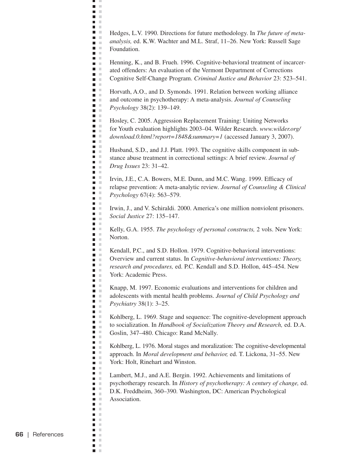Hedges, L.V. 1990. Directions for future methodology. In *The future of metaanalysis,* ed. K.W. Wachter and M.L. Straf, 11–26. New York: Russell Sage Foundation.

щ J.  $\blacksquare$  $\mathbb{R}^n$  $\blacksquare$  $\mathcal{L}$ **C** n m  $\mathcal{L}$ **C**  $\mathbf{L}$ **D** O a a  $\blacksquare$  . n n  $\blacksquare$  .  $\blacksquare$ a a **College The Contract of the Contract of the Contract of the Contract of the Contract of the Contract of the Contract o**  $\blacksquare$  .  $\blacksquare$   $\blacksquare$  $\blacksquare$  .  $\blacksquare$ n a **The Contract of the Contract of the Contract of the Contract of the Contract of the Contract of the Contract o**  $\blacksquare$  $\blacksquare$  .  $\blacksquare$  $\blacksquare$  .  $\blacksquare$  $\blacksquare$  $\mathbf{r}$  $\blacksquare$  . a a a a  $\blacksquare$  $\mathbf{r}$  $\blacksquare$  $\blacksquare$   $\blacksquare$ Ē,  $\mathcal{C}$  $\blacksquare$  $\blacksquare$  .  $\blacksquare$  $\blacksquare$  $\mathbb{R}^d$ ō u  $\blacksquare$  .  $\blacksquare$  $\blacksquare$  .  $\blacksquare$  $\blacksquare$   $\blacksquare$  $\blacksquare$  .  $\blacksquare$  $\blacksquare$  .  $\blacksquare$  $\blacksquare$  $\mathbb{R}^n$  $\blacksquare$  .  $\blacksquare$  $\blacksquare$  $\blacksquare$  .  $\blacksquare$  $\blacksquare$  $\sim$  $\blacksquare$  $\blacksquare$  $\mathcal{L}$  $\Box$  $\mathcal{L}$  $\blacksquare$  .  $\blacksquare$  $\blacksquare$  .  $\blacksquare$ n m n m  $\blacksquare$  .  $\blacksquare$ **COLLEGE**  $\overline{\phantom{a}}$  $\mathcal{C}$  $\blacksquare$  .  $\blacksquare$ n m a m  $\mathbf{r}$  $\blacksquare$  .  $\blacksquare$ m. **DOM:**  $\blacksquare$  .  $\blacksquare$  $\blacksquare$  .  $\blacksquare$  $\blacksquare$  $\blacksquare$  .  $\blacksquare$  $\blacksquare$ **D** D  $\blacksquare$  $\blacksquare$  $\mathbf{u}$  .  $\mathbf{u}$  $\blacksquare$  $\Box$  $\blacksquare$ m in  $\blacksquare$  $\mathcal{C}$  $\blacksquare$   $\blacksquare$ n in  $\mathbf{r}$  $\blacksquare$  $\mathcal{L}$  $\mathbb{R}^n$  $\blacksquare$  $\Box$  $\mathcal{C}$  $\blacksquare$  $\mathbb{R}^2$  $\overline{\phantom{a}}$  $\mathbb{R}^2$  $\blacksquare$  $\mathbb{R}^n$  $\blacksquare$ ×

Henning, K., and B. Frueh. 1996. Cognitive-behavioral treatment of incarcerated offenders: An evaluation of the Vermont Department of Corrections Cognitive Self-Change Program. *Criminal Justice and Behavior* 23: 523–541.

Horvath, A.O., and D. Symonds. 1991. Relation between working alliance and outcome in psychotherapy: A meta-analysis. *Journal of Counseling Psychology* 38(2): 139–149.

Hosley, C. 2005. Aggression Replacement Training: Uniting Networks for Youth evaluation highlights 2003–04. Wilder Research. *www.wilder.org/ download.0.html?report=1848&summary=1* (accessed January 3, 2007).

Husband, S.D., and J.J. Platt. 1993. The cognitive skills component in substance abuse treatment in correctional settings: A brief review. *Journal of Drug Issues* 23: 31–42.

Irvin, J.E., C.A. Bowers, M.E. Dunn, and M.C. Wang. 1999. Efficacy of relapse prevention: A meta-analytic review. *Journal of Counseling & Clinical Psychology* 67(4): 563–579.

Irwin, J., and V. Schiraldi. 2000. America's one million nonviolent prisoners. *Social Justice* 27: 135–147.

Kelly, G.A. 1955. *The psychology of personal constructs,* 2 vols. New York: Norton.

Kendall, P.C., and S.D. Hollon. 1979. Cognitive-behavioral interventions: Overview and current status. In *Cognitive-behavioral interventions: Theory, research and procedures,* ed. P.C. Kendall and S.D. Hollon, 445–454. New York: Academic Press.

Knapp, M. 1997. Economic evaluations and interventions for children and adolescents with mental health problems. *Journal of Child Psychology and Psychiatry* 38(1): 3–25.

Kohlberg, L. 1969. Stage and sequence: The cognitive-development approach to socialization. In *Handbook of Socialization Theory and Research,* ed. D.A. Goslin, 347–480. Chicago: Rand McNally.

Kohlberg, L. 1976. Moral stages and moralization: The cognitive-developmental approach. In *Moral development and behavior,* ed. T. Lickona, 31–55. New York: Holt, Rinehart and Winston.

Lambert, M.J., and A.E. Bergin. 1992. Achievements and limitations of psychotherapy research. In *History of psychotherapy: A century of change,* ed. D.K. Freddheim, 360–390. Washington, DC: American Psychological Association.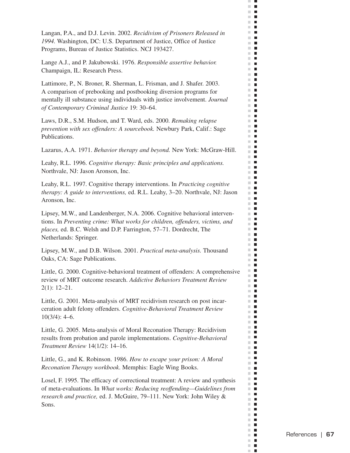Langan, P.A., and D.J. Levin. 2002. *Recidivism of Prisoners Released in 1994.* Washington, DC: U.S. Department of Justice, Office of Justice Programs, Bureau of Justice Statistics. NCJ 193427.

 $\mathcal{C}$  $\blacksquare$  $\mathbb{R}^d$  $\blacksquare$  $\mathbf{H}$  .  $\mathbf{r}$  $\mathbb{R}^d$  $\blacksquare$ **The Co** m.  $\blacksquare$  $\sim$  $\blacksquare$  $\mathcal{L}$  $\blacksquare$  $\mathbf{H}$  $\blacksquare$ m.  $\mathbb{R}^d$  $\blacksquare$  $\mathbb{R}^n$  $\blacksquare$  $\mathbb{R}^n$  $\blacksquare$ m.  $\overline{\phantom{a}}$  $\mathbb{R}^d$  $\blacksquare$  $\mathbb{R}^n$  $\blacksquare$ m.  $\blacksquare$  $\mathbb{R}^d$  $\blacksquare$  $\blacksquare$  $\mathbb{R}^n$ m.  $\Box$  $\mathbb{R}^n$  $\blacksquare$ ш П m.  $\mathcal{L}_{\mathcal{A}}$ m.  $\blacksquare$  $\mathbb{R}^d$  $\blacksquare$  $\mathbb{R}^n$  $\blacksquare$ m.  $\Box$ m.  $\blacksquare$  $\mathbb{R}^d$  $\overline{\phantom{a}}$ **The Contract of the Contract of the Contract of the Contract of the Contract of the Contract of the Contract o**  $\blacksquare$  $\blacksquare$  $\mathbb{R}^d$  $\blacksquare$  $\blacksquare$ m. m.  $\blacksquare$ m.  $\blacksquare$  $\blacksquare$  $\blacksquare$  $\mathbf{r}$ m an m.  $\blacksquare$  $\mathbf{u}$  $\mathbb{R}^n$  $\blacksquare$  $\mathbb{R}^n$  $\blacksquare$  $\mathbb{R}^n$  $\overline{\phantom{a}}$  $\mathbf{u}$  .  $\mathbf{u}$ **The Contract of the Contract of the Contract of the Contract of the Contract of the Contract of the Contract o** m.  $\mathcal{L}_{\mathcal{A}}$  $\mathbf{u}$ m,  $\blacksquare$ m.  $\blacksquare$ m.  $\blacksquare$  $\mathbf{r}$ m.  $\blacksquare$ П  $\mathbb{R}^n$  $\mathbb{R}^n$  $\blacksquare$ m.  $\mathcal{L}_{\mathcal{A}}$ m.  $\mathcal{L}_{\mathcal{A}}$ m.  $\blacksquare$  $\blacksquare$  .  $\blacksquare$  $\blacksquare$ m.  $\mathbb{R}^d$  $\blacksquare$ m.  $\overline{\phantom{a}}$  $\mathbb{R}^d$  $\blacksquare$  $\blacksquare$  $\blacksquare$  $\mathbb{R}^n$  .  $\mathbb{R}^n$ m.  $\blacksquare$  $\mathbb{R}^d$  $\mathcal{L}_{\mathcal{A}}$  $\blacksquare$ m. m.  $\blacksquare$  $\mathbb{R}^n$  $\blacksquare$  $\mathbb{R}^n$  $\blacksquare$  $\blacksquare$  $\blacksquare$   $\blacksquare$  $\blacksquare$  $\mathbb{R}^n$ m.  $\Box$ ш  $\overline{\phantom{a}}$  $\blacksquare$  $\mathbb{R}^d$ **COL**  $\mathcal{L}_{\mathcal{A}}$  $\mathbb{R}^n$  .  $\mathbb{R}^n$  $\mathbf{r}$  $\mathbb{R}^n$  $\overline{\phantom{a}}$  $\blacksquare$ m.  $\mathbf{L}$ m.  $\blacksquare$  $\mathbb{R}^n$  $\overline{\phantom{a}}$ m.  $\blacksquare$ п

Lange A.J., and P. Jakubowski. 1976. *Responsible assertive behavior.*  Champaign, IL: Research Press.

Lattimore, P., N. Broner, R. Sherman, L. Frisman, and J. Shafer. 2003. A comparison of prebooking and postbooking diversion programs for mentally ill substance using individuals with justice involvement. *Journal of Contemporary Criminal Justice* 19: 30–64.

Laws, D.R., S.M. Hudson, and T. Ward, eds. 2000. *Remaking relapse prevention with sex offenders: A sourcebook.* Newbury Park, Calif.: Sage Publications.

Lazarus, A.A. 1971. *Behavior therapy and beyond.* New York: McGraw-Hill.

Leahy, R.L. 1996. *Cognitive therapy: Basic principles and applications.*  Northvale, NJ: Jason Aronson, Inc.

Leahy, R.L. 1997. Cognitive therapy interventions. In *Practicing cognitive therapy: A guide to interventions,* ed. R.L. Leahy, 3–20. Northvale, NJ: Jason Aronson, Inc.

Lipsey, M.W., and Landenberger, N.A. 2006. Cognitive behavioral interventions. In *Preventing crime: What works for children, offenders, victims, and places,* ed. B.C. Welsh and D.P. Farrington, 57–71. Dordrecht, The Netherlands: Springer.

Lipsey, M.W., and D.B. Wilson. 2001. *Practical meta-analysis.* Thousand Oaks, CA: Sage Publications.

Little, G. 2000. Cognitive-behavioral treatment of offenders: A comprehensive review of MRT outcome research. *Addictive Behaviors Treatment Review*  2(1): 12–21.

Little, G. 2001. Meta-analysis of MRT recidivism research on post incarceration adult felony offenders. *Cognitive-Behavioral Treatment Review*  10(3/4): 4–6.

Little, G. 2005. Meta-analysis of Moral Reconation Therapy: Recidivism results from probation and parole implementations. *Cognitive-Behavioral Treatment Review* 14(1/2): 14–16.

Little, G., and K. Robinson. 1986. *How to escape your prison: A Moral Reconation Therapy workbook*. Memphis: Eagle Wing Books.

Losel, F. 1995. The efficacy of correctional treatment: A review and synthesis of meta-evaluations. In *What works: Reducing reoffending—Guidelines from research and practice,* ed. J. McGuire, 79–111. New York: John Wiley & Sons.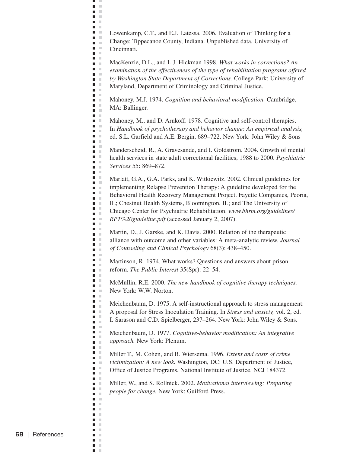Lowenkamp, C.T., and E.J. Latessa. 2006. Evaluation of Thinking for a Change: Tippecanoe County, Indiana. Unpublished data, University of Cincinnati.

ш J.  $\blacksquare$  $\mathbb{R}^n$  $\blacksquare$  $\mathcal{L}$ **C** n m  $\mathcal{L}$ **COLOR D** O n a a a  $\blacksquare$  .  $\blacksquare$ n m  $\blacksquare$  .  $\blacksquare$ a a **College The Contract State**  $\blacksquare$  $\blacksquare$  .  $\blacksquare$  $\Box$ **The Co The Contract of the Contract of the Contract of the Contract of the Contract of the Contract of the Contract o D** O  $\blacksquare$   $\blacksquare$  $\mathbf{r}$  $\blacksquare$  .  $\blacksquare$  $\mathbf{r}$  $\blacksquare$  .  $\Box$  $\mathbf{r}$  $\mathbf{r}$  $\blacksquare$  .  $\blacksquare$  $\blacksquare$  .  $\blacksquare$  $\blacksquare$   $\blacksquare$ Ē,  $\mathcal{C}$  $\blacksquare$  $\blacksquare$  .  $\blacksquare$  $\overline{\phantom{a}}$  $\mathcal{L}$ ō u  $\blacksquare$  .  $\blacksquare$  $\blacksquare$  .  $\blacksquare$  $\blacksquare$  .  $\blacksquare$  $\blacksquare$  .  $\blacksquare$  $\mathbf{r}$  $\mathbb{R}^n$ п  $\blacksquare$  .  $\blacksquare$  $\mathbf{B}$  . In  $\blacksquare$  .  $\blacksquare$  $\blacksquare$  $\blacksquare$  .  $\blacksquare$ **C** Ē,  $\mathbb{R}^2$  $\mathbf{u} \in \mathbb{R}$  $\blacksquare$  .  $\blacksquare$ n m m m  $\mathbf{B}$  . In **COLLEGE**  $\overline{\phantom{a}}$  $\mathcal{C}$  $\blacksquare$  .  $\blacksquare$  $\blacksquare$ a m n m  $\blacksquare$  .  $\blacksquare$  $\blacksquare$  $\mathcal{C}$ **DOM:**  $\blacksquare$  .  $\blacksquare$  $\blacksquare$  .  $\blacksquare$  $\blacksquare$  $\blacksquare$  .  $\blacksquare$  $\blacksquare$ **D** D  $\blacksquare$  .  $\blacksquare$  $\blacksquare$  .  $\blacksquare$  $\blacksquare$  $\sim$  $\blacksquare$ **D** D  $\blacksquare$  $\mathcal{C}$  $\blacksquare$   $\blacksquare$ n in  $\mathbf{r}$  $\blacksquare$  $\mathcal{L}$  $\mathcal{C}$  $\blacksquare$  $\Box$  $\mathcal{C}$  $\blacksquare$  $\mathbb{R}^2$  $\mathcal{C}$  $\blacksquare$  $\blacksquare$  $\mathbb{R}^n$  $\blacksquare$ ×

MacKenzie, D.L., and L.J. Hickman 1998. *What works in corrections? An examination of the effectiveness of the type of rehabilitation programs offered by Washington State Department of Corrections.* College Park: University of Maryland, Department of Criminology and Criminal Justice.

Mahoney, M.J. 1974. *Cognition and behavioral modification.* Cambridge, MA: Ballinger.

Mahoney, M., and D. Arnkoff. 1978. Cognitive and self-control therapies. In *Handbook of psychotherapy and behavior change: An empirical analysis,*  ed. S.L. Garfield and A.E. Bergin, 689–722. New York: John Wiley & Sons

Manderscheid, R., A. Gravesande, and I. Goldstrom. 2004. Growth of mental health services in state adult correctional facilities, 1988 to 2000. *Psychiatric Services* 55: 869–872.

Marlatt, G.A., G.A. Parks, and K. Witkiewitz. 2002. Clinical guidelines for implementing Relapse Prevention Therapy: A guideline developed for the Behavioral Health Recovery Management Project. Fayette Companies, Peoria, IL; Chestnut Health Systems, Bloomington, IL; and The University of Chicago Center for Psychiatric Rehabilitation. *www.bhrm.org/guidelines/ RPT%20guideline.pdf* (accessed January 2, 2007).

Martin, D., J. Garske, and K. Davis. 2000. Relation of the therapeutic alliance with outcome and other variables: A meta-analytic review. *Journal of Counseling and Clinical Psychology* 68(3): 438–450.

Martinson, R. 1974. What works? Questions and answers about prison reform. *The Public Interest* 35(Spr): 22–54.

McMullin, R.E. 2000. *The new handbook of cognitive therapy techniques.*  New York: W.W. Norton.

Meichenbaum, D. 1975. A self-instructional approach to stress management: A proposal for Stress Inoculation Training. In *Stress and anxiety,* vol. 2, ed. I. Sarason and C.D. Spielberger, 237–264. New York: John Wiley & Sons.

Meichenbaum, D. 1977. *Cognitive-behavior modification: An integrative approach.* New York: Plenum.

Miller T., M. Cohen, and B. Wiersema. 1996. *Extent and costs of crime victimization: A new look.* Washington, DC: U.S. Department of Justice, Office of Justice Programs, National Institute of Justice. NCJ 184372.

Miller, W., and S. Rollnick. 2002. *Motivational interviewing: Preparing people for change.* New York: Guilford Press.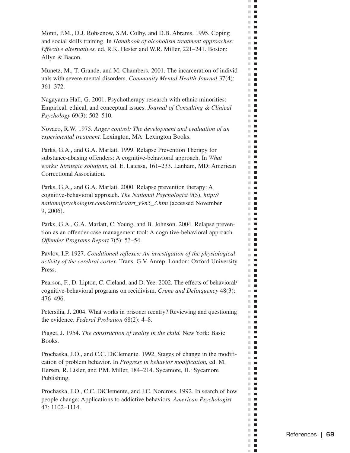Monti, P.M., D.J. Rohsenow, S.M. Colby, and D.B. Abrams. 1995. Coping and social skills training. In *Handbook of alcoholism treatment approaches: Effective alternatives,* ed. R.K. Hester and W.R. Miller, 221–241. Boston: Allyn & Bacon.

 $\mathcal{C}$  $\Box$  $\mathbb{R}^d$  $\blacksquare$ 医肾 **THE R**  $\mathbb{R}^d$  $\blacksquare$ m.  $\Box$  $\mathbb{R}^n$ П  $\sim$  $\blacksquare$  $\mathcal{L}$  $\overline{\phantom{a}}$  $\mathbf{r}$  $\blacksquare$ m.  $\mathbb{R}^2$  $\blacksquare$ m.  $\mathcal{L}_{\mathcal{A}}$  $\mathbb{R}^2$  $\blacksquare$ m.  $\overline{\phantom{a}}$  $\mathbb{R}^d$  $\blacksquare$  $\mathbb{R}^n$  $\blacksquare$  $\blacksquare$  .  $\mathbb{R}^n$  $\blacksquare$  $\mathbb{R}^n$  $\blacksquare$ m.  $\Box$  $\mathbb{R}^n$  $\blacksquare$  $\blacksquare$ ш  $\mathbb{R}^n$  .  $\blacksquare$ m.  $\mathbb{R}^2$  $\mathcal{L}_{\mathcal{A}}$  $\mathbb{R}^n$  $\overline{\phantom{a}}$  $\mathbb{R}^n$  $\blacksquare$ m.  $\blacksquare$  $\mathcal{C}^{\mathcal{C}}$  $\blacksquare$  $\Box$  .  $\Box$ m.  $\blacksquare$ m.  $\blacksquare$ m.  $\blacksquare$ m.  $\overline{\phantom{a}}$  $\mathbb{R}^n$  $\blacksquare$  $\blacksquare$  $\mathcal{L}$  $\mathbb{R}^n$  .  $\mathbb{R}^n$  $\mathbb{R}^n$  $\blacksquare$ m.  $\overline{\phantom{a}}$ m.  $\blacksquare$ m.  $\blacksquare$  $\mathbb{R}^n$  $\Box$ m.  $\overline{\phantom{a}}$ **The Co**  $\blacksquare$  $\mathbb{R}^n$  $\overline{\phantom{a}}$  $\mathbf{u}$ m. m.  $\blacksquare$ **The Contract of the Contract of the Contract of the Contract of the Contract of the Contract of the Contract o**  $\mathbf{r}$  $\blacksquare$ m.  $\Box$  $\mathbf{u}$  .  $\mathbf{u}$ m.  $\mathcal{L}_{\mathcal{A}}$ m.  $\blacksquare$ **The Contract of the Contract of the Contract of the Contract of the Contract of the Contract of the Contract o**  $\mathbb{R}^n$  .  $\mathbb{R}^n$  $\blacksquare$  $\mathbb{R}^n$ m.  $\overline{\phantom{a}}$  $\blacksquare$  <br> If m.  $\blacksquare$  $\blacksquare$  $\blacksquare$  $\mathbb{R}^n$  .  $\mathbb{R}^n$  $\mathbf{r}$ m.  $\mathcal{L}_{\mathcal{A}}$ m.  $\Box$ m.  $\mathcal{L}_{\mathcal{A}}$  $\mathbb{R}^n$  $\blacksquare$  $\blacksquare$  $\blacksquare$  $\blacksquare$  $\blacksquare$   $\blacksquare$  $\blacksquare$  $\mathbb{R}^n$ m.  $\blacksquare$ ш  $\blacksquare$  $\blacksquare$  $\mathbb{R}^d$  $\blacksquare$  $\mathcal{L}_{\mathcal{A}}$ m in  $\mathbf{r}$  .  $\mathbf{r}$  $\mathbb{R}^n$  $\overline{\phantom{a}}$  $\blacksquare$ m.  $\mathbf{L}$ m.  $\blacksquare$  $\mathbb{R}^n$  $\blacksquare$ m.  $\blacksquare$ п

Munetz, M., T. Grande, and M. Chambers. 2001. The incarceration of individuals with severe mental disorders. *Community Mental Health Journal* 37(4): 361–372.

Nagayama Hall, G. 2001. Psychotherapy research with ethnic minorities: Empirical, ethical, and conceptual issues. *Journal of Consulting & Clinical Psychology* 69(3): 502–510.

Novaco, R.W. 1975. *Anger control: The development and evaluation of an experimental treatment.* Lexington, MA: Lexington Books.

Parks, G.A., and G.A. Marlatt. 1999. Relapse Prevention Therapy for substance-abusing offenders: A cognitive-behavioral approach. In *What works: Strategic solutions,* ed. E. Latessa, 161–233. Lanham, MD: American Correctional Association.

Parks, G.A., and G.A. Marlatt. 2000. Relapse prevention therapy: A cognitive-behavioral approach. *The National Psychologist* 9(5), *http:// nationalpsychologist.com/articles/art\_v9n5\_3.htm* (accessed November 9, 2006).

Parks, G.A., G.A. Marlatt, C. Young, and B. Johnson. 2004. Relapse prevention as an offender case management tool: A cognitive-behavioral approach. *Offender Programs Report* 7(5): 53–54.

Pavlov, I.P. 1927. *Conditioned reflexes: An investigation of the physiological activity of the cerebral cortex.* Trans. G.V. Anrep. London: Oxford University Press.

Pearson, F., D. Lipton, C. Cleland, and D. Yee. 2002. The effects of behavioral/ cognitive-behavioral programs on recidivism. *Crime and Delinquency* 48(3): 476–496.

Petersilia, J. 2004. What works in prisoner reentry? Reviewing and questioning the evidence. *Federal Probation* 68(2): 4–8.

Piaget, J. 1954. *The construction of reality in the child.* New York: Basic Books.

Prochaska, J.O., and C.C. DiClemente. 1992. Stages of change in the modification of problem behavior. In *Progress in behavior modification,* ed. M. Hersen, R. Eisler, and P.M. Miller, 184–214. Sycamore, IL: Sycamore Publishing.

Prochaska, J.O., C.C. DiClemente, and J.C. Norcross. 1992. In search of how people change: Applications to addictive behaviors. *American Psychologist*  47: 1102–1114.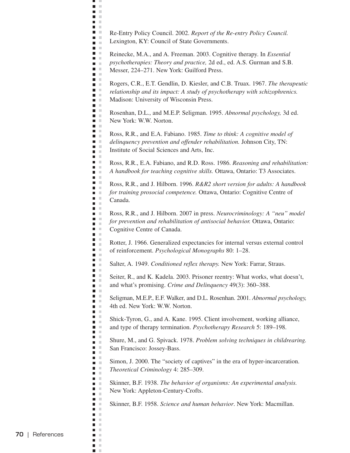Re-Entry Policy Council. 2002. *Report of the Re-entry Policy Council.*  Lexington, KY: Council of State Governments.

ц J.  $\blacksquare$  .  $\blacksquare$  $\blacksquare$ **C** n m  $\mathbf{r}$ **COLOR D** O **D** O a a **Contract** n m  $\blacksquare$  .  $\blacksquare$ a a **College The Contract State C**  $\blacksquare$   $\blacksquare$  $\blacksquare$  .  $\blacksquare$ **The Co The Contract of the Contract of the Contract of the Contract of the Contract of the Contract of the Contract o D** O  $\blacksquare$  .  $\blacksquare$  $\mathbf{r}$  $\blacksquare$  .  $\blacksquare$ n m **C** a a  $\mathbf{r}$ n a  $\blacksquare$  .  $\blacksquare$  $\blacksquare$  .  $\blacksquare$  $\blacksquare$  .  $\blacksquare$  $\blacksquare$  .  $\blacksquare$ m. m  $\Box$  $\blacksquare$  .  $\blacksquare$  $\blacksquare$  .  $\blacksquare$  $\blacksquare$  .  $\blacksquare$  $\blacksquare$  .  $\blacksquare$  $\blacksquare$  .  $\blacksquare$  $\blacksquare$  .  $\blacksquare$ **COLLEGE**  $\blacksquare$  $\blacksquare$  .  $\blacksquare$  $\blacksquare$ n H  $\blacksquare$   $\blacksquare$  $\blacksquare$  $\blacksquare$ n a  $\mathbf{u} \in \mathbb{R}$  $\mathbf{r}$  $\blacksquare$ n m  $\mathbf{u}$  .  $\mathbf{u}$ **COLLEGE**  $\blacksquare$  $\blacksquare$  .  $\blacksquare$  $\blacksquare$ a m  $\mathbf{r}$  $\blacksquare$  .  $\blacksquare$  $\blacksquare$ n m  $\blacksquare$  .  $\blacksquare$  $\mathbf{u}$  .  $\blacksquare$ m. m  $\blacksquare$   $\blacksquare$ n m  $\mathbf{r}$  $\blacksquare$  $\blacksquare$  .  $\blacksquare$  $\blacksquare$  .  $\blacksquare$  $\blacksquare$  $\blacksquare$  $\blacksquare$  $\mathcal{C}$  $\blacksquare$   $\blacksquare$ n in  $\mathbf{r}$  $\blacksquare$  $\mathcal{L}$  $\blacksquare$  .  $\blacksquare$  $\mathcal{C}$  $\Box$  $\blacksquare$  $\mathcal{L}$  $\blacksquare$  $\mathbb{R}^n$  $\blacksquare$  $\mathbb{R}^n$  $\blacksquare$ ×

Reinecke, M.A., and A. Freeman. 2003. Cognitive therapy. In *Essential psychotherapies: Theory and practice,* 2d ed., ed. A.S. Gurman and S.B. Messer, 224–271. New York: Guilford Press.

Rogers, C.R., E.T. Gendlin, D. Kiesler, and C.B. Truax. 1967. *The therapeutic relationship and its impact: A study of psychotherapy with schizophrenics.*  Madison: University of Wisconsin Press.

Rosenhan, D.L., and M.E.P. Seligman. 1995. *Abnormal psychology,* 3d ed. New York: W.W. Norton.

Ross, R.R., and E.A. Fabiano. 1985. *Time to think: A cognitive model of delinquency prevention and offender rehabilitation.* Johnson City, TN: Institute of Social Sciences and Arts, Inc.

Ross, R.R., E.A. Fabiano, and R.D. Ross. 1986. *Reasoning and rehabilitation: A handbook for teaching cognitive skills.* Ottawa, Ontario: T3 Associates.

Ross, R.R., and J. Hilborn. 1996. *R&R2 short version for adults: A handbook for training prosocial competence.* Ottawa, Ontario: Cognitive Centre of Canada.

Ross, R.R., and J. Hilborn. 2007 in press. *Neurocriminology: A "neu" model for prevention and rehabilitation of antisocial behavior.* Ottawa, Ontario: Cognitive Centre of Canada.

Rotter, J. 1966. Generalized expectancies for internal versus external control of reinforcement. *Psychological Monographs* 80: 1–28.

Salter, A. 1949. *Conditioned reflex therapy.* New York: Farrar, Straus.

Seiter, R., and K. Kadela. 2003. Prisoner reentry: What works, what doesn't, and what's promising. *Crime and Delinquency* 49(3): 360–388.

Seligman, M.E.P., E.F. Walker, and D.L. Rosenhan. 2001. *Abnormal psychology,*  4th ed. New York: W.W. Norton.

Shick-Tyron, G., and A. Kane. 1995. Client involvement, working alliance, and type of therapy termination. *Psychotherapy Research* 5: 189–198.

Shure, M., and G. Spivack. 1978. *Problem solving techniques in childrearing.*  San Francisco: Jossey-Bass.

Simon, J. 2000. The "society of captives" in the era of hyper-incarceration. *Theoretical Criminology* 4: 285–309.

Skinner, B.F. 1938. *The behavior of organisms: An experimental analysis.*  New York: Appleton-Century-Crofts.

Skinner, B.F. 1958. *Science and human behavior*. New York: Macmillan.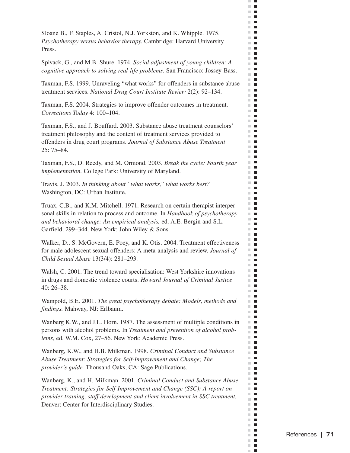Sloane B., F. Staples, A. Cristol, N.J. Yorkston, and K. Whipple. 1975. *Psychotherapy versus behavior therapy.* Cambridge: Harvard University Press.

Spivack, G., and M.B. Shure. 1974. *Social adjustment of young children: A cognitive approach to solving real-life problems.* San Francisco: Jossey-Bass.  $\mathcal{C}$  $\Box$  $\bar{\phantom{a}}$  $\blacksquare$  $\Box$ **THE R**  $\mathbb{R}^d$  $\blacksquare$  $\mathbb{R}^n$ H  $\mathbb{R}^n$ П  $\blacksquare$  $\mathcal{H}$  $\mathcal{L}$  $\blacksquare$  $\mathbb{R}^n$  $\blacksquare$  $\blacksquare$  $\mathbb{R}^n$  $\mathbb{R}^d$  $\blacksquare$  $\blacksquare$  $\mathbb{R}^n$  $\mathbb{R}^d$  $\blacksquare$ m.  $\overline{\phantom{a}}$  $\mathbb{R}^d$  $\blacksquare$  $\mathbb{R}^n$  $\overline{\phantom{a}}$  $\blacksquare$  .  $\mathbb{R}^d$  $\blacksquare$  $\mathcal{L}_{\mathcal{A}}$  $\blacksquare$ m.  $\blacksquare$  $\mathbb{R}^n$  $\blacksquare$  $\blacksquare$ ш  $\mathbb{R}^n$  . m.  $\blacksquare$  $\mathbb{R}^d$  $\blacksquare$  $\mathbb{R}^d$  $\blacksquare$ m.  $\mathcal{L}_{\mathcal{A}}$  $\blacksquare$ m. ш  $\blacksquare$ **The Contract of the Contract of the Contract of the Contract of the Contract of the Contract of the Contract o**  $\blacksquare$  $\blacksquare$  $\mathbb{R}^d$  $\blacksquare$  $\blacksquare$ m. m.  $\mathcal{L}_{\mathcal{A}}$  $\mathbb{R}^n$  $\blacksquare$  $\blacksquare$  $\blacksquare$  $\mathbb{R}^n$  .  $\mathbb{R}^n$  $\blacksquare$ m. m.  $\blacksquare$ m.  $\blacksquare$ m.  $\blacksquare$  $\blacksquare$  $\mathbb{R}^n$  $\mathbb{R}^n$  $\overline{\phantom{a}}$  $\mathbf{u}$  .  $\mathbf{u}$ **The Contract of the Contract of the Contract of the Contract of the Contract of the Contract of the Contract of the Contract of the Contract of the Contract of the Contract of the Contract of the Contract of the Contract** m.  $\blacksquare$ **The Co** m.  $\mathcal{L}_{\mathcal{A}}$ m.  $\blacksquare$ m.  $\blacksquare$  $\mathbf{r}$ m.  $\blacksquare$ П  $\blacksquare$ m m **The Co** m.  $\mathcal{L}_{\mathcal{A}}$  $\mathbb{R}^n$  .  $\mathbb{R}^n$  $\blacksquare$  $\blacksquare$ m. m.  $\mathcal{L}_{\mathcal{A}}$ m.  $\overline{\phantom{a}}$  $\mathbb{R}^n$ П  $\blacksquare$  $\blacksquare$  $\mathbb{R}^n$  .  $\mathbb{R}^n$  $\mathbb{R}^n$  $\blacksquare$  $\mathbb{R}^d$  $\overline{\phantom{a}}$  $\overline{\phantom{a}}$ m. m.  $\blacksquare$  $\blacksquare$  $\sim$  $\mathbb{R}^n$  $\blacksquare$  $\blacksquare$  $\blacksquare$  $\blacksquare$  $\blacksquare$ m. m.  $\blacksquare$  $\mathbb{R}^n$  $\Box$  $\mathbb{R}^d$  $\blacksquare$ **COL**  $\mathcal{L}_{\mathcal{A}}$  $\blacksquare$  $\mathbf{r}$  .  $\mathbf{r}$  $\mathbb{R}^n$  $\blacksquare$  $\blacksquare$ m.  $\blacksquare$ m.  $\mathcal{L}_{\mathcal{A}}$  $\mathbb{R}^d$  $\blacksquare$  $\mathbb{R}^d$  $\blacksquare$ п

Taxman, F.S. 1999. Unraveling "what works" for offenders in substance abuse treatment services. *National Drug Court Institute Review* 2(2): 92–134.

Taxman, F.S. 2004. Strategies to improve offender outcomes in treatment. *Corrections Today* 4: 100–104.

Taxman, F.S., and J. Bouffard. 2003. Substance abuse treatment counselors' treatment philosophy and the content of treatment services provided to offenders in drug court programs. *Journal of Substance Abuse Treatment*  25: 75–84.

Taxman, F.S., D. Reedy, and M. Ormond. 2003. *Break the cycle: Fourth year implementation.* College Park: University of Maryland.

Travis, J. 2003. *In thinking about "what works," what works best?*  Washington, DC: Urban Institute.

Truax, C.B., and K.M. Mitchell. 1971. Research on certain therapist interpersonal skills in relation to process and outcome. In *Handbook of psychotherapy and behavioral change: An empirical analysis,* ed. A.E. Bergin and S.L. Garfield, 299–344. New York: John Wiley & Sons.

Walker, D., S. McGovern, E. Poey, and K. Otis. 2004. Treatment effectiveness for male adolescent sexual offenders: A meta-analysis and review. *Journal of Child Sexual Abuse* 13(3/4): 281–293.

Walsh, C. 2001. The trend toward specialisation: West Yorkshire innovations in drugs and domestic violence courts. *Howard Journal of Criminal Justice*  40: 26–38.

Wampold, B.E. 2001. *The great psychotherapy debate: Models, methods and findings.* Mahway, NJ: Erlbaum.

Wanberg K.W., and J.L. Horn. 1987. The assessment of multiple conditions in persons with alcohol problems. In *Treatment and prevention of alcohol problems,* ed. W.M. Cox, 27–56. New York: Academic Press.

Wanberg, K.W., and H.B. Milkman. 1998. *Criminal Conduct and Substance Abuse Treatment: Strategies for Self-Improvement and Change; The provider's guide.* Thousand Oaks, CA: Sage Publications.

Wanberg, K., and H. Milkman. 2001. *Criminal Conduct and Substance Abuse Treatment: Strategies for Self-Improvement and Change (SSC); A report on provider training, staff development and client involvement in SSC treatment.*  Denver: Center for Interdisciplinary Studies.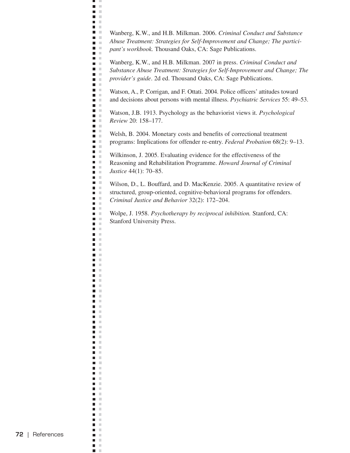Wanberg, K.W., and H.B. Milkman. 2006. *Criminal Conduct and Substance Abuse Treatment: Strategies for Self-Improvement and Change; The participant's workbook.* Thousand Oaks, CA: Sage Publications.

ш u.  $\blacksquare$  .  $\blacksquare$  $\blacksquare$  $\mathcal{L}$ **C** n m  $\Box$ **C**  $\mathbf{L}$ **College**  $\blacksquare$  $\blacksquare$  .  $\blacksquare$ n m  $\blacksquare$  .  $\blacksquare$ a a  $\blacksquare$ **The Contract of the Contract of the Contract of the Contract of the Contract of the Contract of the Contract o**  $\blacksquare$  $\blacksquare$   $\blacksquare$  $\blacksquare$  .  $\blacksquare$ n a **The Contract of the Contract of the Contract of the Contract of the Contract of the Contract of the Contract o**  $\mathbf{L}$  $\blacksquare$  .  $\blacksquare$  $\blacksquare$  .  $\blacksquare$  $\mathbf{u}$  .  $\mathbf{u}$  $\blacksquare$  .  $\blacksquare$ **C**  $\blacksquare$  .  $\blacksquare$  $\mathcal{L}$  $\mathcal{C}$  $\blacksquare$  $\blacksquare$  .  $\blacksquare$  $\blacksquare$  .  $\blacksquare$  $\blacksquare$  .  $\blacksquare$  $\Box$  $\mathcal{C}$ m. m  $\blacksquare$  .  $\blacksquare$  $\mathbb{R}^2$  $\blacksquare$  $\blacksquare$  .  $\blacksquare$  $\blacksquare$  .  $\blacksquare$  $\blacksquare$  $\mathcal{L}$  $\blacksquare$ ×  $\blacksquare$  .  $\blacksquare$  $\blacksquare$  $\mathcal{L}$  $\mathbb{R}^n$  $\blacksquare$  $\blacksquare$  .  $\blacksquare$  $\blacksquare$  $\blacksquare$  $\mathcal{L}$  $\mathbb{R}^d$  $\overline{\phantom{a}}$  $\blacksquare$  .  $\blacksquare$  $\blacksquare$  $\mathcal{L}$ Ē,  $\mathbb{R}^n$  $\blacksquare$  .  $\blacksquare$  $\mathbf{r}$  $\blacksquare$  $\mathcal{L}$  $\blacksquare$ × n m  $\blacksquare$  $\mathcal{L}$  $\Box$  $\mathcal{C}$  $\blacksquare$   $\blacksquare$  $\blacksquare$  $\pm$  $\blacksquare$  $\mathcal{C}$  $\blacksquare$  $\mathbb{R}^n$  $\blacksquare$  .  $\blacksquare$ п  $\mathbb{R}^n$ П  $\mathbb{R}^n$  $\blacksquare$  .  $\blacksquare$  $\blacksquare$  $\mathbb{R}^n$  $\overline{\phantom{a}}$  $\mathbb{R}^n$  $\blacksquare$  $\sim$  $\blacksquare$  .  $\blacksquare$  $\mathcal{C}$  $\blacksquare$  $\Box$  $\mathbb{R}^2$  $\blacksquare$   $\blacksquare$ n H  $\Box$  $\mathcal{C}$  $\blacksquare$  $\blacksquare$  $\sim$  $\blacksquare$  $\mathcal{C}$  $\blacksquare$ **III**  $\blacksquare$  $\mathbb{R}^n$ m. m  $\blacksquare$  $\mathcal{L}$  $\mathbb{R}^n$  $\blacksquare$  $\Box$  $\mathcal{C}$  $\blacksquare$  $\mathbb{R}^2$  $\overline{\phantom{a}}$  $\mathbb{R}^2$ П  $\mathbb{R}^n$  $\blacksquare$ ×

Wanberg, K.W., and H.B. Milkman. 2007 in press. *Criminal Conduct and Substance Abuse Treatment: Strategies for Self-Improvement and Change; The provider's guide*. 2d ed. Thousand Oaks, CA: Sage Publications.

Watson, A., P. Corrigan, and F. Ottati. 2004. Police officers' attitudes toward and decisions about persons with mental illness. *Psychiatric Services* 55: 49–53.

Watson, J.B. 1913. Psychology as the behaviorist views it. *Psychological Review* 20: 158–177.

Welsh, B. 2004. Monetary costs and benefits of correctional treatment programs: Implications for offender re-entry. *Federal Probation* 68(2): 9–13.

Wilkinson, J. 2005. Evaluating evidence for the effectiveness of the Reasoning and Rehabilitation Programme. *Howard Journal of Criminal Justice* 44(1): 70–85.

Wilson, D., L. Bouffard, and D. MacKenzie. 2005. A quantitative review of structured, group-oriented, cognitive-behavioral programs for offenders. *Criminal Justice and Behavior* 32(2): 172–204.

Wolpe, J. 1958. *Psychotherapy by reciprocal inhibition.* Stanford, CA: Stanford University Press.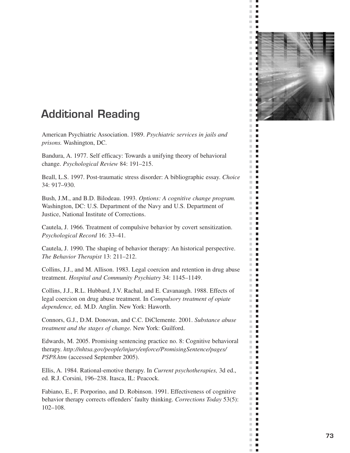

 $\bar{\phantom{a}}$  $\blacksquare$  $\blacksquare$  $\blacksquare$  $\mathbb{R}^n$  $\blacksquare$ 

 $\mathcal{L}$ п  $\overline{\phantom{a}}$ Г × г  $\mathbb{R}^n$  $\blacksquare$  $\bar{\phantom{a}}$  $\Box$  $\overline{\phantom{a}}$  $\Box$  $\mathbb{R}^n$ П  $\mathbb{R}^n$ п  $\mathbb{R}^n$  $\blacksquare$ m.  $\blacksquare$  $\mathbb{R}^d$  $\blacksquare$  $\mathbb{R}^n$  $\blacksquare$  $\mathbb{R}^d$  $\blacksquare$  $\bar{\phantom{a}}$  $\blacksquare$  $\mathbb{R}^2$ п  $\overline{\phantom{a}}$ П  $\blacksquare$  $\mathbb{R}^d$  $\overline{\phantom{a}}$  $\blacksquare$  $\blacksquare$  $\blacksquare$  $\mathbb{R}^n$  $\Box$  $\overline{\phantom{a}}$  $\Box$  $\mathbb{R}^d$ п  $\overline{\phantom{a}}$ П  $\overline{\phantom{a}}$  $\blacksquare$  $\mathbb{R}^d$  $\Box$  $\mathbb{R}^n$  $\blacksquare$  $\mathbb{R}^d$  $\blacksquare$  $\overline{\phantom{a}}$  $\Box$  $\mathbb{R}^n$  $\Box$  $\mathbb{R}^d$ п  $\mathbb{R}^n$  $\blacksquare$  $\blacksquare$  $\mathbb{R}^d$  $\overline{\phantom{a}}$  $\Box$  $\blacksquare$  $\mathbb{R}^n$ ×.  $\blacksquare$  $\mathbb{R}^d$  $\blacksquare$  $\mathbb{R}^n$ п  $\mathbb{R}^d$  $\mathbb{Z}$  $\blacksquare$  $\blacksquare$  $\mathbb{R}^n$ П  $\mathbb{R}^d$  $\blacksquare$  $\mathbb{R}^n$  $\Box$  $\overline{\phantom{a}}$  $\Box$ u.  $\blacksquare$  $\mathbb{R}^n$ П  $\blacksquare$ П  $\overline{\phantom{a}}$  $\blacksquare$  $\blacksquare$  $\mathbb{R}^n$  $\blacksquare$  $\mathbb{R}^d$  $\mathbb{R}^d$ г  $\mathbb{R}^n$  $\Box$  $\mathbb{R}^d$  $\blacksquare$  $\overline{\phantom{a}}$  $\Box$  $\blacksquare$  $\mathbb{R}^n$  $\blacksquare$ ×.  $\mathbb{R}^2$  $\Box$  $\mathbb{R}^n$  $\overline{\phantom{a}}$  $\mathbb{R}^n$ П  $\mathbb{R}^n$ п  $\overline{\phantom{a}}$  $\mathbb{Z}$  $\mathcal{C}^{\mathcal{C}}$  $\mathbf{r}$  $\mathbb{R}^n$  $\overline{\phantom{a}}$  $\overline{\phantom{a}}$ п

# **Additional Reading**

American Psychiatric Association. 1989. *Psychiatric services in jails and prisons.* Washington, DC.

Bandura, A. 1977. Self efficacy: Towards a unifying theory of behavioral change. *Psychological Review* 84: 191–215.

Beall, L.S. 1997. Post-traumatic stress disorder: A bibliographic essay. *Choice*  34: 917–930.

Bush, J.M., and B.D. Bilodeau. 1993. *Options: A cognitive change program.*  Washington, DC: U.S. Department of the Navy and U.S. Department of Justice, National Institute of Corrections.

Cautela, J. 1966. Treatment of compulsive behavior by covert sensitization. *Psychological Record* 16: 33–41.

Cautela, J. 1990. The shaping of behavior therapy: An historical perspective. *The Behavior Therapist* 13: 211–212.

Collins, J.J., and M. Allison. 1983. Legal coercion and retention in drug abuse treatment. *Hospital and Community Psychiatry* 34: 1145–1149.

Collins, J.J., R.L. Hubbard, J.V. Rachal, and E. Cavanaugh. 1988. Effects of legal coercion on drug abuse treatment. In *Compulsory treatment of opiate dependence,* ed. M.D. Anglin. New York: Haworth.

Connors, G.J., D.M. Donovan, and C.C. DiClemente. 2001. *Substance abuse treatment and the stages of change.* New York: Guilford.

Edwards, M. 2005. Promising sentencing practice no. 8: Cognitive behavioral therapy. *http://nhtsa.gov/people/injury/enforce/PromisingSentence/pages/ PSP8.htm* (accessed September 2005).

Ellis, A. 1984. Rational-emotive therapy. In *Current psychotherapies,* 3d ed., ed. R.J. Corsini, 196–238. Itasca, IL: Peacock.

Fabiano, E., F. Porporino, and D. Robinson. 1991. Effectiveness of cognitive behavior therapy corrects offenders' faulty thinking. *Corrections Today* 53(5): 102–108.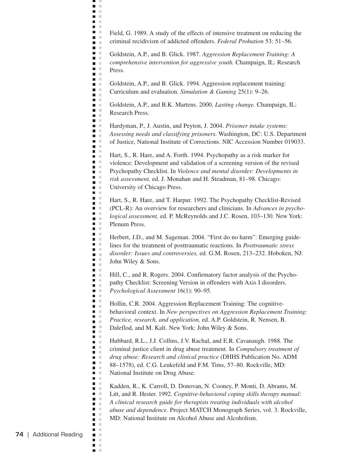Field, G. 1989. A study of the effects of intensive treatment on reducing the criminal recidivism of addicted offenders. *Federal Probation* 53: 51–56.

ц,  $\blacksquare$  $\mathbb{R}^2$ n in  $\mathbf{r}$ **DOM: The Contract of the Contract of the Contract of the Contract of the Contract of the Contract of the Contract o D** O **COLOR** n a **D** O  $\mathbf{r}$ n m  $\blacksquare$  .  $\blacksquare$ **The Co** n m  $\mathbf{m} \in \mathbb{R}$  $\blacksquare$ **D** D  $\blacksquare$  .  $\blacksquare$  $\mathbf{u}$ **D** D **COLOR** n E a a  $\blacksquare$  .  $\blacksquare$ a a  $\blacksquare$ n a  $\blacksquare$  .  $\blacksquare$  $\blacksquare$ n m n E  $\blacksquare$  .  $\blacksquare$  $\Box$ n m  $\blacksquare$ n a **C**  $\blacksquare$  .  $\blacksquare$  $\blacksquare$   $\blacksquare$  $\blacksquare$  .  $\blacksquare$ n m **The Contract of the Contract of the Contract of the Contract of the Contract of the Contract of the Contract o**  $\Box$  $\blacksquare$  .  $\blacksquare$  $\blacksquare$  $\mathbf{u}$  .  $\blacksquare$  .  $\blacksquare$  $\blacksquare$ m.  $\mathbf{r}$  $\blacksquare$  .  $\blacksquare$  $\blacksquare$ n m  $\mathbf{u}$  .  $\mathbf{r}$ n m  $\blacksquare$ n E **D** D **D** D **The Contract State**  $\blacksquare$  .  $\blacksquare$ n m **COLLEGE** a a n m  $\blacksquare$ **D** D  $\mathbf{r}$  $\mathbf{r}$ m. n E m in **C** n m a a  $\blacksquare$  $\blacksquare$  .  $\blacksquare$ **C**  $\blacksquare$  .  $\blacksquare$  $\mathbf{r}$  $\mathbf{r}$  $\blacksquare$  .  $\blacksquare$  $\blacksquare$  $\mathbb{R}^2$  $\mathbb{R}^d$  $\blacksquare$ П  $\mathbb{R}^n$  $\blacksquare$ ×

Goldstein, A.P., and B. Glick. 1987. *Aggression Replacement Training: A comprehensive intervention for aggressive youth.* Champaign, IL: Research Press.

Goldstein, A.P., and B. Glick. 1994. Aggression replacement training: Curriculum and evaluation. *Simulation & Gaming* 25(1): 9–26.

Goldstein, A.P., and B.K. Martens. 2000. *Lasting change.* Champaign, IL: Research Press.

Hardyman, P., J. Austin, and Peyton, J. 2004. *Prisoner intake systems: Assessing needs and classifying prisoners.* Washington, DC: U.S. Department of Justice, National Institute of Corrections. NIC Accession Number 019033.

Hart, S., R. Hare, and A. Forth. 1994. Psychopathy as a risk marker for violence: Development and validation of a screening version of the revised Psychopathy Checklist. In *Violence and mental disorder: Developments in risk assessment,* ed. J. Monahan and H. Steadman, 81–98. Chicago: University of Chicago Press.

Hart, S., R. Hare, and T. Harpur. 1992. The Psychopathy Checklist-Revised (PCL-R): An overview for researchers and clinicians. In *Advances in psycho logical assessment,* ed. P. McReynolds and J.C. Rosen, 103–130. New York: Plenum Press.

Herbert, J.D., and M. Sageman. 2004. "First do no harm": Emerging guide lines for the treatment of posttraumatic reactions. In *Posttraumatic stress disorder: Issues and controversies,* ed. G.M. Rosen, 213–232. Hoboken, NJ: John Wiley & Sons.

Hill, C., and R. Rogers. 2004. Confirmatory factor analysis of the Psycho pathy Checklist: Screening Version in offenders with Axis I disorders. *Psychological Assessment* 16(1): 90–95.

Hollin, C.R. 2004. Aggression Replacement Training: The cognitive behavioral context. In *New perspectives on Aggression Replacement Training: Practice, research, and application,* ed. A.P. Goldstein, R. Nensen, B. Daleflod, and M. Kalt. New York: John Wiley & Sons.

Hubbard, R.L., J.J. Collins, J.V. Rachal, and E.R. Cavanaugh. 1988. The criminal justice client in drug abuse treatment. In *Compulsory treatment of drug abuse: Research and clinical practice* (DHHS Publication No. ADM 88–1578), ed. C.G. Leukefeld and F.M. Tims, 57–80. Rockville, MD: National Institute on Drug Abuse.

Kadden, R., K. Carroll, D. Donovan, N. Cooney, P. Monti, D. Abrams, M. Litt, and R. Hester. 1992. *Cognitive-behavioral coping skills therapy manual: A clinical research guide for therapists treating individuals with alcohol abuse and dependence.* Project MATCH Monograph Series, vol. 3. Rockville, MD: National Institute on Alcohol Abuse and Alcoholism.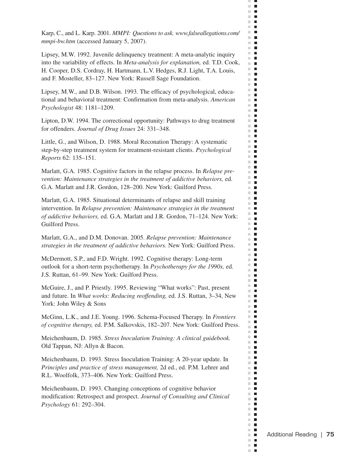Karp, C., and L. Karp. 2001. *MMPI: Questions to ask. www.falseallegations.com/ mmpi-bw.htm* (accessed January 5, 2007).

 $\bar{\phantom{a}}$  $\blacksquare$  $\mathbb{R}^n$  $\Box$ m T  $\sim$  10  $\pm$ **The Co** m m  $\mathbf{H} \in \mathbf{R}$  $\mathbb{R}^n$  $\blacksquare$ m.  $\blacksquare$  $\mathbb{R}^n$  .  $\mathbb{R}^n$  $\blacksquare$ m.  $\mathbb{R}^n$  $\mathcal{L}_{\mathcal{A}}$ m.  $\blacksquare$ m.  $\Box$ m.  $\blacksquare$  $\mathbb{R}^d$  $\blacksquare$  $\mathbf{r}$ H.  $\blacksquare$  $\blacksquare$  $\mathbb{R}^n$  $\mathbb{R}^n$  $\mathcal{L}_{\mathcal{A}}$  $\mathbf{H} \in \mathbf{R}$  $\sim$  $\blacksquare$  $\mathcal{L}$  $\blacksquare$ **The Contract**  $\mathbb{R}^n$  $\blacksquare$  $\mathbb{R}^n$  $\overline{\phantom{a}}$  $\Box$  .  $\Box$  $\mathbb{R}^n$  $\blacksquare$  $\mathbb{R}^d$  $\blacksquare$  $\mathbb{R}^n$  $\overline{\phantom{a}}$ **The Contract of the Contract of the Contract of the Contract of the Contract of the Contract of the Contract o** m.  $\blacksquare$  $\mathbb{R}^d$  $\blacksquare$ m. **I** m,  $\overline{\phantom{a}}$  $\mathbb{R}^n$  $\blacksquare$  $\mathbb{R}^n$  $\blacksquare$  $\mathbb{R}^n$  .  $\mathbb{R}^n$ m.  $\overline{\phantom{a}}$ ш  $\blacksquare$  $\mathbb{R}^n$  $\blacksquare$ m.  $\mathcal{L}_{\mathcal{A}}$  $\mathbb{R}^d$  $\blacksquare$ m.  $\blacksquare$  $\blacksquare$ m.  $\blacksquare$  $\blacksquare$  $\mathbb{R}^d$  $\blacksquare$ m.  $\blacksquare$ m.  $\mathbb{R}^d$  $\blacksquare$ m.  $\blacksquare$ m.  $\blacksquare$  $\blacksquare$ m. m.  $\blacksquare$  $\mathbb{R}^n$  .  $\mathbb{R}^n$  $\mathcal{L}_{\mathcal{A}}$  $\overline{\phantom{a}}$  $\mathbb{R}^d$ П  $\mathbf{r}$  $\mathbf{r}$  $\mathbb{R}^n$  $\blacksquare$ m.  $\blacksquare$ m.  $\blacksquare$  $\mathcal{H}$  $\blacksquare$ ш  $\blacksquare$ m m  $\blacksquare$  $\mathbb{R}^d$  $\blacksquare$  $\mathbb{R}^d$  $\mathcal{L}_{\mathcal{A}}$ m.  $\blacksquare$  $\mathbb{R}^d$  $\blacksquare$  $\mathbb{R}^n$  $\blacksquare$ m.  $\blacksquare$ **The Contract of the Contract of the Contract of the Contract of the Contract of the Contract of the Contract o**  $\mathbb{R}^d$  $\blacksquare$  $\blacksquare$ m.  $\blacksquare$  $\blacksquare$  $\mathcal{C}$  $\blacksquare$ m.  $\overline{\phantom{a}}$  $\mathbf{r}$  $\mathbb{R}^n$  .  $\mathbb{R}^n$  $\mathcal{L}$  $\mathcal{L}_{\mathcal{A}}$  $\Box$  .  $\Box$ m.  $\overline{\phantom{a}}$  $\mathbb{R}^n$  $\Box$  .  $\Box$ **The Contract** m. п

Lipsey, M.W. 1992. Juvenile delinquency treatment: A meta-analytic inquiry into the variability of effects. In *Meta-analysis for explanation,* ed. T.D. Cook, H. Cooper, D.S. Cordray, H. Hartmann, L.V. Hedges, R.J. Light, T.A. Louis, and F. Mosteller, 83–127. New York: Russell Sage Foundation.

Lipsey, M.W., and D.B. Wilson. 1993. The efficacy of psychological, educational and behavioral treatment: Confirmation from meta-analysis. *American Psychologist* 48: 1181–1209.

Lipton, D.W. 1994. The correctional opportunity: Pathways to drug treatment for offenders. *Journal of Drug Issues* 24: 331–348.

Little, G., and Wilson, D. 1988. Moral Reconation Therapy: A systematic step-by-step treatment system for treatment-resistant clients. *Psychological Reports* 62: 135–151.

Marlatt, G.A. 1985. Cognitive factors in the relapse process. In *Relapse prevention: Maintenance strategies in the treatment of addictive behaviors,* ed. G.A. Marlatt and J.R. Gordon, 128–200. New York: Guilford Press.

Marlatt, G.A. 1985. Situational determinants of relapse and skill training intervention. In *Relapse prevention: Maintenance strategies in the treatment of addictive behaviors,* ed. G.A. Marlatt and J.R. Gordon, 71–124. New York: Guilford Press.

Marlatt, G.A., and D.M. Donovan. 2005. *Relapse prevention: Maintenance strategies in the treatment of addictive behaviors.* New York: Guilford Press.

McDermott, S.P., and F.D. Wright. 1992. Cognitive therapy: Long-term outlook for a short-term psychotherapy. In *Psychotherapy for the 1990s,* ed. J.S. Ruttan, 61–99. New York: Guilford Press.

McGuire, J., and P. Priestly. 1995. Reviewing "What works": Past, present and future. In *What works: Reducing reoffending,* ed. J.S. Ruttan, 3–34, New York: John Wiley & Sons

McGinn, L.K., and J.E. Young. 1996. Schema-Focused Therapy. In *Frontiers of cognitive therapy,* ed. P.M. Salkovskis, 182–207. New York: Guilford Press.

Meichenbaum, D. 1985. *Stress Inoculation Training: A clinical guidebook.*  Old Tappan, NJ: Allyn & Bacon.

Meichenbaum, D. 1993. Stress Inoculation Training: A 20-year update. In *Principles and practice of stress management,* 2d ed., ed. P.M. Lehrer and R.L. Woolfolk, 373–406. New York: Guilford Press.

Meichenbaum, D. 1993. Changing conceptions of cognitive behavior modification: Retrospect and prospect. *Journal of Consulting and Clinical Psychology* 61: 292–304.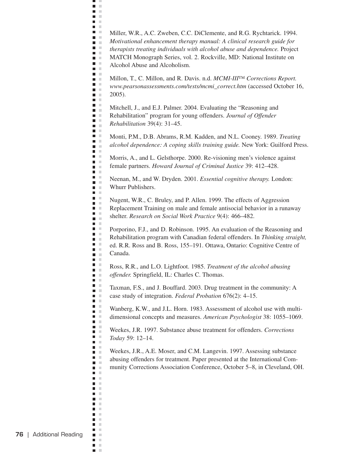Miller, W.R., A.C. Zweben, C.C. DiClemente, and R.G. Rychtarick. 1994. *Motivational enhancement therapy manual: A clinical research guide for therapists treating individuals with alcohol abuse and dependence.* Project MATCH Monograph Series, vol. 2. Rockville, MD: National Institute on Alcohol Abuse and Alcoholism.

ц,  $\blacksquare$  $\mathbb{R}^2$ a a  $\mathbf{r}$ **DOM: The Contract of the Contract of the Contract of the Contract of the Contract of the Contract of the Contract o**  $\mathbf{L}$ **C** n m **The Co**  $\mathcal{L}^{\mathcal{L}}$  . n m  $\mathbf{u}$ n m n m  $\mathbf{u}$  .  $\blacksquare$ **D** D  $\mathbf{r}$  $\mathbf{u}$ **COLLEGE COLOR** n E a a  $\blacksquare$  .  $\blacksquare$ a a  $\blacksquare$ n a  $\mathbf{r}$  $\mathbf{u}$ n m  $\blacksquare$ n m  $\mathcal{L}$ n m **C** n E **COLLEGE**  $\blacksquare$  .  $\blacksquare$  $\blacksquare$   $\blacksquare$  $\blacksquare$ n m **The Contract of the Contract of the Contract of the Contract of the Contract of the Contract of the Contract o**  $\blacksquare$  $\blacksquare$   $\blacksquare$  $\blacksquare$  $\mathbf{u}$  .  $\blacksquare$  $\blacksquare$ m.  $\mathbf{r}$  $\blacksquare$  .  $\blacksquare$  $\blacksquare$  .  $\blacksquare$ n m **TELEVISION**  $\mathbf{r}$ n m  $\blacksquare$ n E  $\mathbf{r}$ **D** D n m  $\Box$ n m **COLLEGE** a a n m  $\blacksquare$  . **D** D  $\mathbf{r}$  $\blacksquare$ m. **The Contract State**  $\blacksquare$  .  $\blacksquare$ n m n m a a  $\blacksquare$   $\blacksquare$ n a **Contract** m m  $\mathbf{r}$ n m  $\blacksquare$  $\mathbb{R}^n$  $\blacksquare$  $\mathbb{R}^n$  $\blacksquare$  $\mathcal{C}$ П  $\mathbb{R}^n$  $\blacksquare$ ×

Millon, T., C. Millon, and R. Davis. n.d. *MCMI-III™ Corrections Report. www.pearsonassessments.com/tests/mcmi\_correct.htm* (accessed October 16, 2005).

Mitchell, J., and E.J. Palmer. 2004. Evaluating the "Reasoning and Rehabilitation" program for young offenders. *Journal of Offender Rehabilitation* 39(4): 31–45.

Monti, P.M., D.B. Abrams, R.M. Kadden, and N.L. Cooney. 1989. *Treating alcohol dependence: A coping skills training guide.* New York: Guilford Press.

Morris, A., and L. Gelsthorpe. 2000. Re-visioning men's violence against female partners. *Howard Journal of Criminal Justice* 39: 412–428.

Neenan, M., and W. Dryden. 2001. *Essential cognitive therapy.* London: Whurr Publishers.

Nugent, W.R., C. Bruley, and P. Allen. 1999. The effects of Aggression Replacement Training on male and female antisocial behavior in a runaway shelter. *Research on Social Work Practice* 9(4): 466–482.

Porporino, F.J., and D. Robinson. 1995. An evaluation of the Reasoning and Rehabilitation program with Canadian federal offenders. In *Thinking straight,*  ed. R.R. Ross and B. Ross, 155–191. Ottawa, Ontario: Cognitive Centre of Canada.

Ross, R.R., and L.O. Lightfoot. 1985. *Treatment of the alcohol abusing offender.* Springfield, IL: Charles C. Thomas.

Taxman, F.S., and J. Bouffard. 2003. Drug treatment in the community: A case study of integration. *Federal Probation* 676(2): 4–15.

Wanberg, K.W., and J.L. Horn. 1983. Assessment of alcohol use with multidimensional concepts and measures. *American Psychologist* 38: 1055–1069.

Weekes, J.R. 1997. Substance abuse treatment for offenders. *Corrections Today* 59: 12–14.

Weekes, J.R., A.E. Moser, and C.M. Langevin. 1997. Assessing substance abusing offenders for treatment. Paper presented at the International Community Corrections Association Conference, October 5–8, in Cleveland, OH.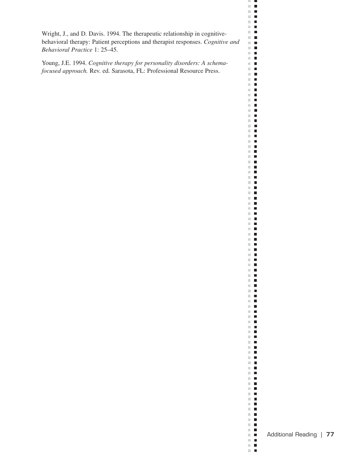Wright, J., and D. Davis. 1994. The therapeutic relationship in cognitivebehavioral therapy: Patient perceptions and therapist responses. *Cognitive and Behavioral Practice* 1: 25–45.

Young, J.E. 1994. *Cognitive therapy for personality disorders: A schemafocused approach.* Rev. ed. Sarasota, FL: Professional Resource Press.

 $\mathbb{R}^n$  .  $\mathbb{R}^n$  $\mathbb{R}^n$  .  $\mathbb{R}^n$ 

. .  $\blacksquare$  <br> If  $\mathbb{R}^n$  . In  $\blacksquare$  <br> If  $\Box$  .  $\Box$ **The Co**  $\Box$  .  $\Box$  $\Box$  .  $\mathbb{R}^n$  . In  $\Box$  .  $\Box$  $\mathbf{H}$  .  $\mathbf{H}^{\prime}$  .  $\Box$  .  $\Box$  $\blacksquare$  .  $\blacksquare$  $\mathbb{R}^n$  .  $\mathbb{R}^n$  $\Box$  .  $\Box$  $\mathbb{R}^n$  $\blacksquare$  $\mathbf{H}^{\dagger}$  .  $\blacksquare$   $\blacksquare$  $\Box$  .  $\Box$  $\mathbb{R}^n$  .  $\mathbb{R}^n$  $\mathbb{R}^n$  .  $\mathbb{R}^n$  $\mathbb{R}^n$  .  $\mathbb{R}^n$  $\mathbb{R}^n$  .  $\mathbb{R}^n$  $\mathbb{R}^n$  . In  $\Box$  .  $\Box$  $\blacksquare$  .  $\blacksquare$  $\blacksquare$  .  $\blacksquare$  $\Box$  .  $\Box$  $\mathbb{R}^n$  .  $\mathbb{R}^n$  $\mathbf{H} \cdot \mathbf{B}$  $\mathbf{H}$  $\mathbb{R}^n$  .  $\mathbb{R}^n$  $\mathbb{R}^n$  .  $\mathbb{R}^n$  $\mathbb{R}^n$  .  $\mathbb{R}^n$  $\Box$  .  $\Box$  $\mathbb{R}^n$  .  $\mathbb{R}^n$  $\Box$  .  $\Box$  $\mathbb{R}^n$  .  $\mathbb{R}^n$  $\blacksquare$  .  $\blacksquare$  $\Box$  .  $\Box$  $\mathbb{R}^n$  .  $\mathbb{R}^n$  $\mathbb{R}^n$  .  $\mathbb{R}^n$  $\mathbb{R}^n$  .  $\mathbb{R}^n$  $\mathbb{R}^n$  .  $\mathbb{R}^n$  $\mathbb{R}^n$  .  $\mathbb{R}^n$  $\mathbb{R}^n$  .  $\mathbb{R}^n$  $\Box$  .  $\Box$  $\mathbb{R}^n$  .  $\mathbb{R}^n$  $\blacksquare$  <br> If  $\mathbf{u} \cdot \mathbf{u}$  $\mathbb{R}^n$  .  $\mathbb{R}^n$  $\blacksquare$  .  $\blacksquare$  $\mathbf{H} \cdot \mathbf{H}$  $\Box$  .  $\Box$  $\mathbb{R}^n$  .  $\mathbb{R}^n$  $\mathbf{r}$  $\equiv$  $\blacksquare$  $\mathbb{R}^n$  .  $\mathbb{R}^n$  $\mathbb{R}^n$  .  $\mathbb{R}^n$  $\mathbf{u} \cdot \mathbf{u}$  $\mathbf{H}$  .  $\mathbb{R}^n$  .  $\mathbb{R}^n$  $\blacksquare$  .  $\blacksquare$  $\mathbb{R}^n$  .  $\mathbb{R}^n$  $\mathbb{R}^n$  .  $\mathbb{R}^n$  $\pm$  10  $\mathbb{R}^n$  .  $\mathbb{R}^n$  $\blacksquare$  .  $\blacksquare$  $\Box$  .  $\Box$  $\mathbb{R}^n$  .  $\mathbb{R}^n$  $\mathbf{H} \cdot \mathbf{B}$  $\mathbb{R}^n$  .  $\mathbb{R}^n$  $\mathbb{R}^n$  .  $\mathbb{R}^n$  $\mathbf{H}$  .  $\mathbf{H}$  $\mathbb{R}^n$  .  $\mathbb{R}^n$  $\blacksquare$  .  $\blacksquare$ H  $\blacksquare$  .  $\blacksquare$  $\mathbb{R}^n$  .  $\mathbb{R}^n$  $\mathbb{R}^n$  .  $\mathbb{R}^n$  $\mathbf{H}^{\dagger}$  .  $\Box$  .  $\Box$  $\Box$  .  $\Box$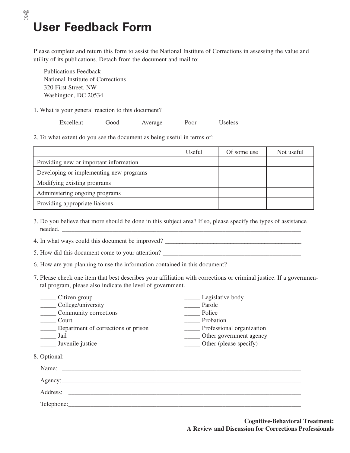# **User Feedback Form**

✄

Please complete and return this form to assist the National Institute of Corrections in assessing the value and utility of its publications. Detach from the document and mail to:

Publications Feedback National Institute of Corrections 320 First Street, NW Washington, DC 20534

1. What is your general reaction to this document?

\_\_\_\_\_\_Excellent \_\_\_\_\_\_Good \_\_\_\_\_\_Average \_\_\_\_\_\_Poor \_\_\_\_\_\_Useless

2. To what extent do you see the document as being useful in terms of:

|                                         | Useful | Of some use | Not useful |
|-----------------------------------------|--------|-------------|------------|
| Providing new or important information  |        |             |            |
| Developing or implementing new programs |        |             |            |
| Modifying existing programs             |        |             |            |
| Administering ongoing programs          |        |             |            |
| Providing appropriate liaisons          |        |             |            |

3. Do you believe that more should be done in this subject area? If so, please specify the types of assistance needed.

4. In what ways could this document be improved?

| 5. How did this document come to your attention? |  |
|--------------------------------------------------|--|
|--------------------------------------------------|--|

6. How are you planning to use the information contained in this document?\_\_\_\_\_\_\_\_\_\_\_\_\_\_\_\_\_\_\_\_\_\_\_\_\_\_

7. Please check one item that best describes your affiliation with corrections or criminal justice. If a governmental program, please also indicate the level of government.

| Citizen group                                   | Legislative body          |  |
|-------------------------------------------------|---------------------------|--|
| College/university                              | Parole                    |  |
| Community corrections                           | Police                    |  |
| Court                                           | Probation                 |  |
| Department of corrections or prison             | Professional organization |  |
| Jail                                            | Other government agency   |  |
| Juvenile justice                                | Other (please specify)    |  |
| 8. Optional:<br>Name:<br>Address:<br>Telephone: |                           |  |
|                                                 |                           |  |

**Cognitive-Behavioral Treatment: A Review and Discussion for Corrections Professionals**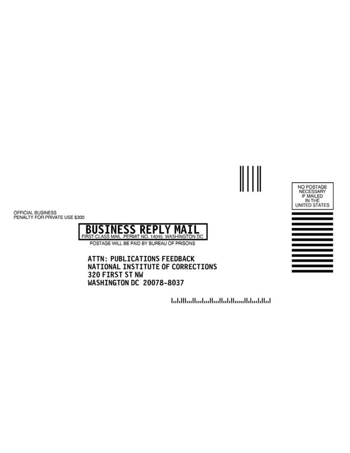

OFFICIAL BUSINESS<br>PENALTY FOR PRIVATE USE \$300



ATTN: PUBLICATIONS FEEDBACK NATIONAL INSTITUTE OF CORRECTIONS 320 FIRST ST NW WASHINGTON DC 20078-8037

انتابا بشابا استنبا انابيا استانت البيانيا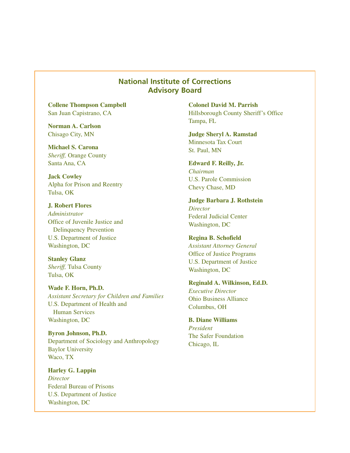#### **National Institute of Corrections Advisory Board**

**Collene Thompson Campbell**  San Juan Capistrano, CA

**Norman A. Carlson**  Chisago City, MN

**Michael S. Carona**  *Sheriff,* Orange County Santa Ana, CA

**Jack Cowley**  Alpha for Prison and Reentry Tulsa, OK

**J. Robert Flores**  *Administrator*  Office of Juvenile Justice and Delinquency Prevention U.S. Department of Justice Washington, DC

**Stanley Glanz**  *Sheriff,* Tulsa County Tulsa, OK

**Wade F. Horn, Ph.D.**  *Assistant Secretary for Children and Families*  U.S. Department of Health and Human Services Washington, DC

**Byron Johnson, Ph.D.**  Department of Sociology and Anthropology Baylor University Waco, TX

**Harley G. Lappin**  *Director*  Federal Bureau of Prisons U.S. Department of Justice Washington, DC

**Colonel David M. Parrish**  Hillsborough County Sheriff's Office Tampa, FL

**Judge Sheryl A. Ramstad**  Minnesota Tax Court St. Paul, MN

**Edward F. Reilly, Jr.**  *Chairman*  U.S. Parole Commission Chevy Chase, MD

**Judge Barbara J. Rothstein**  *Director*  Federal Judicial Center Washington, DC

**Regina B. Schofield**  *Assistant Attorney General*  Office of Justice Programs U.S. Department of Justice Washington, DC

**Reginald A. Wilkinson, Ed.D.**  *Executive Director*  Ohio Business Alliance Columbus, OH

**B. Diane Williams**  *President*  The Safer Foundation Chicago, IL